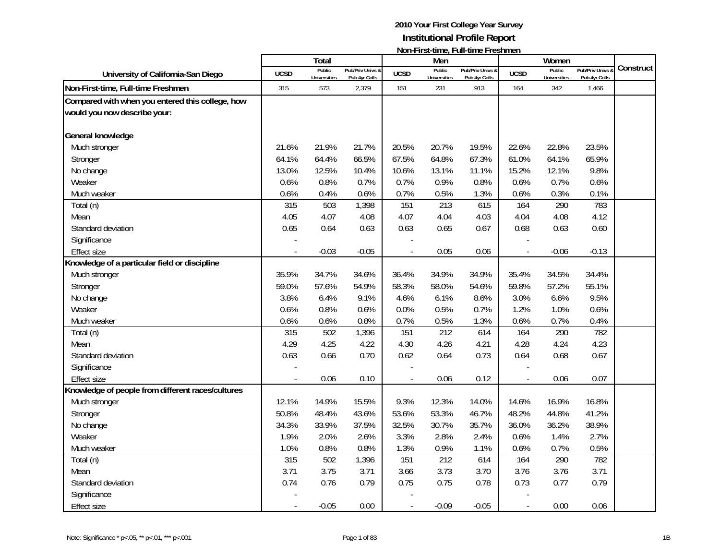|                                                   |             | <b>Total</b>                  |                                   |                | Men                    | <b>INVITED IN SECURITY, LATELITY CONTINUES.</b> |                          | Women                         |                                 |           |
|---------------------------------------------------|-------------|-------------------------------|-----------------------------------|----------------|------------------------|-------------------------------------------------|--------------------------|-------------------------------|---------------------------------|-----------|
| University of California-San Diego                | <b>UCSD</b> | Public<br><b>Universities</b> | Pub/Priv Univs &<br>Pub 4yr Colls | <b>UCSD</b>    | Public<br>Universities | Pub/Priv Univs &<br>Pub 4yr Colls               | <b>UCSD</b>              | Public<br><b>Universities</b> | Pub/Priv Univs<br>Pub 4yr Colls | Construct |
| Non-First-time, Full-time Freshmen                | 315         | 573                           | 2,379                             | 151            | 231                    | 913                                             | 164                      | 342                           | 1,466                           |           |
| Compared with when you entered this college, how  |             |                               |                                   |                |                        |                                                 |                          |                               |                                 |           |
| would you now describe your:                      |             |                               |                                   |                |                        |                                                 |                          |                               |                                 |           |
|                                                   |             |                               |                                   |                |                        |                                                 |                          |                               |                                 |           |
| General knowledge                                 |             |                               |                                   |                |                        |                                                 |                          |                               |                                 |           |
| Much stronger                                     | 21.6%       | 21.9%                         | 21.7%                             | 20.5%          | 20.7%                  | 19.5%                                           | 22.6%                    | 22.8%                         | 23.5%                           |           |
| Stronger                                          | 64.1%       | 64.4%                         | 66.5%                             | 67.5%          | 64.8%                  | 67.3%                                           | 61.0%                    | 64.1%                         | 65.9%                           |           |
| No change                                         | 13.0%       | 12.5%                         | 10.4%                             | 10.6%          | 13.1%                  | 11.1%                                           | 15.2%                    | 12.1%                         | 9.8%                            |           |
| Weaker                                            | 0.6%        | 0.8%                          | 0.7%                              | 0.7%           | 0.9%                   | 0.8%                                            | 0.6%                     | 0.7%                          | 0.6%                            |           |
| Much weaker                                       | 0.6%        | 0.4%                          | 0.6%                              | 0.7%           | 0.5%                   | 1.3%                                            | 0.6%                     | 0.3%                          | 0.1%                            |           |
| Total (n)                                         | 315         | 503                           | 1,398                             | 151            | 213                    | 615                                             | 164                      | 290                           | 783                             |           |
| Mean                                              | 4.05        | 4.07                          | 4.08                              | 4.07           | 4.04                   | 4.03                                            | 4.04                     | 4.08                          | 4.12                            |           |
| Standard deviation                                | 0.65        | 0.64                          | 0.63                              | 0.63           | 0.65                   | 0.67                                            | 0.68                     | 0.63                          | 0.60                            |           |
| Significance                                      |             |                               |                                   |                |                        |                                                 |                          |                               |                                 |           |
| <b>Effect size</b>                                |             | $-0.03$                       | $-0.05$                           |                | 0.05                   | 0.06                                            |                          | $-0.06$                       | $-0.13$                         |           |
| Knowledge of a particular field or discipline     |             |                               |                                   |                |                        |                                                 |                          |                               |                                 |           |
| Much stronger                                     | 35.9%       | 34.7%                         | 34.6%                             | 36.4%          | 34.9%                  | 34.9%                                           | 35.4%                    | 34.5%                         | 34.4%                           |           |
| Stronger                                          | 59.0%       | 57.6%                         | 54.9%                             | 58.3%          | 58.0%                  | 54.6%                                           | 59.8%                    | 57.2%                         | 55.1%                           |           |
| No change                                         | 3.8%        | 6.4%                          | 9.1%                              | 4.6%           | 6.1%                   | 8.6%                                            | 3.0%                     | 6.6%                          | 9.5%                            |           |
| Weaker                                            | 0.6%        | 0.8%                          | 0.6%                              | 0.0%           | 0.5%                   | 0.7%                                            | 1.2%                     | 1.0%                          | 0.6%                            |           |
| Much weaker                                       | 0.6%        | 0.6%                          | 0.8%                              | 0.7%           | 0.5%                   | 1.3%                                            | 0.6%                     | 0.7%                          | 0.4%                            |           |
| Total (n)                                         | 315         | 502                           | 1,396                             | 151            | 212                    | 614                                             | 164                      | 290                           | 782                             |           |
| Mean                                              | 4.29        | 4.25                          | 4.22                              | 4.30           | 4.26                   | 4.21                                            | 4.28                     | 4.24                          | 4.23                            |           |
| Standard deviation                                | 0.63        | 0.66                          | 0.70                              | 0.62           | 0.64                   | 0.73                                            | 0.64                     | 0.68                          | 0.67                            |           |
| Significance                                      |             |                               |                                   |                |                        |                                                 |                          |                               |                                 |           |
| <b>Effect size</b>                                | $\sim$      | 0.06                          | 0.10                              |                | 0.06                   | 0.12                                            | $\overline{\phantom{a}}$ | 0.06                          | 0.07                            |           |
| Knowledge of people from different races/cultures |             |                               |                                   |                |                        |                                                 |                          |                               |                                 |           |
| Much stronger                                     | 12.1%       | 14.9%                         | 15.5%                             | 9.3%           | 12.3%                  | 14.0%                                           | 14.6%                    | 16.9%                         | 16.8%                           |           |
| Stronger                                          | 50.8%       | 48.4%                         | 43.6%                             | 53.6%          | 53.3%                  | 46.7%                                           | 48.2%                    | 44.8%                         | 41.2%                           |           |
| No change                                         | 34.3%       | 33.9%                         | 37.5%                             | 32.5%          | 30.7%                  | 35.7%                                           | 36.0%                    | 36.2%                         | 38.9%                           |           |
| Weaker                                            | 1.9%        | 2.0%                          | 2.6%                              | 3.3%           | 2.8%                   | 2.4%                                            | 0.6%                     | 1.4%                          | 2.7%                            |           |
| Much weaker                                       | 1.0%        | 0.8%                          | 0.8%                              | 1.3%           | 0.9%                   | 1.1%                                            | 0.6%                     | 0.7%                          | 0.5%                            |           |
| Total (n)                                         | 315         | 502                           | 1,396                             | 151            | 212                    | 614                                             | 164                      | 290                           | 782                             |           |
| Mean                                              | 3.71        | 3.75                          | 3.71                              | 3.66           | 3.73                   | 3.70                                            | 3.76                     | 3.76                          | 3.71                            |           |
| Standard deviation                                | 0.74        | 0.76                          | 0.79                              | 0.75           | 0.75                   | 0.78                                            | 0.73                     | 0.77                          | 0.79                            |           |
| Significance                                      |             |                               |                                   |                |                        |                                                 |                          |                               |                                 |           |
| Effect size                                       |             | $-0.05$                       | 0.00                              | $\overline{a}$ | $-0.09$                | $-0.05$                                         | $\blacksquare$           | 0.00                          | 0.06                            |           |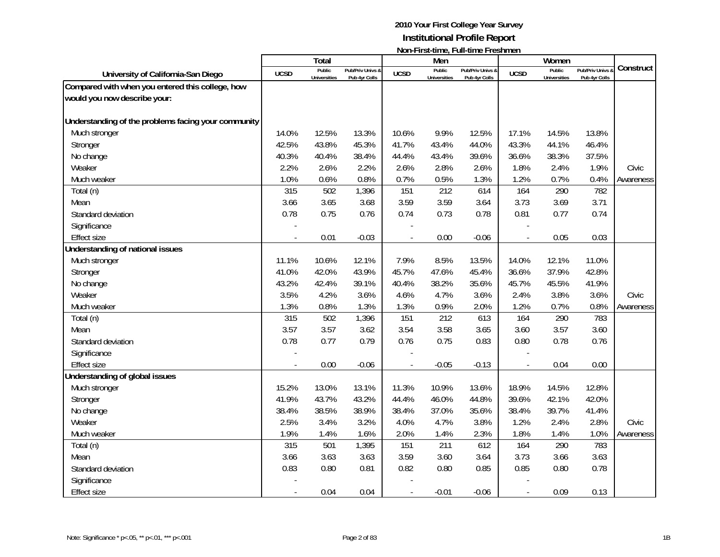|                                                     |             | <b>Total</b>                  |                                   |             | Men                           | ו שטוו-ו וו אנימוווט, ו עווימוווט ו וכאווווטוו |                          | Women                         |                                 |           |
|-----------------------------------------------------|-------------|-------------------------------|-----------------------------------|-------------|-------------------------------|------------------------------------------------|--------------------------|-------------------------------|---------------------------------|-----------|
| University of California-San Diego                  | <b>UCSD</b> | Public<br><b>Universities</b> | Pub/Priv Univs &<br>Pub 4yr Colls | <b>UCSD</b> | Public<br><b>Universities</b> | Pub/Priv Univs &<br>Pub 4yr Colls              | <b>UCSD</b>              | Public<br><b>Universities</b> | Pub/Priv Univs<br>Pub 4yr Colls | Construct |
| Compared with when you entered this college, how    |             |                               |                                   |             |                               |                                                |                          |                               |                                 |           |
| would you now describe your:                        |             |                               |                                   |             |                               |                                                |                          |                               |                                 |           |
|                                                     |             |                               |                                   |             |                               |                                                |                          |                               |                                 |           |
| Understanding of the problems facing your community |             |                               |                                   |             |                               |                                                |                          |                               |                                 |           |
| Much stronger                                       | 14.0%       | 12.5%                         | 13.3%                             | 10.6%       | 9.9%                          | 12.5%                                          | 17.1%                    | 14.5%                         | 13.8%                           |           |
| Stronger                                            | 42.5%       | 43.8%                         | 45.3%                             | 41.7%       | 43.4%                         | 44.0%                                          | 43.3%                    | 44.1%                         | 46.4%                           |           |
| No change                                           | 40.3%       | 40.4%                         | 38.4%                             | 44.4%       | 43.4%                         | 39.6%                                          | 36.6%                    | 38.3%                         | 37.5%                           |           |
| Weaker                                              | 2.2%        | 2.6%                          | 2.2%                              | 2.6%        | 2.8%                          | 2.6%                                           | 1.8%                     | 2.4%                          | 1.9%                            | Civic     |
| Much weaker                                         | 1.0%        | 0.6%                          | 0.8%                              | 0.7%        | 0.5%                          | 1.3%                                           | 1.2%                     | 0.7%                          | 0.4%                            | Awareness |
| Total (n)                                           | 315         | 502                           | 1,396                             | 151         | 212                           | 614                                            | 164                      | 290                           | 782                             |           |
| Mean                                                | 3.66        | 3.65                          | 3.68                              | 3.59        | 3.59                          | 3.64                                           | 3.73                     | 3.69                          | 3.71                            |           |
| Standard deviation                                  | 0.78        | 0.75                          | 0.76                              | 0.74        | 0.73                          | 0.78                                           | 0.81                     | 0.77                          | 0.74                            |           |
| Significance                                        |             |                               |                                   |             |                               |                                                |                          |                               |                                 |           |
| <b>Effect size</b>                                  |             | 0.01                          | $-0.03$                           |             | 0.00                          | $-0.06$                                        | $\blacksquare$           | 0.05                          | 0.03                            |           |
| Understanding of national issues                    |             |                               |                                   |             |                               |                                                |                          |                               |                                 |           |
| Much stronger                                       | 11.1%       | 10.6%                         | 12.1%                             | 7.9%        | 8.5%                          | 13.5%                                          | 14.0%                    | 12.1%                         | 11.0%                           |           |
| Stronger                                            | 41.0%       | 42.0%                         | 43.9%                             | 45.7%       | 47.6%                         | 45.4%                                          | 36.6%                    | 37.9%                         | 42.8%                           |           |
| No change                                           | 43.2%       | 42.4%                         | 39.1%                             | 40.4%       | 38.2%                         | 35.6%                                          | 45.7%                    | 45.5%                         | 41.9%                           |           |
| Weaker                                              | 3.5%        | 4.2%                          | 3.6%                              | 4.6%        | 4.7%                          | 3.6%                                           | 2.4%                     | 3.8%                          | 3.6%                            | Civic     |
| Much weaker                                         | 1.3%        | 0.8%                          | 1.3%                              | 1.3%        | 0.9%                          | 2.0%                                           | 1.2%                     | 0.7%                          | 0.8%                            | Awareness |
| Total (n)                                           | 315         | 502                           | 1,396                             | 151         | 212                           | 613                                            | 164                      | 290                           | 783                             |           |
| Mean                                                | 3.57        | 3.57                          | 3.62                              | 3.54        | 3.58                          | 3.65                                           | 3.60                     | 3.57                          | 3.60                            |           |
| Standard deviation                                  | 0.78        | 0.77                          | 0.79                              | 0.76        | 0.75                          | 0.83                                           | 0.80                     | 0.78                          | 0.76                            |           |
| Significance                                        |             |                               |                                   |             |                               |                                                |                          |                               |                                 |           |
| <b>Effect size</b>                                  |             | 0.00                          | $-0.06$                           |             | $-0.05$                       | $-0.13$                                        |                          | 0.04                          | 0.00                            |           |
| Understanding of global issues                      |             |                               |                                   |             |                               |                                                |                          |                               |                                 |           |
| Much stronger                                       | 15.2%       | 13.0%                         | 13.1%                             | 11.3%       | 10.9%                         | 13.6%                                          | 18.9%                    | 14.5%                         | 12.8%                           |           |
| Stronger                                            | 41.9%       | 43.7%                         | 43.2%                             | 44.4%       | 46.0%                         | 44.8%                                          | 39.6%                    | 42.1%                         | 42.0%                           |           |
| No change                                           | 38.4%       | 38.5%                         | 38.9%                             | 38.4%       | 37.0%                         | 35.6%                                          | 38.4%                    | 39.7%                         | 41.4%                           |           |
| Weaker                                              | 2.5%        | 3.4%                          | 3.2%                              | 4.0%        | 4.7%                          | 3.8%                                           | 1.2%                     | 2.4%                          | 2.8%                            | Civic     |
| Much weaker                                         | 1.9%        | 1.4%                          | 1.6%                              | 2.0%        | 1.4%                          | 2.3%                                           | 1.8%                     | 1.4%                          | 1.0%                            | Awareness |
| Total (n)                                           | 315         | 501                           | 1,395                             | 151         | 211                           | 612                                            | 164                      | 290                           | 783                             |           |
| Mean                                                | 3.66        | 3.63                          | 3.63                              | 3.59        | 3.60                          | 3.64                                           | 3.73                     | 3.66                          | 3.63                            |           |
| Standard deviation                                  | 0.83        | 0.80                          | 0.81                              | 0.82        | 0.80                          | 0.85                                           | 0.85                     | 0.80                          | 0.78                            |           |
| Significance                                        |             |                               |                                   |             |                               |                                                |                          |                               |                                 |           |
| Effect size                                         |             | 0.04                          | 0.04                              |             | $-0.01$                       | $-0.06$                                        | $\overline{\phantom{a}}$ | 0.09                          | 0.13                            |           |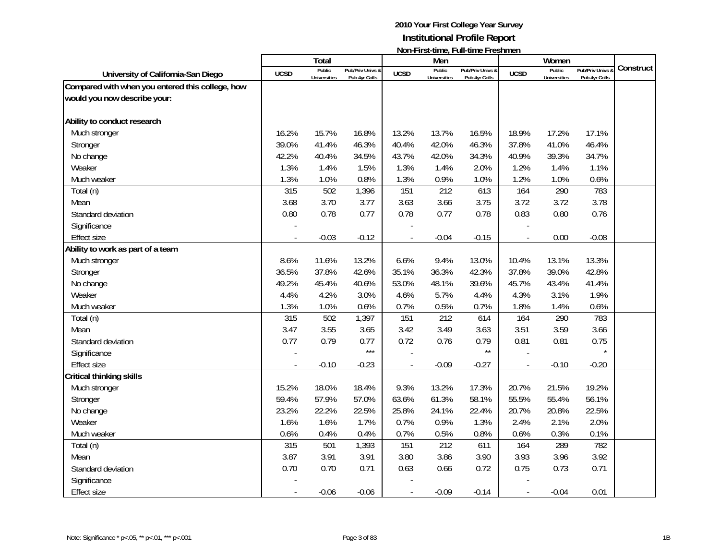|                                                  |             | <b>Total</b>                  |                                   |                | Men                           | <u> INUIFE ILSE (ILIIG, FUIL-ULIIG FEGSHILIGH</u> |                | Women                         |                                   |           |
|--------------------------------------------------|-------------|-------------------------------|-----------------------------------|----------------|-------------------------------|---------------------------------------------------|----------------|-------------------------------|-----------------------------------|-----------|
| University of California-San Diego               | <b>UCSD</b> | Public<br><b>Universities</b> | Pub/Priv Univs &<br>Pub 4yr Colls | <b>UCSD</b>    | Public<br><b>Universities</b> | Pub/Priv Univs &<br>Pub 4yr Colls                 | <b>UCSD</b>    | Public<br><b>Universities</b> | Pub/Priv Univs &<br>Pub 4yr Colls | Construct |
| Compared with when you entered this college, how |             |                               |                                   |                |                               |                                                   |                |                               |                                   |           |
| would you now describe your:                     |             |                               |                                   |                |                               |                                                   |                |                               |                                   |           |
|                                                  |             |                               |                                   |                |                               |                                                   |                |                               |                                   |           |
| Ability to conduct research                      |             |                               |                                   |                |                               |                                                   |                |                               |                                   |           |
| Much stronger                                    | 16.2%       | 15.7%                         | 16.8%                             | 13.2%          | 13.7%                         | 16.5%                                             | 18.9%          | 17.2%                         | 17.1%                             |           |
| Stronger                                         | 39.0%       | 41.4%                         | 46.3%                             | 40.4%          | 42.0%                         | 46.3%                                             | 37.8%          | 41.0%                         | 46.4%                             |           |
| No change                                        | 42.2%       | 40.4%                         | 34.5%                             | 43.7%          | 42.0%                         | 34.3%                                             | 40.9%          | 39.3%                         | 34.7%                             |           |
| Weaker                                           | 1.3%        | 1.4%                          | 1.5%                              | 1.3%           | 1.4%                          | 2.0%                                              | 1.2%           | 1.4%                          | 1.1%                              |           |
| Much weaker                                      | 1.3%        | 1.0%                          | 0.8%                              | 1.3%           | 0.9%                          | 1.0%                                              | 1.2%           | 1.0%                          | 0.6%                              |           |
| Total (n)                                        | 315         | 502                           | 1,396                             | 151            | 212                           | 613                                               | 164            | 290                           | 783                               |           |
| Mean                                             | 3.68        | 3.70                          | 3.77                              | 3.63           | 3.66                          | 3.75                                              | 3.72           | 3.72                          | 3.78                              |           |
| Standard deviation                               | 0.80        | 0.78                          | 0.77                              | 0.78           | 0.77                          | 0.78                                              | 0.83           | 0.80                          | 0.76                              |           |
| Significance                                     |             |                               |                                   |                |                               |                                                   |                |                               |                                   |           |
| <b>Effect size</b>                               |             | $-0.03$                       | $-0.12$                           |                | $-0.04$                       | $-0.15$                                           | $\overline{a}$ | 0.00                          | $-0.08$                           |           |
| Ability to work as part of a team                |             |                               |                                   |                |                               |                                                   |                |                               |                                   |           |
| Much stronger                                    | 8.6%        | 11.6%                         | 13.2%                             | 6.6%           | 9.4%                          | 13.0%                                             | 10.4%          | 13.1%                         | 13.3%                             |           |
| Stronger                                         | 36.5%       | 37.8%                         | 42.6%                             | 35.1%          | 36.3%                         | 42.3%                                             | 37.8%          | 39.0%                         | 42.8%                             |           |
| No change                                        | 49.2%       | 45.4%                         | 40.6%                             | 53.0%          | 48.1%                         | 39.6%                                             | 45.7%          | 43.4%                         | 41.4%                             |           |
| Weaker                                           | 4.4%        | 4.2%                          | 3.0%                              | 4.6%           | 5.7%                          | 4.4%                                              | 4.3%           | 3.1%                          | 1.9%                              |           |
| Much weaker                                      | 1.3%        | 1.0%                          | 0.6%                              | 0.7%           | 0.5%                          | 0.7%                                              | 1.8%           | 1.4%                          | 0.6%                              |           |
| Total (n)                                        | 315         | 502                           | 1,397                             | 151            | 212                           | 614                                               | 164            | 290                           | 783                               |           |
| Mean                                             | 3.47        | 3.55                          | 3.65                              | 3.42           | 3.49                          | 3.63                                              | 3.51           | 3.59                          | 3.66                              |           |
| Standard deviation                               | 0.77        | 0.79                          | 0.77                              | 0.72           | 0.76                          | 0.79                                              | 0.81           | 0.81                          | 0.75                              |           |
| Significance                                     |             |                               | $***$                             |                |                               | $\star\star$                                      |                |                               |                                   |           |
| <b>Effect size</b>                               |             | $-0.10$                       | $-0.23$                           |                | $-0.09$                       | $-0.27$                                           | $\overline{a}$ | $-0.10$                       | $-0.20$                           |           |
| Critical thinking skills                         |             |                               |                                   |                |                               |                                                   |                |                               |                                   |           |
| Much stronger                                    | 15.2%       | 18.0%                         | 18.4%                             | 9.3%           | 13.2%                         | 17.3%                                             | 20.7%          | 21.5%                         | 19.2%                             |           |
| Stronger                                         | 59.4%       | 57.9%                         | 57.0%                             | 63.6%          | 61.3%                         | 58.1%                                             | 55.5%          | 55.4%                         | 56.1%                             |           |
| No change                                        | 23.2%       | 22.2%                         | 22.5%                             | 25.8%          | 24.1%                         | 22.4%                                             | 20.7%          | 20.8%                         | 22.5%                             |           |
| Weaker                                           | 1.6%        | 1.6%                          | 1.7%                              | 0.7%           | 0.9%                          | 1.3%                                              | 2.4%           | 2.1%                          | 2.0%                              |           |
| Much weaker                                      | 0.6%        | 0.4%                          | 0.4%                              | 0.7%           | 0.5%                          | 0.8%                                              | 0.6%           | 0.3%                          | 0.1%                              |           |
| Total (n)                                        | 315         | 501                           | 1,393                             | 151            | 212                           | 611                                               | 164            | 289                           | 782                               |           |
| Mean                                             | 3.87        | 3.91                          | 3.91                              | 3.80           | 3.86                          | 3.90                                              | 3.93           | 3.96                          | 3.92                              |           |
| Standard deviation                               | 0.70        | 0.70                          | 0.71                              | 0.63           | 0.66                          | 0.72                                              | 0.75           | 0.73                          | 0.71                              |           |
| Significance                                     |             |                               |                                   |                |                               |                                                   |                |                               |                                   |           |
| Effect size                                      |             | $-0.06$                       | $-0.06$                           | $\overline{a}$ | $-0.09$                       | $-0.14$                                           | $\blacksquare$ | $-0.04$                       | 0.01                              |           |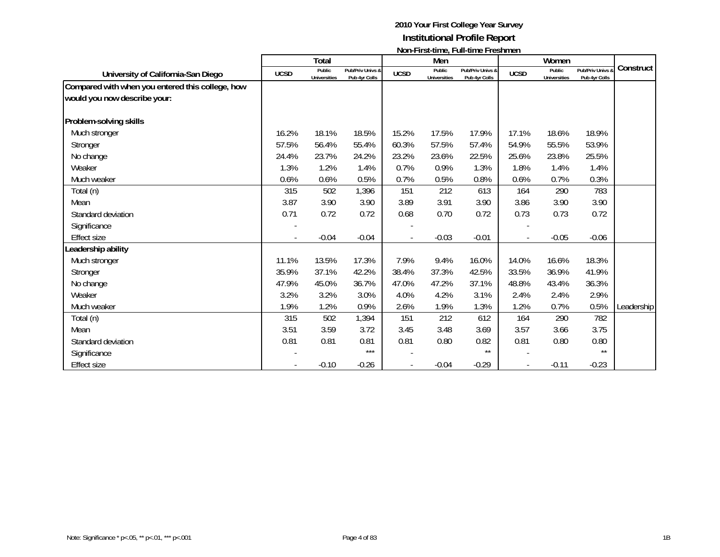|                                                  |             | <b>Total</b>                  |                                   |                          | Men                           | <u>MULEL ILSE MINU, LUILLINING LI CSHINGH</u> |                          | Women                         |                                   |            |
|--------------------------------------------------|-------------|-------------------------------|-----------------------------------|--------------------------|-------------------------------|-----------------------------------------------|--------------------------|-------------------------------|-----------------------------------|------------|
| University of California-San Diego               | <b>UCSD</b> | Public<br><b>Universities</b> | Pub/Priv Univs &<br>Pub 4yr Colls | <b>UCSD</b>              | Public<br><b>Universities</b> | Pub/Priv Univs &<br>Pub 4yr Colls             | <b>UCSD</b>              | Public<br><b>Universities</b> | Pub/Priv Univs &<br>Pub 4yr Colls | Construct  |
| Compared with when you entered this college, how |             |                               |                                   |                          |                               |                                               |                          |                               |                                   |            |
| would you now describe your:                     |             |                               |                                   |                          |                               |                                               |                          |                               |                                   |            |
|                                                  |             |                               |                                   |                          |                               |                                               |                          |                               |                                   |            |
| Problem-solving skills                           |             |                               |                                   |                          |                               |                                               |                          |                               |                                   |            |
| Much stronger                                    | 16.2%       | 18.1%                         | 18.5%                             | 15.2%                    | 17.5%                         | 17.9%                                         | 17.1%                    | 18.6%                         | 18.9%                             |            |
| Stronger                                         | 57.5%       | 56.4%                         | 55.4%                             | 60.3%                    | 57.5%                         | 57.4%                                         | 54.9%                    | 55.5%                         | 53.9%                             |            |
| No change                                        | 24.4%       | 23.7%                         | 24.2%                             | 23.2%                    | 23.6%                         | 22.5%                                         | 25.6%                    | 23.8%                         | 25.5%                             |            |
| Weaker                                           | 1.3%        | 1.2%                          | 1.4%                              | 0.7%                     | 0.9%                          | 1.3%                                          | 1.8%                     | 1.4%                          | 1.4%                              |            |
| Much weaker                                      | 0.6%        | 0.6%                          | 0.5%                              | 0.7%                     | 0.5%                          | 0.8%                                          | 0.6%                     | 0.7%                          | 0.3%                              |            |
| Total (n)                                        | 315         | 502                           | 1,396                             | 151                      | 212                           | 613                                           | 164                      | 290                           | 783                               |            |
| Mean                                             | 3.87        | 3.90                          | 3.90                              | 3.89                     | 3.91                          | 3.90                                          | 3.86                     | 3.90                          | 3.90                              |            |
| Standard deviation                               | 0.71        | 0.72                          | 0.72                              | 0.68                     | 0.70                          | 0.72                                          | 0.73                     | 0.73                          | 0.72                              |            |
| Significance                                     |             |                               |                                   |                          |                               |                                               |                          |                               |                                   |            |
| <b>Effect size</b>                               |             | $-0.04$                       | $-0.04$                           |                          | $-0.03$                       | $-0.01$                                       | $\overline{\phantom{a}}$ | $-0.05$                       | $-0.06$                           |            |
| Leadership ability                               |             |                               |                                   |                          |                               |                                               |                          |                               |                                   |            |
| Much stronger                                    | 11.1%       | 13.5%                         | 17.3%                             | 7.9%                     | 9.4%                          | 16.0%                                         | 14.0%                    | 16.6%                         | 18.3%                             |            |
| Stronger                                         | 35.9%       | 37.1%                         | 42.2%                             | 38.4%                    | 37.3%                         | 42.5%                                         | 33.5%                    | 36.9%                         | 41.9%                             |            |
| No change                                        | 47.9%       | 45.0%                         | 36.7%                             | 47.0%                    | 47.2%                         | 37.1%                                         | 48.8%                    | 43.4%                         | 36.3%                             |            |
| Weaker                                           | 3.2%        | 3.2%                          | 3.0%                              | 4.0%                     | 4.2%                          | 3.1%                                          | 2.4%                     | 2.4%                          | 2.9%                              |            |
| Much weaker                                      | 1.9%        | 1.2%                          | 0.9%                              | 2.6%                     | 1.9%                          | 1.3%                                          | 1.2%                     | 0.7%                          | 0.5%                              | Leadership |
| Total (n)                                        | 315         | 502                           | 1,394                             | 151                      | 212                           | 612                                           | 164                      | 290                           | 782                               |            |
| Mean                                             | 3.51        | 3.59                          | 3.72                              | 3.45                     | 3.48                          | 3.69                                          | 3.57                     | 3.66                          | 3.75                              |            |
| Standard deviation                               | 0.81        | 0.81                          | 0.81                              | 0.81                     | 0.80                          | 0.82                                          | 0.81                     | 0.80                          | 0.80                              |            |
| Significance                                     |             |                               | $***$                             |                          |                               | $\star\star$                                  |                          |                               | $***$                             |            |
| <b>Effect size</b>                               |             | $-0.10$                       | $-0.26$                           | $\overline{\phantom{a}}$ | $-0.04$                       | $-0.29$                                       | $\overline{\phantom{a}}$ | $-0.11$                       | $-0.23$                           |            |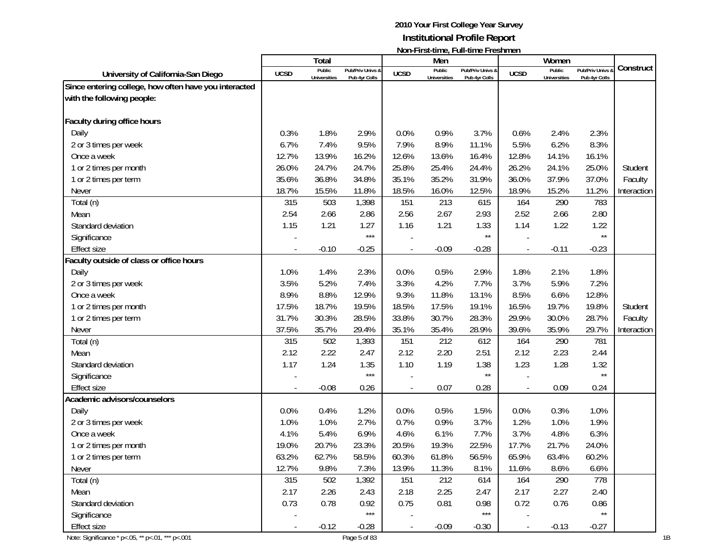|                                                        |                          |                               |                                   |             |                               | INVITE IN SECULITY, FULL-ULLIGE FLOSHILIGH |             |                               |                                 |             |
|--------------------------------------------------------|--------------------------|-------------------------------|-----------------------------------|-------------|-------------------------------|--------------------------------------------|-------------|-------------------------------|---------------------------------|-------------|
|                                                        |                          | Total                         |                                   |             | Men                           |                                            |             | Women                         |                                 | Construct   |
| University of California-San Diego                     | <b>UCSD</b>              | Public<br><b>Universities</b> | Pub/Priv Univs &<br>Pub 4yr Colls | <b>UCSD</b> | Public<br><b>Universities</b> | Pub/Priv Univs &<br>Pub 4yr Colls          | <b>UCSD</b> | Public<br><b>Universities</b> | Pub/Priv Univs<br>Pub 4yr Colls |             |
| Since entering college, how often have you interacted  |                          |                               |                                   |             |                               |                                            |             |                               |                                 |             |
| with the following people:                             |                          |                               |                                   |             |                               |                                            |             |                               |                                 |             |
|                                                        |                          |                               |                                   |             |                               |                                            |             |                               |                                 |             |
| Faculty during office hours                            |                          |                               |                                   |             |                               |                                            |             |                               |                                 |             |
| Daily                                                  | 0.3%                     | 1.8%                          | 2.9%                              | 0.0%        | 0.9%                          | 3.7%                                       | 0.6%        | 2.4%                          | 2.3%                            |             |
| 2 or 3 times per week                                  | 6.7%                     | 7.4%                          | 9.5%                              | 7.9%        | 8.9%                          | 11.1%                                      | 5.5%        | 6.2%                          | 8.3%                            |             |
| Once a week                                            | 12.7%                    | 13.9%                         | 16.2%                             | 12.6%       | 13.6%                         | 16.4%                                      | 12.8%       | 14.1%                         | 16.1%                           |             |
| 1 or 2 times per month                                 | 26.0%                    | 24.7%                         | 24.7%                             | 25.8%       | 25.4%                         | 24.4%                                      | 26.2%       | 24.1%                         | 25.0%                           | Student     |
| 1 or 2 times per term                                  | 35.6%                    | 36.8%                         | 34.8%                             | 35.1%       | 35.2%                         | 31.9%                                      | 36.0%       | 37.9%                         | 37.0%                           | Faculty     |
| Never                                                  | 18.7%                    | 15.5%                         | 11.8%                             | 18.5%       | 16.0%                         | 12.5%                                      | 18.9%       | 15.2%                         | 11.2%                           | Interaction |
| Total (n)                                              | 315                      | 503                           | 1,398                             | 151         | 213                           | 615                                        | 164         | 290                           | 783                             |             |
| Mean                                                   | 2.54                     | 2.66                          | 2.86                              | 2.56        | 2.67                          | 2.93                                       | 2.52        | 2.66                          | 2.80                            |             |
| Standard deviation                                     | 1.15                     | 1.21                          | 1.27                              | 1.16        | 1.21                          | 1.33                                       | 1.14        | 1.22                          | 1.22                            |             |
| Significance                                           |                          |                               | $***$                             |             |                               | $^{\star\star}$                            |             |                               | $\star\star$                    |             |
| <b>Effect size</b>                                     |                          | $-0.10$                       | $-0.25$                           |             | $-0.09$                       | $-0.28$                                    |             | $-0.11$                       | $-0.23$                         |             |
| Faculty outside of class or office hours               |                          |                               |                                   |             |                               |                                            |             |                               |                                 |             |
| Daily                                                  | 1.0%                     | 1.4%                          | 2.3%                              | 0.0%        | 0.5%                          | 2.9%                                       | 1.8%        | 2.1%                          | 1.8%                            |             |
| 2 or 3 times per week                                  | 3.5%                     | 5.2%                          | 7.4%                              | 3.3%        | 4.2%                          | 7.7%                                       | 3.7%        | 5.9%                          | 7.2%                            |             |
| Once a week                                            | 8.9%                     | 8.8%                          | 12.9%                             | 9.3%        | 11.8%                         | 13.1%                                      | 8.5%        | 6.6%                          | 12.8%                           |             |
| 1 or 2 times per month                                 | 17.5%                    | 18.7%                         | 19.5%                             | 18.5%       | 17.5%                         | 19.1%                                      | 16.5%       | 19.7%                         | 19.8%                           | Student     |
| 1 or 2 times per term                                  | 31.7%                    | 30.3%                         | 28.5%                             | 33.8%       | 30.7%                         | 28.3%                                      | 29.9%       | 30.0%                         | 28.7%                           | Faculty     |
| Never                                                  | 37.5%                    | 35.7%                         | 29.4%                             | 35.1%       | 35.4%                         | 28.9%                                      | 39.6%       | 35.9%                         | 29.7%                           | Interaction |
| Total (n)                                              | 315                      | 502                           | 1,393                             | 151         | 212                           | 612                                        | 164         | 290                           | 781                             |             |
| Mean                                                   | 2.12                     | 2.22                          | 2.47                              | 2.12        | 2.20                          | 2.51                                       | 2.12        | 2.23                          | 2.44                            |             |
| Standard deviation                                     | 1.17                     | 1.24                          | 1.35                              | 1.10        | 1.19                          | 1.38                                       | 1.23        | 1.28                          | 1.32                            |             |
| Significance                                           |                          |                               | $***$                             |             |                               | $\star\star$                               |             |                               | $\star\star$                    |             |
| <b>Effect size</b>                                     |                          | $-0.08$                       | 0.26                              |             | 0.07                          | 0.28                                       |             | 0.09                          | 0.24                            |             |
| Academic advisors/counselors                           |                          |                               |                                   |             |                               |                                            |             |                               |                                 |             |
| Daily                                                  | 0.0%                     | 0.4%                          | 1.2%                              | 0.0%        | 0.5%                          | 1.5%                                       | 0.0%        | 0.3%                          | 1.0%                            |             |
| 2 or 3 times per week                                  | 1.0%                     | 1.0%                          | 2.7%                              | 0.7%        | 0.9%                          | 3.7%                                       | 1.2%        | 1.0%                          | 1.9%                            |             |
| Once a week                                            | 4.1%                     | 5.4%                          | 6.9%                              | 4.6%        | 6.1%                          | 7.7%                                       | 3.7%        | 4.8%                          | 6.3%                            |             |
| 1 or 2 times per month                                 | 19.0%                    | 20.7%                         | 23.3%                             | 20.5%       | 19.3%                         | 22.5%                                      | 17.7%       | 21.7%                         | 24.0%                           |             |
| 1 or 2 times per term                                  | 63.2%                    | 62.7%                         | 58.5%                             | 60.3%       | 61.8%                         | 56.5%                                      | 65.9%       | 63.4%                         | 60.2%                           |             |
| Never                                                  | 12.7%                    | 9.8%                          | 7.3%                              | 13.9%       | 11.3%                         | 8.1%                                       | 11.6%       | 8.6%                          | 6.6%                            |             |
| Total (n)                                              | 315                      | 502                           | 1,392                             | 151         | 212                           | 614                                        | 164         | 290                           | 778                             |             |
| Mean                                                   | 2.17                     | 2.26                          | 2.43                              | 2.18        | 2.25                          | 2.47                                       | 2.17        | 2.27                          | 2.40                            |             |
| Standard deviation                                     | 0.73                     | 0.78                          | 0.92                              | 0.75        | 0.81                          | 0.98                                       | 0.72        | 0.76                          | 0.86                            |             |
| Significance                                           |                          |                               | $***$                             |             |                               | $***$                                      |             |                               | $\star\star$                    |             |
| <b>Effect size</b>                                     | $\overline{\phantom{a}}$ | $-0.12$                       | $-0.28$                           |             | $-0.09$                       | $-0.30$                                    |             | $-0.13$                       | $-0.27$                         |             |
| Note: Significance * p <. 05, ** p <. 01, *** p <. 001 |                          |                               | Page 5 of 83                      |             |                               |                                            |             |                               |                                 |             |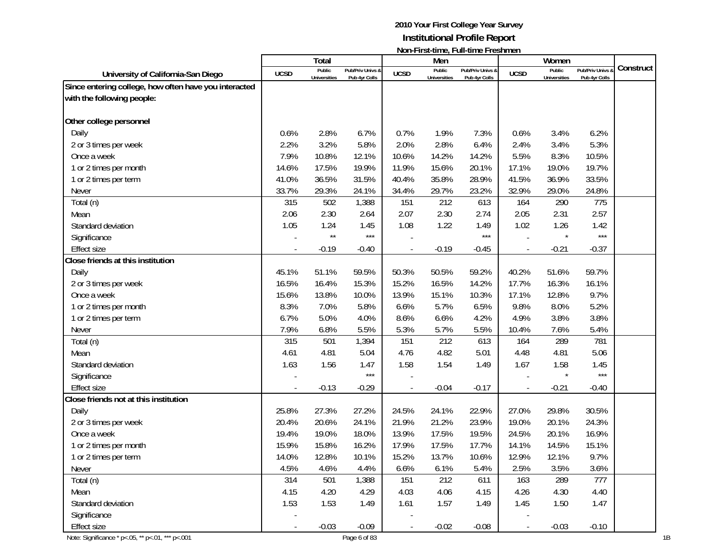|                                                        |                          |                     |                  |             |                     | <u>NUIPERSCHILLE, FUIPERILE FLESHILLEIT</u> |             |                     |                       |           |
|--------------------------------------------------------|--------------------------|---------------------|------------------|-------------|---------------------|---------------------------------------------|-------------|---------------------|-----------------------|-----------|
|                                                        |                          | Total<br>Public     | Pub/Priv Univs & |             | Men<br>Public       | Pub/Priv Univs &                            |             | Women<br>Public     | <b>Pub/Priv Univs</b> | Construct |
| University of California-San Diego                     | <b>UCSD</b>              | <b>Universities</b> | Pub 4yr Colls    | <b>UCSD</b> | <b>Universities</b> | Pub 4yr Colls                               | <b>UCSD</b> | <b>Universities</b> | Pub 4yr Colls         |           |
| Since entering college, how often have you interacted  |                          |                     |                  |             |                     |                                             |             |                     |                       |           |
| with the following people:                             |                          |                     |                  |             |                     |                                             |             |                     |                       |           |
|                                                        |                          |                     |                  |             |                     |                                             |             |                     |                       |           |
| Other college personnel                                |                          |                     |                  |             |                     |                                             |             |                     |                       |           |
| Daily                                                  | 0.6%                     | 2.8%                | 6.7%             | 0.7%        | 1.9%                | 7.3%                                        | 0.6%        | 3.4%                | 6.2%                  |           |
| 2 or 3 times per week                                  | 2.2%                     | 3.2%                | 5.8%             | 2.0%        | 2.8%                | 6.4%                                        | 2.4%        | 3.4%                | 5.3%                  |           |
| Once a week                                            | 7.9%                     | 10.8%               | 12.1%            | 10.6%       | 14.2%               | 14.2%                                       | 5.5%        | 8.3%                | 10.5%                 |           |
| 1 or 2 times per month                                 | 14.6%                    | 17.5%               | 19.9%            | 11.9%       | 15.6%               | 20.1%                                       | 17.1%       | 19.0%               | 19.7%                 |           |
| 1 or 2 times per term                                  | 41.0%                    | 36.5%               | 31.5%            | 40.4%       | 35.8%               | 28.9%                                       | 41.5%       | 36.9%               | 33.5%                 |           |
| Never                                                  | 33.7%                    | 29.3%               | 24.1%            | 34.4%       | 29.7%               | 23.2%                                       | 32.9%       | 29.0%               | 24.8%                 |           |
| Total (n)                                              | 315                      | 502                 | 1,388            | 151         | 212                 | 613                                         | 164         | 290                 | 775                   |           |
| Mean                                                   | 2.06                     | 2.30                | 2.64             | 2.07        | 2.30                | 2.74                                        | 2.05        | 2.31                | 2.57                  |           |
| Standard deviation                                     | 1.05                     | 1.24                | 1.45             | 1.08        | 1.22                | 1.49                                        | 1.02        | 1.26                | 1.42                  |           |
| Significance                                           |                          | $\star\star$        | $***$            |             |                     | $***$                                       |             |                     | $***$                 |           |
| Effect size                                            |                          | $-0.19$             | $-0.40$          |             | $-0.19$             | $-0.45$                                     |             | $-0.21$             | $-0.37$               |           |
| Close friends at this institution                      |                          |                     |                  |             |                     |                                             |             |                     |                       |           |
| Daily                                                  | 45.1%                    | 51.1%               | 59.5%            | 50.3%       | 50.5%               | 59.2%                                       | 40.2%       | 51.6%               | 59.7%                 |           |
| 2 or 3 times per week                                  | 16.5%                    | 16.4%               | 15.3%            | 15.2%       | 16.5%               | 14.2%                                       | 17.7%       | 16.3%               | 16.1%                 |           |
| Once a week                                            | 15.6%                    | 13.8%               | 10.0%            | 13.9%       | 15.1%               | 10.3%                                       | 17.1%       | 12.8%               | 9.7%                  |           |
| 1 or 2 times per month                                 | 8.3%                     | 7.0%                | 5.8%             | 6.6%        | 5.7%                | 6.5%                                        | 9.8%        | 8.0%                | 5.2%                  |           |
| 1 or 2 times per term                                  | 6.7%                     | 5.0%                | 4.0%             | 8.6%        | 6.6%                | 4.2%                                        | 4.9%        | 3.8%                | 3.8%                  |           |
| Never                                                  | 7.9%                     | 6.8%                | 5.5%             | 5.3%        | 5.7%                | 5.5%                                        | 10.4%       | 7.6%                | 5.4%                  |           |
| Total (n)                                              | 315                      | 501                 | 1,394            | 151         | 212                 | 613                                         | 164         | 289                 | 781                   |           |
| Mean                                                   | 4.61                     | 4.81                | 5.04             | 4.76        | 4.82                | 5.01                                        | 4.48        | 4.81                | 5.06                  |           |
| Standard deviation                                     | 1.63                     | 1.56                | 1.47             | 1.58        | 1.54                | 1.49                                        | 1.67        | 1.58                | 1.45                  |           |
| Significance                                           |                          |                     | $***$            |             |                     |                                             |             |                     | $***$                 |           |
| <b>Effect size</b>                                     |                          | $-0.13$             | $-0.29$          |             | $-0.04$             | $-0.17$                                     |             | $-0.21$             | $-0.40$               |           |
| Close friends not at this institution                  |                          |                     |                  |             |                     |                                             |             |                     |                       |           |
| Daily                                                  | 25.8%                    | 27.3%               | 27.2%            | 24.5%       | 24.1%               | 22.9%                                       | 27.0%       | 29.8%               | 30.5%                 |           |
| 2 or 3 times per week                                  | 20.4%                    | 20.6%               | 24.1%            | 21.9%       | 21.2%               | 23.9%                                       | 19.0%       | 20.1%               | 24.3%                 |           |
| Once a week                                            | 19.4%                    | 19.0%               | 18.0%            | 13.9%       | 17.5%               | 19.5%                                       | 24.5%       | 20.1%               | 16.9%                 |           |
| 1 or 2 times per month                                 | 15.9%                    | 15.8%               | 16.2%            | 17.9%       | 17.5%               | 17.7%                                       | 14.1%       | 14.5%               | 15.1%                 |           |
| 1 or 2 times per term                                  | 14.0%                    | 12.8%               | 10.1%            | 15.2%       | 13.7%               | 10.6%                                       | 12.9%       | 12.1%               | 9.7%                  |           |
| Never                                                  | 4.5%                     | 4.6%                | 4.4%             | 6.6%        | 6.1%                | 5.4%                                        | 2.5%        | 3.5%                | 3.6%                  |           |
| Total (n)                                              | 314                      | 501                 | 1,388            | 151         | 212                 | 611                                         | 163         | 289                 | 777                   |           |
| Mean                                                   | 4.15                     | 4.20                | 4.29             | 4.03        | 4.06                | 4.15                                        | 4.26        | 4.30                | 4.40                  |           |
| Standard deviation                                     | 1.53                     | 1.53                | 1.49             | 1.61        | 1.57                | 1.49                                        | 1.45        | 1.50                | 1.47                  |           |
| Significance                                           |                          |                     |                  |             |                     |                                             |             |                     |                       |           |
| <b>Effect size</b>                                     | $\overline{\phantom{a}}$ | $-0.03$             | $-0.09$          |             | $-0.02$             | $-0.08$                                     |             | $-0.03$             | $-0.10$               |           |
| Note: Significance * p <. 05, ** p <. 01, *** p <. 001 |                          |                     | Page 6 of 83     |             |                     |                                             |             |                     |                       |           |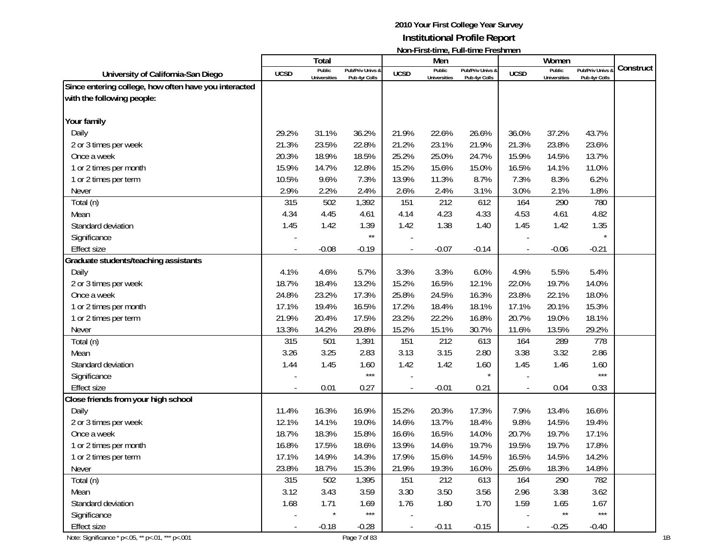|                                                       |             | <b>Total</b>        |                   |             | Men                 | $\mathbf{N}$     |                          | Women               |                   |           |
|-------------------------------------------------------|-------------|---------------------|-------------------|-------------|---------------------|------------------|--------------------------|---------------------|-------------------|-----------|
|                                                       |             | Public              | Pub/Priv Univs &  |             | Public              | Pub/Priv Univs & |                          | Public              | Pub/Priv Univs &  | Construct |
| University of California-San Diego                    | <b>UCSD</b> | <b>Universities</b> | Pub 4yr Colls     | <b>UCSD</b> | <b>Universities</b> | Pub 4yr Colls    | <b>UCSD</b>              | <b>Universities</b> | Pub 4yr Colls     |           |
| Since entering college, how often have you interacted |             |                     |                   |             |                     |                  |                          |                     |                   |           |
| with the following people:                            |             |                     |                   |             |                     |                  |                          |                     |                   |           |
|                                                       |             |                     |                   |             |                     |                  |                          |                     |                   |           |
| Your family                                           |             |                     |                   |             |                     |                  |                          |                     |                   |           |
| Daily                                                 | 29.2%       | 31.1%               | 36.2%             | 21.9%       | 22.6%               | 26.6%            | 36.0%                    | 37.2%               | 43.7%             |           |
| 2 or 3 times per week                                 | 21.3%       | 23.5%               | 22.8%             | 21.2%       | 23.1%               | 21.9%            | 21.3%                    | 23.8%               | 23.6%             |           |
| Once a week                                           | 20.3%       | 18.9%               | 18.5%             | 25.2%       | 25.0%               | 24.7%            | 15.9%                    | 14.5%               | 13.7%             |           |
| 1 or 2 times per month                                | 15.9%       | 14.7%               | 12.8%             | 15.2%       | 15.6%               | 15.0%            | 16.5%                    | 14.1%               | 11.0%             |           |
| 1 or 2 times per term                                 | 10.5%       | 9.6%                | 7.3%              | 13.9%       | 11.3%               | 8.7%             | 7.3%                     | 8.3%                | 6.2%              |           |
| Never                                                 | 2.9%        | 2.2%                | 2.4%              | 2.6%        | 2.4%                | 3.1%             | 3.0%                     | 2.1%                | 1.8%              |           |
| Total (n)                                             | 315         | 502                 | 1,392             | 151         | 212                 | 612              | 164                      | 290                 | 780               |           |
| Mean                                                  | 4.34        | 4.45                | 4.61              | 4.14        | 4.23                | 4.33             | 4.53                     | 4.61                | 4.82              |           |
| Standard deviation                                    | 1.45        | 1.42                | 1.39              | 1.42        | 1.38                | 1.40             | 1.45                     | 1.42                | 1.35              |           |
| Significance                                          |             |                     | $\star\star$      |             |                     |                  |                          |                     |                   |           |
| <b>Effect size</b>                                    |             | $-0.08$             | $-0.19$           |             | $-0.07$             | $-0.14$          |                          | $-0.06$             | $-0.21$           |           |
| Graduate students/teaching assistants                 |             |                     |                   |             |                     |                  |                          |                     |                   |           |
| Daily                                                 | 4.1%        | 4.6%                | 5.7%              | 3.3%        | 3.3%                | 6.0%             | 4.9%                     | 5.5%                | 5.4%              |           |
| 2 or 3 times per week                                 | 18.7%       | 18.4%               | 13.2%             | 15.2%       | 16.5%               | 12.1%            | 22.0%                    | 19.7%               | 14.0%             |           |
| Once a week                                           | 24.8%       | 23.2%               | 17.3%             | 25.8%       | 24.5%               | 16.3%            | 23.8%                    | 22.1%               | 18.0%             |           |
| 1 or 2 times per month                                | 17.1%       | 19.4%               | 16.5%             | 17.2%       | 18.4%               | 18.1%            | 17.1%                    | 20.1%               | 15.3%             |           |
| 1 or 2 times per term                                 | 21.9%       | 20.4%               | 17.5%             | 23.2%       | 22.2%               | 16.8%            | 20.7%                    | 19.0%               | 18.1%             |           |
| Never                                                 | 13.3%       | 14.2%               | 29.8%             | 15.2%       | 15.1%               | 30.7%            | 11.6%                    | 13.5%               | 29.2%             |           |
| Total (n)                                             | 315         | 501                 | 1,391             | 151         | 212                 | 613              | 164                      | 289                 | 778               |           |
| Mean                                                  | 3.26        | 3.25                | 2.83              | 3.13        | 3.15                | 2.80             | 3.38                     | 3.32                | 2.86              |           |
| Standard deviation                                    | 1.44        | 1.45                | 1.60              | 1.42        | 1.42                | 1.60             | 1.45                     | 1.46                | 1.60              |           |
| Significance                                          |             |                     | $***$             |             |                     |                  |                          |                     | $***$             |           |
| <b>Effect size</b>                                    |             | 0.01                | 0.27              |             | $-0.01$             | 0.21             |                          | 0.04                | 0.33              |           |
| Close friends from your high school                   |             |                     |                   |             |                     |                  |                          |                     |                   |           |
| Daily                                                 | 11.4%       | 16.3%               | 16.9%             | 15.2%       | 20.3%               | 17.3%            | 7.9%                     | 13.4%               | 16.6%             |           |
| 2 or 3 times per week                                 | 12.1%       | 14.1%               | 19.0%             | 14.6%       | 13.7%               | 18.4%            | 9.8%                     | 14.5%               | 19.4%             |           |
| Once a week                                           | 18.7%       | 18.3%               | 15.8%             | 16.6%       | 16.5%               | 14.0%            | 20.7%                    | 19.7%               | 17.1%             |           |
| 1 or 2 times per month                                | 16.8%       | 17.5%               | 18.6%             | 13.9%       | 14.6%               | 19.7%            | 19.5%                    | 19.7%               | 17.8%             |           |
| 1 or 2 times per term                                 | 17.1%       | 14.9%               | 14.3%             | 17.9%       | 15.6%               | 14.5%            | 16.5%                    | 14.5%               | 14.2%             |           |
| Never                                                 | 23.8%       | 18.7%               | 15.3%             | 21.9%       | 19.3%               | 16.0%            | 25.6%                    | 18.3%               | 14.8%             |           |
| Total (n)                                             | 315         | 502                 | 1,395             | 151         | 212                 | 613              | 164                      | 290                 | 782               |           |
| Mean                                                  | 3.12        | 3.43                | 3.59              | 3.30        | 3.50                | 3.56             | 2.96                     | 3.38                | 3.62              |           |
| Standard deviation                                    | 1.68        | 1.71                | 1.69              | 1.76        | 1.80                | 1.70             | 1.59                     | 1.65                | 1.67              |           |
| Significance                                          |             | $\star$             | $\star\star\star$ |             |                     |                  |                          | $\star\star$        | $\star\star\star$ |           |
| <b>Effect size</b>                                    |             | $-0.18$             | $-0.28$           |             | $-0.11$             | $-0.15$          | $\overline{\phantom{a}}$ | $-0.25$             | $-0.40$           |           |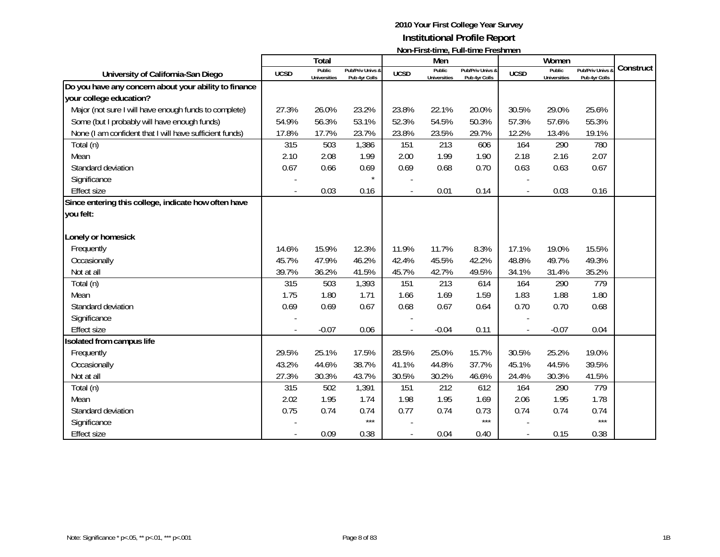|                                                         |             | <b>Total</b>                  |                                              |             | Men                           | $\mathbf{N}$                      |                | Women                         |                                   |           |
|---------------------------------------------------------|-------------|-------------------------------|----------------------------------------------|-------------|-------------------------------|-----------------------------------|----------------|-------------------------------|-----------------------------------|-----------|
| University of California-San Diego                      | <b>UCSD</b> | Public<br><b>Universities</b> | <b>Pub/Priv Univs &amp;</b><br>Pub 4yr Colls | <b>UCSD</b> | Public<br><b>Universities</b> | Pub/Priv Univs &<br>Pub 4yr Colls | <b>UCSD</b>    | Public<br><b>Universities</b> | Pub/Priv Univs &<br>Pub 4yr Colls | Construct |
| Do you have any concern about your ability to finance   |             |                               |                                              |             |                               |                                   |                |                               |                                   |           |
| your college education?                                 |             |                               |                                              |             |                               |                                   |                |                               |                                   |           |
| Major (not sure I will have enough funds to complete)   | 27.3%       | 26.0%                         | 23.2%                                        | 23.8%       | 22.1%                         | 20.0%                             | 30.5%          | 29.0%                         | 25.6%                             |           |
| Some (but I probably will have enough funds)            | 54.9%       | 56.3%                         | 53.1%                                        | 52.3%       | 54.5%                         | 50.3%                             | 57.3%          | 57.6%                         | 55.3%                             |           |
| None (I am confident that I will have sufficient funds) | 17.8%       | 17.7%                         | 23.7%                                        | 23.8%       | 23.5%                         | 29.7%                             | 12.2%          | 13.4%                         | 19.1%                             |           |
| Total (n)                                               | 315         | 503                           | 1,386                                        | 151         | 213                           | 606                               | 164            | 290                           | 780                               |           |
| Mean                                                    | 2.10        | 2.08                          | 1.99                                         | 2.00        | 1.99                          | 1.90                              | 2.18           | 2.16                          | 2.07                              |           |
| Standard deviation                                      | 0.67        | 0.66                          | 0.69                                         | 0.69        | 0.68                          | 0.70                              | 0.63           | 0.63                          | 0.67                              |           |
| Significance                                            |             |                               | $\star$                                      |             |                               |                                   |                |                               |                                   |           |
| <b>Effect size</b>                                      |             | 0.03                          | 0.16                                         |             | 0.01                          | 0.14                              | $\overline{a}$ | 0.03                          | 0.16                              |           |
| Since entering this college, indicate how often have    |             |                               |                                              |             |                               |                                   |                |                               |                                   |           |
| you felt:                                               |             |                               |                                              |             |                               |                                   |                |                               |                                   |           |
|                                                         |             |                               |                                              |             |                               |                                   |                |                               |                                   |           |
| Lonely or homesick                                      |             |                               |                                              |             |                               |                                   |                |                               |                                   |           |
| Frequently                                              | 14.6%       | 15.9%                         | 12.3%                                        | 11.9%       | 11.7%                         | 8.3%                              | 17.1%          | 19.0%                         | 15.5%                             |           |
| Occasionally                                            | 45.7%       | 47.9%                         | 46.2%                                        | 42.4%       | 45.5%                         | 42.2%                             | 48.8%          | 49.7%                         | 49.3%                             |           |
| Not at all                                              | 39.7%       | 36.2%                         | 41.5%                                        | 45.7%       | 42.7%                         | 49.5%                             | 34.1%          | 31.4%                         | 35.2%                             |           |
| Total (n)                                               | 315         | 503                           | 1,393                                        | 151         | 213                           | 614                               | 164            | 290                           | 779                               |           |
| Mean                                                    | 1.75        | 1.80                          | 1.71                                         | 1.66        | 1.69                          | 1.59                              | 1.83           | 1.88                          | 1.80                              |           |
| Standard deviation                                      | 0.69        | 0.69                          | 0.67                                         | 0.68        | 0.67                          | 0.64                              | 0.70           | 0.70                          | 0.68                              |           |
| Significance                                            |             |                               |                                              |             |                               |                                   |                |                               |                                   |           |
| <b>Effect size</b>                                      |             | $-0.07$                       | 0.06                                         |             | $-0.04$                       | 0.11                              | ÷,             | $-0.07$                       | 0.04                              |           |
| Isolated from campus life                               |             |                               |                                              |             |                               |                                   |                |                               |                                   |           |
| Frequently                                              | 29.5%       | 25.1%                         | 17.5%                                        | 28.5%       | 25.0%                         | 15.7%                             | 30.5%          | 25.2%                         | 19.0%                             |           |
| Occasionally                                            | 43.2%       | 44.6%                         | 38.7%                                        | 41.1%       | 44.8%                         | 37.7%                             | 45.1%          | 44.5%                         | 39.5%                             |           |
| Not at all                                              | 27.3%       | 30.3%                         | 43.7%                                        | 30.5%       | 30.2%                         | 46.6%                             | 24.4%          | 30.3%                         | 41.5%                             |           |
| Total (n)                                               | 315         | 502                           | 1,391                                        | 151         | 212                           | 612                               | 164            | 290                           | 779                               |           |
| Mean                                                    | 2.02        | 1.95                          | 1.74                                         | 1.98        | 1.95                          | 1.69                              | 2.06           | 1.95                          | 1.78                              |           |
| Standard deviation                                      | 0.75        | 0.74                          | 0.74                                         | 0.77        | 0.74                          | 0.73                              | 0.74           | 0.74                          | 0.74                              |           |
| Significance                                            |             |                               | $***$                                        |             |                               | $***$                             |                |                               | $***$                             |           |
| <b>Effect size</b>                                      |             | 0.09                          | 0.38                                         |             | 0.04                          | 0.40                              | $\overline{a}$ | 0.15                          | 0.38                              |           |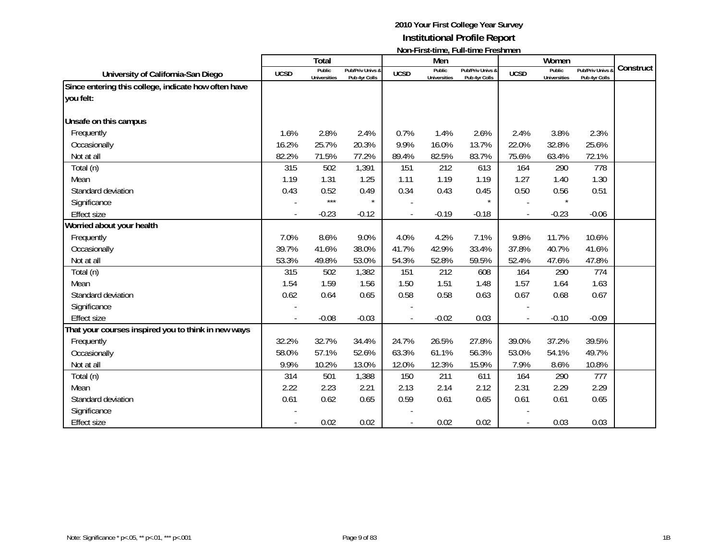|                                                      |             | <b>Total</b>                  |                                   |             | Men                           | $\frac{1}{2}$                     |             | Women                         |                                              |           |
|------------------------------------------------------|-------------|-------------------------------|-----------------------------------|-------------|-------------------------------|-----------------------------------|-------------|-------------------------------|----------------------------------------------|-----------|
| University of California-San Diego                   | <b>UCSD</b> | Public<br><b>Universities</b> | Pub/Priv Univs &<br>Pub 4yr Colls | <b>UCSD</b> | Public<br><b>Universities</b> | Pub/Priv Univs &<br>Pub 4yr Colls | <b>UCSD</b> | Public<br><b>Universities</b> | <b>Pub/Priv Univs &amp;</b><br>Pub 4yr Colls | Construct |
| Since entering this college, indicate how often have |             |                               |                                   |             |                               |                                   |             |                               |                                              |           |
| you felt:                                            |             |                               |                                   |             |                               |                                   |             |                               |                                              |           |
| Unsafe on this campus                                |             |                               |                                   |             |                               |                                   |             |                               |                                              |           |
| Frequently                                           | 1.6%        | 2.8%                          | 2.4%                              | 0.7%        | 1.4%                          | 2.6%                              | 2.4%        | 3.8%                          | 2.3%                                         |           |
| Occasionally                                         | 16.2%       | 25.7%                         | 20.3%                             | 9.9%        | 16.0%                         | 13.7%                             | 22.0%       | 32.8%                         | 25.6%                                        |           |
| Not at all                                           | 82.2%       | 71.5%                         | 77.2%                             | 89.4%       | 82.5%                         | 83.7%                             | 75.6%       | 63.4%                         | 72.1%                                        |           |
|                                                      | 315         | 502                           | 1,391                             | 151         | 212                           | 613                               | 164         | 290                           | 778                                          |           |
| Total (n)                                            | 1.19        |                               |                                   |             |                               |                                   |             | 1.40                          |                                              |           |
| Mean                                                 |             | 1.31                          | 1.25                              | 1.11        | 1.19                          | 1.19                              | 1.27        |                               | 1.30                                         |           |
| Standard deviation                                   | 0.43        | 0.52<br>$***$                 | 0.49                              | 0.34        | 0.43                          | 0.45<br>$\star$                   | 0.50        | 0.56                          | 0.51                                         |           |
| Significance                                         |             |                               |                                   |             |                               |                                   |             |                               |                                              |           |
| <b>Effect size</b>                                   |             | $-0.23$                       | $-0.12$                           |             | $-0.19$                       | $-0.18$                           |             | $-0.23$                       | $-0.06$                                      |           |
| Worried about your health                            |             |                               |                                   |             |                               |                                   |             |                               |                                              |           |
| Frequently                                           | 7.0%        | 8.6%                          | 9.0%                              | 4.0%        | 4.2%                          | 7.1%                              | 9.8%        | 11.7%                         | 10.6%                                        |           |
| Occasionally                                         | 39.7%       | 41.6%                         | 38.0%                             | 41.7%       | 42.9%                         | 33.4%                             | 37.8%       | 40.7%                         | 41.6%                                        |           |
| Not at all                                           | 53.3%       | 49.8%                         | 53.0%                             | 54.3%       | 52.8%                         | 59.5%                             | 52.4%       | 47.6%                         | 47.8%                                        |           |
| Total (n)                                            | 315         | 502                           | 1,382                             | 151         | 212                           | 608                               | 164         | 290                           | 774                                          |           |
| Mean                                                 | 1.54        | 1.59                          | 1.56                              | 1.50        | 1.51                          | 1.48                              | 1.57        | 1.64                          | 1.63                                         |           |
| Standard deviation                                   | 0.62        | 0.64                          | 0.65                              | 0.58        | 0.58                          | 0.63                              | 0.67        | 0.68                          | 0.67                                         |           |
| Significance                                         |             |                               |                                   |             |                               |                                   |             |                               |                                              |           |
| <b>Effect size</b>                                   |             | $-0.08$                       | $-0.03$                           |             | $-0.02$                       | 0.03                              |             | $-0.10$                       | $-0.09$                                      |           |
| That your courses inspired you to think in new ways  |             |                               |                                   |             |                               |                                   |             |                               |                                              |           |
| Frequently                                           | 32.2%       | 32.7%                         | 34.4%                             | 24.7%       | 26.5%                         | 27.8%                             | 39.0%       | 37.2%                         | 39.5%                                        |           |
| Occasionally                                         | 58.0%       | 57.1%                         | 52.6%                             | 63.3%       | 61.1%                         | 56.3%                             | 53.0%       | 54.1%                         | 49.7%                                        |           |
| Not at all                                           | 9.9%        | 10.2%                         | 13.0%                             | 12.0%       | 12.3%                         | 15.9%                             | 7.9%        | 8.6%                          | 10.8%                                        |           |
| Total (n)                                            | 314         | 501                           | 1,388                             | 150         | 211                           | 611                               | 164         | 290                           | 777                                          |           |
| Mean                                                 | 2.22        | 2.23                          | 2.21                              | 2.13        | 2.14                          | 2.12                              | 2.31        | 2.29                          | 2.29                                         |           |
| Standard deviation                                   | 0.61        | 0.62                          | 0.65                              | 0.59        | 0.61                          | 0.65                              | 0.61        | 0.61                          | 0.65                                         |           |
| Significance                                         |             |                               |                                   |             |                               |                                   |             |                               |                                              |           |
| <b>Effect size</b>                                   |             | 0.02                          | 0.02                              |             | 0.02                          | 0.02                              |             | 0.03                          | 0.03                                         |           |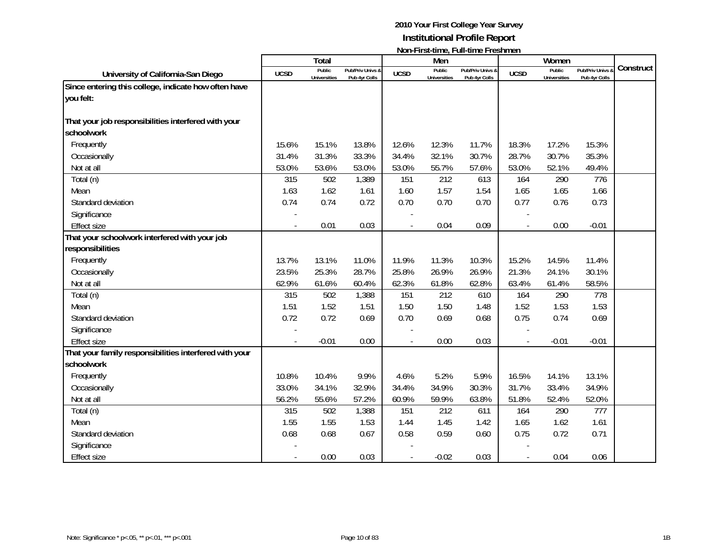|                                                                   |             | Total                         |                                   |             | Men                           |                                   |             | Women                         |                                 |           |
|-------------------------------------------------------------------|-------------|-------------------------------|-----------------------------------|-------------|-------------------------------|-----------------------------------|-------------|-------------------------------|---------------------------------|-----------|
| University of California-San Diego                                | <b>UCSD</b> | Public<br><b>Universities</b> | Pub/Priv Univs &<br>Pub 4yr Colls | <b>UCSD</b> | Public<br><b>Universities</b> | Pub/Priv Univs &<br>Pub 4yr Colls | <b>UCSD</b> | Public<br><b>Universities</b> | Pub/Priv Univs<br>Pub 4yr Colls | Construct |
| Since entering this college, indicate how often have              |             |                               |                                   |             |                               |                                   |             |                               |                                 |           |
| you felt:                                                         |             |                               |                                   |             |                               |                                   |             |                               |                                 |           |
| That your job responsibilities interfered with your<br>schoolwork |             |                               |                                   |             |                               |                                   |             |                               |                                 |           |
| Frequently                                                        | 15.6%       | 15.1%                         | 13.8%                             | 12.6%       | 12.3%                         | 11.7%                             | 18.3%       | 17.2%                         | 15.3%                           |           |
| Occasionally                                                      | 31.4%       | 31.3%                         | 33.3%                             | 34.4%       | 32.1%                         | 30.7%                             | 28.7%       | 30.7%                         | 35.3%                           |           |
| Not at all                                                        | 53.0%       | 53.6%                         | 53.0%                             | 53.0%       | 55.7%                         | 57.6%                             | 53.0%       | 52.1%                         | 49.4%                           |           |
| Total (n)                                                         | 315         | 502                           | 1,389                             | 151         | 212                           | 613                               | 164         | 290                           | 776                             |           |
| Mean                                                              | 1.63        | 1.62                          | 1.61                              | 1.60        | 1.57                          | 1.54                              | 1.65        | 1.65                          | 1.66                            |           |
| Standard deviation                                                | 0.74        | 0.74                          | 0.72                              | 0.70        | 0.70                          | 0.70                              | 0.77        | 0.76                          | 0.73                            |           |
| Significance                                                      |             |                               |                                   |             |                               |                                   |             |                               |                                 |           |
| <b>Effect size</b>                                                |             | 0.01                          | 0.03                              |             | 0.04                          | 0.09                              |             | 0.00                          | $-0.01$                         |           |
| That your schoolwork interfered with your job                     |             |                               |                                   |             |                               |                                   |             |                               |                                 |           |
| responsibilities                                                  |             |                               |                                   |             |                               |                                   |             |                               |                                 |           |
| Frequently                                                        | 13.7%       | 13.1%                         | 11.0%                             | 11.9%       | 11.3%                         | 10.3%                             | 15.2%       | 14.5%                         | 11.4%                           |           |
| Occasionally                                                      | 23.5%       | 25.3%                         | 28.7%                             | 25.8%       | 26.9%                         | 26.9%                             | 21.3%       | 24.1%                         | 30.1%                           |           |
| Not at all                                                        | 62.9%       | 61.6%                         | 60.4%                             | 62.3%       | 61.8%                         | 62.8%                             | 63.4%       | 61.4%                         | 58.5%                           |           |
| Total (n)                                                         | 315         | 502                           | 1,388                             | 151         | 212                           | 610                               | 164         | 290                           | 778                             |           |
| Mean                                                              | 1.51        | 1.52                          | 1.51                              | 1.50        | 1.50                          | 1.48                              | 1.52        | 1.53                          | 1.53                            |           |
| Standard deviation                                                | 0.72        | 0.72                          | 0.69                              | 0.70        | 0.69                          | 0.68                              | 0.75        | 0.74                          | 0.69                            |           |
| Significance                                                      |             |                               |                                   |             |                               |                                   |             |                               |                                 |           |
| <b>Effect size</b>                                                |             | $-0.01$                       | 0.00                              |             | 0.00                          | 0.03                              |             | $-0.01$                       | $-0.01$                         |           |
| That your family responsibilities interfered with your            |             |                               |                                   |             |                               |                                   |             |                               |                                 |           |
| schoolwork                                                        |             |                               |                                   |             |                               |                                   |             |                               |                                 |           |
| Frequently                                                        | 10.8%       | 10.4%                         | 9.9%                              | 4.6%        | 5.2%                          | 5.9%                              | 16.5%       | 14.1%                         | 13.1%                           |           |
| Occasionally                                                      | 33.0%       | 34.1%                         | 32.9%                             | 34.4%       | 34.9%                         | 30.3%                             | 31.7%       | 33.4%                         | 34.9%                           |           |
| Not at all                                                        | 56.2%       | 55.6%                         | 57.2%                             | 60.9%       | 59.9%                         | 63.8%                             | 51.8%       | 52.4%                         | 52.0%                           |           |
| Total (n)                                                         | 315         | 502                           | 1,388                             | 151         | 212                           | 611                               | 164         | 290                           | 777                             |           |
| Mean                                                              | 1.55        | 1.55                          | 1.53                              | 1.44        | 1.45                          | 1.42                              | 1.65        | 1.62                          | 1.61                            |           |
| Standard deviation                                                | 0.68        | 0.68                          | 0.67                              | 0.58        | 0.59                          | 0.60                              | 0.75        | 0.72                          | 0.71                            |           |
| Significance                                                      |             |                               |                                   |             |                               |                                   |             |                               |                                 |           |
| <b>Effect size</b>                                                |             | 0.00                          | 0.03                              |             | $-0.02$                       | 0.03                              |             | 0.04                          | 0.06                            |           |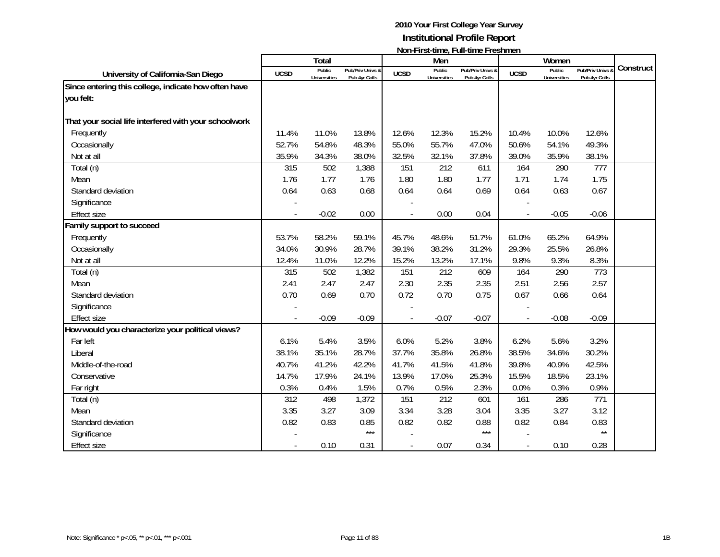|                                                       |             | Total                         |                                   |             | Men                           |                                   |             | Women                         |                                 |           |
|-------------------------------------------------------|-------------|-------------------------------|-----------------------------------|-------------|-------------------------------|-----------------------------------|-------------|-------------------------------|---------------------------------|-----------|
| University of California-San Diego                    | <b>UCSD</b> | Public<br><b>Universities</b> | Pub/Priv Univs &<br>Pub 4yr Colls | <b>UCSD</b> | Public<br><b>Universities</b> | Pub/Priv Univs &<br>Pub 4yr Colls | <b>UCSD</b> | Public<br><b>Universities</b> | Pub/Priv Univs<br>Pub 4yr Colls | Construct |
| Since entering this college, indicate how often have  |             |                               |                                   |             |                               |                                   |             |                               |                                 |           |
| you felt:                                             |             |                               |                                   |             |                               |                                   |             |                               |                                 |           |
| That your social life interfered with your schoolwork |             |                               |                                   |             |                               |                                   |             |                               |                                 |           |
| Frequently                                            | 11.4%       | 11.0%                         | 13.8%                             | 12.6%       | 12.3%                         | 15.2%                             | 10.4%       | 10.0%                         | 12.6%                           |           |
| Occasionally                                          | 52.7%       | 54.8%                         | 48.3%                             | 55.0%       | 55.7%                         | 47.0%                             | 50.6%       | 54.1%                         | 49.3%                           |           |
| Not at all                                            | 35.9%       | 34.3%                         | 38.0%                             | 32.5%       | 32.1%                         | 37.8%                             | 39.0%       | 35.9%                         | 38.1%                           |           |
| Total (n)                                             | 315         | 502                           | 1,388                             | 151         | 212                           | 611                               | 164         | 290                           | 777                             |           |
| Mean                                                  | 1.76        | 1.77                          | 1.76                              | 1.80        | 1.80                          | 1.77                              | 1.71        | 1.74                          | 1.75                            |           |
| Standard deviation                                    | 0.64        | 0.63                          | 0.68                              | 0.64        | 0.64                          | 0.69                              | 0.64        | 0.63                          | 0.67                            |           |
| Significance                                          |             |                               |                                   |             |                               |                                   |             |                               |                                 |           |
| <b>Effect size</b>                                    |             | $-0.02$                       | 0.00                              |             | 0.00                          | 0.04                              |             | $-0.05$                       | $-0.06$                         |           |
| Family support to succeed                             |             |                               |                                   |             |                               |                                   |             |                               |                                 |           |
| Frequently                                            | 53.7%       | 58.2%                         | 59.1%                             | 45.7%       | 48.6%                         | 51.7%                             | 61.0%       | 65.2%                         | 64.9%                           |           |
| Occasionally                                          | 34.0%       | 30.9%                         | 28.7%                             | 39.1%       | 38.2%                         | 31.2%                             | 29.3%       | 25.5%                         | 26.8%                           |           |
| Not at all                                            | 12.4%       | 11.0%                         | 12.2%                             | 15.2%       | 13.2%                         | 17.1%                             | 9.8%        | 9.3%                          | 8.3%                            |           |
| Total (n)                                             | 315         | 502                           | 1,382                             | 151         | 212                           | 609                               | 164         | 290                           | 773                             |           |
| Mean                                                  | 2.41        | 2.47                          | 2.47                              | 2.30        | 2.35                          | 2.35                              | 2.51        | 2.56                          | 2.57                            |           |
| Standard deviation                                    | 0.70        | 0.69                          | 0.70                              | 0.72        | 0.70                          | 0.75                              | 0.67        | 0.66                          | 0.64                            |           |
| Significance                                          |             |                               |                                   |             |                               |                                   |             |                               |                                 |           |
| <b>Effect size</b>                                    |             | $-0.09$                       | $-0.09$                           |             | $-0.07$                       | $-0.07$                           |             | $-0.08$                       | $-0.09$                         |           |
| How would you characterize your political views?      |             |                               |                                   |             |                               |                                   |             |                               |                                 |           |
| Far left                                              | 6.1%        | 5.4%                          | 3.5%                              | 6.0%        | 5.2%                          | 3.8%                              | 6.2%        | 5.6%                          | 3.2%                            |           |
| Liberal                                               | 38.1%       | 35.1%                         | 28.7%                             | 37.7%       | 35.8%                         | 26.8%                             | 38.5%       | 34.6%                         | 30.2%                           |           |
| Middle-of-the-road                                    | 40.7%       | 41.2%                         | 42.2%                             | 41.7%       | 41.5%                         | 41.8%                             | 39.8%       | 40.9%                         | 42.5%                           |           |
| Conservative                                          | 14.7%       | 17.9%                         | 24.1%                             | 13.9%       | 17.0%                         | 25.3%                             | 15.5%       | 18.5%                         | 23.1%                           |           |
| Far right                                             | 0.3%        | 0.4%                          | 1.5%                              | 0.7%        | 0.5%                          | 2.3%                              | 0.0%        | 0.3%                          | 0.9%                            |           |
| Total (n)                                             | 312         | 498                           | 1,372                             | 151         | 212                           | 601                               | 161         | 286                           | 771                             |           |
| Mean                                                  | 3.35        | 3.27                          | 3.09                              | 3.34        | 3.28                          | 3.04                              | 3.35        | 3.27                          | 3.12                            |           |
| Standard deviation                                    | 0.82        | 0.83                          | 0.85                              | 0.82        | 0.82                          | 0.88                              | 0.82        | 0.84                          | 0.83                            |           |
| Significance                                          |             |                               | $***$                             |             |                               | $***$                             |             |                               | $\star\star$                    |           |
| Effect size                                           |             | 0.10                          | 0.31                              |             | 0.07                          | 0.34                              |             | 0.10                          | 0.28                            |           |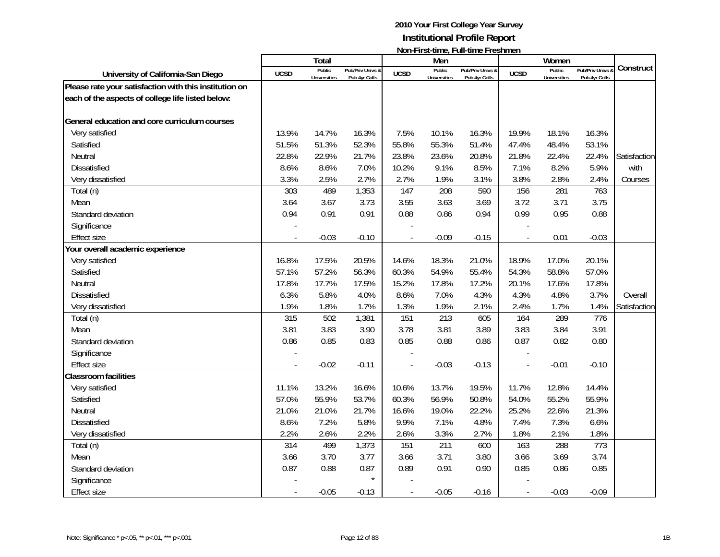|                                                        |                          | <b>Total</b>                  |                                   |               | Men                           | דושוורו וו אנימוווט, דעוורמוווט דו כאווווטוו |                | Women                         |                                 |                      |
|--------------------------------------------------------|--------------------------|-------------------------------|-----------------------------------|---------------|-------------------------------|----------------------------------------------|----------------|-------------------------------|---------------------------------|----------------------|
| University of California-San Diego                     | <b>UCSD</b>              | Public<br><b>Universities</b> | Pub/Priv Univs &<br>Pub 4yr Colls | <b>UCSD</b>   | Public<br><b>Universities</b> | Pub/Priv Univs &<br>Pub 4yr Colls            | <b>UCSD</b>    | Public<br><b>Universities</b> | Pub/Priv Univs<br>Pub 4yr Colls | Construct            |
| Please rate your satisfaction with this institution on |                          |                               |                                   |               |                               |                                              |                |                               |                                 |                      |
| each of the aspects of college life listed below:      |                          |                               |                                   |               |                               |                                              |                |                               |                                 |                      |
| General education and core curriculum courses          |                          |                               |                                   |               |                               |                                              |                |                               |                                 |                      |
| Very satisfied                                         | 13.9%                    | 14.7%                         |                                   |               | 10.1%                         |                                              | 19.9%          |                               |                                 |                      |
| Satisfied                                              | 51.5%                    | 51.3%                         | 16.3%                             | 7.5%<br>55.8% |                               | 16.3%                                        | 47.4%          | 18.1%                         | 16.3%                           |                      |
| Neutral                                                | 22.8%                    | 22.9%                         | 52.3%                             | 23.8%         | 55.3%<br>23.6%                | 51.4%<br>20.8%                               | 21.8%          | 48.4%<br>22.4%                | 53.1%                           |                      |
|                                                        | 8.6%                     | 8.6%                          | 21.7%<br>7.0%                     | 10.2%         | 9.1%                          | 8.5%                                         | 7.1%           | 8.2%                          | 22.4%<br>5.9%                   | Satisfaction<br>with |
| <b>Dissatisfied</b>                                    | 3.3%                     |                               | 2.7%                              | 2.7%          |                               |                                              |                |                               | 2.4%                            |                      |
| Very dissatisfied                                      | 303                      | 2.5%<br>489                   |                                   | 147           | 1.9%<br>208                   | 3.1%<br>590                                  | 3.8%<br>156    | 2.8%<br>281                   | 763                             | Courses              |
| Total (n)                                              |                          |                               | 1,353                             |               |                               |                                              | 3.72           | 3.71                          | 3.75                            |                      |
| Mean                                                   | 3.64                     | 3.67                          | 3.73                              | 3.55          | 3.63                          | 3.69                                         |                |                               |                                 |                      |
| Standard deviation                                     | 0.94                     | 0.91                          | 0.91                              | 0.88          | 0.86                          | 0.94                                         | 0.99           | 0.95                          | 0.88                            |                      |
| Significance                                           |                          |                               |                                   |               |                               |                                              |                |                               |                                 |                      |
| <b>Effect size</b>                                     |                          | $-0.03$                       | $-0.10$                           |               | $-0.09$                       | $-0.15$                                      | $\overline{a}$ | 0.01                          | $-0.03$                         |                      |
| Your overall academic experience                       |                          |                               |                                   |               |                               |                                              |                |                               |                                 |                      |
| Very satisfied                                         | 16.8%                    | 17.5%                         | 20.5%                             | 14.6%         | 18.3%                         | 21.0%                                        | 18.9%          | 17.0%                         | 20.1%                           |                      |
| Satisfied                                              | 57.1%                    | 57.2%                         | 56.3%                             | 60.3%         | 54.9%                         | 55.4%                                        | 54.3%          | 58.8%                         | 57.0%                           |                      |
| Neutral                                                | 17.8%                    | 17.7%                         | 17.5%                             | 15.2%         | 17.8%                         | 17.2%                                        | 20.1%          | 17.6%                         | 17.8%                           |                      |
| Dissatisfied                                           | 6.3%                     | 5.8%                          | 4.0%                              | 8.6%          | 7.0%                          | 4.3%                                         | 4.3%           | 4.8%                          | 3.7%                            | Overall              |
| Very dissatisfied                                      | 1.9%                     | 1.8%                          | 1.7%                              | 1.3%          | 1.9%                          | 2.1%                                         | 2.4%           | 1.7%                          | 1.4%                            | Satisfaction         |
| Total (n)                                              | 315                      | 502                           | 1,381                             | 151           | 213                           | 605                                          | 164            | 289                           | 776                             |                      |
| Mean                                                   | 3.81                     | 3.83                          | 3.90                              | 3.78          | 3.81                          | 3.89                                         | 3.83           | 3.84                          | 3.91                            |                      |
| Standard deviation                                     | 0.86                     | 0.85                          | 0.83                              | 0.85          | 0.88                          | 0.86                                         | 0.87           | 0.82                          | 0.80                            |                      |
| Significance                                           |                          |                               |                                   |               |                               |                                              |                |                               |                                 |                      |
| <b>Effect size</b>                                     |                          | $-0.02$                       | $-0.11$                           |               | $-0.03$                       | $-0.13$                                      |                | $-0.01$                       | $-0.10$                         |                      |
| <b>Classroom facilities</b>                            |                          |                               |                                   |               |                               |                                              |                |                               |                                 |                      |
| Very satisfied                                         | 11.1%                    | 13.2%                         | 16.6%                             | 10.6%         | 13.7%                         | 19.5%                                        | 11.7%          | 12.8%                         | 14.4%                           |                      |
| Satisfied                                              | 57.0%                    | 55.9%                         | 53.7%                             | 60.3%         | 56.9%                         | 50.8%                                        | 54.0%          | 55.2%                         | 55.9%                           |                      |
| Neutral                                                | 21.0%                    | 21.0%                         | 21.7%                             | 16.6%         | 19.0%                         | 22.2%                                        | 25.2%          | 22.6%                         | 21.3%                           |                      |
| <b>Dissatisfied</b>                                    | 8.6%                     | 7.2%                          | 5.8%                              | 9.9%          | 7.1%                          | 4.8%                                         | 7.4%           | 7.3%                          | 6.6%                            |                      |
| Very dissatisfied                                      | 2.2%                     | 2.6%                          | 2.2%                              | 2.6%          | 3.3%                          | 2.7%                                         | 1.8%           | 2.1%                          | 1.8%                            |                      |
| Total (n)                                              | 314                      | 499                           | 1,373                             | 151           | 211                           | 600                                          | 163            | 288                           | 773                             |                      |
| Mean                                                   | 3.66                     | 3.70                          | 3.77                              | 3.66          | 3.71                          | 3.80                                         | 3.66           | 3.69                          | 3.74                            |                      |
| Standard deviation                                     | 0.87                     | 0.88                          | 0.87                              | 0.89          | 0.91                          | 0.90                                         | 0.85           | 0.86                          | 0.85                            |                      |
| Significance                                           |                          |                               |                                   |               |                               |                                              |                |                               |                                 |                      |
| <b>Effect size</b>                                     | $\overline{\phantom{a}}$ | $-0.05$                       | $-0.13$                           |               | $-0.05$                       | $-0.16$                                      |                | $-0.03$                       | $-0.09$                         |                      |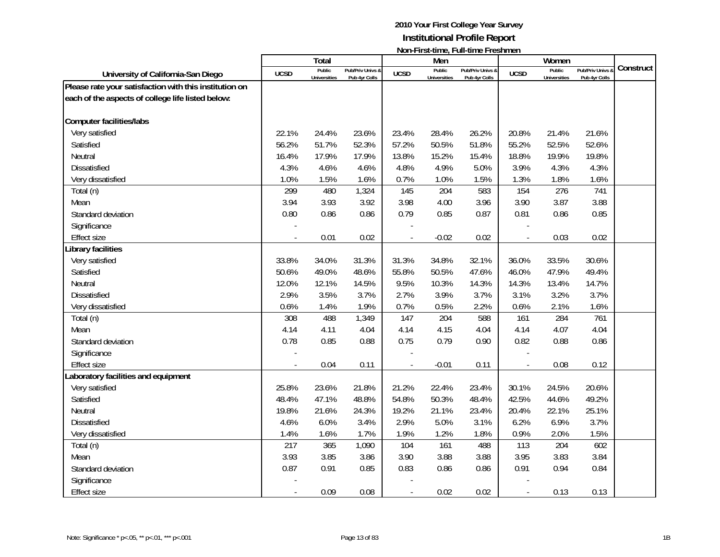|                                                                                                                                                                                                                   |                                      | <b>Total</b>                                                |                                                                |                                             | Men                                                  | דוטוורו וואכווווויט, דעוורנוווויט דו כאווווויטוו |                                                      | Women                                                |                                                                      |           |
|-------------------------------------------------------------------------------------------------------------------------------------------------------------------------------------------------------------------|--------------------------------------|-------------------------------------------------------------|----------------------------------------------------------------|---------------------------------------------|------------------------------------------------------|--------------------------------------------------|------------------------------------------------------|------------------------------------------------------|----------------------------------------------------------------------|-----------|
| University of California-San Diego                                                                                                                                                                                | <b>UCSD</b>                          | Public<br><b>Universities</b>                               | Pub/Priv Univs &<br>Pub 4yr Colls                              | <b>UCSD</b>                                 | Public<br><b>Universities</b>                        | Pub/Priv Univs &<br>Pub 4yr Colls                | <b>UCSD</b>                                          | Public<br><b>Universities</b>                        | Pub/Priv Univs &<br>Pub 4yr Colls                                    | Construct |
| Please rate your satisfaction with this institution on                                                                                                                                                            |                                      |                                                             |                                                                |                                             |                                                      |                                                  |                                                      |                                                      |                                                                      |           |
| each of the aspects of college life listed below:                                                                                                                                                                 |                                      |                                                             |                                                                |                                             |                                                      |                                                  |                                                      |                                                      |                                                                      |           |
|                                                                                                                                                                                                                   |                                      |                                                             |                                                                |                                             |                                                      |                                                  |                                                      |                                                      |                                                                      |           |
| <b>Computer facilities/labs</b>                                                                                                                                                                                   |                                      |                                                             |                                                                |                                             |                                                      |                                                  |                                                      |                                                      |                                                                      |           |
| Very satisfied                                                                                                                                                                                                    | 22.1%                                | 24.4%                                                       | 23.6%                                                          | 23.4%                                       | 28.4%                                                | 26.2%                                            | 20.8%                                                | 21.4%                                                | 21.6%                                                                |           |
| Satisfied                                                                                                                                                                                                         | 56.2%                                | 51.7%                                                       | 52.3%                                                          | 57.2%                                       | 50.5%                                                | 51.8%                                            | 55.2%                                                | 52.5%                                                | 52.6%                                                                |           |
| Neutral                                                                                                                                                                                                           | 16.4%                                | 17.9%                                                       | 17.9%                                                          | 13.8%                                       | 15.2%                                                | 15.4%                                            | 18.8%                                                | 19.9%                                                | 19.8%                                                                |           |
| <b>Dissatisfied</b>                                                                                                                                                                                               | 4.3%                                 | 4.6%                                                        | 4.6%                                                           | 4.8%                                        | 4.9%                                                 | 5.0%                                             | 3.9%                                                 | 4.3%                                                 | 4.3%                                                                 |           |
| Very dissatisfied                                                                                                                                                                                                 | 1.0%                                 | 1.5%                                                        | 1.6%                                                           | 0.7%                                        | 1.0%                                                 | 1.5%                                             | 1.3%                                                 | 1.8%                                                 | 1.6%                                                                 |           |
| Total (n)                                                                                                                                                                                                         | 299                                  | 480                                                         | 1,324                                                          | 145                                         | 204                                                  | 583                                              | 154                                                  | 276                                                  | 741                                                                  |           |
| Mean                                                                                                                                                                                                              | 3.94                                 | 3.93                                                        | 3.92                                                           | 3.98                                        | 4.00                                                 | 3.96                                             | 3.90                                                 | 3.87                                                 | 3.88                                                                 |           |
| Standard deviation                                                                                                                                                                                                | 0.80                                 | 0.86                                                        | 0.86                                                           | 0.79                                        | 0.85                                                 | 0.87                                             | 0.81                                                 | 0.86                                                 | 0.85                                                                 |           |
| Significance                                                                                                                                                                                                      |                                      |                                                             |                                                                |                                             |                                                      |                                                  |                                                      |                                                      |                                                                      |           |
| <b>Effect size</b>                                                                                                                                                                                                |                                      | 0.01                                                        | 0.02                                                           |                                             | $-0.02$                                              | 0.02                                             | $\overline{\phantom{a}}$                             | 0.03                                                 | 0.02                                                                 |           |
| Library facilities                                                                                                                                                                                                |                                      |                                                             |                                                                |                                             |                                                      |                                                  |                                                      |                                                      |                                                                      |           |
| Very satisfied                                                                                                                                                                                                    | 33.8%                                | 34.0%                                                       | 31.3%                                                          | 31.3%                                       | 34.8%                                                | 32.1%                                            | 36.0%                                                | 33.5%                                                | 30.6%                                                                |           |
| Satisfied                                                                                                                                                                                                         | 50.6%                                | 49.0%                                                       | 48.6%                                                          | 55.8%                                       | 50.5%                                                | 47.6%                                            | 46.0%                                                | 47.9%                                                | 49.4%                                                                |           |
| Neutral                                                                                                                                                                                                           | 12.0%                                | 12.1%                                                       | 14.5%                                                          | 9.5%                                        | 10.3%                                                | 14.3%                                            | 14.3%                                                | 13.4%                                                | 14.7%                                                                |           |
| Dissatisfied                                                                                                                                                                                                      | 2.9%                                 |                                                             | 3.7%                                                           | 2.7%                                        | 3.9%                                                 | 3.7%                                             | 3.1%                                                 |                                                      |                                                                      |           |
|                                                                                                                                                                                                                   | 0.6%                                 |                                                             |                                                                | 0.7%                                        | 0.5%                                                 | 2.2%                                             | 0.6%                                                 |                                                      |                                                                      |           |
|                                                                                                                                                                                                                   | 308                                  | 488                                                         |                                                                | 147                                         | 204                                                  | 588                                              | 161                                                  | 284                                                  | 761                                                                  |           |
| Mean                                                                                                                                                                                                              | 4.14                                 | 4.11                                                        | 4.04                                                           | 4.14                                        | 4.15                                                 | 4.04                                             | 4.14                                                 | 4.07                                                 | 4.04                                                                 |           |
|                                                                                                                                                                                                                   |                                      |                                                             |                                                                |                                             |                                                      |                                                  |                                                      |                                                      |                                                                      |           |
|                                                                                                                                                                                                                   |                                      |                                                             |                                                                |                                             |                                                      |                                                  |                                                      |                                                      |                                                                      |           |
| <b>Effect size</b>                                                                                                                                                                                                |                                      | 0.04                                                        | 0.11                                                           |                                             | $-0.01$                                              | 0.11                                             | $\frac{1}{2}$                                        | 0.08                                                 | 0.12                                                                 |           |
|                                                                                                                                                                                                                   |                                      |                                                             |                                                                |                                             |                                                      |                                                  |                                                      |                                                      |                                                                      |           |
| Very satisfied                                                                                                                                                                                                    | 25.8%                                | 23.6%                                                       | 21.8%                                                          | 21.2%                                       | 22.4%                                                | 23.4%                                            | 30.1%                                                | 24.5%                                                | 20.6%                                                                |           |
| Satisfied                                                                                                                                                                                                         | 48.4%                                | 47.1%                                                       | 48.8%                                                          | 54.8%                                       |                                                      | 48.4%                                            |                                                      | 44.6%                                                |                                                                      |           |
| Neutral                                                                                                                                                                                                           | 19.8%                                | 21.6%                                                       | 24.3%                                                          | 19.2%                                       | 21.1%                                                | 23.4%                                            | 20.4%                                                | 22.1%                                                | 25.1%                                                                |           |
| <b>Dissatisfied</b>                                                                                                                                                                                               |                                      |                                                             |                                                                |                                             |                                                      |                                                  |                                                      |                                                      |                                                                      |           |
|                                                                                                                                                                                                                   |                                      |                                                             |                                                                |                                             |                                                      |                                                  |                                                      |                                                      |                                                                      |           |
|                                                                                                                                                                                                                   | 217                                  |                                                             |                                                                |                                             |                                                      |                                                  |                                                      | 204                                                  |                                                                      |           |
|                                                                                                                                                                                                                   |                                      |                                                             |                                                                |                                             |                                                      |                                                  |                                                      |                                                      |                                                                      |           |
|                                                                                                                                                                                                                   |                                      |                                                             |                                                                |                                             |                                                      |                                                  |                                                      |                                                      |                                                                      |           |
|                                                                                                                                                                                                                   |                                      |                                                             |                                                                |                                             |                                                      |                                                  |                                                      |                                                      |                                                                      |           |
|                                                                                                                                                                                                                   |                                      | 0.09                                                        | 0.08                                                           | $\blacksquare$                              | 0.02                                                 | 0.02                                             | $\overline{\phantom{a}}$                             | 0.13                                                 | 0.13                                                                 |           |
| Very dissatisfied<br>Total (n)<br>Standard deviation<br>Significance<br>Laboratory facilities and equipment<br>Very dissatisfied<br>Total (n)<br>Mean<br>Standard deviation<br>Significance<br><b>Effect size</b> | 0.78<br>4.6%<br>1.4%<br>3.93<br>0.87 | 3.5%<br>1.4%<br>0.85<br>6.0%<br>1.6%<br>365<br>3.85<br>0.91 | 1.9%<br>1,349<br>0.88<br>3.4%<br>1.7%<br>1,090<br>3.86<br>0.85 | 0.75<br>2.9%<br>1.9%<br>104<br>3.90<br>0.83 | 0.79<br>50.3%<br>5.0%<br>1.2%<br>161<br>3.88<br>0.86 | 0.90<br>3.1%<br>1.8%<br>488<br>3.88<br>0.86      | 0.82<br>42.5%<br>6.2%<br>0.9%<br>113<br>3.95<br>0.91 | 3.2%<br>2.1%<br>0.88<br>6.9%<br>2.0%<br>3.83<br>0.94 | 3.7%<br>1.6%<br>0.86<br>49.2%<br>3.7%<br>1.5%<br>602<br>3.84<br>0.84 |           |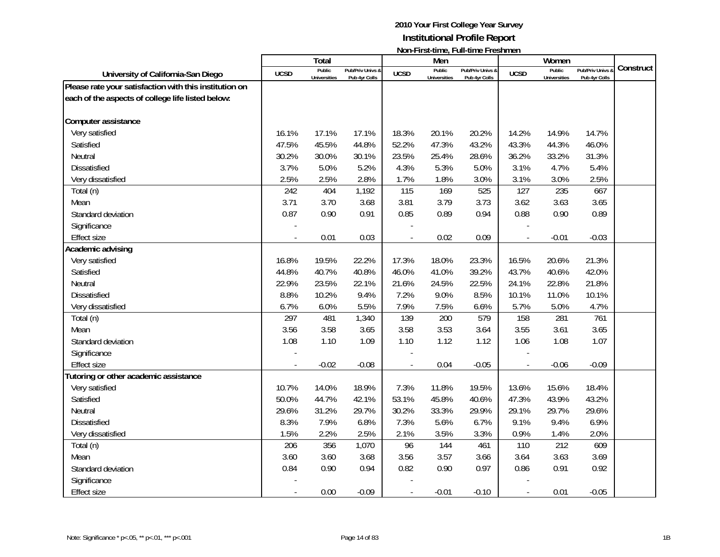|                                                        |             | Total                         |                                   |                          | Men                           | <u>INUIFI II SUUIIIIG, LUII-UIIIIG LEGSIIIIIGIT</u> |                          | Women                         |                                   |           |
|--------------------------------------------------------|-------------|-------------------------------|-----------------------------------|--------------------------|-------------------------------|-----------------------------------------------------|--------------------------|-------------------------------|-----------------------------------|-----------|
| University of California-San Diego                     | <b>UCSD</b> | Public<br><b>Universities</b> | Pub/Priv Univs &<br>Pub 4yr Colls | <b>UCSD</b>              | Public<br><b>Universities</b> | Pub/Priv Univs &<br>Pub 4yr Colls                   | <b>UCSD</b>              | Public<br><b>Universities</b> | Pub/Priv Univs &<br>Pub 4yr Colls | Construct |
| Please rate your satisfaction with this institution on |             |                               |                                   |                          |                               |                                                     |                          |                               |                                   |           |
| each of the aspects of college life listed below:      |             |                               |                                   |                          |                               |                                                     |                          |                               |                                   |           |
| Computer assistance                                    |             |                               |                                   |                          |                               |                                                     |                          |                               |                                   |           |
| Very satisfied                                         | 16.1%       | 17.1%                         | 17.1%                             | 18.3%                    | 20.1%                         | 20.2%                                               | 14.2%                    | 14.9%                         | 14.7%                             |           |
| Satisfied                                              | 47.5%       | 45.5%                         | 44.8%                             | 52.2%                    | 47.3%                         | 43.2%                                               | 43.3%                    | 44.3%                         | 46.0%                             |           |
| Neutral                                                | 30.2%       | 30.0%                         | 30.1%                             | 23.5%                    | 25.4%                         | 28.6%                                               | 36.2%                    | 33.2%                         | 31.3%                             |           |
| <b>Dissatisfied</b>                                    | 3.7%        | 5.0%                          | 5.2%                              | 4.3%                     | 5.3%                          | 5.0%                                                | 3.1%                     | 4.7%                          | 5.4%                              |           |
| Very dissatisfied                                      | 2.5%        | 2.5%                          | 2.8%                              | 1.7%                     | 1.8%                          | 3.0%                                                | 3.1%                     | 3.0%                          | 2.5%                              |           |
| Total (n)                                              | 242         | 404                           | 1,192                             | 115                      | 169                           | 525                                                 | 127                      | 235                           | 667                               |           |
| Mean                                                   | 3.71        | 3.70                          | 3.68                              | 3.81                     | 3.79                          | 3.73                                                | 3.62                     | 3.63                          | 3.65                              |           |
| Standard deviation                                     | 0.87        | 0.90                          | 0.91                              | 0.85                     | 0.89                          | 0.94                                                | 0.88                     | 0.90                          | 0.89                              |           |
| Significance                                           |             |                               |                                   |                          |                               |                                                     |                          |                               |                                   |           |
| Effect size                                            |             | 0.01                          | 0.03                              |                          | 0.02                          | 0.09                                                | $\overline{a}$           | $-0.01$                       | $-0.03$                           |           |
| Academic advising                                      |             |                               |                                   |                          |                               |                                                     |                          |                               |                                   |           |
| Very satisfied                                         | 16.8%       | 19.5%                         | 22.2%                             | 17.3%                    | 18.0%                         | 23.3%                                               | 16.5%                    | 20.6%                         | 21.3%                             |           |
| Satisfied                                              | 44.8%       | 40.7%                         | 40.8%                             | 46.0%                    | 41.0%                         | 39.2%                                               | 43.7%                    | 40.6%                         | 42.0%                             |           |
| Neutral                                                | 22.9%       | 23.5%                         | 22.1%                             | 21.6%                    | 24.5%                         | 22.5%                                               | 24.1%                    | 22.8%                         | 21.8%                             |           |
| <b>Dissatisfied</b>                                    | 8.8%        | 10.2%                         | 9.4%                              | 7.2%                     | 9.0%                          | 8.5%                                                | 10.1%                    | 11.0%                         | 10.1%                             |           |
| Very dissatisfied                                      | 6.7%        | 6.0%                          | 5.5%                              | 7.9%                     | 7.5%                          | 6.6%                                                | 5.7%                     | 5.0%                          | 4.7%                              |           |
| Total (n)                                              | 297         | 481                           | 1,340                             | 139                      | 200                           | 579                                                 | 158                      | 281                           | 761                               |           |
| Mean                                                   | 3.56        | 3.58                          | 3.65                              | 3.58                     | 3.53                          | 3.64                                                | 3.55                     | 3.61                          | 3.65                              |           |
| Standard deviation                                     | 1.08        | 1.10                          | 1.09                              | 1.10                     | 1.12                          | 1.12                                                | 1.06                     | 1.08                          | 1.07                              |           |
| Significance                                           |             |                               |                                   |                          |                               |                                                     |                          |                               |                                   |           |
| <b>Effect size</b>                                     |             | $-0.02$                       | $-0.08$                           |                          | 0.04                          | $-0.05$                                             | $\overline{a}$           | $-0.06$                       | $-0.09$                           |           |
| Tutoring or other academic assistance                  |             |                               |                                   |                          |                               |                                                     |                          |                               |                                   |           |
| Very satisfied                                         | 10.7%       | 14.0%                         | 18.9%                             | 7.3%                     | 11.8%                         | 19.5%                                               | 13.6%                    | 15.6%                         | 18.4%                             |           |
| Satisfied                                              | 50.0%       | 44.7%                         | 42.1%                             | 53.1%                    | 45.8%                         | 40.6%                                               | 47.3%                    | 43.9%                         | 43.2%                             |           |
| Neutral                                                | 29.6%       | 31.2%                         | 29.7%                             | 30.2%                    | 33.3%                         | 29.9%                                               | 29.1%                    | 29.7%                         | 29.6%                             |           |
| <b>Dissatisfied</b>                                    | 8.3%        | 7.9%                          | 6.8%                              | 7.3%                     | 5.6%                          | 6.7%                                                | 9.1%                     | 9.4%                          | 6.9%                              |           |
| Very dissatisfied                                      | 1.5%        | 2.2%                          | 2.5%                              | 2.1%                     | 3.5%                          | 3.3%                                                | 0.9%                     | 1.4%                          | 2.0%                              |           |
| Total (n)                                              | 206         | 356                           | 1,070                             | 96                       | 144                           | 461                                                 | 110                      | 212                           | 609                               |           |
| Mean                                                   | 3.60        | 3.60                          | 3.68                              | 3.56                     | 3.57                          | 3.66                                                | 3.64                     | 3.63                          | 3.69                              |           |
| Standard deviation                                     | 0.84        | 0.90                          | 0.94                              | 0.82                     | 0.90                          | 0.97                                                | 0.86                     | 0.91                          | 0.92                              |           |
| Significance                                           |             |                               |                                   |                          |                               |                                                     |                          |                               |                                   |           |
| <b>Effect size</b>                                     |             | 0.00                          | $-0.09$                           | $\overline{\phantom{a}}$ | $-0.01$                       | $-0.10$                                             | $\overline{\phantom{a}}$ | 0.01                          | $-0.05$                           |           |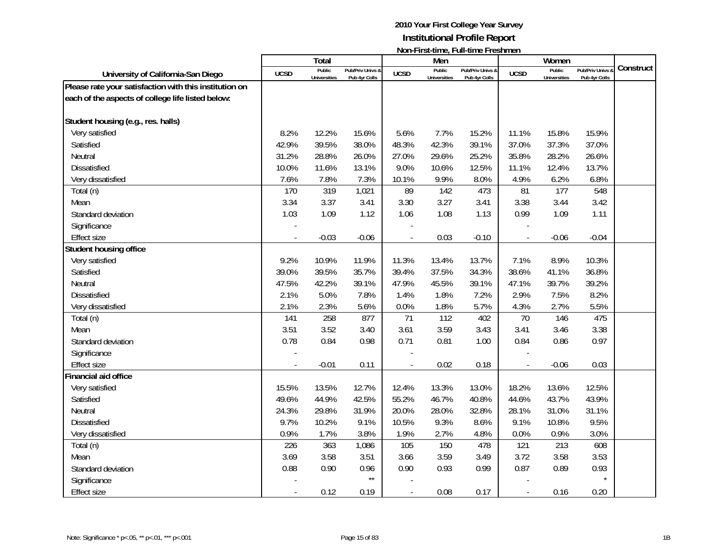|                                                        |             | <b>Total</b>                  |                                   |                | Men                    | <u>IVOIT ILSEMING, I UN MING I LESIMIEN</u> |                          | Women                         |                                   |           |
|--------------------------------------------------------|-------------|-------------------------------|-----------------------------------|----------------|------------------------|---------------------------------------------|--------------------------|-------------------------------|-----------------------------------|-----------|
| University of California-San Diego                     | <b>UCSD</b> | Public<br><b>Universities</b> | Pub/Priv Univs &<br>Pub 4yr Colls | <b>UCSD</b>    | Public<br>Universities | Pub/Priv Univs &<br>Pub 4yr Colls           | <b>UCSD</b>              | Public<br><b>Universities</b> | Pub/Priv Univs &<br>Pub 4yr Colls | Construct |
| Please rate your satisfaction with this institution on |             |                               |                                   |                |                        |                                             |                          |                               |                                   |           |
| each of the aspects of college life listed below:      |             |                               |                                   |                |                        |                                             |                          |                               |                                   |           |
| Student housing (e.g., res. halls)                     |             |                               |                                   |                |                        |                                             |                          |                               |                                   |           |
| Very satisfied                                         | 8.2%        | 12.2%                         | 15.6%                             | 5.6%           | 7.7%                   | 15.2%                                       | 11.1%                    | 15.8%                         | 15.9%                             |           |
| Satisfied                                              | 42.9%       | 39.5%                         | 38.0%                             | 48.3%          | 42.3%                  | 39.1%                                       | 37.0%                    | 37.3%                         | 37.0%                             |           |
| Neutral                                                | 31.2%       | 28.8%                         | 26.0%                             | 27.0%          | 29.6%                  | 25.2%                                       | 35.8%                    | 28.2%                         | 26.6%                             |           |
| Dissatisfied                                           | 10.0%       | 11.6%                         | 13.1%                             | 9.0%           | 10.6%                  | 12.5%                                       | 11.1%                    | 12.4%                         | 13.7%                             |           |
| Very dissatisfied                                      | 7.6%        | 7.8%                          | 7.3%                              | 10.1%          | 9.9%                   | 8.0%                                        | 4.9%                     | 6.2%                          | 6.8%                              |           |
| Total (n)                                              | 170         | 319                           | 1,021                             | 89             | 142                    | 473                                         | 81                       | 177                           | 548                               |           |
| Mean                                                   | 3.34        | 3.37                          | 3.41                              | 3.30           | 3.27                   | 3.41                                        | 3.38                     | 3.44                          | 3.42                              |           |
| Standard deviation                                     | 1.03        | 1.09                          | 1.12                              | 1.06           | 1.08                   | 1.13                                        | 0.99                     | 1.09                          | 1.11                              |           |
| Significance                                           |             |                               |                                   |                |                        |                                             |                          |                               |                                   |           |
| <b>Effect size</b>                                     |             | $-0.03$                       | $-0.06$                           |                | 0.03                   | $-0.10$                                     | $\overline{\phantom{a}}$ | $-0.06$                       | $-0.04$                           |           |
| Student housing office                                 |             |                               |                                   |                |                        |                                             |                          |                               |                                   |           |
| Very satisfied                                         | 9.2%        | 10.9%                         | 11.9%                             | 11.3%          | 13.4%                  | 13.7%                                       | 7.1%                     | 8.9%                          | 10.3%                             |           |
| Satisfied                                              | 39.0%       | 39.5%                         | 35.7%                             | 39.4%          | 37.5%                  | 34.3%                                       | 38.6%                    | 41.1%                         | 36.8%                             |           |
| Neutral                                                | 47.5%       | 42.2%                         | 39.1%                             | 47.9%          | 45.5%                  | 39.1%                                       | 47.1%                    | 39.7%                         | 39.2%                             |           |
| Dissatisfied                                           | 2.1%        | 5.0%                          | 7.8%                              | 1.4%           | 1.8%                   | 7.2%                                        | 2.9%                     | 7.5%                          | 8.2%                              |           |
| Very dissatisfied                                      | 2.1%        | 2.3%                          | 5.6%                              | 0.0%           | 1.8%                   | 5.7%                                        | 4.3%                     | 2.7%                          | 5.5%                              |           |
| Total (n)                                              | 141         | 258                           | 877                               | 71             | 112                    | 402                                         | 70                       | 146                           | 475                               |           |
| Mean                                                   | 3.51        | 3.52                          | 3.40                              | 3.61           | 3.59                   | 3.43                                        | 3.41                     | 3.46                          | 3.38                              |           |
| Standard deviation                                     | 0.78        | 0.84                          | 0.98                              | 0.71           | 0.81                   | 1.00                                        | 0.84                     | 0.86                          | 0.97                              |           |
| Significance                                           |             |                               |                                   |                |                        |                                             |                          |                               |                                   |           |
| <b>Effect size</b>                                     |             | $-0.01$                       | 0.11                              |                | 0.02                   | 0.18                                        | $\overline{\phantom{a}}$ | $-0.06$                       | 0.03                              |           |
| Financial aid office                                   |             |                               |                                   |                |                        |                                             |                          |                               |                                   |           |
| Very satisfied                                         | 15.5%       | 13.5%                         | 12.7%                             | 12.4%          | 13.3%                  | 13.0%                                       | 18.2%                    | 13.6%                         | 12.5%                             |           |
| Satisfied                                              | 49.6%       | 44.9%                         | 42.5%                             | 55.2%          | 46.7%                  | 40.8%                                       | 44.6%                    | 43.7%                         | 43.9%                             |           |
| Neutral                                                | 24.3%       | 29.8%                         | 31.9%                             | 20.0%          | 28.0%                  | 32.8%                                       | 28.1%                    | 31.0%                         | 31.1%                             |           |
| Dissatisfied                                           | 9.7%        | 10.2%                         | 9.1%                              | 10.5%          | 9.3%                   | 8.6%                                        | 9.1%                     | 10.8%                         | 9.5%                              |           |
| Very dissatisfied                                      | 0.9%        | 1.7%                          | 3.8%                              | 1.9%           | 2.7%                   | 4.8%                                        | 0.0%                     | 0.9%                          | 3.0%                              |           |
| Total (n)                                              | 226         | 363                           | 1,086                             | 105            | 150                    | 478                                         | 121                      | 213                           | 608                               |           |
| Mean                                                   | 3.69        | 3.58                          | 3.51                              | 3.66           | 3.59                   | 3.49                                        | 3.72                     | 3.58                          | 3.53                              |           |
| Standard deviation                                     | 0.88        | 0.90                          | 0.96                              | 0.90           | 0.93                   | 0.99                                        | 0.87                     | 0.89                          | 0.93                              |           |
| Significance                                           |             |                               | $\star\star$                      |                |                        |                                             |                          |                               |                                   |           |
| Effect size                                            |             | 0.12                          | 0.19                              | $\overline{a}$ | 0.08                   | 0.17                                        | $\overline{\phantom{a}}$ | 0.16                          | 0.20                              |           |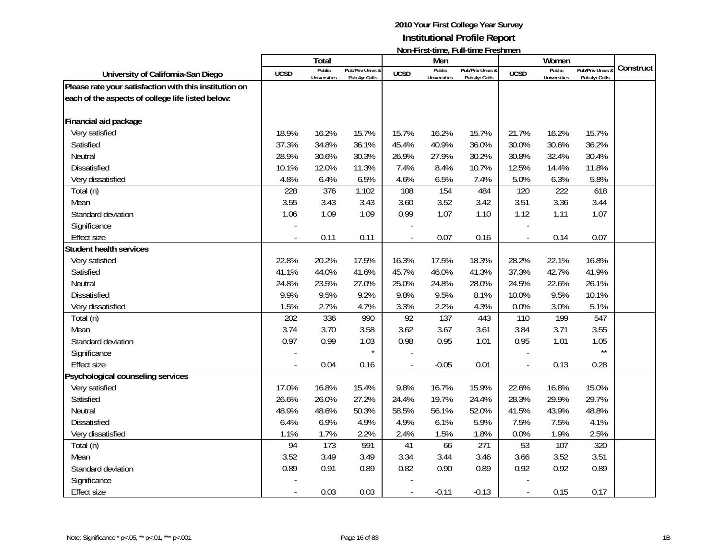|                                                        |             | <b>Total</b>                  |                                   |                | Men                           | דושוורו וו אנימוווט, דעוורמוווט דו כאווווטוו |                          | Women                         |                                 |           |
|--------------------------------------------------------|-------------|-------------------------------|-----------------------------------|----------------|-------------------------------|----------------------------------------------|--------------------------|-------------------------------|---------------------------------|-----------|
| University of California-San Diego                     | <b>UCSD</b> | Public<br><b>Universities</b> | Pub/Priv Univs &<br>Pub 4yr Colls | <b>UCSD</b>    | Public<br><b>Universities</b> | Pub/Priv Univs &<br>Pub 4yr Colls            | <b>UCSD</b>              | Public<br><b>Universities</b> | Pub/Priv Univs<br>Pub 4yr Colls | Construct |
| Please rate your satisfaction with this institution on |             |                               |                                   |                |                               |                                              |                          |                               |                                 |           |
| each of the aspects of college life listed below:      |             |                               |                                   |                |                               |                                              |                          |                               |                                 |           |
|                                                        |             |                               |                                   |                |                               |                                              |                          |                               |                                 |           |
| Financial aid package                                  |             |                               |                                   |                |                               |                                              |                          |                               |                                 |           |
| Very satisfied                                         | 18.9%       | 16.2%                         | 15.7%                             | 15.7%          | 16.2%                         | 15.7%                                        | 21.7%                    | 16.2%                         | 15.7%                           |           |
| Satisfied                                              | 37.3%       | 34.8%                         | 36.1%                             | 45.4%          | 40.9%                         | 36.0%                                        | 30.0%                    | 30.6%                         | 36.2%                           |           |
| Neutral                                                | 28.9%       | 30.6%                         | 30.3%                             | 26.9%          | 27.9%                         | 30.2%                                        | 30.8%                    | 32.4%                         | 30.4%                           |           |
| <b>Dissatisfied</b>                                    | 10.1%       | 12.0%                         | 11.3%                             | 7.4%           | 8.4%                          | 10.7%                                        | 12.5%                    | 14.4%                         | 11.8%                           |           |
| Very dissatisfied                                      | 4.8%        | 6.4%                          | 6.5%                              | 4.6%           | 6.5%                          | 7.4%                                         | 5.0%                     | 6.3%                          | 5.8%                            |           |
| Total (n)                                              | 228         | 376                           | 1,102                             | 108            | 154                           | 484                                          | 120                      | 222                           | 618                             |           |
| Mean                                                   | 3.55        | 3.43                          | 3.43                              | 3.60           | 3.52                          | 3.42                                         | 3.51                     | 3.36                          | 3.44                            |           |
| Standard deviation                                     | 1.06        | 1.09                          | 1.09                              | 0.99           | 1.07                          | 1.10                                         | 1.12                     | 1.11                          | 1.07                            |           |
| Significance                                           |             |                               |                                   |                |                               |                                              |                          |                               |                                 |           |
| <b>Effect size</b>                                     |             | 0.11                          | 0.11                              |                | 0.07                          | 0.16                                         | $\overline{a}$           | 0.14                          | 0.07                            |           |
| <b>Student health services</b>                         |             |                               |                                   |                |                               |                                              |                          |                               |                                 |           |
| Very satisfied                                         | 22.8%       | 20.2%                         | 17.5%                             | 16.3%          | 17.5%                         | 18.3%                                        | 28.2%                    | 22.1%                         | 16.8%                           |           |
| Satisfied                                              | 41.1%       | 44.0%                         | 41.6%                             | 45.7%          | 46.0%                         | 41.3%                                        | 37.3%                    | 42.7%                         | 41.9%                           |           |
| Neutral                                                | 24.8%       | 23.5%                         | 27.0%                             | 25.0%          | 24.8%                         | 28.0%                                        | 24.5%                    | 22.6%                         | 26.1%                           |           |
| Dissatisfied                                           | 9.9%        | 9.5%                          | 9.2%                              | 9.8%           | 9.5%                          | 8.1%                                         | 10.0%                    | 9.5%                          | 10.1%                           |           |
| Very dissatisfied                                      | 1.5%        | 2.7%                          | 4.7%                              | 3.3%           | 2.2%                          | 4.3%                                         | 0.0%                     | 3.0%                          | 5.1%                            |           |
| Total (n)                                              | 202         | 336                           | 990                               | 92             | 137                           | 443                                          | 110                      | 199                           | 547                             |           |
| Mean                                                   | 3.74        | 3.70                          | 3.58                              | 3.62           | 3.67                          | 3.61                                         | 3.84                     | 3.71                          | 3.55                            |           |
| Standard deviation                                     | 0.97        | 0.99                          | 1.03                              | 0.98           | 0.95                          | 1.01                                         | 0.95                     | 1.01                          | 1.05                            |           |
| Significance                                           |             |                               | $\star$                           |                |                               |                                              |                          |                               | $\star\star$                    |           |
| <b>Effect size</b>                                     |             | 0.04                          | 0.16                              |                | $-0.05$                       | 0.01                                         | $\overline{\phantom{a}}$ | 0.13                          | 0.28                            |           |
| Psychological counseling services                      |             |                               |                                   |                |                               |                                              |                          |                               |                                 |           |
| Very satisfied                                         | 17.0%       | 16.8%                         | 15.4%                             | 9.8%           | 16.7%                         | 15.9%                                        | 22.6%                    | 16.8%                         | 15.0%                           |           |
| Satisfied                                              | 26.6%       | 26.0%                         | 27.2%                             | 24.4%          | 19.7%                         | 24.4%                                        | 28.3%                    | 29.9%                         | 29.7%                           |           |
| Neutral                                                | 48.9%       | 48.6%                         | 50.3%                             | 58.5%          | 56.1%                         | 52.0%                                        | 41.5%                    | 43.9%                         | 48.8%                           |           |
| <b>Dissatisfied</b>                                    | 6.4%        | 6.9%                          | 4.9%                              | 4.9%           | 6.1%                          | 5.9%                                         | 7.5%                     | 7.5%                          | 4.1%                            |           |
| Very dissatisfied                                      | 1.1%        | 1.7%                          | 2.2%                              | 2.4%           | 1.5%                          | 1.8%                                         | 0.0%                     | 1.9%                          | 2.5%                            |           |
| Total (n)                                              | 94          | 173                           | 591                               | 41             | 66                            | 271                                          | 53                       | 107                           | 320                             |           |
| Mean                                                   | 3.52        | 3.49                          | 3.49                              | 3.34           | 3.44                          | 3.46                                         | 3.66                     | 3.52                          | 3.51                            |           |
| Standard deviation                                     | 0.89        | 0.91                          | 0.89                              | 0.82           | 0.90                          | 0.89                                         | 0.92                     | 0.92                          | 0.89                            |           |
| Significance                                           |             |                               |                                   |                |                               |                                              |                          |                               |                                 |           |
| <b>Effect size</b>                                     |             | 0.03                          | 0.03                              | $\blacksquare$ | $-0.11$                       | $-0.13$                                      | $\overline{\phantom{a}}$ | 0.15                          | 0.17                            |           |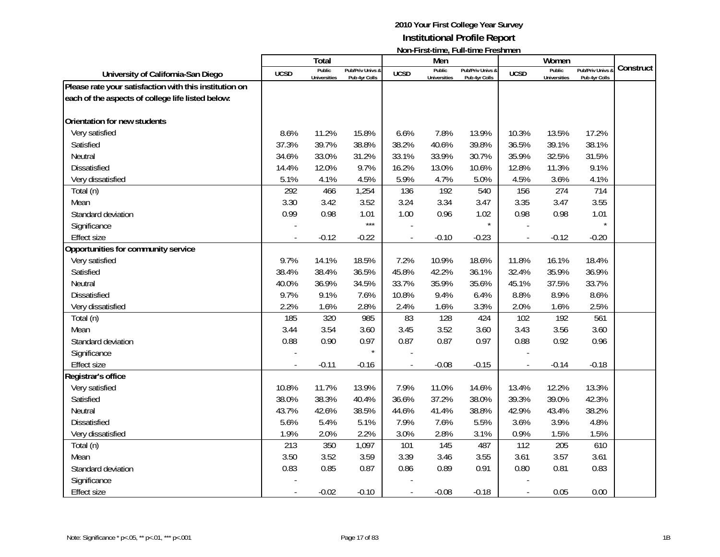|                                                        |             | <b>Total</b>                  |                                   |             | Men                           | דושוורו וו אנימוווט, דעוורמוווט דו כאווווטוו |                | Women                         |                                 |           |
|--------------------------------------------------------|-------------|-------------------------------|-----------------------------------|-------------|-------------------------------|----------------------------------------------|----------------|-------------------------------|---------------------------------|-----------|
| University of California-San Diego                     | <b>UCSD</b> | Public<br><b>Universities</b> | Pub/Priv Univs &<br>Pub 4yr Colls | <b>UCSD</b> | Public<br><b>Universities</b> | Pub/Priv Univs &<br>Pub 4yr Colls            | <b>UCSD</b>    | Public<br><b>Universities</b> | Pub/Priv Univs<br>Pub 4yr Colls | Construct |
| Please rate your satisfaction with this institution on |             |                               |                                   |             |                               |                                              |                |                               |                                 |           |
| each of the aspects of college life listed below:      |             |                               |                                   |             |                               |                                              |                |                               |                                 |           |
| Orientation for new students                           |             |                               |                                   |             |                               |                                              |                |                               |                                 |           |
| Very satisfied                                         | 8.6%        | 11.2%                         | 15.8%                             | 6.6%        | 7.8%                          | 13.9%                                        | 10.3%          | 13.5%                         | 17.2%                           |           |
| Satisfied                                              | 37.3%       | 39.7%                         | 38.8%                             | 38.2%       | 40.6%                         | 39.8%                                        | 36.5%          | 39.1%                         | 38.1%                           |           |
| Neutral                                                | 34.6%       | 33.0%                         | 31.2%                             | 33.1%       | 33.9%                         | 30.7%                                        | 35.9%          | 32.5%                         | 31.5%                           |           |
| <b>Dissatisfied</b>                                    | 14.4%       | 12.0%                         | 9.7%                              | 16.2%       | 13.0%                         | 10.6%                                        | 12.8%          | 11.3%                         | 9.1%                            |           |
| Very dissatisfied                                      | 5.1%        | 4.1%                          | 4.5%                              | 5.9%        | 4.7%                          | 5.0%                                         | 4.5%           | 3.6%                          | 4.1%                            |           |
| Total (n)                                              | 292         | 466                           | 1,254                             | 136         | 192                           | 540                                          | 156            | 274                           | 714                             |           |
| Mean                                                   | 3.30        | 3.42                          | 3.52                              | 3.24        | 3.34                          | 3.47                                         | 3.35           | 3.47                          | 3.55                            |           |
| Standard deviation                                     | 0.99        | 0.98                          | 1.01                              | 1.00        | 0.96                          | 1.02                                         | 0.98           | 0.98                          | 1.01                            |           |
| Significance                                           |             |                               | $***$                             |             |                               | $\star$                                      |                |                               |                                 |           |
| <b>Effect size</b>                                     |             | $-0.12$                       | $-0.22$                           |             | $-0.10$                       | $-0.23$                                      | $\overline{a}$ | $-0.12$                       | $-0.20$                         |           |
| Opportunities for community service                    |             |                               |                                   |             |                               |                                              |                |                               |                                 |           |
| Very satisfied                                         | 9.7%        | 14.1%                         | 18.5%                             | 7.2%        | 10.9%                         | 18.6%                                        | 11.8%          | 16.1%                         | 18.4%                           |           |
| Satisfied                                              | 38.4%       | 38.4%                         | 36.5%                             | 45.8%       | 42.2%                         | 36.1%                                        | 32.4%          | 35.9%                         | 36.9%                           |           |
| Neutral                                                | 40.0%       | 36.9%                         | 34.5%                             | 33.7%       | 35.9%                         | 35.6%                                        | 45.1%          | 37.5%                         | 33.7%                           |           |
| Dissatisfied                                           | 9.7%        | 9.1%                          | 7.6%                              | 10.8%       | 9.4%                          | 6.4%                                         | 8.8%           | 8.9%                          | 8.6%                            |           |
| Very dissatisfied                                      | 2.2%        | 1.6%                          | 2.8%                              | 2.4%        | 1.6%                          | 3.3%                                         | 2.0%           | 1.6%                          | 2.5%                            |           |
| Total (n)                                              | 185         | 320                           | 985                               | 83          | 128                           | 424                                          | 102            | 192                           | 561                             |           |
| Mean                                                   | 3.44        | 3.54                          | 3.60                              | 3.45        | 3.52                          | 3.60                                         | 3.43           | 3.56                          | 3.60                            |           |
| Standard deviation                                     | 0.88        | 0.90                          | 0.97                              | 0.87        | 0.87                          | 0.97                                         | 0.88           | 0.92                          | 0.96                            |           |
| Significance                                           |             |                               | $\star$                           |             |                               |                                              |                |                               |                                 |           |
| <b>Effect size</b>                                     |             | $-0.11$                       | $-0.16$                           |             | $-0.08$                       | $-0.15$                                      |                | $-0.14$                       | $-0.18$                         |           |
| Registrar's office                                     |             |                               |                                   |             |                               |                                              |                |                               |                                 |           |
| Very satisfied                                         | 10.8%       | 11.7%                         | 13.9%                             | 7.9%        | 11.0%                         | 14.6%                                        | 13.4%          | 12.2%                         | 13.3%                           |           |
| Satisfied                                              | 38.0%       | 38.3%                         | 40.4%                             | 36.6%       | 37.2%                         | 38.0%                                        | 39.3%          | 39.0%                         | 42.3%                           |           |
| Neutral                                                | 43.7%       | 42.6%                         | 38.5%                             | 44.6%       | 41.4%                         | 38.8%                                        | 42.9%          | 43.4%                         | 38.2%                           |           |
| <b>Dissatisfied</b>                                    | 5.6%        | 5.4%                          | 5.1%                              | 7.9%        | 7.6%                          | 5.5%                                         | 3.6%           | 3.9%                          | 4.8%                            |           |
| Very dissatisfied                                      | 1.9%        | 2.0%                          | 2.2%                              | 3.0%        | 2.8%                          | 3.1%                                         | 0.9%           | 1.5%                          | 1.5%                            |           |
| Total (n)                                              | 213         | 350                           | 1,097                             | 101         | 145                           | 487                                          | 112            | 205                           | 610                             |           |
| Mean                                                   | 3.50        | 3.52                          | 3.59                              | 3.39        | 3.46                          | 3.55                                         | 3.61           | 3.57                          | 3.61                            |           |
| Standard deviation                                     | 0.83        | 0.85                          | 0.87                              | 0.86        | 0.89                          | 0.91                                         | 0.80           | 0.81                          | 0.83                            |           |
| Significance                                           |             |                               |                                   |             |                               |                                              |                |                               |                                 |           |
| <b>Effect size</b>                                     |             | $-0.02$                       | $-0.10$                           |             | $-0.08$                       | $-0.18$                                      |                | 0.05                          | 0.00                            |           |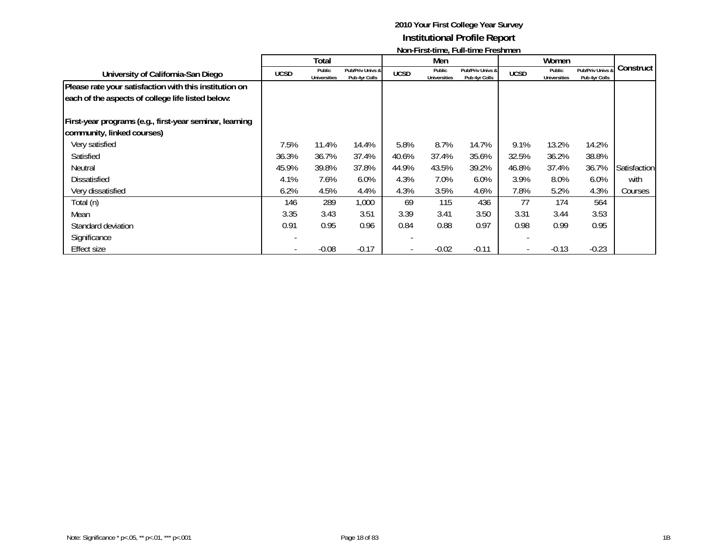|                                                         |             | Total               |                  |             | Men          |                  |             | Women               |                  |              |
|---------------------------------------------------------|-------------|---------------------|------------------|-------------|--------------|------------------|-------------|---------------------|------------------|--------------|
| University of California-San Diego                      | <b>UCSD</b> | Public              | Pub/Priv Univs & | <b>UCSD</b> | Public       | Pub/Priv Univs & | <b>UCSD</b> | Public              | Pub/Priv Univs & | Construct    |
|                                                         |             | <b>Universities</b> | Pub 4yr Colls    |             | Universities | Pub 4yr Colls    |             | <b>Universities</b> | Pub 4yr Colls    |              |
| Please rate your satisfaction with this institution on  |             |                     |                  |             |              |                  |             |                     |                  |              |
| each of the aspects of college life listed below:       |             |                     |                  |             |              |                  |             |                     |                  |              |
|                                                         |             |                     |                  |             |              |                  |             |                     |                  |              |
| First-year programs (e.g., first-year seminar, learning |             |                     |                  |             |              |                  |             |                     |                  |              |
| community, linked courses)                              |             |                     |                  |             |              |                  |             |                     |                  |              |
| Very satisfied                                          | 7.5%        | 11.4%               | 14.4%            | 5.8%        | 8.7%         | 14.7%            | 9.1%        | 13.2%               | 14.2%            |              |
| Satisfied                                               | 36.3%       | 36.7%               | 37.4%            | 40.6%       | 37.4%        | 35.6%            | 32.5%       | 36.2%               | 38.8%            |              |
| Neutral                                                 | 45.9%       | 39.8%               | 37.8%            | 44.9%       | 43.5%        | 39.2%            | 46.8%       | 37.4%               | 36.7%            | Satisfaction |
| <b>Dissatisfied</b>                                     | 4.1%        | 7.6%                | 6.0%             | 4.3%        | 7.0%         | 6.0%             | 3.9%        | 8.0%                | 6.0%             | with         |
| Very dissatisfied                                       | 6.2%        | 4.5%                | 4.4%             | 4.3%        | 3.5%         | 4.6%             | 7.8%        | 5.2%                | 4.3%             | Courses      |
| Total (n)                                               | 146         | 289                 | 1,000            | 69          | 115          | 436              | 77          | 174                 | 564              |              |
| Mean                                                    | 3.35        | 3.43                | 3.51             | 3.39        | 3.41         | 3.50             | 3.31        | 3.44                | 3.53             |              |
| Standard deviation                                      | 0.91        | 0.95                | 0.96             | 0.84        | 0.88         | 0.97             | 0.98        | 0.99                | 0.95             |              |
| Significance                                            |             |                     |                  |             |              |                  |             |                     |                  |              |
| Effect size                                             |             | $-0.08$             | $-0.17$          |             | $-0.02$      | $-0.11$          |             | $-0.13$             | $-0.23$          |              |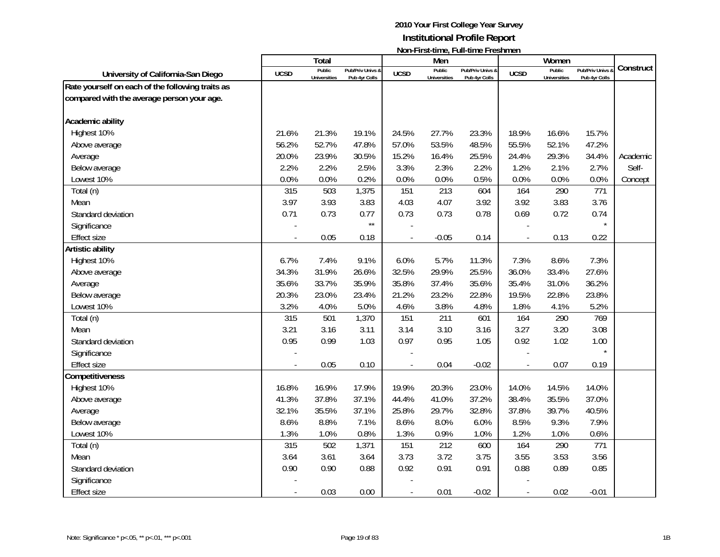|                                                  |             | Total                         |                                   |                          | Men                           | דוטוורו וואכווווויט, דעוורנוווויט דו כאווווויטוו |                          | Women                         |                                   |           |
|--------------------------------------------------|-------------|-------------------------------|-----------------------------------|--------------------------|-------------------------------|--------------------------------------------------|--------------------------|-------------------------------|-----------------------------------|-----------|
| University of California-San Diego               | <b>UCSD</b> | Public<br><b>Universities</b> | Pub/Priv Univs &<br>Pub 4yr Colls | <b>UCSD</b>              | Public<br><b>Universities</b> | Pub/Priv Univs &<br>Pub 4yr Colls                | <b>UCSD</b>              | Public<br><b>Universities</b> | Pub/Priv Univs &<br>Pub 4yr Colls | Construct |
| Rate yourself on each of the following traits as |             |                               |                                   |                          |                               |                                                  |                          |                               |                                   |           |
| compared with the average person your age.       |             |                               |                                   |                          |                               |                                                  |                          |                               |                                   |           |
| Academic ability                                 |             |                               |                                   |                          |                               |                                                  |                          |                               |                                   |           |
| Highest 10%                                      | 21.6%       | 21.3%                         | 19.1%                             | 24.5%                    | 27.7%                         | 23.3%                                            | 18.9%                    | 16.6%                         | 15.7%                             |           |
| Above average                                    | 56.2%       | 52.7%                         | 47.8%                             | 57.0%                    | 53.5%                         | 48.5%                                            | 55.5%                    | 52.1%                         | 47.2%                             |           |
| Average                                          | 20.0%       | 23.9%                         | 30.5%                             | 15.2%                    | 16.4%                         | 25.5%                                            | 24.4%                    | 29.3%                         | 34.4%                             | Academic  |
| Below average                                    | 2.2%        | 2.2%                          | 2.5%                              | 3.3%                     | 2.3%                          | 2.2%                                             | 1.2%                     | 2.1%                          | 2.7%                              | Self-     |
| Lowest 10%                                       | 0.0%        | 0.0%                          | 0.2%                              | 0.0%                     | 0.0%                          | 0.5%                                             | 0.0%                     | 0.0%                          | 0.0%                              | Concept   |
| Total (n)                                        | 315         | 503                           | 1,375                             | 151                      | 213                           | 604                                              | 164                      | 290                           | 771                               |           |
| Mean                                             | 3.97        | 3.93                          | 3.83                              | 4.03                     | 4.07                          | 3.92                                             | 3.92                     | 3.83                          | 3.76                              |           |
| Standard deviation                               | 0.71        | 0.73                          | 0.77                              | 0.73                     | 0.73                          | 0.78                                             | 0.69                     | 0.72                          | 0.74                              |           |
| Significance                                     |             |                               | $\star\star$                      |                          |                               |                                                  |                          |                               |                                   |           |
| <b>Effect size</b>                               |             | 0.05                          | 0.18                              |                          | $-0.05$                       | 0.14                                             | $\overline{\phantom{a}}$ | 0.13                          | 0.22                              |           |
| Artistic ability                                 |             |                               |                                   |                          |                               |                                                  |                          |                               |                                   |           |
| Highest 10%                                      | 6.7%        | 7.4%                          | 9.1%                              | 6.0%                     | 5.7%                          | 11.3%                                            | 7.3%                     | 8.6%                          | 7.3%                              |           |
| Above average                                    | 34.3%       | 31.9%                         | 26.6%                             | 32.5%                    | 29.9%                         | 25.5%                                            | 36.0%                    | 33.4%                         | 27.6%                             |           |
| Average                                          | 35.6%       | 33.7%                         | 35.9%                             | 35.8%                    | 37.4%                         | 35.6%                                            | 35.4%                    | 31.0%                         | 36.2%                             |           |
| Below average                                    | 20.3%       | 23.0%                         | 23.4%                             | 21.2%                    | 23.2%                         | 22.8%                                            | 19.5%                    | 22.8%                         | 23.8%                             |           |
| Lowest 10%                                       | 3.2%        | 4.0%                          | 5.0%                              | 4.6%                     | 3.8%                          | 4.8%                                             | 1.8%                     | 4.1%                          | 5.2%                              |           |
| Total (n)                                        | 315         | 501                           | 1,370                             | 151                      | 211                           | 601                                              | 164                      | 290                           | 769                               |           |
| Mean                                             | 3.21        | 3.16                          | 3.11                              | 3.14                     | 3.10                          | 3.16                                             | 3.27                     | 3.20                          | 3.08                              |           |
| Standard deviation                               | 0.95        | 0.99                          | 1.03                              | 0.97                     | 0.95                          | 1.05                                             | 0.92                     | 1.02                          | 1.00                              |           |
| Significance                                     |             |                               |                                   |                          |                               |                                                  |                          |                               | $\star$                           |           |
| <b>Effect size</b>                               |             | 0.05                          | 0.10                              |                          | 0.04                          | $-0.02$                                          | $\frac{1}{2}$            | 0.07                          | 0.19                              |           |
| Competitiveness                                  |             |                               |                                   |                          |                               |                                                  |                          |                               |                                   |           |
| Highest 10%                                      | 16.8%       | 16.9%                         | 17.9%                             | 19.9%                    | 20.3%                         | 23.0%                                            | 14.0%                    | 14.5%                         | 14.0%                             |           |
| Above average                                    | 41.3%       | 37.8%                         | 37.1%                             | 44.4%                    | 41.0%                         | 37.2%                                            | 38.4%                    | 35.5%                         | 37.0%                             |           |
| Average                                          | 32.1%       | 35.5%                         | 37.1%                             | 25.8%                    | 29.7%                         | 32.8%                                            | 37.8%                    | 39.7%                         | 40.5%                             |           |
| Below average                                    | 8.6%        | 8.8%                          | 7.1%                              | 8.6%                     | 8.0%                          | 6.0%                                             | 8.5%                     | 9.3%                          | 7.9%                              |           |
| Lowest 10%                                       | 1.3%        | 1.0%                          | 0.8%                              | 1.3%                     | 0.9%                          | 1.0%                                             | 1.2%                     | 1.0%                          | 0.6%                              |           |
| Total (n)                                        | 315         | 502                           | 1,371                             | 151                      | 212                           | 600                                              | 164                      | 290                           | 771                               |           |
| Mean                                             | 3.64        | 3.61                          | 3.64                              | 3.73                     | 3.72                          | 3.75                                             | 3.55                     | 3.53                          | 3.56                              |           |
| Standard deviation                               | 0.90        | 0.90                          | 0.88                              | 0.92                     | 0.91                          | 0.91                                             | 0.88                     | 0.89                          | 0.85                              |           |
| Significance                                     |             |                               |                                   |                          |                               |                                                  |                          |                               |                                   |           |
| <b>Effect size</b>                               |             | 0.03                          | 0.00                              | $\overline{\phantom{a}}$ | 0.01                          | $-0.02$                                          | $\overline{\phantom{a}}$ | 0.02                          | $-0.01$                           |           |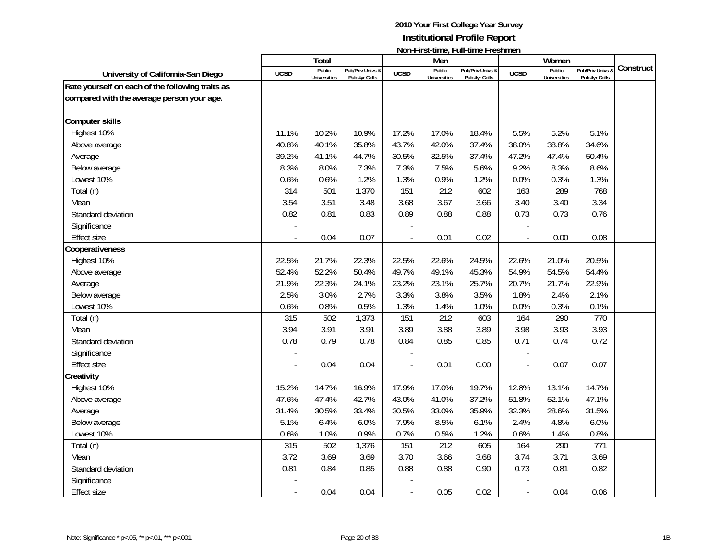|                                                  |             | Total                         |                                   |                          | Men                           | ו ייטורי וו אנימוווט, ו עוורמוווט ו וכאווווטוו |                          | Women                         |                                   |           |
|--------------------------------------------------|-------------|-------------------------------|-----------------------------------|--------------------------|-------------------------------|------------------------------------------------|--------------------------|-------------------------------|-----------------------------------|-----------|
| University of California-San Diego               | <b>UCSD</b> | Public<br><b>Universities</b> | Pub/Priv Univs &<br>Pub 4yr Colls | <b>UCSD</b>              | Public<br><b>Universities</b> | Pub/Priv Univs &<br>Pub 4yr Colls              | <b>UCSD</b>              | Public<br><b>Universities</b> | Pub/Priv Univs &<br>Pub 4yr Colls | Construct |
| Rate yourself on each of the following traits as |             |                               |                                   |                          |                               |                                                |                          |                               |                                   |           |
| compared with the average person your age.       |             |                               |                                   |                          |                               |                                                |                          |                               |                                   |           |
| Computer skills                                  |             |                               |                                   |                          |                               |                                                |                          |                               |                                   |           |
| Highest 10%                                      | 11.1%       | 10.2%                         | 10.9%                             | 17.2%                    | 17.0%                         | 18.4%                                          | 5.5%                     | 5.2%                          | 5.1%                              |           |
| Above average                                    | 40.8%       | 40.1%                         | 35.8%                             | 43.7%                    | 42.0%                         | 37.4%                                          | 38.0%                    | 38.8%                         | 34.6%                             |           |
| Average                                          | 39.2%       | 41.1%                         | 44.7%                             | 30.5%                    | 32.5%                         | 37.4%                                          | 47.2%                    | 47.4%                         | 50.4%                             |           |
| Below average                                    | 8.3%        | 8.0%                          | 7.3%                              | 7.3%                     | 7.5%                          | 5.6%                                           | 9.2%                     | 8.3%                          | 8.6%                              |           |
| Lowest 10%                                       | 0.6%        | 0.6%                          | 1.2%                              | 1.3%                     | 0.9%                          | 1.2%                                           | 0.0%                     | 0.3%                          | 1.3%                              |           |
| Total (n)                                        | 314         | 501                           | 1,370                             | 151                      | 212                           | 602                                            | 163                      | 289                           | 768                               |           |
| Mean                                             | 3.54        | 3.51                          | 3.48                              | 3.68                     | 3.67                          | 3.66                                           | 3.40                     | 3.40                          | 3.34                              |           |
| Standard deviation                               | 0.82        | 0.81                          | 0.83                              | 0.89                     | 0.88                          | 0.88                                           | 0.73                     | 0.73                          | 0.76                              |           |
| Significance                                     |             |                               |                                   |                          |                               |                                                |                          |                               |                                   |           |
| <b>Effect size</b>                               |             | 0.04                          | 0.07                              |                          | 0.01                          | 0.02                                           | $\overline{a}$           | 0.00                          | 0.08                              |           |
| Cooperativeness                                  |             |                               |                                   |                          |                               |                                                |                          |                               |                                   |           |
| Highest 10%                                      | 22.5%       | 21.7%                         | 22.3%                             | 22.5%                    | 22.6%                         | 24.5%                                          | 22.6%                    | 21.0%                         | 20.5%                             |           |
| Above average                                    | 52.4%       | 52.2%                         | 50.4%                             | 49.7%                    | 49.1%                         | 45.3%                                          | 54.9%                    | 54.5%                         | 54.4%                             |           |
| Average                                          | 21.9%       | 22.3%                         | 24.1%                             | 23.2%                    | 23.1%                         | 25.7%                                          | 20.7%                    | 21.7%                         | 22.9%                             |           |
| Below average                                    | 2.5%        | 3.0%                          | 2.7%                              | 3.3%                     | 3.8%                          | 3.5%                                           | 1.8%                     | 2.4%                          | 2.1%                              |           |
| Lowest 10%                                       | 0.6%        | 0.8%                          | 0.5%                              | 1.3%                     | 1.4%                          | 1.0%                                           | 0.0%                     | 0.3%                          | 0.1%                              |           |
| Total (n)                                        | 315         | 502                           | 1,373                             | 151                      | 212                           | 603                                            | 164                      | 290                           | 770                               |           |
| Mean                                             | 3.94        | 3.91                          | 3.91                              | 3.89                     | 3.88                          | 3.89                                           | 3.98                     | 3.93                          | 3.93                              |           |
| Standard deviation                               | 0.78        | 0.79                          | 0.78                              | 0.84                     | 0.85                          | 0.85                                           | 0.71                     | 0.74                          | 0.72                              |           |
| Significance                                     |             |                               |                                   |                          |                               |                                                |                          |                               |                                   |           |
| <b>Effect size</b>                               |             | 0.04                          | 0.04                              |                          | 0.01                          | 0.00                                           | $\overline{\phantom{a}}$ | 0.07                          | 0.07                              |           |
| Creativity                                       |             |                               |                                   |                          |                               |                                                |                          |                               |                                   |           |
| Highest 10%                                      | 15.2%       | 14.7%                         | 16.9%                             | 17.9%                    | 17.0%                         | 19.7%                                          | 12.8%                    | 13.1%                         | 14.7%                             |           |
| Above average                                    | 47.6%       | 47.4%                         | 42.7%                             | 43.0%                    | 41.0%                         | 37.2%                                          | 51.8%                    | 52.1%                         | 47.1%                             |           |
| Average                                          | 31.4%       | 30.5%                         | 33.4%                             | 30.5%                    | 33.0%                         | 35.9%                                          | 32.3%                    | 28.6%                         | 31.5%                             |           |
| Below average                                    | 5.1%        | 6.4%                          | 6.0%                              | 7.9%                     | 8.5%                          | 6.1%                                           | 2.4%                     | 4.8%                          | 6.0%                              |           |
| Lowest 10%                                       | 0.6%        | 1.0%                          | 0.9%                              | 0.7%                     | 0.5%                          | 1.2%                                           | 0.6%                     | 1.4%                          | 0.8%                              |           |
| Total (n)                                        | 315         | 502                           | 1,376                             | 151                      | 212                           | 605                                            | 164                      | 290                           | 771                               |           |
| Mean                                             | 3.72        | 3.69                          | 3.69                              | 3.70                     | 3.66                          | 3.68                                           | 3.74                     | 3.71                          | 3.69                              |           |
| Standard deviation                               | 0.81        | 0.84                          | 0.85                              | 0.88                     | 0.88                          | 0.90                                           | 0.73                     | 0.81                          | 0.82                              |           |
| Significance                                     |             |                               |                                   |                          |                               |                                                |                          |                               |                                   |           |
| <b>Effect size</b>                               |             | 0.04                          | 0.04                              | $\overline{\phantom{a}}$ | 0.05                          | 0.02                                           | $\overline{\phantom{a}}$ | 0.04                          | 0.06                              |           |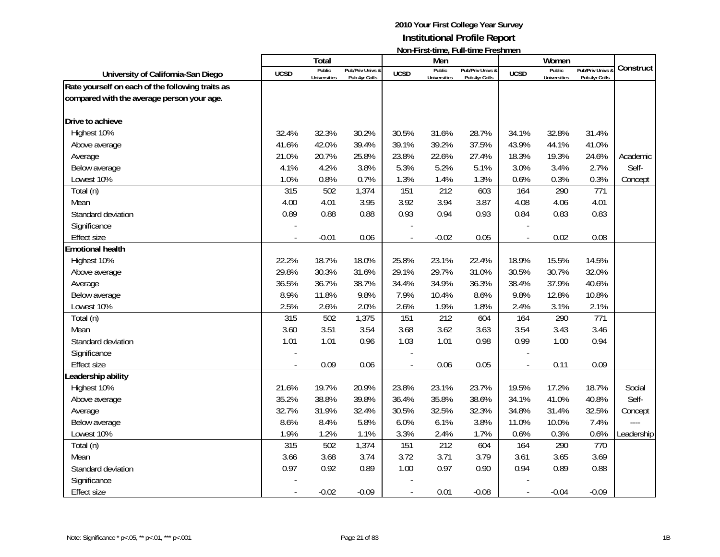|                                                  |             | <b>Total</b>                  |                                   |                | Men                           | דושוורו וו אנימוווט, דעוורמוווט דו כאווווטוו |                          | Women                         |                                 |            |
|--------------------------------------------------|-------------|-------------------------------|-----------------------------------|----------------|-------------------------------|----------------------------------------------|--------------------------|-------------------------------|---------------------------------|------------|
| University of California-San Diego               | <b>UCSD</b> | Public<br><b>Universities</b> | Pub/Priv Univs &<br>Pub 4yr Colls | <b>UCSD</b>    | Public<br><b>Universities</b> | Pub/Priv Univs &<br>Pub 4yr Colls            | <b>UCSD</b>              | Public<br><b>Universities</b> | Pub/Priv Univs<br>Pub 4yr Colls | Construct  |
| Rate yourself on each of the following traits as |             |                               |                                   |                |                               |                                              |                          |                               |                                 |            |
| compared with the average person your age.       |             |                               |                                   |                |                               |                                              |                          |                               |                                 |            |
| Drive to achieve                                 |             |                               |                                   |                |                               |                                              |                          |                               |                                 |            |
| Highest 10%                                      | 32.4%       | 32.3%                         | 30.2%                             | 30.5%          | 31.6%                         | 28.7%                                        | 34.1%                    | 32.8%                         | 31.4%                           |            |
| Above average                                    | 41.6%       | 42.0%                         | 39.4%                             | 39.1%          | 39.2%                         | 37.5%                                        | 43.9%                    | 44.1%                         | 41.0%                           |            |
| Average                                          | 21.0%       | 20.7%                         | 25.8%                             | 23.8%          | 22.6%                         | 27.4%                                        | 18.3%                    | 19.3%                         | 24.6%                           | Academic   |
| Below average                                    | 4.1%        | 4.2%                          | 3.8%                              | 5.3%           | 5.2%                          | 5.1%                                         | 3.0%                     | 3.4%                          | 2.7%                            | Self-      |
| Lowest 10%                                       | 1.0%        | 0.8%                          | 0.7%                              | 1.3%           | 1.4%                          | 1.3%                                         | 0.6%                     | 0.3%                          | 0.3%                            | Concept    |
| Total (n)                                        | 315         | 502                           | 1,374                             | 151            | 212                           | 603                                          | 164                      | 290                           | 771                             |            |
| Mean                                             | 4.00        | 4.01                          | 3.95                              | 3.92           | 3.94                          | 3.87                                         | 4.08                     | 4.06                          | 4.01                            |            |
| Standard deviation                               | 0.89        | 0.88                          | 0.88                              | 0.93           | 0.94                          | 0.93                                         | 0.84                     | 0.83                          | 0.83                            |            |
| Significance                                     |             |                               |                                   |                |                               |                                              |                          |                               |                                 |            |
| <b>Effect size</b>                               |             | $-0.01$                       | 0.06                              |                | $-0.02$                       | 0.05                                         | $\overline{a}$           | 0.02                          | 0.08                            |            |
| <b>Emotional health</b>                          |             |                               |                                   |                |                               |                                              |                          |                               |                                 |            |
| Highest 10%                                      | 22.2%       | 18.7%                         | 18.0%                             | 25.8%          | 23.1%                         | 22.4%                                        | 18.9%                    | 15.5%                         | 14.5%                           |            |
| Above average                                    | 29.8%       | 30.3%                         | 31.6%                             | 29.1%          | 29.7%                         | 31.0%                                        | 30.5%                    | 30.7%                         | 32.0%                           |            |
| Average                                          | 36.5%       | 36.7%                         | 38.7%                             | 34.4%          | 34.9%                         | 36.3%                                        | 38.4%                    | 37.9%                         | 40.6%                           |            |
| Below average                                    | 8.9%        | 11.8%                         | 9.8%                              | 7.9%           | 10.4%                         | 8.6%                                         | 9.8%                     | 12.8%                         | 10.8%                           |            |
| Lowest 10%                                       | 2.5%        | 2.6%                          | 2.0%                              | 2.6%           | 1.9%                          | 1.8%                                         | 2.4%                     | 3.1%                          | 2.1%                            |            |
| Total (n)                                        | 315         | 502                           | 1,375                             | 151            | 212                           | 604                                          | 164                      | 290                           | 771                             |            |
| Mean                                             | 3.60        | 3.51                          | 3.54                              | 3.68           | 3.62                          | 3.63                                         | 3.54                     | 3.43                          | 3.46                            |            |
| Standard deviation                               | 1.01        | 1.01                          | 0.96                              | 1.03           | 1.01                          | 0.98                                         | 0.99                     | 1.00                          | 0.94                            |            |
| Significance                                     |             |                               |                                   |                |                               |                                              |                          |                               |                                 |            |
| <b>Effect size</b>                               |             | 0.09                          | 0.06                              |                | 0.06                          | 0.05                                         | $\overline{\phantom{a}}$ | 0.11                          | 0.09                            |            |
| Leadership ability                               |             |                               |                                   |                |                               |                                              |                          |                               |                                 |            |
| Highest 10%                                      | 21.6%       | 19.7%                         | 20.9%                             | 23.8%          | 23.1%                         | 23.7%                                        | 19.5%                    | 17.2%                         | 18.7%                           | Social     |
| Above average                                    | 35.2%       | 38.8%                         | 39.8%                             | 36.4%          | 35.8%                         | 38.6%                                        | 34.1%                    | 41.0%                         | 40.8%                           | Self-      |
| Average                                          | 32.7%       | 31.9%                         | 32.4%                             | 30.5%          | 32.5%                         | 32.3%                                        | 34.8%                    | 31.4%                         | 32.5%                           | Concept    |
| Below average                                    | 8.6%        | 8.4%                          | 5.8%                              | 6.0%           | 6.1%                          | 3.8%                                         | 11.0%                    | 10.0%                         | 7.4%                            |            |
| Lowest 10%                                       | 1.9%        | 1.2%                          | 1.1%                              | 3.3%           | 2.4%                          | 1.7%                                         | 0.6%                     | 0.3%                          | 0.6%                            | Leadership |
| Total (n)                                        | 315         | 502                           | 1,374                             | 151            | 212                           | 604                                          | 164                      | 290                           | 770                             |            |
| Mean                                             | 3.66        | 3.68                          | 3.74                              | 3.72           | 3.71                          | 3.79                                         | 3.61                     | 3.65                          | 3.69                            |            |
| Standard deviation                               | 0.97        | 0.92                          | 0.89                              | 1.00           | 0.97                          | 0.90                                         | 0.94                     | 0.89                          | 0.88                            |            |
| Significance                                     |             |                               |                                   |                |                               |                                              |                          |                               |                                 |            |
| <b>Effect size</b>                               |             | $-0.02$                       | $-0.09$                           | $\blacksquare$ | 0.01                          | $-0.08$                                      | $\blacksquare$           | $-0.04$                       | $-0.09$                         |            |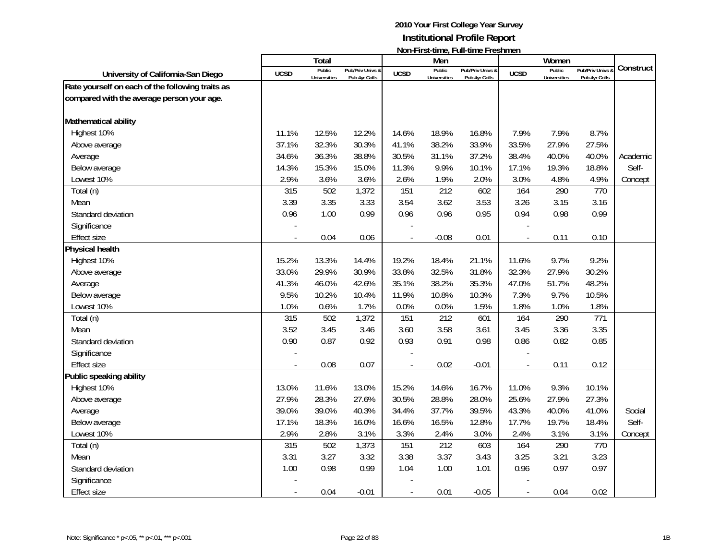|                                                  |             | <b>Total</b>                  |                                   |                          | Men                           | דושוורו וו אנימוווט, דעוורמוווט דו כאווווטוו |                          | Women                         |                                 |           |
|--------------------------------------------------|-------------|-------------------------------|-----------------------------------|--------------------------|-------------------------------|----------------------------------------------|--------------------------|-------------------------------|---------------------------------|-----------|
| University of California-San Diego               | <b>UCSD</b> | Public<br><b>Universities</b> | Pub/Priv Univs &<br>Pub 4yr Colls | <b>UCSD</b>              | Public<br><b>Universities</b> | Pub/Priv Univs &<br>Pub 4yr Colls            | <b>UCSD</b>              | Public<br><b>Universities</b> | Pub/Priv Univs<br>Pub 4yr Colls | Construct |
| Rate yourself on each of the following traits as |             |                               |                                   |                          |                               |                                              |                          |                               |                                 |           |
| compared with the average person your age.       |             |                               |                                   |                          |                               |                                              |                          |                               |                                 |           |
| Mathematical ability                             |             |                               |                                   |                          |                               |                                              |                          |                               |                                 |           |
| Highest 10%                                      | 11.1%       | 12.5%                         | 12.2%                             | 14.6%                    | 18.9%                         | 16.8%                                        | 7.9%                     | 7.9%                          | 8.7%                            |           |
| Above average                                    | 37.1%       | 32.3%                         | 30.3%                             | 41.1%                    | 38.2%                         | 33.9%                                        | 33.5%                    | 27.9%                         | 27.5%                           |           |
| Average                                          | 34.6%       | 36.3%                         | 38.8%                             | 30.5%                    | 31.1%                         | 37.2%                                        | 38.4%                    | 40.0%                         | 40.0%                           | Academic  |
| Below average                                    | 14.3%       | 15.3%                         | 15.0%                             | 11.3%                    | 9.9%                          | 10.1%                                        | 17.1%                    | 19.3%                         | 18.8%                           | Self-     |
| Lowest 10%                                       | 2.9%        | 3.6%                          | 3.6%                              | 2.6%                     | 1.9%                          | 2.0%                                         | 3.0%                     | 4.8%                          | 4.9%                            | Concept   |
| Total (n)                                        | 315         | 502                           | 1,372                             | 151                      | 212                           | 602                                          | 164                      | 290                           | 770                             |           |
| Mean                                             | 3.39        | 3.35                          | 3.33                              | 3.54                     | 3.62                          | 3.53                                         | 3.26                     | 3.15                          | 3.16                            |           |
| Standard deviation                               | 0.96        | 1.00                          | 0.99                              | 0.96                     | 0.96                          | 0.95                                         | 0.94                     | 0.98                          | 0.99                            |           |
| Significance                                     |             |                               |                                   |                          |                               |                                              |                          |                               |                                 |           |
| <b>Effect size</b>                               |             | 0.04                          | 0.06                              |                          | $-0.08$                       | 0.01                                         | $\overline{a}$           | 0.11                          | 0.10                            |           |
| Physical health                                  |             |                               |                                   |                          |                               |                                              |                          |                               |                                 |           |
| Highest 10%                                      | 15.2%       | 13.3%                         | 14.4%                             | 19.2%                    | 18.4%                         | 21.1%                                        | 11.6%                    | 9.7%                          | 9.2%                            |           |
| Above average                                    | 33.0%       | 29.9%                         | 30.9%                             | 33.8%                    | 32.5%                         | 31.8%                                        | 32.3%                    | 27.9%                         | 30.2%                           |           |
| Average                                          | 41.3%       | 46.0%                         | 42.6%                             | 35.1%                    | 38.2%                         | 35.3%                                        | 47.0%                    | 51.7%                         | 48.2%                           |           |
| Below average                                    | 9.5%        | 10.2%                         | 10.4%                             | 11.9%                    | 10.8%                         | 10.3%                                        | 7.3%                     | 9.7%                          | 10.5%                           |           |
| Lowest 10%                                       | 1.0%        | 0.6%                          | 1.7%                              | 0.0%                     | 0.0%                          | 1.5%                                         | 1.8%                     | 1.0%                          | 1.8%                            |           |
| Total (n)                                        | 315         | 502                           | 1,372                             | 151                      | 212                           | 601                                          | 164                      | 290                           | 771                             |           |
| Mean                                             | 3.52        | 3.45                          | 3.46                              | 3.60                     | 3.58                          | 3.61                                         | 3.45                     | 3.36                          | 3.35                            |           |
| Standard deviation                               | 0.90        | 0.87                          | 0.92                              | 0.93                     | 0.91                          | 0.98                                         | 0.86                     | 0.82                          | 0.85                            |           |
| Significance                                     |             |                               |                                   |                          |                               |                                              |                          |                               |                                 |           |
| <b>Effect size</b>                               |             | 0.08                          | 0.07                              | $\overline{\phantom{a}}$ | 0.02                          | $-0.01$                                      | $\overline{\phantom{a}}$ | 0.11                          | 0.12                            |           |
| Public speaking ability                          |             |                               |                                   |                          |                               |                                              |                          |                               |                                 |           |
| Highest 10%                                      | 13.0%       | 11.6%                         | 13.0%                             | 15.2%                    | 14.6%                         | 16.7%                                        | 11.0%                    | 9.3%                          | 10.1%                           |           |
| Above average                                    | 27.9%       | 28.3%                         | 27.6%                             | 30.5%                    | 28.8%                         | 28.0%                                        | 25.6%                    | 27.9%                         | 27.3%                           |           |
| Average                                          | 39.0%       | 39.0%                         | 40.3%                             | 34.4%                    | 37.7%                         | 39.5%                                        | 43.3%                    | 40.0%                         | 41.0%                           | Social    |
| Below average                                    | 17.1%       | 18.3%                         | 16.0%                             | 16.6%                    | 16.5%                         | 12.8%                                        | 17.7%                    | 19.7%                         | 18.4%                           | Self-     |
| Lowest 10%                                       | 2.9%        | 2.8%                          | 3.1%                              | 3.3%                     | 2.4%                          | 3.0%                                         | 2.4%                     | 3.1%                          | 3.1%                            | Concept   |
| Total (n)                                        | 315         | 502                           | 1,373                             | 151                      | 212                           | 603                                          | 164                      | 290                           | 770                             |           |
| Mean                                             | 3.31        | 3.27                          | 3.32                              | 3.38                     | 3.37                          | 3.43                                         | 3.25                     | 3.21                          | 3.23                            |           |
| Standard deviation                               | 1.00        | 0.98                          | 0.99                              | 1.04                     | 1.00                          | 1.01                                         | 0.96                     | 0.97                          | 0.97                            |           |
| Significance                                     |             |                               |                                   |                          |                               |                                              |                          |                               |                                 |           |
| <b>Effect size</b>                               |             | 0.04                          | $-0.01$                           | $\blacksquare$           | 0.01                          | $-0.05$                                      | $\blacksquare$           | 0.04                          | 0.02                            |           |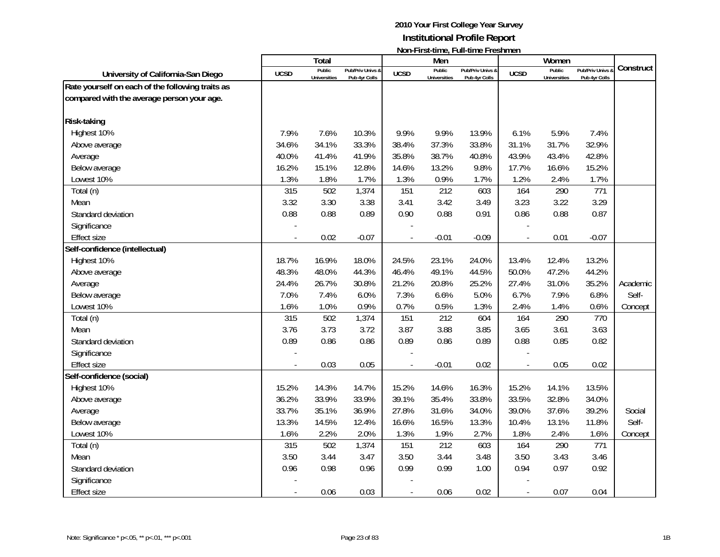|                                                  |             | <b>Total</b>                  |                                   |                          | Men                           | דוטוורו וואכווווויט, דעוורנוווויט דו כאווווויטוו |                | Women                         |                                 |           |
|--------------------------------------------------|-------------|-------------------------------|-----------------------------------|--------------------------|-------------------------------|--------------------------------------------------|----------------|-------------------------------|---------------------------------|-----------|
| University of California-San Diego               | <b>UCSD</b> | Public<br><b>Universities</b> | Pub/Priv Univs &<br>Pub 4yr Colls | <b>UCSD</b>              | Public<br><b>Universities</b> | Pub/Priv Univs &<br>Pub 4yr Colls                | <b>UCSD</b>    | Public<br><b>Universities</b> | Pub/Priv Univs<br>Pub 4yr Colls | Construct |
| Rate yourself on each of the following traits as |             |                               |                                   |                          |                               |                                                  |                |                               |                                 |           |
| compared with the average person your age.       |             |                               |                                   |                          |                               |                                                  |                |                               |                                 |           |
| <b>Risk-taking</b>                               |             |                               |                                   |                          |                               |                                                  |                |                               |                                 |           |
| Highest 10%                                      | 7.9%        | 7.6%                          | 10.3%                             | 9.9%                     | 9.9%                          | 13.9%                                            | 6.1%           | 5.9%                          | 7.4%                            |           |
| Above average                                    | 34.6%       | 34.1%                         | 33.3%                             | 38.4%                    | 37.3%                         | 33.8%                                            | 31.1%          | 31.7%                         | 32.9%                           |           |
| Average                                          | 40.0%       | 41.4%                         | 41.9%                             | 35.8%                    | 38.7%                         | 40.8%                                            | 43.9%          | 43.4%                         | 42.8%                           |           |
| Below average                                    | 16.2%       | 15.1%                         | 12.8%                             | 14.6%                    | 13.2%                         | 9.8%                                             | 17.7%          | 16.6%                         | 15.2%                           |           |
| Lowest 10%                                       | 1.3%        | 1.8%                          | 1.7%                              | 1.3%                     | 0.9%                          | 1.7%                                             | 1.2%           | 2.4%                          | 1.7%                            |           |
| Total (n)                                        | 315         | 502                           | 1,374                             | 151                      | 212                           | 603                                              | 164            | 290                           | 771                             |           |
| Mean                                             | 3.32        | 3.30                          | 3.38                              | 3.41                     | 3.42                          | 3.49                                             | 3.23           | 3.22                          | 3.29                            |           |
| Standard deviation                               | 0.88        | 0.88                          | 0.89                              | 0.90                     | 0.88                          | 0.91                                             | 0.86           | 0.88                          | 0.87                            |           |
| Significance                                     |             |                               |                                   |                          |                               |                                                  |                |                               |                                 |           |
| <b>Effect size</b>                               |             | 0.02                          | $-0.07$                           |                          | $-0.01$                       | $-0.09$                                          | $\overline{a}$ | 0.01                          | $-0.07$                         |           |
| Self-confidence (intellectual)                   |             |                               |                                   |                          |                               |                                                  |                |                               |                                 |           |
| Highest 10%                                      | 18.7%       | 16.9%                         | 18.0%                             | 24.5%                    | 23.1%                         | 24.0%                                            | 13.4%          | 12.4%                         | 13.2%                           |           |
| Above average                                    | 48.3%       | 48.0%                         | 44.3%                             | 46.4%                    | 49.1%                         | 44.5%                                            | 50.0%          | 47.2%                         | 44.2%                           |           |
| Average                                          | 24.4%       | 26.7%                         | 30.8%                             | 21.2%                    | 20.8%                         | 25.2%                                            | 27.4%          | 31.0%                         | 35.2%                           | Academic  |
| Below average                                    | 7.0%        | 7.4%                          | 6.0%                              | 7.3%                     | 6.6%                          | 5.0%                                             | 6.7%           | 7.9%                          | 6.8%                            | Self-     |
| Lowest 10%                                       | 1.6%        | 1.0%                          | 0.9%                              | 0.7%                     | 0.5%                          | 1.3%                                             | 2.4%           | 1.4%                          | 0.6%                            | Concept   |
| Total (n)                                        | 315         | 502                           | 1,374                             | 151                      | 212                           | 604                                              | 164            | 290                           | 770                             |           |
| Mean                                             | 3.76        | 3.73                          | 3.72                              | 3.87                     | 3.88                          | 3.85                                             | 3.65           | 3.61                          | 3.63                            |           |
| Standard deviation                               | 0.89        | 0.86                          | 0.86                              | 0.89                     | 0.86                          | 0.89                                             | 0.88           | 0.85                          | 0.82                            |           |
| Significance                                     |             |                               |                                   |                          |                               |                                                  |                |                               |                                 |           |
| <b>Effect size</b>                               |             | 0.03                          | 0.05                              | $\overline{\phantom{a}}$ | $-0.01$                       | 0.02                                             | $\overline{a}$ | 0.05                          | 0.02                            |           |
| Self-confidence (social)                         |             |                               |                                   |                          |                               |                                                  |                |                               |                                 |           |
| Highest 10%                                      | 15.2%       | 14.3%                         | 14.7%                             | 15.2%                    | 14.6%                         | 16.3%                                            | 15.2%          | 14.1%                         | 13.5%                           |           |
| Above average                                    | 36.2%       | 33.9%                         | 33.9%                             | 39.1%                    | 35.4%                         | 33.8%                                            | 33.5%          | 32.8%                         | 34.0%                           |           |
| Average                                          | 33.7%       | 35.1%                         | 36.9%                             | 27.8%                    | 31.6%                         | 34.0%                                            | 39.0%          | 37.6%                         | 39.2%                           | Social    |
| Below average                                    | 13.3%       | 14.5%                         | 12.4%                             | 16.6%                    | 16.5%                         | 13.3%                                            | 10.4%          | 13.1%                         | 11.8%                           | Self-     |
| Lowest 10%                                       | 1.6%        | 2.2%                          | 2.0%                              | 1.3%                     | 1.9%                          | 2.7%                                             | 1.8%           | 2.4%                          | 1.6%                            | Concept   |
| Total (n)                                        | 315         | 502                           | 1,374                             | 151                      | 212                           | 603                                              | 164            | 290                           | 771                             |           |
| Mean                                             | 3.50        | 3.44                          | 3.47                              | 3.50                     | 3.44                          | 3.48                                             | 3.50           | 3.43                          | 3.46                            |           |
| Standard deviation                               | 0.96        | 0.98                          | 0.96                              | 0.99                     | 0.99                          | 1.00                                             | 0.94           | 0.97                          | 0.92                            |           |
| Significance                                     |             |                               |                                   |                          |                               |                                                  |                |                               |                                 |           |
| Effect size                                      |             | 0.06                          | 0.03                              | $\frac{1}{2}$            | 0.06                          | 0.02                                             | $\blacksquare$ | 0.07                          | 0.04                            |           |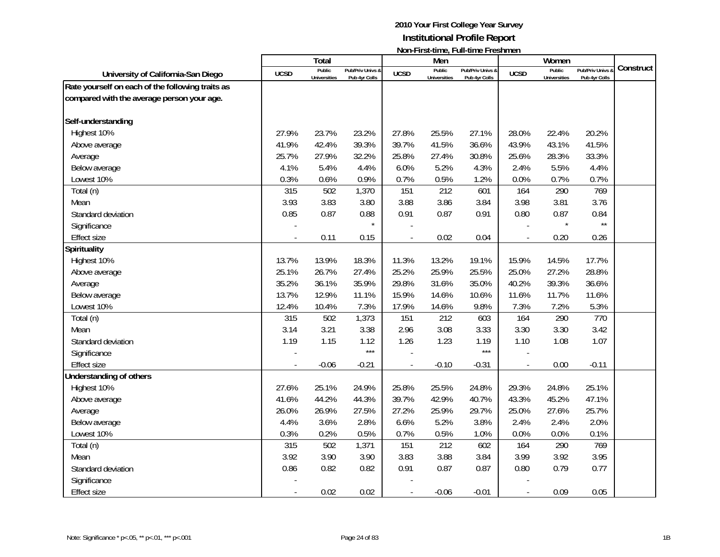|                                                  |             | <b>Total</b>                  |                                   |             | Men                           | <b>TOTT THISK WITHOUT WITH WITHOUT TO STIFFIOLD</b> |                          | Women                         |                                 |           |
|--------------------------------------------------|-------------|-------------------------------|-----------------------------------|-------------|-------------------------------|-----------------------------------------------------|--------------------------|-------------------------------|---------------------------------|-----------|
| University of California-San Diego               | <b>UCSD</b> | Public<br><b>Universities</b> | Pub/Priv Univs &<br>Pub 4yr Colls | <b>UCSD</b> | Public<br><b>Universities</b> | Pub/Priv Univs &<br>Pub 4yr Colls                   | <b>UCSD</b>              | Public<br><b>Universities</b> | Pub/Priv Univs<br>Pub 4yr Colls | Construct |
| Rate yourself on each of the following traits as |             |                               |                                   |             |                               |                                                     |                          |                               |                                 |           |
| compared with the average person your age.       |             |                               |                                   |             |                               |                                                     |                          |                               |                                 |           |
| Self-understanding                               |             |                               |                                   |             |                               |                                                     |                          |                               |                                 |           |
| Highest 10%                                      | 27.9%       | 23.7%                         | 23.2%                             | 27.8%       | 25.5%                         | 27.1%                                               | 28.0%                    | 22.4%                         | 20.2%                           |           |
| Above average                                    | 41.9%       | 42.4%                         | 39.3%                             | 39.7%       | 41.5%                         | 36.6%                                               | 43.9%                    | 43.1%                         | 41.5%                           |           |
| Average                                          | 25.7%       | 27.9%                         | 32.2%                             | 25.8%       | 27.4%                         | 30.8%                                               | 25.6%                    | 28.3%                         | 33.3%                           |           |
| Below average                                    | 4.1%        | 5.4%                          | 4.4%                              | 6.0%        | 5.2%                          | 4.3%                                                | 2.4%                     | 5.5%                          | 4.4%                            |           |
| Lowest 10%                                       | 0.3%        | 0.6%                          | 0.9%                              | 0.7%        | 0.5%                          | 1.2%                                                | 0.0%                     | 0.7%                          | 0.7%                            |           |
| Total (n)                                        | 315         | 502                           | 1,370                             | 151         | 212                           | 601                                                 | 164                      | 290                           | 769                             |           |
| Mean                                             | 3.93        | 3.83                          | 3.80                              | 3.88        | 3.86                          | 3.84                                                | 3.98                     | 3.81                          | 3.76                            |           |
| Standard deviation                               | 0.85        | 0.87                          | 0.88                              | 0.91        | 0.87                          | 0.91                                                | 0.80                     | 0.87                          | 0.84                            |           |
| Significance                                     |             |                               | $\star$                           |             |                               |                                                     |                          |                               | $\star\star$                    |           |
| <b>Effect size</b>                               |             | 0.11                          | 0.15                              |             | 0.02                          | 0.04                                                | $\blacksquare$           | 0.20                          | 0.26                            |           |
| <b>Spirituality</b>                              |             |                               |                                   |             |                               |                                                     |                          |                               |                                 |           |
| Highest 10%                                      | 13.7%       | 13.9%                         | 18.3%                             | 11.3%       | 13.2%                         | 19.1%                                               | 15.9%                    | 14.5%                         | 17.7%                           |           |
| Above average                                    | 25.1%       | 26.7%                         | 27.4%                             | 25.2%       | 25.9%                         | 25.5%                                               | 25.0%                    | 27.2%                         | 28.8%                           |           |
|                                                  | 35.2%       | 36.1%                         | 35.9%                             | 29.8%       | 31.6%                         | 35.0%                                               | 40.2%                    | 39.3%                         | 36.6%                           |           |
| Average<br>Below average                         | 13.7%       | 12.9%                         | 11.1%                             | 15.9%       | 14.6%                         | 10.6%                                               | 11.6%                    | 11.7%                         | 11.6%                           |           |
| Lowest 10%                                       | 12.4%       | 10.4%                         | 7.3%                              | 17.9%       | 14.6%                         | 9.8%                                                | 7.3%                     | 7.2%                          | 5.3%                            |           |
| Total (n)                                        | 315         | 502                           | 1,373                             | 151         | 212                           | 603                                                 | 164                      | 290                           | 770                             |           |
| Mean                                             | 3.14        | 3.21                          | 3.38                              | 2.96        | 3.08                          | 3.33                                                | 3.30                     | 3.30                          | 3.42                            |           |
| Standard deviation                               | 1.19        | 1.15                          | 1.12                              | 1.26        | 1.23                          | 1.19                                                | 1.10                     | 1.08                          | 1.07                            |           |
| Significance                                     |             |                               | $***$                             |             |                               | ***                                                 |                          |                               |                                 |           |
| <b>Effect size</b>                               |             | $-0.06$                       | $-0.21$                           |             | $-0.10$                       | $-0.31$                                             | $\overline{\phantom{a}}$ | 0.00                          | $-0.11$                         |           |
| Understanding of others                          |             |                               |                                   |             |                               |                                                     |                          |                               |                                 |           |
| Highest 10%                                      | 27.6%       | 25.1%                         | 24.9%                             | 25.8%       | 25.5%                         | 24.8%                                               | 29.3%                    | 24.8%                         | 25.1%                           |           |
| Above average                                    | 41.6%       | 44.2%                         | 44.3%                             | 39.7%       | 42.9%                         | 40.7%                                               | 43.3%                    | 45.2%                         | 47.1%                           |           |
| Average                                          | 26.0%       | 26.9%                         | 27.5%                             | 27.2%       | 25.9%                         | 29.7%                                               | 25.0%                    | 27.6%                         | 25.7%                           |           |
| Below average                                    | 4.4%        | 3.6%                          | 2.8%                              | 6.6%        | 5.2%                          | 3.8%                                                | 2.4%                     | 2.4%                          | 2.0%                            |           |
| Lowest 10%                                       | 0.3%        | 0.2%                          | 0.5%                              | 0.7%        | 0.5%                          | 1.0%                                                | 0.0%                     | 0.0%                          | 0.1%                            |           |
| Total (n)                                        | 315         | 502                           | 1,371                             | 151         | 212                           | 602                                                 | 164                      | 290                           | 769                             |           |
| Mean                                             | 3.92        | 3.90                          | 3.90                              | 3.83        | 3.88                          | 3.84                                                | 3.99                     | 3.92                          | 3.95                            |           |
| Standard deviation                               | 0.86        | 0.82                          | 0.82                              | 0.91        | 0.87                          | 0.87                                                | 0.80                     | 0.79                          | 0.77                            |           |
| Significance                                     |             |                               |                                   |             |                               |                                                     |                          |                               |                                 |           |
| <b>Effect size</b>                               |             | 0.02                          | 0.02                              | $\sim$      | $-0.06$                       | $-0.01$                                             | $\blacksquare$           | 0.09                          | 0.05                            |           |
|                                                  |             |                               |                                   |             |                               |                                                     |                          |                               |                                 |           |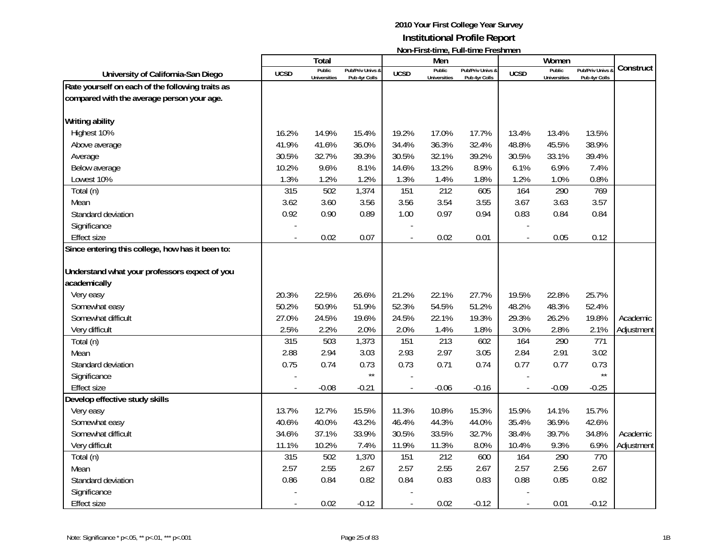|                                                  |             | <b>Total</b>                  |                                   |                | Men                           |                                   |                | Women                         |                                   |            |
|--------------------------------------------------|-------------|-------------------------------|-----------------------------------|----------------|-------------------------------|-----------------------------------|----------------|-------------------------------|-----------------------------------|------------|
| University of California-San Diego               | <b>UCSD</b> | Public<br><b>Universities</b> | Pub/Priv Univs &<br>Pub 4yr Colls | <b>UCSD</b>    | Public<br><b>Universities</b> | Pub/Priv Univs &<br>Pub 4yr Colls | <b>UCSD</b>    | Public<br><b>Universities</b> | Pub/Priv Univs &<br>Pub 4yr Colls | Construct  |
| Rate yourself on each of the following traits as |             |                               |                                   |                |                               |                                   |                |                               |                                   |            |
| compared with the average person your age.       |             |                               |                                   |                |                               |                                   |                |                               |                                   |            |
|                                                  |             |                               |                                   |                |                               |                                   |                |                               |                                   |            |
| <b>Writing ability</b>                           |             |                               |                                   |                |                               |                                   |                |                               |                                   |            |
| Highest 10%                                      | 16.2%       | 14.9%                         | 15.4%                             | 19.2%          | 17.0%                         | 17.7%                             | 13.4%          | 13.4%                         | 13.5%                             |            |
| Above average                                    | 41.9%       | 41.6%                         | 36.0%                             | 34.4%          | 36.3%                         | 32.4%                             | 48.8%          | 45.5%                         | 38.9%                             |            |
| Average                                          | 30.5%       | 32.7%                         | 39.3%                             | 30.5%          | 32.1%                         | 39.2%                             | 30.5%          | 33.1%                         | 39.4%                             |            |
| Below average                                    | 10.2%       | 9.6%                          | 8.1%                              | 14.6%          | 13.2%                         | 8.9%                              | 6.1%           | 6.9%                          | 7.4%                              |            |
| Lowest 10%                                       | 1.3%        | 1.2%                          | 1.2%                              | 1.3%           | 1.4%                          | 1.8%                              | 1.2%           | 1.0%                          | 0.8%                              |            |
| Total (n)                                        | 315         | 502                           | 1,374                             | 151            | 212                           | 605                               | 164            | 290                           | 769                               |            |
| Mean                                             | 3.62        | 3.60                          | 3.56                              | 3.56           | 3.54                          | 3.55                              | 3.67           | 3.63                          | 3.57                              |            |
| Standard deviation                               | 0.92        | 0.90                          | 0.89                              | 1.00           | 0.97                          | 0.94                              | 0.83           | 0.84                          | 0.84                              |            |
| Significance                                     |             |                               |                                   |                |                               |                                   |                |                               |                                   |            |
| <b>Effect size</b>                               |             | 0.02                          | 0.07                              | $\overline{a}$ | 0.02                          | 0.01                              | $\blacksquare$ | 0.05                          | 0.12                              |            |
| Since entering this college, how has it been to: |             |                               |                                   |                |                               |                                   |                |                               |                                   |            |
|                                                  |             |                               |                                   |                |                               |                                   |                |                               |                                   |            |
| Understand what your professors expect of you    |             |                               |                                   |                |                               |                                   |                |                               |                                   |            |
| academically                                     |             |                               |                                   |                |                               |                                   |                |                               |                                   |            |
| Very easy                                        | 20.3%       | 22.5%                         | 26.6%                             | 21.2%          | 22.1%                         | 27.7%                             | 19.5%          | 22.8%                         | 25.7%                             |            |
| Somewhat easy                                    | 50.2%       | 50.9%                         | 51.9%                             | 52.3%          | 54.5%                         | 51.2%                             | 48.2%          | 48.3%                         | 52.4%                             |            |
| Somewhat difficult                               | 27.0%       | 24.5%                         | 19.6%                             | 24.5%          | 22.1%                         | 19.3%                             | 29.3%          | 26.2%                         | 19.8%                             | Academic   |
| Very difficult                                   | 2.5%        | 2.2%                          | 2.0%                              | 2.0%           | 1.4%                          | 1.8%                              | 3.0%           | 2.8%                          | 2.1%                              | Adjustment |
| Total (n)                                        | 315         | 503                           | 1,373                             | 151            | 213                           | 602                               | 164            | 290                           | 771                               |            |
| Mean                                             | 2.88        | 2.94                          | 3.03                              | 2.93           | 2.97                          | 3.05                              | 2.84           | 2.91                          | 3.02                              |            |
| Standard deviation                               | 0.75        | 0.74                          | 0.73                              | 0.73           | 0.71                          | 0.74                              | 0.77           | 0.77                          | 0.73                              |            |
| Significance                                     |             |                               | $\star\star$                      |                |                               |                                   |                |                               | $\star\star$                      |            |
| <b>Effect size</b>                               |             | $-0.08$                       | $-0.21$                           | $\overline{a}$ | $-0.06$                       | $-0.16$                           | $\overline{a}$ | $-0.09$                       | $-0.25$                           |            |
| Develop effective study skills                   |             |                               |                                   |                |                               |                                   |                |                               |                                   |            |
| Very easy                                        | 13.7%       | 12.7%                         | 15.5%                             | 11.3%          | 10.8%                         | 15.3%                             | 15.9%          | 14.1%                         | 15.7%                             |            |
| Somewhat easy                                    | 40.6%       | 40.0%                         | 43.2%                             | 46.4%          | 44.3%                         | 44.0%                             | 35.4%          | 36.9%                         | 42.6%                             |            |
| Somewhat difficult                               | 34.6%       | 37.1%                         | 33.9%                             | 30.5%          | 33.5%                         | 32.7%                             | 38.4%          | 39.7%                         | 34.8%                             | Academic   |
| Very difficult                                   | 11.1%       | 10.2%                         | 7.4%                              | 11.9%          | 11.3%                         | 8.0%                              | 10.4%          | 9.3%                          | 6.9%                              | Adjustment |
| Total (n)                                        | 315         | 502                           | 1,370                             | 151            | 212                           | 600                               | 164            | 290                           | 770                               |            |
| Mean                                             | 2.57        | 2.55                          | 2.67                              | 2.57           | 2.55                          | 2.67                              | 2.57           | 2.56                          | 2.67                              |            |
| Standard deviation                               | 0.86        | 0.84                          | 0.82                              | 0.84           | 0.83                          | 0.83                              | 0.88           | 0.85                          | 0.82                              |            |
| Significance                                     |             |                               |                                   |                |                               |                                   |                |                               |                                   |            |
| <b>Effect size</b>                               |             | 0.02                          | $-0.12$                           |                | 0.02                          | $-0.12$                           | $\blacksquare$ | 0.01                          | $-0.12$                           |            |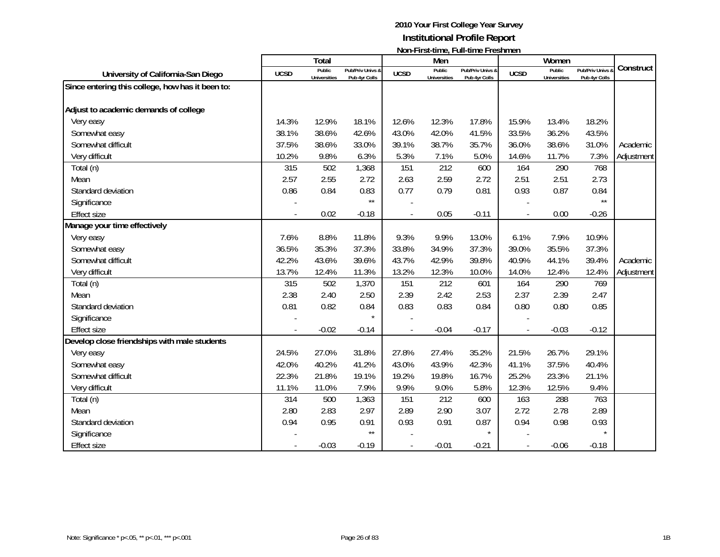|                                                  |             | Total                         |                                   |             | Men                    | N                                 |                | Women                         |                                              |            |
|--------------------------------------------------|-------------|-------------------------------|-----------------------------------|-------------|------------------------|-----------------------------------|----------------|-------------------------------|----------------------------------------------|------------|
| University of California-San Diego               | <b>UCSD</b> | Public<br><b>Universities</b> | Pub/Priv Univs &<br>Pub 4yr Colls | <b>UCSD</b> | Public<br>Universities | Pub/Priv Univs &<br>Pub 4yr Colls | <b>UCSD</b>    | Public<br><b>Universities</b> | <b>Pub/Priv Univs &amp;</b><br>Pub 4yr Colls | Construct  |
| Since entering this college, how has it been to: |             |                               |                                   |             |                        |                                   |                |                               |                                              |            |
| Adjust to academic demands of college            |             |                               |                                   |             |                        |                                   |                |                               |                                              |            |
| Very easy                                        | 14.3%       | 12.9%                         | 18.1%                             | 12.6%       | 12.3%                  | 17.8%                             | 15.9%          | 13.4%                         | 18.2%                                        |            |
| Somewhat easy                                    | 38.1%       | 38.6%                         | 42.6%                             | 43.0%       | 42.0%                  | 41.5%                             | 33.5%          | 36.2%                         | 43.5%                                        |            |
| Somewhat difficult                               | 37.5%       | 38.6%                         | 33.0%                             | 39.1%       | 38.7%                  | 35.7%                             | 36.0%          | 38.6%                         | 31.0%                                        | Academic   |
| Very difficult                                   | 10.2%       | 9.8%                          | 6.3%                              | 5.3%        | 7.1%                   | 5.0%                              | 14.6%          | 11.7%                         | 7.3%                                         | Adjustment |
| Total (n)                                        | 315         | 502                           | 1,368                             | 151         | 212                    | 600                               | 164            | 290                           | 768                                          |            |
| Mean                                             | 2.57        | 2.55                          | 2.72                              | 2.63        | 2.59                   | 2.72                              | 2.51           | 2.51                          | 2.73                                         |            |
| Standard deviation                               | 0.86        | 0.84                          | 0.83                              | 0.77        | 0.79                   | 0.81                              | 0.93           | 0.87                          | 0.84                                         |            |
| Significance                                     |             |                               | $\star\star$                      |             |                        |                                   |                |                               | $\star\star$                                 |            |
| <b>Effect size</b>                               |             | 0.02                          | $-0.18$                           |             | 0.05                   | $-0.11$                           | $\blacksquare$ | 0.00                          | $-0.26$                                      |            |
| Manage your time effectively                     |             |                               |                                   |             |                        |                                   |                |                               |                                              |            |
| Very easy                                        | 7.6%        | 8.8%                          | 11.8%                             | 9.3%        | 9.9%                   | 13.0%                             | 6.1%           | 7.9%                          | 10.9%                                        |            |
| Somewhat easy                                    | 36.5%       | 35.3%                         | 37.3%                             | 33.8%       | 34.9%                  | 37.3%                             | 39.0%          | 35.5%                         | 37.3%                                        |            |
| Somewhat difficult                               | 42.2%       | 43.6%                         | 39.6%                             | 43.7%       | 42.9%                  | 39.8%                             | 40.9%          | 44.1%                         | 39.4%                                        | Academic   |
| Very difficult                                   | 13.7%       | 12.4%                         | 11.3%                             | 13.2%       | 12.3%                  | 10.0%                             | 14.0%          | 12.4%                         | 12.4%                                        | Adjustment |
| Total (n)                                        | 315         | 502                           | 1,370                             | 151         | 212                    | 601                               | 164            | 290                           | 769                                          |            |
| Mean                                             | 2.38        | 2.40                          | 2.50                              | 2.39        | 2.42                   | 2.53                              | 2.37           | 2.39                          | 2.47                                         |            |
| Standard deviation                               | 0.81        | 0.82                          | 0.84                              | 0.83        | 0.83                   | 0.84                              | 0.80           | 0.80                          | 0.85                                         |            |
| Significance                                     |             |                               |                                   |             |                        |                                   |                |                               |                                              |            |
| <b>Effect size</b>                               |             | $-0.02$                       | $-0.14$                           |             | $-0.04$                | $-0.17$                           |                | $-0.03$                       | $-0.12$                                      |            |
| Develop close friendships with male students     |             |                               |                                   |             |                        |                                   |                |                               |                                              |            |
| Very easy                                        | 24.5%       | 27.0%                         | 31.8%                             | 27.8%       | 27.4%                  | 35.2%                             | 21.5%          | 26.7%                         | 29.1%                                        |            |
| Somewhat easy                                    | 42.0%       | 40.2%                         | 41.2%                             | 43.0%       | 43.9%                  | 42.3%                             | 41.1%          | 37.5%                         | 40.4%                                        |            |
| Somewhat difficult                               | 22.3%       | 21.8%                         | 19.1%                             | 19.2%       | 19.8%                  | 16.7%                             | 25.2%          | 23.3%                         | 21.1%                                        |            |
| Very difficult                                   | 11.1%       | 11.0%                         | 7.9%                              | 9.9%        | 9.0%                   | 5.8%                              | 12.3%          | 12.5%                         | 9.4%                                         |            |
| Total (n)                                        | 314         | 500                           | 1,363                             | 151         | 212                    | 600                               | 163            | 288                           | 763                                          |            |
| Mean                                             | 2.80        | 2.83                          | 2.97                              | 2.89        | 2.90                   | 3.07                              | 2.72           | 2.78                          | 2.89                                         |            |
| Standard deviation                               | 0.94        | 0.95                          | 0.91                              | 0.93        | 0.91                   | 0.87                              | 0.94           | 0.98                          | 0.93                                         |            |
| Significance                                     |             |                               | $\star\star$                      |             |                        | $\star$                           |                |                               | $\star$                                      |            |
| <b>Effect size</b>                               |             | $-0.03$                       | $-0.19$                           |             | $-0.01$                | $-0.21$                           |                | $-0.06$                       | $-0.18$                                      |            |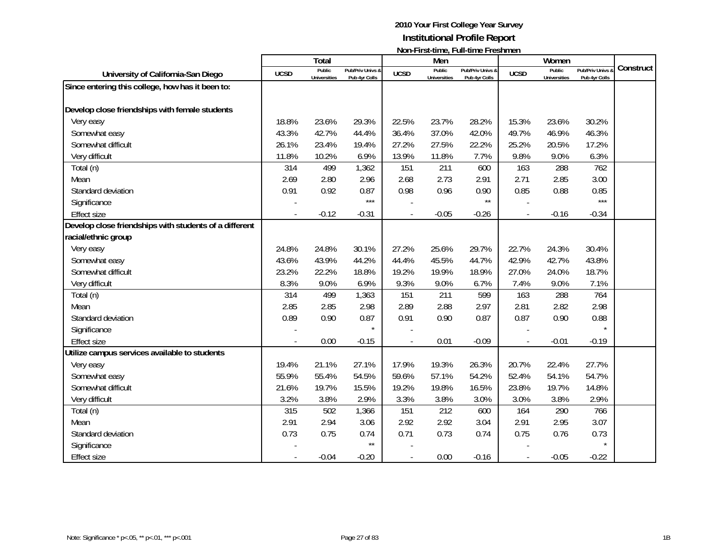|                                                        |             | Total                         |                                   |             | Men                           | $\mathbf{N}$                      |                | Women                         |                |           |
|--------------------------------------------------------|-------------|-------------------------------|-----------------------------------|-------------|-------------------------------|-----------------------------------|----------------|-------------------------------|----------------|-----------|
| University of California-San Diego                     | <b>UCSD</b> | Public<br><b>Universities</b> | Pub/Priv Univs &<br>Pub 4yr Colls | <b>UCSD</b> | Public<br><b>Universities</b> | Pub/Priv Univs &<br>Pub 4yr Colls | <b>UCSD</b>    | Public<br><b>Universities</b> | Pub/Priv Univs | Construct |
| Since entering this college, how has it been to:       |             |                               |                                   |             |                               |                                   |                |                               | Pub 4yr Colls  |           |
|                                                        |             |                               |                                   |             |                               |                                   |                |                               |                |           |
| Develop close friendships with female students         |             |                               |                                   |             |                               |                                   |                |                               |                |           |
| Very easy                                              | 18.8%       | 23.6%                         | 29.3%                             | 22.5%       | 23.7%                         | 28.2%                             | 15.3%          | 23.6%                         | 30.2%          |           |
| Somewhat easy                                          | 43.3%       | 42.7%                         | 44.4%                             | 36.4%       | 37.0%                         | 42.0%                             | 49.7%          | 46.9%                         | 46.3%          |           |
| Somewhat difficult                                     | 26.1%       | 23.4%                         | 19.4%                             | 27.2%       | 27.5%                         | 22.2%                             | 25.2%          | 20.5%                         | 17.2%          |           |
| Very difficult                                         | 11.8%       | 10.2%                         | 6.9%                              | 13.9%       | 11.8%                         | 7.7%                              | 9.8%           | 9.0%                          | 6.3%           |           |
| Total (n)                                              | 314         | 499                           | 1,362                             | 151         | 211                           | 600                               | 163            | 288                           | 762            |           |
| Mean                                                   | 2.69        | 2.80                          | 2.96                              | 2.68        | 2.73                          | 2.91                              | 2.71           | 2.85                          | 3.00           |           |
| Standard deviation                                     | 0.91        | 0.92                          | 0.87                              | 0.98        | 0.96                          | 0.90                              | 0.85           | 0.88                          | 0.85           |           |
| Significance                                           |             |                               | $***$                             |             |                               | $\star\star$                      |                |                               | $***$          |           |
| <b>Effect size</b>                                     |             | $-0.12$                       | $-0.31$                           |             | $-0.05$                       | $-0.26$                           | $\blacksquare$ | $-0.16$                       | $-0.34$        |           |
| Develop close friendships with students of a different |             |                               |                                   |             |                               |                                   |                |                               |                |           |
| racial/ethnic group                                    |             |                               |                                   |             |                               |                                   |                |                               |                |           |
| Very easy                                              | 24.8%       | 24.8%                         | 30.1%                             | 27.2%       | 25.6%                         | 29.7%                             | 22.7%          | 24.3%                         | 30.4%          |           |
| Somewhat easy                                          | 43.6%       | 43.9%                         | 44.2%                             | 44.4%       | 45.5%                         | 44.7%                             | 42.9%          | 42.7%                         | 43.8%          |           |
| Somewhat difficult                                     | 23.2%       | 22.2%                         | 18.8%                             | 19.2%       | 19.9%                         | 18.9%                             | 27.0%          | 24.0%                         | 18.7%          |           |
| Very difficult                                         | 8.3%        | 9.0%                          | 6.9%                              | 9.3%        | 9.0%                          | 6.7%                              | 7.4%           | 9.0%                          | 7.1%           |           |
| Total (n)                                              | 314         | 499                           | 1,363                             | 151         | 211                           | 599                               | 163            | 288                           | 764            |           |
| Mean                                                   | 2.85        | 2.85                          | 2.98                              | 2.89        | 2.88                          | 2.97                              | 2.81           | 2.82                          | 2.98           |           |
| Standard deviation                                     | 0.89        | 0.90                          | 0.87                              | 0.91        | 0.90                          | 0.87                              | 0.87           | 0.90                          | 0.88           |           |
| Significance                                           |             |                               | $\star$                           |             |                               |                                   |                |                               |                |           |
| <b>Effect size</b>                                     |             | 0.00                          | $-0.15$                           |             | 0.01                          | $-0.09$                           |                | $-0.01$                       | $-0.19$        |           |
| Utilize campus services available to students          |             |                               |                                   |             |                               |                                   |                |                               |                |           |
| Very easy                                              | 19.4%       | 21.1%                         | 27.1%                             | 17.9%       | 19.3%                         | 26.3%                             | 20.7%          | 22.4%                         | 27.7%          |           |
| Somewhat easy                                          | 55.9%       | 55.4%                         | 54.5%                             | 59.6%       | 57.1%                         | 54.2%                             | 52.4%          | 54.1%                         | 54.7%          |           |
| Somewhat difficult                                     | 21.6%       | 19.7%                         | 15.5%                             | 19.2%       | 19.8%                         | 16.5%                             | 23.8%          | 19.7%                         | 14.8%          |           |
| Very difficult                                         | 3.2%        | 3.8%                          | 2.9%                              | 3.3%        | 3.8%                          | 3.0%                              | 3.0%           | 3.8%                          | 2.9%           |           |
| Total (n)                                              | 315         | 502                           | 1,366                             | 151         | 212                           | 600                               | 164            | 290                           | 766            |           |
| Mean                                                   | 2.91        | 2.94                          | 3.06                              | 2.92        | 2.92                          | 3.04                              | 2.91           | 2.95                          | 3.07           |           |
| Standard deviation                                     | 0.73        | 0.75                          | 0.74                              | 0.71        | 0.73                          | 0.74                              | 0.75           | 0.76                          | 0.73           |           |
| Significance                                           |             |                               | $\star\star$                      |             |                               |                                   |                |                               |                |           |
| <b>Effect size</b>                                     |             | $-0.04$                       | $-0.20$                           |             | 0.00                          | $-0.16$                           |                | $-0.05$                       | $-0.22$        |           |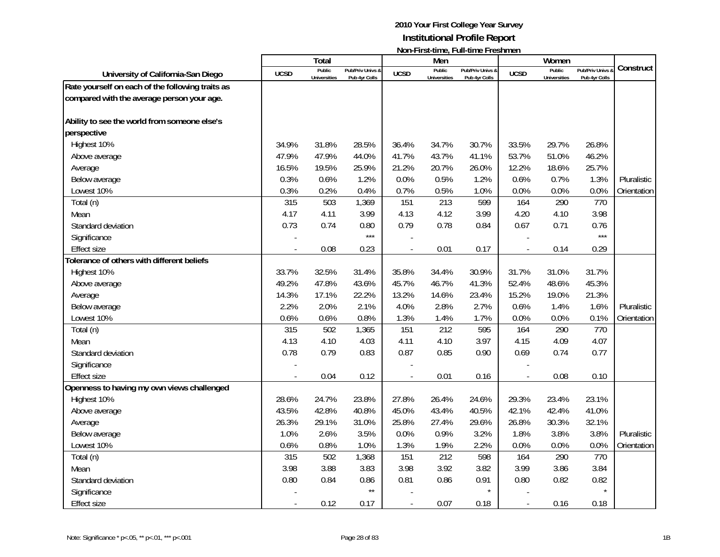|                                                  |             | Total                         |                                   |                | Men                           | ו שטוו-ו וו אנימוווט, ו עווימוווט ו וכאווווטוו |                | Women                         |                                 |             |
|--------------------------------------------------|-------------|-------------------------------|-----------------------------------|----------------|-------------------------------|------------------------------------------------|----------------|-------------------------------|---------------------------------|-------------|
| University of California-San Diego               | <b>UCSD</b> | Public<br><b>Universities</b> | Pub/Priv Univs &<br>Pub 4yr Colls | <b>UCSD</b>    | Public<br><b>Universities</b> | Pub/Priv Univs &<br>Pub 4yr Colls              | <b>UCSD</b>    | Public<br><b>Universities</b> | Pub/Priv Univs<br>Pub 4yr Colls | Construct   |
| Rate yourself on each of the following traits as |             |                               |                                   |                |                               |                                                |                |                               |                                 |             |
| compared with the average person your age.       |             |                               |                                   |                |                               |                                                |                |                               |                                 |             |
|                                                  |             |                               |                                   |                |                               |                                                |                |                               |                                 |             |
| Ability to see the world from someone else's     |             |                               |                                   |                |                               |                                                |                |                               |                                 |             |
| perspective                                      |             |                               |                                   |                |                               |                                                |                |                               |                                 |             |
| Highest 10%                                      | 34.9%       | 31.8%                         | 28.5%                             | 36.4%          | 34.7%                         | 30.7%                                          | 33.5%          | 29.7%                         | 26.8%                           |             |
| Above average                                    | 47.9%       | 47.9%                         | 44.0%                             | 41.7%          | 43.7%                         | 41.1%                                          | 53.7%          | 51.0%                         | 46.2%                           |             |
| Average                                          | 16.5%       | 19.5%                         | 25.9%                             | 21.2%          | 20.7%                         | 26.0%                                          | 12.2%          | 18.6%                         | 25.7%                           |             |
| Below average                                    | 0.3%        | 0.6%                          | 1.2%                              | 0.0%           | 0.5%                          | 1.2%                                           | 0.6%           | 0.7%                          | 1.3%                            | Pluralistic |
| Lowest 10%                                       | 0.3%        | 0.2%                          | 0.4%                              | 0.7%           | 0.5%                          | 1.0%                                           | 0.0%           | 0.0%                          | 0.0%                            | Orientation |
| Total (n)                                        | 315         | 503                           | 1,369                             | 151            | 213                           | 599                                            | 164            | 290                           | 770                             |             |
| Mean                                             | 4.17        | 4.11                          | 3.99                              | 4.13           | 4.12                          | 3.99                                           | 4.20           | 4.10                          | 3.98                            |             |
| Standard deviation                               | 0.73        | 0.74                          | 0.80                              | 0.79           | 0.78                          | 0.84                                           | 0.67           | 0.71                          | 0.76                            |             |
| Significance                                     |             |                               | $***$                             |                |                               |                                                |                |                               | $***$                           |             |
| <b>Effect size</b>                               |             | 0.08                          | 0.23                              |                | 0.01                          | 0.17                                           | $\overline{a}$ | 0.14                          | 0.29                            |             |
| Tolerance of others with different beliefs       |             |                               |                                   |                |                               |                                                |                |                               |                                 |             |
| Highest 10%                                      | 33.7%       | 32.5%                         | 31.4%                             | 35.8%          | 34.4%                         | 30.9%                                          | 31.7%          | 31.0%                         | 31.7%                           |             |
| Above average                                    | 49.2%       | 47.8%                         | 43.6%                             | 45.7%          | 46.7%                         | 41.3%                                          | 52.4%          | 48.6%                         | 45.3%                           |             |
| Average                                          | 14.3%       | 17.1%                         | 22.2%                             | 13.2%          | 14.6%                         | 23.4%                                          | 15.2%          | 19.0%                         | 21.3%                           |             |
| Below average                                    | 2.2%        | 2.0%                          | 2.1%                              | 4.0%           | 2.8%                          | 2.7%                                           | 0.6%           | 1.4%                          | 1.6%                            | Pluralistic |
| Lowest 10%                                       | 0.6%        | 0.6%                          | 0.8%                              | 1.3%           | 1.4%                          | 1.7%                                           | 0.0%           | 0.0%                          | 0.1%                            | Orientation |
| Total (n)                                        | 315         | 502                           | 1,365                             | 151            | 212                           | 595                                            | 164            | 290                           | 770                             |             |
| Mean                                             | 4.13        | 4.10                          | 4.03                              | 4.11           | 4.10                          | 3.97                                           | 4.15           | 4.09                          | 4.07                            |             |
| Standard deviation                               | 0.78        | 0.79                          | 0.83                              | 0.87           | 0.85                          | 0.90                                           | 0.69           | 0.74                          | 0.77                            |             |
| Significance                                     |             |                               |                                   |                |                               |                                                |                |                               |                                 |             |
| <b>Effect size</b>                               |             | 0.04                          | 0.12                              |                | 0.01                          | 0.16                                           |                | 0.08                          | 0.10                            |             |
| Openness to having my own views challenged       |             |                               |                                   |                |                               |                                                |                |                               |                                 |             |
| Highest 10%                                      | 28.6%       | 24.7%                         | 23.8%                             | 27.8%          | 26.4%                         | 24.6%                                          | 29.3%          | 23.4%                         | 23.1%                           |             |
| Above average                                    | 43.5%       | 42.8%                         | 40.8%                             | 45.0%          | 43.4%                         | 40.5%                                          | 42.1%          | 42.4%                         | 41.0%                           |             |
| Average                                          | 26.3%       | 29.1%                         | 31.0%                             | 25.8%          | 27.4%                         | 29.6%                                          | 26.8%          | 30.3%                         | 32.1%                           |             |
| Below average                                    | 1.0%        | 2.6%                          | 3.5%                              | 0.0%           | 0.9%                          | 3.2%                                           | 1.8%           | 3.8%                          | 3.8%                            | Pluralistic |
| Lowest 10%                                       | 0.6%        | 0.8%                          | 1.0%                              | 1.3%           | 1.9%                          | 2.2%                                           | $0.0\%$        | 0.0%                          | 0.0%                            | Orientation |
| Total (n)                                        | 315         | 502                           | 1,368                             | 151            | 212                           | 598                                            | 164            | 290                           | 770                             |             |
| Mean                                             | 3.98        | 3.88                          | 3.83                              | 3.98           | 3.92                          | 3.82                                           | 3.99           | 3.86                          | 3.84                            |             |
| Standard deviation                               | 0.80        | 0.84                          | 0.86                              | 0.81           | 0.86                          | 0.91                                           | 0.80           | 0.82                          | 0.82                            |             |
| Significance                                     |             |                               | $\star\star$                      |                |                               | $\star$                                        |                |                               |                                 |             |
| <b>Effect size</b>                               |             | 0.12                          | 0.17                              | $\overline{a}$ | 0.07                          | 0.18                                           | $\blacksquare$ | 0.16                          | 0.18                            |             |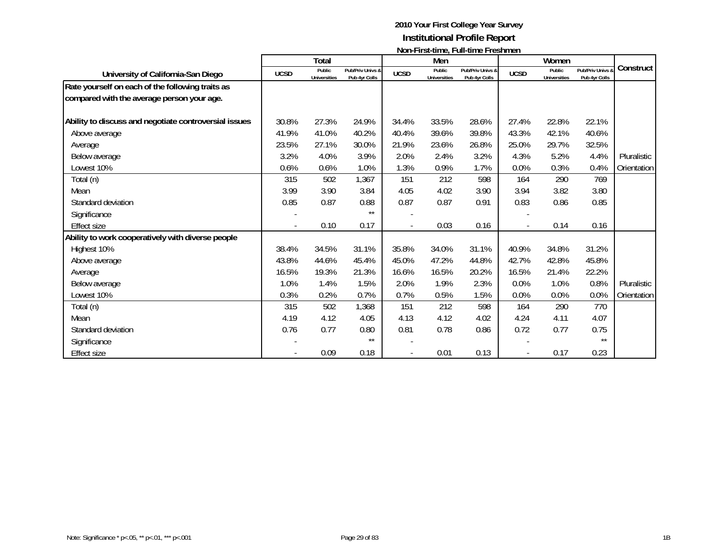|                                                       |             |                               |                                   |             |                               | <u>INVII-LII SUULIIIG, LUII-UIIIG LEGIIIIIGIT</u> |                |                               |                                 |             |
|-------------------------------------------------------|-------------|-------------------------------|-----------------------------------|-------------|-------------------------------|---------------------------------------------------|----------------|-------------------------------|---------------------------------|-------------|
|                                                       |             | <b>Total</b>                  |                                   |             | Men                           |                                                   |                | Women                         |                                 | Construct   |
| University of California-San Diego                    | <b>UCSD</b> | Public<br><b>Universities</b> | Pub/Priv Univs &<br>Pub 4yr Colls | <b>UCSD</b> | Public<br><b>Universities</b> | Pub/Priv Univs &<br>Pub 4yr Colls                 | <b>UCSD</b>    | Public<br><b>Universities</b> | Pub/Priv Univs<br>Pub 4yr Colls |             |
| Rate yourself on each of the following traits as      |             |                               |                                   |             |                               |                                                   |                |                               |                                 |             |
| compared with the average person your age.            |             |                               |                                   |             |                               |                                                   |                |                               |                                 |             |
| Ability to discuss and negotiate controversial issues | 30.8%       | 27.3%                         | 24.9%                             | 34.4%       | 33.5%                         | 28.6%                                             | 27.4%          | 22.8%                         | 22.1%                           |             |
| Above average                                         | 41.9%       | 41.0%                         | 40.2%                             | 40.4%       | 39.6%                         | 39.8%                                             | 43.3%          | 42.1%                         | 40.6%                           |             |
| Average                                               | 23.5%       | 27.1%                         | 30.0%                             | 21.9%       | 23.6%                         | 26.8%                                             | 25.0%          | 29.7%                         | 32.5%                           |             |
| Below average                                         | 3.2%        | 4.0%                          | 3.9%                              | 2.0%        | 2.4%                          | 3.2%                                              | 4.3%           | 5.2%                          | 4.4%                            | Pluralistic |
| Lowest 10%                                            | 0.6%        | 0.6%                          | 1.0%                              | 1.3%        | 0.9%                          | 1.7%                                              | 0.0%           | 0.3%                          | 0.4%                            | Orientation |
| Total (n)                                             | 315         | 502                           | 1,367                             | 151         | 212                           | 598                                               | 164            | 290                           | 769                             |             |
| Mean                                                  | 3.99        | 3.90                          | 3.84                              | 4.05        | 4.02                          | 3.90                                              | 3.94           | 3.82                          | 3.80                            |             |
| Standard deviation                                    | 0.85        | 0.87                          | 0.88                              | 0.87        | 0.87                          | 0.91                                              | 0.83           | 0.86                          | 0.85                            |             |
| Significance                                          |             |                               | $***$                             |             |                               |                                                   |                |                               |                                 |             |
| <b>Effect size</b>                                    |             | 0.10                          | 0.17                              |             | 0.03                          | 0.16                                              | $\overline{a}$ | 0.14                          | 0.16                            |             |
| Ability to work cooperatively with diverse people     |             |                               |                                   |             |                               |                                                   |                |                               |                                 |             |
| Highest 10%                                           | 38.4%       | 34.5%                         | 31.1%                             | 35.8%       | 34.0%                         | 31.1%                                             | 40.9%          | 34.8%                         | 31.2%                           |             |
| Above average                                         | 43.8%       | 44.6%                         | 45.4%                             | 45.0%       | 47.2%                         | 44.8%                                             | 42.7%          | 42.8%                         | 45.8%                           |             |
| Average                                               | 16.5%       | 19.3%                         | 21.3%                             | 16.6%       | 16.5%                         | 20.2%                                             | 16.5%          | 21.4%                         | 22.2%                           |             |
| Below average                                         | 1.0%        | 1.4%                          | 1.5%                              | 2.0%        | 1.9%                          | 2.3%                                              | 0.0%           | 1.0%                          | 0.8%                            | Pluralistic |
| Lowest 10%                                            | 0.3%        | 0.2%                          | 0.7%                              | 0.7%        | 0.5%                          | 1.5%                                              | 0.0%           | 0.0%                          | 0.0%                            | Orientation |
| Total (n)                                             | 315         | 502                           | 1,368                             | 151         | 212                           | 598                                               | 164            | 290                           | 770                             |             |
| Mean                                                  | 4.19        | 4.12                          | 4.05                              | 4.13        | 4.12                          | 4.02                                              | 4.24           | 4.11                          | 4.07                            |             |
| Standard deviation                                    | 0.76        | 0.77                          | 0.80                              | 0.81        | 0.78                          | 0.86                                              | 0.72           | 0.77                          | 0.75                            |             |
| Significance                                          |             |                               | $***$                             |             |                               |                                                   |                |                               | $\star\star$                    |             |
| <b>Effect size</b>                                    |             | 0.09                          | 0.18                              |             | 0.01                          | 0.13                                              |                | 0.17                          | 0.23                            |             |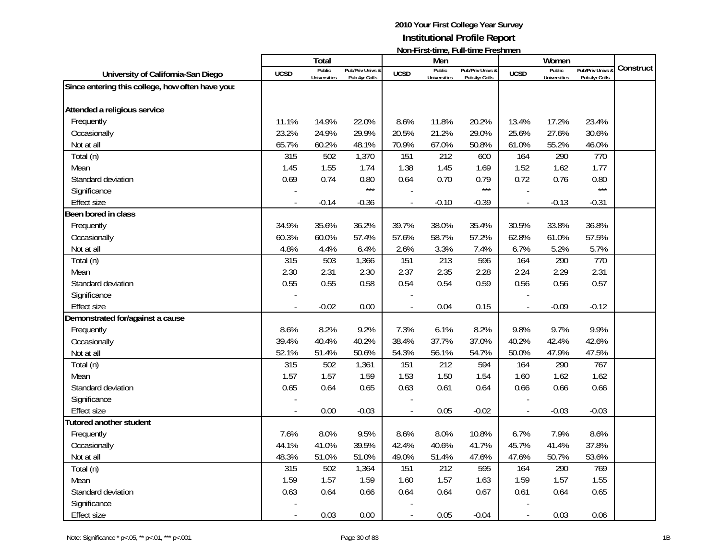|                                                  |             | Total               |                  |                | Men                 | $1$ ivuli III di tililic, Tuli tililic III collitici i |                | Women               |                  |           |
|--------------------------------------------------|-------------|---------------------|------------------|----------------|---------------------|--------------------------------------------------------|----------------|---------------------|------------------|-----------|
| University of California-San Diego               | <b>UCSD</b> | Public              | Pub/Priv Univs & | <b>UCSD</b>    | Public              | Pub/Priv Univs &                                       | <b>UCSD</b>    | Public              | Pub/Priv Univs & | Construct |
| Since entering this college, how often have you: |             | <b>Universities</b> | Pub 4yr Colls    |                | <b>Universities</b> | Pub 4yr Colls                                          |                | <b>Universities</b> | Pub 4yr Colls    |           |
|                                                  |             |                     |                  |                |                     |                                                        |                |                     |                  |           |
| Attended a religious service                     |             |                     |                  |                |                     |                                                        |                |                     |                  |           |
| Frequently                                       | 11.1%       | 14.9%               | 22.0%            | 8.6%           | 11.8%               | 20.2%                                                  | 13.4%          | 17.2%               | 23.4%            |           |
| Occasionally                                     | 23.2%       | 24.9%               | 29.9%            | 20.5%          | 21.2%               | 29.0%                                                  | 25.6%          | 27.6%               | 30.6%            |           |
| Not at all                                       | 65.7%       | 60.2%               | 48.1%            | 70.9%          | 67.0%               | 50.8%                                                  | 61.0%          | 55.2%               | 46.0%            |           |
| Total (n)                                        | 315         | 502                 | 1,370            | 151            | 212                 | 600                                                    | 164            | 290                 | 770              |           |
| Mean                                             | 1.45        | 1.55                | 1.74             | 1.38           | 1.45                | 1.69                                                   | 1.52           | 1.62                | 1.77             |           |
| Standard deviation                               | 0.69        | 0.74                | 0.80             | 0.64           | 0.70                | 0.79                                                   | 0.72           | 0.76                | 0.80             |           |
| Significance                                     |             |                     | $***$            |                |                     | $***$                                                  |                |                     | $***$            |           |
| <b>Effect size</b>                               |             | $-0.14$             | $-0.36$          | $\overline{a}$ | $-0.10$             | $-0.39$                                                | $\blacksquare$ | $-0.13$             | $-0.31$          |           |
| Been bored in class                              |             |                     |                  |                |                     |                                                        |                |                     |                  |           |
| Frequently                                       | 34.9%       | 35.6%               | 36.2%            | 39.7%          | 38.0%               | 35.4%                                                  | 30.5%          | 33.8%               | 36.8%            |           |
| Occasionally                                     | 60.3%       | 60.0%               | 57.4%            | 57.6%          | 58.7%               | 57.2%                                                  | 62.8%          | 61.0%               | 57.5%            |           |
| Not at all                                       | 4.8%        | 4.4%                | 6.4%             | 2.6%           | 3.3%                | 7.4%                                                   | 6.7%           | 5.2%                | 5.7%             |           |
| Total (n)                                        | 315         | 503                 | 1,366            | 151            | 213                 | 596                                                    | 164            | 290                 | 770              |           |
| Mean                                             | 2.30        | 2.31                | 2.30             | 2.37           | 2.35                | 2.28                                                   | 2.24           | 2.29                | 2.31             |           |
| Standard deviation                               | 0.55        | 0.55                | 0.58             | 0.54           | 0.54                | 0.59                                                   | 0.56           | 0.56                | 0.57             |           |
| Significance                                     |             |                     |                  |                |                     |                                                        |                |                     |                  |           |
| <b>Effect size</b>                               |             | $-0.02$             | 0.00             |                | 0.04                | 0.15                                                   | $\overline{a}$ | $-0.09$             | $-0.12$          |           |
| Demonstrated for/against a cause                 |             |                     |                  |                |                     |                                                        |                |                     |                  |           |
| Frequently                                       | 8.6%        | 8.2%                | 9.2%             | 7.3%           | 6.1%                | 8.2%                                                   | 9.8%           | 9.7%                | 9.9%             |           |
| Occasionally                                     | 39.4%       | 40.4%               | 40.2%            | 38.4%          | 37.7%               | 37.0%                                                  | 40.2%          | 42.4%               | 42.6%            |           |
| Not at all                                       | 52.1%       | 51.4%               | 50.6%            | 54.3%          | 56.1%               | 54.7%                                                  | 50.0%          | 47.9%               | 47.5%            |           |
| Total (n)                                        | 315         | 502                 | 1,361            | 151            | 212                 | 594                                                    | 164            | 290                 | 767              |           |
| Mean                                             | 1.57        | 1.57                | 1.59             | 1.53           | 1.50                | 1.54                                                   | 1.60           | 1.62                | 1.62             |           |
| Standard deviation                               | 0.65        | 0.64                | 0.65             | 0.63           | 0.61                | 0.64                                                   | 0.66           | 0.66                | 0.66             |           |
| Significance                                     |             |                     |                  |                |                     |                                                        |                |                     |                  |           |
| <b>Effect size</b>                               |             | 0.00                | $-0.03$          |                | 0.05                | $-0.02$                                                | $\blacksquare$ | $-0.03$             | $-0.03$          |           |
| <b>Tutored another student</b>                   |             |                     |                  |                |                     |                                                        |                |                     |                  |           |
| Frequently                                       | 7.6%        | 8.0%                | 9.5%             | 8.6%           | 8.0%                | 10.8%                                                  | 6.7%           | 7.9%                | 8.6%             |           |
| Occasionally                                     | 44.1%       | 41.0%               | 39.5%            | 42.4%          | 40.6%               | 41.7%                                                  | 45.7%          | 41.4%               | 37.8%            |           |
| Not at all                                       | 48.3%       | 51.0%               | 51.0%            | 49.0%          | 51.4%               | 47.6%                                                  | 47.6%          | 50.7%               | 53.6%            |           |
| Total (n)                                        | 315         | 502                 | 1,364            | 151            | 212                 | 595                                                    | 164            | 290                 | 769              |           |
| Mean                                             | 1.59        | 1.57                | 1.59             | 1.60           | 1.57                | 1.63                                                   | 1.59           | 1.57                | 1.55             |           |
| Standard deviation                               | 0.63        | 0.64                | 0.66             | 0.64           | 0.64                | 0.67                                                   | 0.61           | 0.64                | 0.65             |           |
| Significance                                     |             |                     |                  |                |                     |                                                        |                |                     |                  |           |
| <b>Effect size</b>                               |             | 0.03                | 0.00             |                | 0.05                | $-0.04$                                                | $\overline{a}$ | 0.03                | 0.06             |           |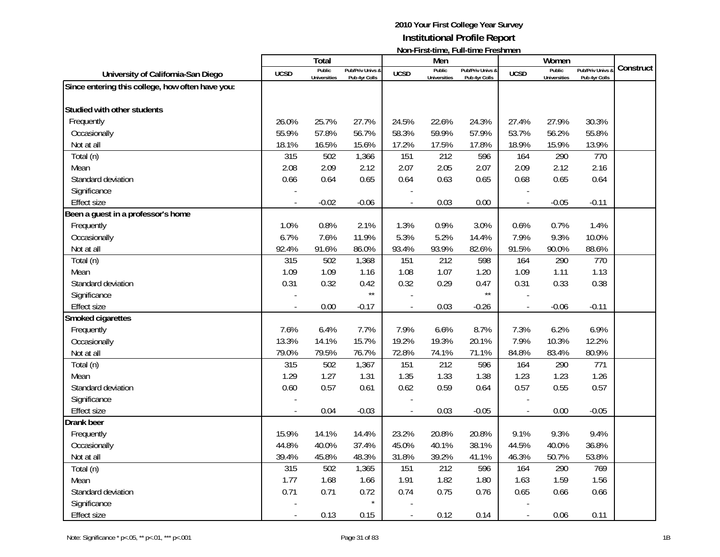|                                                  |                | Total               |                  |                | Men                 | $1$ ivuli III di tililic, Tuli tililic III collitici i |                          | Women               |                  |           |
|--------------------------------------------------|----------------|---------------------|------------------|----------------|---------------------|--------------------------------------------------------|--------------------------|---------------------|------------------|-----------|
| University of California-San Diego               | <b>UCSD</b>    | Public              | Pub/Priv Univs & | <b>UCSD</b>    | Public              | Pub/Priv Univs &                                       | <b>UCSD</b>              | Public              | Pub/Priv Univs & | Construct |
|                                                  |                | <b>Universities</b> | Pub 4yr Colls    |                | <b>Universities</b> | Pub 4yr Colls                                          |                          | <b>Universities</b> | Pub 4yr Colls    |           |
| Since entering this college, how often have you: |                |                     |                  |                |                     |                                                        |                          |                     |                  |           |
| Studied with other students                      |                |                     |                  |                |                     |                                                        |                          |                     |                  |           |
| Frequently                                       | 26.0%          | 25.7%               | 27.7%            | 24.5%          | 22.6%               | 24.3%                                                  | 27.4%                    | 27.9%               | 30.3%            |           |
|                                                  |                |                     |                  |                |                     |                                                        |                          |                     |                  |           |
| Occasionally                                     | 55.9%          | 57.8%               | 56.7%            | 58.3%          | 59.9%               | 57.9%                                                  | 53.7%                    | 56.2%               | 55.8%            |           |
| Not at all                                       | 18.1%          | 16.5%               | 15.6%            | 17.2%          | 17.5%               | 17.8%                                                  | 18.9%                    | 15.9%               | 13.9%            |           |
| Total (n)                                        | 315            | 502                 | 1,366            | 151            | 212                 | 596                                                    | 164                      | 290                 | 770              |           |
| Mean                                             | 2.08           | 2.09                | 2.12             | 2.07           | 2.05                | 2.07                                                   | 2.09                     | 2.12                | 2.16             |           |
| Standard deviation                               | 0.66           | 0.64                | 0.65             | 0.64           | 0.63                | 0.65                                                   | 0.68                     | 0.65                | 0.64             |           |
| Significance                                     |                |                     |                  |                |                     |                                                        |                          |                     |                  |           |
| <b>Effect size</b>                               | $\overline{a}$ | $-0.02$             | $-0.06$          | $\overline{a}$ | 0.03                | 0.00                                                   | $\overline{\phantom{a}}$ | $-0.05$             | $-0.11$          |           |
| Been a guest in a professor's home               |                |                     |                  |                |                     |                                                        |                          |                     |                  |           |
| Frequently                                       | 1.0%           | 0.8%                | 2.1%             | 1.3%           | 0.9%                | 3.0%                                                   | 0.6%                     | 0.7%                | 1.4%             |           |
| Occasionally                                     | 6.7%           | 7.6%                | 11.9%            | 5.3%           | 5.2%                | 14.4%                                                  | 7.9%                     | 9.3%                | 10.0%            |           |
| Not at all                                       | 92.4%          | 91.6%               | 86.0%            | 93.4%          | 93.9%               | 82.6%                                                  | 91.5%                    | 90.0%               | 88.6%            |           |
| Total (n)                                        | 315            | 502                 | 1,368            | 151            | 212                 | 598                                                    | 164                      | 290                 | 770              |           |
| Mean                                             | 1.09           | 1.09                | 1.16             | 1.08           | 1.07                | 1.20                                                   | 1.09                     | 1.11                | 1.13             |           |
| Standard deviation                               | 0.31           | 0.32                | 0.42             | 0.32           | 0.29                | 0.47                                                   | 0.31                     | 0.33                | 0.38             |           |
| Significance                                     |                |                     | $\star\star$     |                |                     | $\star\star$                                           |                          |                     |                  |           |
| <b>Effect size</b>                               |                | 0.00                | $-0.17$          |                | 0.03                | $-0.26$                                                | $\overline{\phantom{a}}$ | $-0.06$             | $-0.11$          |           |
| Smoked cigarettes                                |                |                     |                  |                |                     |                                                        |                          |                     |                  |           |
| Frequently                                       | 7.6%           | 6.4%                | 7.7%             | 7.9%           | 6.6%                | 8.7%                                                   | 7.3%                     | 6.2%                | 6.9%             |           |
| Occasionally                                     | 13.3%          | 14.1%               | 15.7%            | 19.2%          | 19.3%               | 20.1%                                                  | 7.9%                     | 10.3%               | 12.2%            |           |
| Not at all                                       | 79.0%          | 79.5%               | 76.7%            | 72.8%          | 74.1%               | 71.1%                                                  | 84.8%                    | 83.4%               | 80.9%            |           |
| Total (n)                                        | 315            | 502                 | 1,367            | 151            | 212                 | 596                                                    | 164                      | 290                 | 771              |           |
| Mean                                             | 1.29           | 1.27                | 1.31             | 1.35           | 1.33                | 1.38                                                   | 1.23                     | 1.23                | 1.26             |           |
| Standard deviation                               | 0.60           | 0.57                | 0.61             | 0.62           | 0.59                | 0.64                                                   | 0.57                     | 0.55                | 0.57             |           |
| Significance                                     |                |                     |                  |                |                     |                                                        |                          |                     |                  |           |
| <b>Effect size</b>                               |                | 0.04                | $-0.03$          |                | 0.03                | $-0.05$                                                | $\overline{\phantom{a}}$ | 0.00                | $-0.05$          |           |
| Drank beer                                       |                |                     |                  |                |                     |                                                        |                          |                     |                  |           |
| Frequently                                       | 15.9%          | 14.1%               | 14.4%            | 23.2%          | 20.8%               | 20.8%                                                  | 9.1%                     | 9.3%                | 9.4%             |           |
| Occasionally                                     | 44.8%          | 40.0%               | 37.4%            | 45.0%          | 40.1%               | 38.1%                                                  | 44.5%                    | 40.0%               | 36.8%            |           |
| Not at all                                       | 39.4%          | 45.8%               | 48.3%            | 31.8%          | 39.2%               | 41.1%                                                  | 46.3%                    | 50.7%               | 53.8%            |           |
| Total (n)                                        | 315            | 502                 | 1,365            | 151            | 212                 | 596                                                    | 164                      | 290                 | 769              |           |
| Mean                                             | 1.77           | 1.68                | 1.66             | 1.91           | 1.82                | 1.80                                                   | 1.63                     | 1.59                | 1.56             |           |
| Standard deviation                               | 0.71           | 0.71                | 0.72             | 0.74           | 0.75                | 0.76                                                   | 0.65                     | 0.66                | 0.66             |           |
| Significance                                     |                |                     | $\star$          |                |                     |                                                        |                          |                     |                  |           |
| <b>Effect size</b>                               |                | 0.13                | 0.15             | $\overline{a}$ | 0.12                | 0.14                                                   | $\overline{\phantom{a}}$ | 0.06                | 0.11             |           |
|                                                  |                |                     |                  |                |                     |                                                        |                          |                     |                  |           |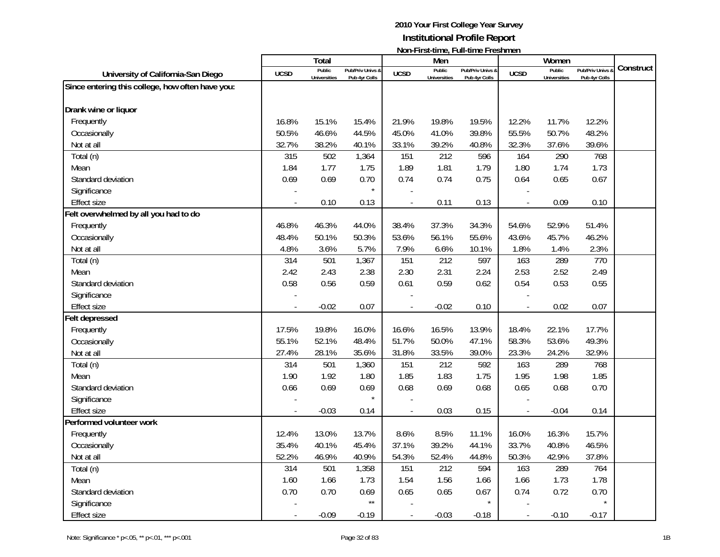|                                                  |                | Total               |                  |                | Men                 | $1$ ivuli III di tililic, Tuli tililic III collitici i |                          | Women               |                  |           |
|--------------------------------------------------|----------------|---------------------|------------------|----------------|---------------------|--------------------------------------------------------|--------------------------|---------------------|------------------|-----------|
| University of California-San Diego               | <b>UCSD</b>    | Public              | Pub/Priv Univs & | <b>UCSD</b>    | Public              | Pub/Priv Univs &                                       | <b>UCSD</b>              | Public              | Pub/Priv Univs & | Construct |
| Since entering this college, how often have you: |                | <b>Universities</b> | Pub 4yr Colls    |                | <b>Universities</b> | Pub 4yr Colls                                          |                          | <b>Universities</b> | Pub 4yr Colls    |           |
|                                                  |                |                     |                  |                |                     |                                                        |                          |                     |                  |           |
| Drank wine or liquor                             |                |                     |                  |                |                     |                                                        |                          |                     |                  |           |
| Frequently                                       | 16.8%          | 15.1%               | 15.4%            | 21.9%          | 19.8%               | 19.5%                                                  | 12.2%                    | 11.7%               | 12.2%            |           |
| Occasionally                                     | 50.5%          | 46.6%               | 44.5%            | 45.0%          | 41.0%               | 39.8%                                                  | 55.5%                    | 50.7%               | 48.2%            |           |
| Not at all                                       | 32.7%          | 38.2%               | 40.1%            | 33.1%          | 39.2%               | 40.8%                                                  | 32.3%                    | 37.6%               | 39.6%            |           |
| Total (n)                                        | 315            | 502                 | 1,364            | 151            | 212                 | 596                                                    | 164                      | 290                 | 768              |           |
| Mean                                             | 1.84           | 1.77                | 1.75             | 1.89           | 1.81                | 1.79                                                   | 1.80                     | 1.74                | 1.73             |           |
| Standard deviation                               | 0.69           | 0.69                | 0.70             | 0.74           | 0.74                | 0.75                                                   | 0.64                     | 0.65                | 0.67             |           |
| Significance                                     |                |                     | $\star$          |                |                     |                                                        |                          |                     |                  |           |
| <b>Effect size</b>                               | $\overline{a}$ | 0.10                | 0.13             | $\overline{a}$ | 0.11                | 0.13                                                   | $\overline{a}$           | 0.09                | 0.10             |           |
| Felt overwhelmed by all you had to do            |                |                     |                  |                |                     |                                                        |                          |                     |                  |           |
| Frequently                                       | 46.8%          | 46.3%               | 44.0%            | 38.4%          | 37.3%               | 34.3%                                                  | 54.6%                    | 52.9%               | 51.4%            |           |
| Occasionally                                     | 48.4%          | 50.1%               | 50.3%            | 53.6%          | 56.1%               | 55.6%                                                  | 43.6%                    | 45.7%               | 46.2%            |           |
| Not at all                                       | 4.8%           | 3.6%                | 5.7%             | 7.9%           | 6.6%                | 10.1%                                                  | 1.8%                     | 1.4%                | 2.3%             |           |
| Total (n)                                        | 314            | 501                 | 1,367            | 151            | 212                 | 597                                                    | 163                      | 289                 | 770              |           |
| Mean                                             | 2.42           | 2.43                | 2.38             | 2.30           | 2.31                | 2.24                                                   | 2.53                     | 2.52                | 2.49             |           |
| Standard deviation                               | 0.58           | 0.56                | 0.59             | 0.61           | 0.59                | 0.62                                                   | 0.54                     | 0.53                | 0.55             |           |
| Significance                                     |                |                     |                  |                |                     |                                                        |                          |                     |                  |           |
| <b>Effect size</b>                               |                | $-0.02$             | 0.07             |                | $-0.02$             | 0.10                                                   | $\overline{\phantom{a}}$ | 0.02                | 0.07             |           |
| Felt depressed                                   |                |                     |                  |                |                     |                                                        |                          |                     |                  |           |
| Frequently                                       | 17.5%          | 19.8%               | 16.0%            | 16.6%          | 16.5%               | 13.9%                                                  | 18.4%                    | 22.1%               | 17.7%            |           |
| Occasionally                                     | 55.1%          | 52.1%               | 48.4%            | 51.7%          | 50.0%               | 47.1%                                                  | 58.3%                    | 53.6%               | 49.3%            |           |
| Not at all                                       | 27.4%          | 28.1%               | 35.6%            | 31.8%          | 33.5%               | 39.0%                                                  | 23.3%                    | 24.2%               | 32.9%            |           |
| Total (n)                                        | 314            | 501                 | 1,360            | 151            | 212                 | 592                                                    | 163                      | 289                 | 768              |           |
| Mean                                             | 1.90           | 1.92                | 1.80             | 1.85           | 1.83                | 1.75                                                   | 1.95                     | 1.98                | 1.85             |           |
| Standard deviation                               | 0.66           | 0.69                | 0.69             | 0.68           | 0.69                | 0.68                                                   | 0.65                     | 0.68                | 0.70             |           |
| Significance                                     |                |                     |                  |                |                     |                                                        |                          |                     |                  |           |
| <b>Effect size</b>                               |                | $-0.03$             | 0.14             |                | 0.03                | 0.15                                                   | $\overline{\phantom{a}}$ | $-0.04$             | 0.14             |           |
| Performed volunteer work                         |                |                     |                  |                |                     |                                                        |                          |                     |                  |           |
| Frequently                                       | 12.4%          | 13.0%               | 13.7%            | 8.6%           | 8.5%                | 11.1%                                                  | 16.0%                    | 16.3%               | 15.7%            |           |
| Occasionally                                     | 35.4%          | 40.1%               | 45.4%            | 37.1%          | 39.2%               | 44.1%                                                  | 33.7%                    | 40.8%               | 46.5%            |           |
| Not at all                                       | 52.2%          | 46.9%               | 40.9%            | 54.3%          | 52.4%               | 44.8%                                                  | 50.3%                    | 42.9%               | 37.8%            |           |
| Total (n)                                        | 314            | 501                 | 1,358            | 151            | 212                 | 594                                                    | 163                      | 289                 | 764              |           |
| Mean                                             | 1.60           | 1.66                | 1.73             | 1.54           | 1.56                | 1.66                                                   | 1.66                     | 1.73                | 1.78             |           |
| Standard deviation                               | 0.70           | 0.70                | 0.69             | 0.65           | 0.65                | 0.67                                                   | 0.74                     | 0.72                | 0.70             |           |
| Significance                                     |                |                     | $\star\star$     |                |                     | $\star$                                                |                          |                     |                  |           |
| <b>Effect size</b>                               |                | $-0.09$             | $-0.19$          | $\overline{a}$ | $-0.03$             | $-0.18$                                                | $\overline{\phantom{a}}$ | $-0.10$             | $-0.17$          |           |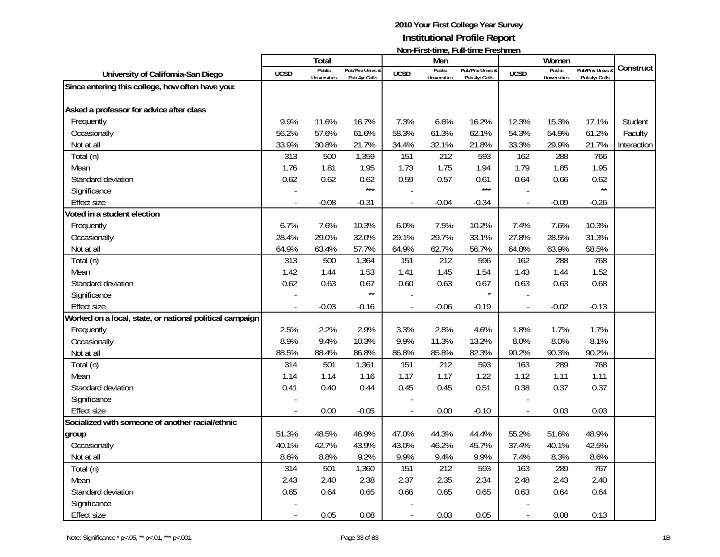|                                                          |                | <b>Total</b>                  |                                   |                | Men                           | $\mathsf{NULL}$ . The station of the station of $\mathsf{L}$ |                          | Women                         |                                 |             |
|----------------------------------------------------------|----------------|-------------------------------|-----------------------------------|----------------|-------------------------------|--------------------------------------------------------------|--------------------------|-------------------------------|---------------------------------|-------------|
| University of California-San Diego                       | <b>UCSD</b>    | Public<br><b>Universities</b> | Pub/Priv Univs &<br>Pub 4yr Colls | <b>UCSD</b>    | Public<br><b>Universities</b> | Pub/Priv Univs &<br>Pub 4yr Colls                            | <b>UCSD</b>              | Public<br><b>Universities</b> | Pub/Priv Univs<br>Pub 4yr Colls | Construct   |
| Since entering this college, how often have you:         |                |                               |                                   |                |                               |                                                              |                          |                               |                                 |             |
|                                                          |                |                               |                                   |                |                               |                                                              |                          |                               |                                 |             |
| Asked a professor for advice after class                 |                |                               |                                   |                |                               |                                                              |                          |                               |                                 |             |
| Frequently                                               | 9.9%           | 11.6%                         | 16.7%                             | 7.3%           | 6.6%                          | 16.2%                                                        | 12.3%                    | 15.3%                         | 17.1%                           | Student     |
| Occasionally                                             | 56.2%          | 57.6%                         | 61.6%                             | 58.3%          | 61.3%                         | 62.1%                                                        | 54.3%                    | 54.9%                         | 61.2%                           | Faculty     |
| Not at all                                               | 33.9%          | 30.8%                         | 21.7%                             | 34.4%          | 32.1%                         | 21.8%                                                        | 33.3%                    | 29.9%                         | 21.7%                           | Interaction |
| Total (n)                                                | 313            | 500                           | 1,359                             | 151            | 212                           | 593                                                          | 162                      | 288                           | 766                             |             |
| Mean                                                     | 1.76           | 1.81                          | 1.95                              | 1.73           | 1.75                          | 1.94                                                         | 1.79                     | 1.85                          | 1.95                            |             |
| Standard deviation                                       | 0.62           | 0.62                          | 0.62                              | 0.59           | 0.57                          | 0.61                                                         | 0.64                     | 0.66                          | 0.62                            |             |
| Significance                                             |                |                               | $***$                             |                |                               | $***$                                                        |                          |                               | $\star\star$                    |             |
| <b>Effect size</b>                                       | $\overline{a}$ | $-0.08$                       | $-0.31$                           | $\overline{a}$ | $-0.04$                       | $-0.34$                                                      | $\overline{a}$           | $-0.09$                       | $-0.26$                         |             |
| Voted in a student election                              |                |                               |                                   |                |                               |                                                              |                          |                               |                                 |             |
| Frequently                                               | 6.7%           | 7.6%                          | 10.3%                             | 6.0%           | 7.5%                          | 10.2%                                                        | 7.4%                     | 7.6%                          | 10.3%                           |             |
| Occasionally                                             | 28.4%          | 29.0%                         | 32.0%                             | 29.1%          | 29.7%                         | 33.1%                                                        | 27.8%                    | 28.5%                         | 31.3%                           |             |
| Not at all                                               | 64.9%          | 63.4%                         | 57.7%                             | 64.9%          | 62.7%                         | 56.7%                                                        | 64.8%                    | 63.9%                         | 58.5%                           |             |
| Total (n)                                                | 313            | 500                           | 1,364                             | 151            | 212                           | 596                                                          | 162                      | 288                           | 768                             |             |
| Mean                                                     | 1.42           | 1.44                          | 1.53                              | 1.41           | 1.45                          | 1.54                                                         | 1.43                     | 1.44                          | 1.52                            |             |
| Standard deviation                                       | 0.62           | 0.63                          | 0.67                              | 0.60           | 0.63                          | 0.67                                                         | 0.63                     | 0.63                          | 0.68                            |             |
| Significance                                             |                |                               | $\star\star$                      |                |                               | $\star$                                                      |                          |                               |                                 |             |
| <b>Effect size</b>                                       |                | $-0.03$                       | $-0.16$                           |                | $-0.06$                       | $-0.19$                                                      | $\overline{a}$           | $-0.02$                       | $-0.13$                         |             |
| Worked on a local, state, or national political campaign |                |                               |                                   |                |                               |                                                              |                          |                               |                                 |             |
| Frequently                                               | 2.5%           | 2.2%                          | 2.9%                              | 3.3%           | 2.8%                          | 4.6%                                                         | 1.8%                     | 1.7%                          | 1.7%                            |             |
| Occasionally                                             | 8.9%           | 9.4%                          | 10.3%                             | 9.9%           | 11.3%                         | 13.2%                                                        | 8.0%                     | 8.0%                          | 8.1%                            |             |
| Not at all                                               | 88.5%          | 88.4%                         | 86.8%                             | 86.8%          | 85.8%                         | 82.3%                                                        | 90.2%                    | 90.3%                         | 90.2%                           |             |
| Total (n)                                                | 314            | 501                           | 1,361                             | 151            | 212                           | 593                                                          | 163                      | 289                           | 768                             |             |
| Mean                                                     | 1.14           | 1.14                          | 1.16                              | 1.17           | 1.17                          | 1.22                                                         | 1.12                     | 1.11                          | 1.11                            |             |
| Standard deviation                                       | 0.41           | 0.40                          | 0.44                              | 0.45           | 0.45                          | 0.51                                                         | 0.38                     | 0.37                          | 0.37                            |             |
| Significance                                             |                |                               |                                   |                |                               |                                                              |                          |                               |                                 |             |
| <b>Effect size</b>                                       |                | 0.00                          | $-0.05$                           |                | 0.00                          | $-0.10$                                                      | $\overline{a}$           | 0.03                          | 0.03                            |             |
| Socialized with someone of another racial/ethnic         |                |                               |                                   |                |                               |                                                              |                          |                               |                                 |             |
| group                                                    | 51.3%          | 48.5%                         | 46.9%                             | 47.0%          | 44.3%                         | 44.4%                                                        | 55.2%                    | 51.6%                         | 48.9%                           |             |
| Occasionally                                             | 40.1%          | 42.7%                         | 43.9%                             | 43.0%          | 46.2%                         | 45.7%                                                        | 37.4%                    | 40.1%                         | 42.5%                           |             |
| Not at all                                               | 8.6%           | 8.8%                          | 9.2%                              | 9.9%           | 9.4%                          | 9.9%                                                         | 7.4%                     | 8.3%                          | 8.6%                            |             |
| Total (n)                                                | 314            | 501                           | 1,360                             | 151            | 212                           | 593                                                          | 163                      | 289                           | 767                             |             |
| Mean                                                     | 2.43           | 2.40                          | 2.38                              | 2.37           | 2.35                          | 2.34                                                         | 2.48                     | 2.43                          | 2.40                            |             |
| Standard deviation                                       | 0.65           | 0.64                          | 0.65                              | 0.66           | 0.65                          | 0.65                                                         | 0.63                     | 0.64                          | 0.64                            |             |
| Significance                                             |                |                               |                                   |                |                               |                                                              |                          |                               |                                 |             |
| <b>Effect size</b>                                       |                | 0.05                          | 0.08                              |                | 0.03                          | 0.05                                                         | $\overline{\phantom{a}}$ | 0.08                          | 0.13                            |             |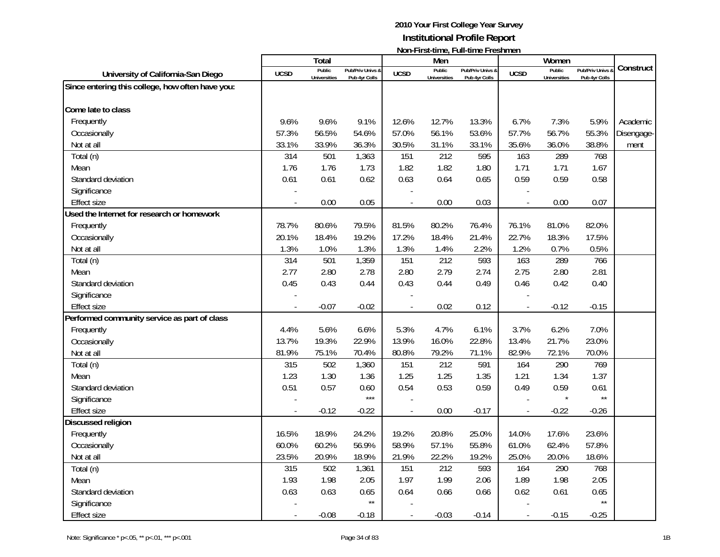| Total<br>Men<br>Women<br>Construct<br>Public<br>Public<br>Public<br>Pub/Priv Univs &<br>Pub/Priv Univs &<br>Pub/Priv Univs &<br><b>UCSD</b><br><b>UCSD</b><br><b>UCSD</b><br>University of California-San Diego<br><b>Universities</b><br>Pub 4yr Colls<br><b>Universities</b><br>Pub 4yr Colls<br><b>Universities</b><br>Pub 4yr Colls<br>Since entering this college, how often have you:<br>Come late to class<br>Frequently<br>9.6%<br>9.6%<br>9.1%<br>12.7%<br>6.7%<br>7.3%<br>5.9%<br>12.6%<br>13.3%<br>Academic<br>57.7%<br>55.3%<br>Occasionally<br>57.3%<br>56.5%<br>54.6%<br>57.0%<br>56.1%<br>53.6%<br>56.7%<br>Disengage-<br>38.8%<br>33.1%<br>33.9%<br>36.3%<br>30.5%<br>31.1%<br>33.1%<br>35.6%<br>36.0%<br>Not at all<br>ment<br>212<br>314<br>501<br>151<br>595<br>163<br>289<br>768<br>Total (n)<br>1,363<br>1.76<br>1.76<br>1.73<br>1.82<br>1.82<br>1.71<br>1.71<br>1.67<br>1.80<br>Mean<br>0.63<br>0.59<br>0.61<br>0.61<br>0.62<br>0.64<br>0.65<br>0.59<br>0.58<br>Standard deviation<br>Significance<br>0.00<br>0.05<br>0.00<br>0.03<br>0.07<br>0.00<br><b>Effect size</b><br>$\overline{a}$<br>$\overline{a}$<br>Used the Internet for research or homework<br>78.7%<br>80.6%<br>79.5%<br>81.5%<br>76.1%<br>82.0%<br>Frequently<br>80.2%<br>76.4%<br>81.0%<br>Occasionally<br>20.1%<br>18.4%<br>19.2%<br>17.2%<br>18.4%<br>21.4%<br>22.7%<br>18.3%<br>17.5%<br>1.2%<br>0.5%<br>Not at all<br>1.3%<br>1.0%<br>1.3%<br>1.3%<br>1.4%<br>2.2%<br>0.7% |
|------------------------------------------------------------------------------------------------------------------------------------------------------------------------------------------------------------------------------------------------------------------------------------------------------------------------------------------------------------------------------------------------------------------------------------------------------------------------------------------------------------------------------------------------------------------------------------------------------------------------------------------------------------------------------------------------------------------------------------------------------------------------------------------------------------------------------------------------------------------------------------------------------------------------------------------------------------------------------------------------------------------------------------------------------------------------------------------------------------------------------------------------------------------------------------------------------------------------------------------------------------------------------------------------------------------------------------------------------------------------------------------------------------------------------------------------------------------------|
|                                                                                                                                                                                                                                                                                                                                                                                                                                                                                                                                                                                                                                                                                                                                                                                                                                                                                                                                                                                                                                                                                                                                                                                                                                                                                                                                                                                                                                                                        |
|                                                                                                                                                                                                                                                                                                                                                                                                                                                                                                                                                                                                                                                                                                                                                                                                                                                                                                                                                                                                                                                                                                                                                                                                                                                                                                                                                                                                                                                                        |
|                                                                                                                                                                                                                                                                                                                                                                                                                                                                                                                                                                                                                                                                                                                                                                                                                                                                                                                                                                                                                                                                                                                                                                                                                                                                                                                                                                                                                                                                        |
|                                                                                                                                                                                                                                                                                                                                                                                                                                                                                                                                                                                                                                                                                                                                                                                                                                                                                                                                                                                                                                                                                                                                                                                                                                                                                                                                                                                                                                                                        |
|                                                                                                                                                                                                                                                                                                                                                                                                                                                                                                                                                                                                                                                                                                                                                                                                                                                                                                                                                                                                                                                                                                                                                                                                                                                                                                                                                                                                                                                                        |
|                                                                                                                                                                                                                                                                                                                                                                                                                                                                                                                                                                                                                                                                                                                                                                                                                                                                                                                                                                                                                                                                                                                                                                                                                                                                                                                                                                                                                                                                        |
|                                                                                                                                                                                                                                                                                                                                                                                                                                                                                                                                                                                                                                                                                                                                                                                                                                                                                                                                                                                                                                                                                                                                                                                                                                                                                                                                                                                                                                                                        |
|                                                                                                                                                                                                                                                                                                                                                                                                                                                                                                                                                                                                                                                                                                                                                                                                                                                                                                                                                                                                                                                                                                                                                                                                                                                                                                                                                                                                                                                                        |
|                                                                                                                                                                                                                                                                                                                                                                                                                                                                                                                                                                                                                                                                                                                                                                                                                                                                                                                                                                                                                                                                                                                                                                                                                                                                                                                                                                                                                                                                        |
|                                                                                                                                                                                                                                                                                                                                                                                                                                                                                                                                                                                                                                                                                                                                                                                                                                                                                                                                                                                                                                                                                                                                                                                                                                                                                                                                                                                                                                                                        |
|                                                                                                                                                                                                                                                                                                                                                                                                                                                                                                                                                                                                                                                                                                                                                                                                                                                                                                                                                                                                                                                                                                                                                                                                                                                                                                                                                                                                                                                                        |
|                                                                                                                                                                                                                                                                                                                                                                                                                                                                                                                                                                                                                                                                                                                                                                                                                                                                                                                                                                                                                                                                                                                                                                                                                                                                                                                                                                                                                                                                        |
|                                                                                                                                                                                                                                                                                                                                                                                                                                                                                                                                                                                                                                                                                                                                                                                                                                                                                                                                                                                                                                                                                                                                                                                                                                                                                                                                                                                                                                                                        |
|                                                                                                                                                                                                                                                                                                                                                                                                                                                                                                                                                                                                                                                                                                                                                                                                                                                                                                                                                                                                                                                                                                                                                                                                                                                                                                                                                                                                                                                                        |
|                                                                                                                                                                                                                                                                                                                                                                                                                                                                                                                                                                                                                                                                                                                                                                                                                                                                                                                                                                                                                                                                                                                                                                                                                                                                                                                                                                                                                                                                        |
|                                                                                                                                                                                                                                                                                                                                                                                                                                                                                                                                                                                                                                                                                                                                                                                                                                                                                                                                                                                                                                                                                                                                                                                                                                                                                                                                                                                                                                                                        |
|                                                                                                                                                                                                                                                                                                                                                                                                                                                                                                                                                                                                                                                                                                                                                                                                                                                                                                                                                                                                                                                                                                                                                                                                                                                                                                                                                                                                                                                                        |
| 501<br>151<br>212<br>163<br>289<br>766<br>Total (n)<br>314<br>1,359<br>593                                                                                                                                                                                                                                                                                                                                                                                                                                                                                                                                                                                                                                                                                                                                                                                                                                                                                                                                                                                                                                                                                                                                                                                                                                                                                                                                                                                             |
| 2.77<br>2.80<br>2.78<br>2.80<br>2.79<br>2.74<br>2.75<br>2.80<br>2.81<br>Mean                                                                                                                                                                                                                                                                                                                                                                                                                                                                                                                                                                                                                                                                                                                                                                                                                                                                                                                                                                                                                                                                                                                                                                                                                                                                                                                                                                                           |
| 0.43<br>0.49<br>0.46<br>Standard deviation<br>0.45<br>0.43<br>0.44<br>0.44<br>0.42<br>0.40                                                                                                                                                                                                                                                                                                                                                                                                                                                                                                                                                                                                                                                                                                                                                                                                                                                                                                                                                                                                                                                                                                                                                                                                                                                                                                                                                                             |
| Significance                                                                                                                                                                                                                                                                                                                                                                                                                                                                                                                                                                                                                                                                                                                                                                                                                                                                                                                                                                                                                                                                                                                                                                                                                                                                                                                                                                                                                                                           |
| <b>Effect size</b><br>$-0.07$<br>$-0.02$<br>0.02<br>0.12<br>$-0.12$<br>$-0.15$<br>$\overline{a}$                                                                                                                                                                                                                                                                                                                                                                                                                                                                                                                                                                                                                                                                                                                                                                                                                                                                                                                                                                                                                                                                                                                                                                                                                                                                                                                                                                       |
| Performed community service as part of class                                                                                                                                                                                                                                                                                                                                                                                                                                                                                                                                                                                                                                                                                                                                                                                                                                                                                                                                                                                                                                                                                                                                                                                                                                                                                                                                                                                                                           |
| 5.6%<br>6.6%<br>5.3%<br>4.7%<br>3.7%<br>6.2%<br>7.0%<br>4.4%<br>6.1%<br>Frequently                                                                                                                                                                                                                                                                                                                                                                                                                                                                                                                                                                                                                                                                                                                                                                                                                                                                                                                                                                                                                                                                                                                                                                                                                                                                                                                                                                                     |
| 13.7%<br>19.3%<br>22.9%<br>13.9%<br>22.8%<br>21.7%<br>23.0%<br>Occasionally<br>16.0%<br>13.4%                                                                                                                                                                                                                                                                                                                                                                                                                                                                                                                                                                                                                                                                                                                                                                                                                                                                                                                                                                                                                                                                                                                                                                                                                                                                                                                                                                          |
| 81.9%<br>80.8%<br>79.2%<br>82.9%<br>70.0%<br>75.1%<br>70.4%<br>71.1%<br>72.1%<br>Not at all                                                                                                                                                                                                                                                                                                                                                                                                                                                                                                                                                                                                                                                                                                                                                                                                                                                                                                                                                                                                                                                                                                                                                                                                                                                                                                                                                                            |
| 502<br>151<br>212<br>769<br>Total (n)<br>315<br>1,360<br>591<br>164<br>290                                                                                                                                                                                                                                                                                                                                                                                                                                                                                                                                                                                                                                                                                                                                                                                                                                                                                                                                                                                                                                                                                                                                                                                                                                                                                                                                                                                             |
| 1.23<br>1.25<br>Mean<br>1.30<br>1.36<br>1.25<br>1.35<br>1.21<br>1.34<br>1.37                                                                                                                                                                                                                                                                                                                                                                                                                                                                                                                                                                                                                                                                                                                                                                                                                                                                                                                                                                                                                                                                                                                                                                                                                                                                                                                                                                                           |
| 0.54<br>0.53<br>Standard deviation<br>0.51<br>0.57<br>0.59<br>0.49<br>0.59<br>0.61<br>0.60                                                                                                                                                                                                                                                                                                                                                                                                                                                                                                                                                                                                                                                                                                                                                                                                                                                                                                                                                                                                                                                                                                                                                                                                                                                                                                                                                                             |
| $***$<br>$\star\star$<br>Significance                                                                                                                                                                                                                                                                                                                                                                                                                                                                                                                                                                                                                                                                                                                                                                                                                                                                                                                                                                                                                                                                                                                                                                                                                                                                                                                                                                                                                                  |
| $-0.12$<br>$-0.22$<br>0.00<br>$-0.22$<br>$-0.26$<br><b>Effect size</b><br>$-0.17$                                                                                                                                                                                                                                                                                                                                                                                                                                                                                                                                                                                                                                                                                                                                                                                                                                                                                                                                                                                                                                                                                                                                                                                                                                                                                                                                                                                      |
| Discussed religion                                                                                                                                                                                                                                                                                                                                                                                                                                                                                                                                                                                                                                                                                                                                                                                                                                                                                                                                                                                                                                                                                                                                                                                                                                                                                                                                                                                                                                                     |
| 16.5%<br>18.9%<br>24.2%<br>19.2%<br>20.8%<br>14.0%<br>17.6%<br>23.6%<br>Frequently<br>25.0%                                                                                                                                                                                                                                                                                                                                                                                                                                                                                                                                                                                                                                                                                                                                                                                                                                                                                                                                                                                                                                                                                                                                                                                                                                                                                                                                                                            |
| 60.0%<br>60.2%<br>56.9%<br>58.9%<br>57.1%<br>55.8%<br>61.0%<br>57.8%<br>Occasionally<br>62.4%                                                                                                                                                                                                                                                                                                                                                                                                                                                                                                                                                                                                                                                                                                                                                                                                                                                                                                                                                                                                                                                                                                                                                                                                                                                                                                                                                                          |
| 20.9%<br>22.2%<br>Not at all<br>23.5%<br>18.9%<br>21.9%<br>19.2%<br>25.0%<br>20.0%<br>18.6%                                                                                                                                                                                                                                                                                                                                                                                                                                                                                                                                                                                                                                                                                                                                                                                                                                                                                                                                                                                                                                                                                                                                                                                                                                                                                                                                                                            |
| 315<br>502<br>151<br>212<br>593<br>290<br>768<br>1,361<br>164<br>Total (n)                                                                                                                                                                                                                                                                                                                                                                                                                                                                                                                                                                                                                                                                                                                                                                                                                                                                                                                                                                                                                                                                                                                                                                                                                                                                                                                                                                                             |
| 1.97<br>1.93<br>1.98<br>2.05<br>1.99<br>2.06<br>1.89<br>1.98<br>2.05<br>Mean                                                                                                                                                                                                                                                                                                                                                                                                                                                                                                                                                                                                                                                                                                                                                                                                                                                                                                                                                                                                                                                                                                                                                                                                                                                                                                                                                                                           |
| 0.63<br>0.63<br>0.65<br>0.64<br>0.66<br>0.62<br>0.66<br>0.61<br>0.65<br>Standard deviation                                                                                                                                                                                                                                                                                                                                                                                                                                                                                                                                                                                                                                                                                                                                                                                                                                                                                                                                                                                                                                                                                                                                                                                                                                                                                                                                                                             |
| $\star\star$<br>$\star\star$<br>Significance                                                                                                                                                                                                                                                                                                                                                                                                                                                                                                                                                                                                                                                                                                                                                                                                                                                                                                                                                                                                                                                                                                                                                                                                                                                                                                                                                                                                                           |
| <b>Effect size</b><br>$-0.08$<br>$-0.18$<br>$-0.03$<br>$-0.14$<br>$-0.15$<br>$-0.25$                                                                                                                                                                                                                                                                                                                                                                                                                                                                                                                                                                                                                                                                                                                                                                                                                                                                                                                                                                                                                                                                                                                                                                                                                                                                                                                                                                                   |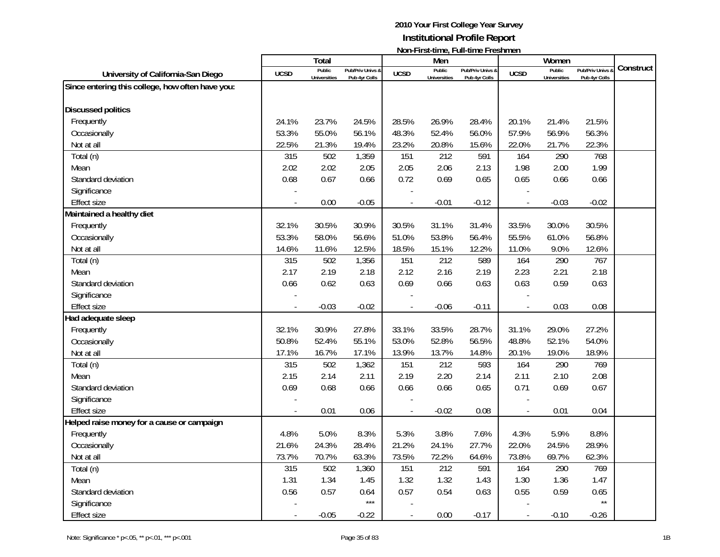|                                                  |                | Total               |                  |                | Men                 | $1$ ivuli III di tililic, Tuli tililic III collitici i |                          | Women               |                  |           |
|--------------------------------------------------|----------------|---------------------|------------------|----------------|---------------------|--------------------------------------------------------|--------------------------|---------------------|------------------|-----------|
| University of California-San Diego               | <b>UCSD</b>    | Public              | Pub/Priv Univs & | <b>UCSD</b>    | Public              | Pub/Priv Univs &                                       | <b>UCSD</b>              | Public              | Pub/Priv Univs & | Construct |
| Since entering this college, how often have you: |                | <b>Universities</b> | Pub 4yr Colls    |                | <b>Universities</b> | Pub 4yr Colls                                          |                          | <b>Universities</b> | Pub 4yr Colls    |           |
|                                                  |                |                     |                  |                |                     |                                                        |                          |                     |                  |           |
| <b>Discussed politics</b>                        |                |                     |                  |                |                     |                                                        |                          |                     |                  |           |
| Frequently                                       | 24.1%          | 23.7%               | 24.5%            | 28.5%          | 26.9%               | 28.4%                                                  | 20.1%                    | 21.4%               | 21.5%            |           |
| Occasionally                                     | 53.3%          | 55.0%               | 56.1%            | 48.3%          | 52.4%               | 56.0%                                                  | 57.9%                    | 56.9%               | 56.3%            |           |
| Not at all                                       | 22.5%          | 21.3%               | 19.4%            | 23.2%          | 20.8%               | 15.6%                                                  | 22.0%                    | 21.7%               | 22.3%            |           |
| Total (n)                                        | 315            | 502                 | 1,359            | 151            | 212                 | 591                                                    | 164                      | 290                 | 768              |           |
| Mean                                             | 2.02           | 2.02                | 2.05             | 2.05           | 2.06                | 2.13                                                   | 1.98                     | 2.00                | 1.99             |           |
| Standard deviation                               | 0.68           | 0.67                | 0.66             | 0.72           | 0.69                | 0.65                                                   | 0.65                     | 0.66                | 0.66             |           |
| Significance                                     |                |                     |                  |                |                     |                                                        |                          |                     |                  |           |
| <b>Effect size</b>                               | $\overline{a}$ | 0.00                | $-0.05$          | $\overline{a}$ | $-0.01$             | $-0.12$                                                | $\blacksquare$           | $-0.03$             | $-0.02$          |           |
| Maintained a healthy diet                        |                |                     |                  |                |                     |                                                        |                          |                     |                  |           |
| Frequently                                       | 32.1%          | 30.5%               | 30.9%            | 30.5%          | 31.1%               | 31.4%                                                  | 33.5%                    | 30.0%               | 30.5%            |           |
| Occasionally                                     | 53.3%          | 58.0%               | 56.6%            | 51.0%          | 53.8%               | 56.4%                                                  | 55.5%                    | 61.0%               | 56.8%            |           |
| Not at all                                       | 14.6%          | 11.6%               | 12.5%            | 18.5%          | 15.1%               | 12.2%                                                  | 11.0%                    | 9.0%                | 12.6%            |           |
| Total (n)                                        | 315            | 502                 | 1,356            | 151            | 212                 | 589                                                    | 164                      | 290                 | 767              |           |
| Mean                                             | 2.17           | 2.19                | 2.18             | 2.12           | 2.16                | 2.19                                                   | 2.23                     | 2.21                | 2.18             |           |
| Standard deviation                               | 0.66           | 0.62                | 0.63             | 0.69           | 0.66                | 0.63                                                   | 0.63                     | 0.59                | 0.63             |           |
| Significance                                     |                |                     |                  |                |                     |                                                        |                          |                     |                  |           |
| <b>Effect size</b>                               |                | $-0.03$             | $-0.02$          |                | $-0.06$             | $-0.11$                                                | $\overline{a}$           | 0.03                | 0.08             |           |
| Had adequate sleep                               |                |                     |                  |                |                     |                                                        |                          |                     |                  |           |
| Frequently                                       | 32.1%          | 30.9%               | 27.8%            | 33.1%          | 33.5%               | 28.7%                                                  | 31.1%                    | 29.0%               | 27.2%            |           |
| Occasionally                                     | 50.8%          | 52.4%               | 55.1%            | 53.0%          | 52.8%               | 56.5%                                                  | 48.8%                    | 52.1%               | 54.0%            |           |
| Not at all                                       | 17.1%          | 16.7%               | 17.1%            | 13.9%          | 13.7%               | 14.8%                                                  | 20.1%                    | 19.0%               | 18.9%            |           |
| Total (n)                                        | 315            | 502                 | 1,362            | 151            | 212                 | 593                                                    | 164                      | 290                 | 769              |           |
| Mean                                             | 2.15           | 2.14                | 2.11             | 2.19           | 2.20                | 2.14                                                   | 2.11                     | 2.10                | 2.08             |           |
| Standard deviation                               | 0.69           | 0.68                | 0.66             | 0.66           | 0.66                | 0.65                                                   | 0.71                     | 0.69                | 0.67             |           |
| Significance                                     |                |                     |                  |                |                     |                                                        |                          |                     |                  |           |
| <b>Effect size</b>                               |                | 0.01                | 0.06             |                | $-0.02$             | 0.08                                                   | $\overline{\phantom{a}}$ | 0.01                | 0.04             |           |
| Helped raise money for a cause or campaign       |                |                     |                  |                |                     |                                                        |                          |                     |                  |           |
| Frequently                                       | 4.8%           | 5.0%                | 8.3%             | 5.3%           | 3.8%                | 7.6%                                                   | 4.3%                     | 5.9%                | 8.8%             |           |
| Occasionally                                     | 21.6%          | 24.3%               | 28.4%            | 21.2%          | 24.1%               | 27.7%                                                  | 22.0%                    | 24.5%               | 28.9%            |           |
| Not at all                                       | 73.7%          | 70.7%               | 63.3%            | 73.5%          | 72.2%               | 64.6%                                                  | 73.8%                    | 69.7%               | 62.3%            |           |
| Total (n)                                        | 315            | 502                 | 1,360            | 151            | 212                 | 591                                                    | 164                      | 290                 | 769              |           |
| Mean                                             | 1.31           | 1.34                | 1.45             | 1.32           | 1.32                | 1.43                                                   | 1.30                     | 1.36                | 1.47             |           |
| Standard deviation                               | 0.56           | 0.57                | 0.64             | 0.57           | 0.54                | 0.63                                                   | 0.55                     | 0.59                | 0.65             |           |
| Significance                                     |                |                     | $***$            |                |                     |                                                        |                          |                     | $\star\star$     |           |
| <b>Effect size</b>                               |                | $-0.05$             | $-0.22$          | $\overline{a}$ | 0.00                | $-0.17$                                                | $\overline{\phantom{a}}$ | $-0.10$             | $-0.26$          |           |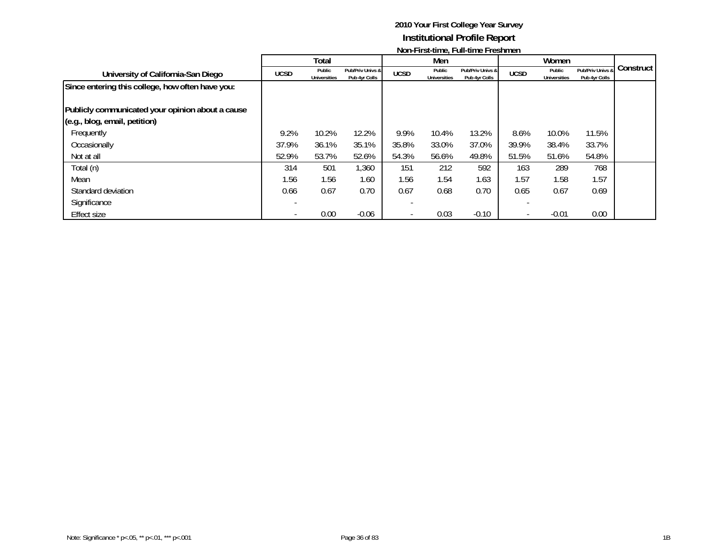|                                                  |             | Total                         |                                   |             | Men                           |                                   |             | Women                         |                                   |           |
|--------------------------------------------------|-------------|-------------------------------|-----------------------------------|-------------|-------------------------------|-----------------------------------|-------------|-------------------------------|-----------------------------------|-----------|
| University of California-San Diego               | <b>UCSD</b> | Public<br><b>Universities</b> | Pub/Priv Univs &<br>Pub 4yr Colls | <b>UCSD</b> | Public<br><b>Universities</b> | Pub/Priv Univs &<br>Pub 4yr Colls | <b>UCSD</b> | Public<br><b>Universities</b> | Pub/Priv Univs &<br>Pub 4yr Colls | Construct |
| Since entering this college, how often have you: |             |                               |                                   |             |                               |                                   |             |                               |                                   |           |
|                                                  |             |                               |                                   |             |                               |                                   |             |                               |                                   |           |
| Publicly communicated your opinion about a cause |             |                               |                                   |             |                               |                                   |             |                               |                                   |           |
| (e.g., blog, email, petition)                    |             |                               |                                   |             |                               |                                   |             |                               |                                   |           |
| Frequently                                       | 9.2%        | 10.2%                         | 12.2%                             | 9.9%        | 10.4%                         | 13.2%                             | 8.6%        | 10.0%                         | 11.5%                             |           |
| Occasionally                                     | 37.9%       | 36.1%                         | 35.1%                             | 35.8%       | 33.0%                         | 37.0%                             | 39.9%       | 38.4%                         | 33.7%                             |           |
| Not at all                                       | 52.9%       | 53.7%                         | 52.6%                             | 54.3%       | 56.6%                         | 49.8%                             | 51.5%       | 51.6%                         | 54.8%                             |           |
| Total (n)                                        | 314         | 501                           | 1,360                             | 151         | 212                           | 592                               | 163         | 289                           | 768                               |           |
| Mean                                             | 1.56        | 1.56                          | 1.60                              | 1.56        | 1.54                          | 1.63                              | 1.57        | 1.58                          | 1.57                              |           |
| Standard deviation                               | 0.66        | 0.67                          | 0.70                              | 0.67        | 0.68                          | 0.70                              | 0.65        | 0.67                          | 0.69                              |           |
| Significance                                     |             |                               |                                   |             |                               |                                   |             |                               |                                   |           |
| Effect size                                      |             | 0.00                          | $-0.06$                           |             | 0.03                          | $-0.10$                           |             | $-0.01$                       | 0.00                              |           |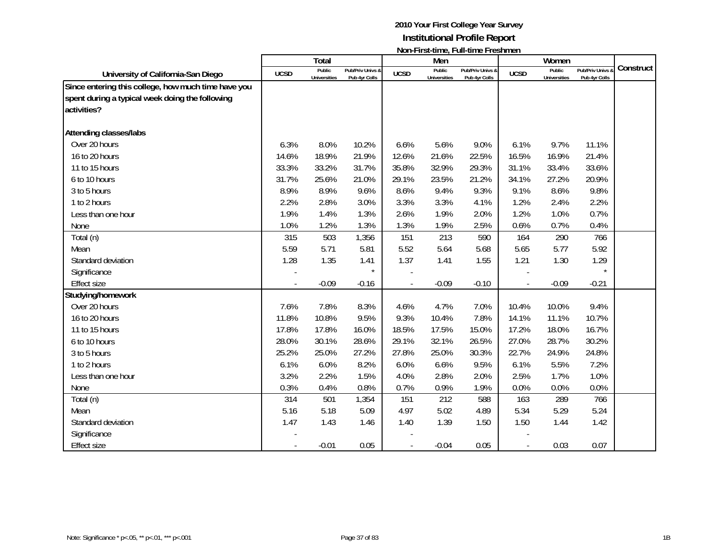|                                                                                                                       |             | Total                         |                                   |             | Men                           |                                   |             | Women                         |                                 |           |
|-----------------------------------------------------------------------------------------------------------------------|-------------|-------------------------------|-----------------------------------|-------------|-------------------------------|-----------------------------------|-------------|-------------------------------|---------------------------------|-----------|
| University of California-San Diego                                                                                    | <b>UCSD</b> | Public<br><b>Universities</b> | Pub/Priv Univs &<br>Pub 4yr Colls | <b>UCSD</b> | Public<br><b>Universities</b> | Pub/Priv Univs &<br>Pub 4yr Colls | <b>UCSD</b> | Public<br><b>Universities</b> | Pub/Priv Univs<br>Pub 4yr Colls | Construct |
| Since entering this college, how much time have you<br>spent during a typical week doing the following<br>activities? |             |                               |                                   |             |                               |                                   |             |                               |                                 |           |
| <b>Attending classes/labs</b>                                                                                         |             |                               |                                   |             |                               |                                   |             |                               |                                 |           |
| Over 20 hours                                                                                                         | 6.3%        | 8.0%                          | 10.2%                             | 6.6%        | 5.6%                          | 9.0%                              | 6.1%        | 9.7%                          | 11.1%                           |           |
| 16 to 20 hours                                                                                                        | 14.6%       | 18.9%                         | 21.9%                             | 12.6%       | 21.6%                         | 22.5%                             | 16.5%       | 16.9%                         | 21.4%                           |           |
| 11 to 15 hours                                                                                                        | 33.3%       | 33.2%                         | 31.7%                             | 35.8%       | 32.9%                         | 29.3%                             | 31.1%       | 33.4%                         | 33.6%                           |           |
| 6 to 10 hours                                                                                                         | 31.7%       | 25.6%                         | 21.0%                             | 29.1%       | 23.5%                         | 21.2%                             | 34.1%       | 27.2%                         | 20.9%                           |           |
| 3 to 5 hours                                                                                                          | 8.9%        | 8.9%                          | 9.6%                              | 8.6%        | 9.4%                          | 9.3%                              | 9.1%        | 8.6%                          | 9.8%                            |           |
| 1 to 2 hours                                                                                                          | 2.2%        | 2.8%                          | 3.0%                              | 3.3%        | 3.3%                          | 4.1%                              | 1.2%        | 2.4%                          | 2.2%                            |           |
| Less than one hour                                                                                                    | 1.9%        | 1.4%                          | 1.3%                              | 2.6%        | 1.9%                          | 2.0%                              | 1.2%        | 1.0%                          | 0.7%                            |           |
| None                                                                                                                  | 1.0%        | 1.2%                          | 1.3%                              | 1.3%        | 1.9%                          | 2.5%                              | 0.6%        | 0.7%                          | 0.4%                            |           |
| Total (n)                                                                                                             | 315         | 503                           | 1,356                             | 151         | 213                           | 590                               | 164         | 290                           | 766                             |           |
| Mean                                                                                                                  | 5.59        | 5.71                          | 5.81                              | 5.52        | 5.64                          | 5.68                              | 5.65        | 5.77                          | 5.92                            |           |
| Standard deviation                                                                                                    | 1.28        | 1.35                          | 1.41                              | 1.37        | 1.41                          | 1.55                              | 1.21        | 1.30                          | 1.29                            |           |
| Significance                                                                                                          |             |                               | $\star$                           |             |                               |                                   |             |                               | $\star$                         |           |
| <b>Effect size</b>                                                                                                    |             | $-0.09$                       | $-0.16$                           |             | $-0.09$                       | $-0.10$                           |             | $-0.09$                       | $-0.21$                         |           |
| Studying/homework                                                                                                     |             |                               |                                   |             |                               |                                   |             |                               |                                 |           |
| Over 20 hours                                                                                                         | 7.6%        | 7.8%                          | 8.3%                              | 4.6%        | 4.7%                          | 7.0%                              | 10.4%       | 10.0%                         | 9.4%                            |           |
| 16 to 20 hours                                                                                                        | 11.8%       | 10.8%                         | 9.5%                              | 9.3%        | 10.4%                         | 7.8%                              | 14.1%       | 11.1%                         | 10.7%                           |           |
| 11 to 15 hours                                                                                                        | 17.8%       | 17.8%                         | 16.0%                             | 18.5%       | 17.5%                         | 15.0%                             | 17.2%       | 18.0%                         | 16.7%                           |           |
| 6 to 10 hours                                                                                                         | 28.0%       | 30.1%                         | 28.6%                             | 29.1%       | 32.1%                         | 26.5%                             | 27.0%       | 28.7%                         | 30.2%                           |           |
| 3 to 5 hours                                                                                                          | 25.2%       | 25.0%                         | 27.2%                             | 27.8%       | 25.0%                         | 30.3%                             | 22.7%       | 24.9%                         | 24.8%                           |           |
| 1 to 2 hours                                                                                                          | 6.1%        | 6.0%                          | 8.2%                              | 6.0%        | 6.6%                          | 9.5%                              | 6.1%        | 5.5%                          | 7.2%                            |           |
| Less than one hour                                                                                                    | 3.2%        | 2.2%                          | 1.5%                              | 4.0%        | 2.8%                          | 2.0%                              | 2.5%        | 1.7%                          | 1.0%                            |           |
| None                                                                                                                  | 0.3%        | 0.4%                          | 0.8%                              | 0.7%        | 0.9%                          | 1.9%                              | 0.0%        | 0.0%                          | 0.0%                            |           |
| Total (n)                                                                                                             | 314         | 501                           | 1,354                             | 151         | 212                           | 588                               | 163         | 289                           | 766                             |           |
| Mean                                                                                                                  | 5.16        | 5.18                          | 5.09                              | 4.97        | 5.02                          | 4.89                              | 5.34        | 5.29                          | 5.24                            |           |
| Standard deviation                                                                                                    | 1.47        | 1.43                          | 1.46                              | 1.40        | 1.39                          | 1.50                              | 1.50        | 1.44                          | 1.42                            |           |
| Significance                                                                                                          |             |                               |                                   |             |                               |                                   |             |                               |                                 |           |
| <b>Effect size</b>                                                                                                    |             | $-0.01$                       | 0.05                              |             | $-0.04$                       | 0.05                              |             | 0.03                          | 0.07                            |           |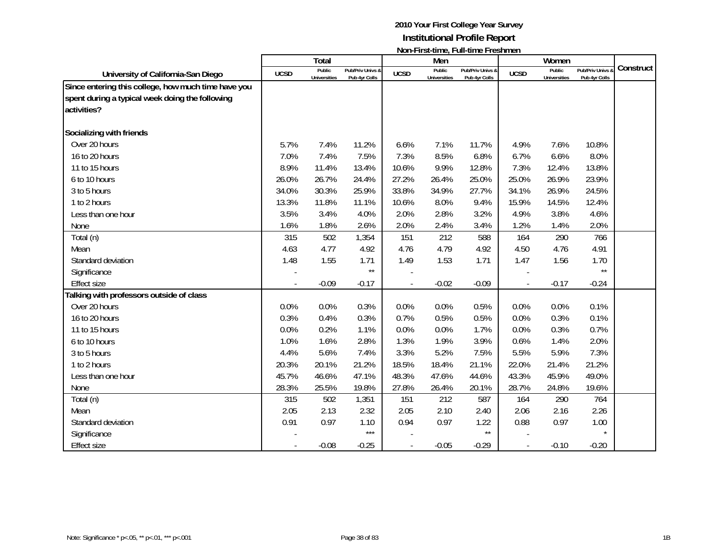|                                                                                                                       |             | Total                         |                                   |             | Men                           |                                   |             | Women                         |                                 |           |
|-----------------------------------------------------------------------------------------------------------------------|-------------|-------------------------------|-----------------------------------|-------------|-------------------------------|-----------------------------------|-------------|-------------------------------|---------------------------------|-----------|
| University of California-San Diego                                                                                    | <b>UCSD</b> | Public<br><b>Universities</b> | Pub/Priv Univs &<br>Pub 4yr Colls | <b>UCSD</b> | Public<br><b>Universities</b> | Pub/Priv Univs &<br>Pub 4yr Colls | <b>UCSD</b> | Public<br><b>Universities</b> | Pub/Priv Univs<br>Pub 4yr Colls | Construct |
| Since entering this college, how much time have you<br>spent during a typical week doing the following<br>activities? |             |                               |                                   |             |                               |                                   |             |                               |                                 |           |
| Socializing with friends                                                                                              |             |                               |                                   |             |                               |                                   |             |                               |                                 |           |
| Over 20 hours                                                                                                         | 5.7%        | 7.4%                          | 11.2%                             | 6.6%        | 7.1%                          | 11.7%                             | 4.9%        | 7.6%                          | 10.8%                           |           |
| 16 to 20 hours                                                                                                        | 7.0%        | 7.4%                          | 7.5%                              | 7.3%        | 8.5%                          | 6.8%                              | 6.7%        | 6.6%                          | 8.0%                            |           |
| 11 to 15 hours                                                                                                        | 8.9%        | 11.4%                         | 13.4%                             | 10.6%       | 9.9%                          | 12.8%                             | 7.3%        | 12.4%                         | 13.8%                           |           |
| 6 to 10 hours                                                                                                         | 26.0%       | 26.7%                         | 24.4%                             | 27.2%       | 26.4%                         | 25.0%                             | 25.0%       | 26.9%                         | 23.9%                           |           |
| 3 to 5 hours                                                                                                          | 34.0%       | 30.3%                         | 25.9%                             | 33.8%       | 34.9%                         | 27.7%                             | 34.1%       | 26.9%                         | 24.5%                           |           |
| 1 to 2 hours                                                                                                          | 13.3%       | 11.8%                         | 11.1%                             | 10.6%       | 8.0%                          | 9.4%                              | 15.9%       | 14.5%                         | 12.4%                           |           |
| Less than one hour                                                                                                    | 3.5%        | 3.4%                          | 4.0%                              | 2.0%        | 2.8%                          | 3.2%                              | 4.9%        | 3.8%                          | 4.6%                            |           |
| None                                                                                                                  | 1.6%        | 1.8%                          | 2.6%                              | 2.0%        | 2.4%                          | 3.4%                              | 1.2%        | 1.4%                          | 2.0%                            |           |
| Total (n)                                                                                                             | 315         | 502                           | 1,354                             | 151         | 212                           | 588                               | 164         | 290                           | 766                             |           |
| Mean                                                                                                                  | 4.63        | 4.77                          | 4.92                              | 4.76        | 4.79                          | 4.92                              | 4.50        | 4.76                          | 4.91                            |           |
| Standard deviation                                                                                                    | 1.48        | 1.55                          | 1.71                              | 1.49        | 1.53                          | 1.71                              | 1.47        | 1.56                          | 1.70                            |           |
| Significance                                                                                                          |             |                               | $\star\star$                      |             |                               |                                   |             |                               | $\star\star$                    |           |
| <b>Effect size</b>                                                                                                    |             | $-0.09$                       | $-0.17$                           |             | $-0.02$                       | $-0.09$                           |             | $-0.17$                       | $-0.24$                         |           |
| <b>Talking with professors outside of class</b>                                                                       |             |                               |                                   |             |                               |                                   |             |                               |                                 |           |
| Over 20 hours                                                                                                         | 0.0%        | 0.0%                          | 0.3%                              | 0.0%        | 0.0%                          | 0.5%                              | 0.0%        | 0.0%                          | 0.1%                            |           |
| 16 to 20 hours                                                                                                        | 0.3%        | 0.4%                          | 0.3%                              | 0.7%        | 0.5%                          | 0.5%                              | 0.0%        | 0.3%                          | 0.1%                            |           |
| 11 to 15 hours                                                                                                        | 0.0%        | 0.2%                          | 1.1%                              | 0.0%        | 0.0%                          | 1.7%                              | 0.0%        | 0.3%                          | 0.7%                            |           |
| 6 to 10 hours                                                                                                         | 1.0%        | 1.6%                          | 2.8%                              | 1.3%        | 1.9%                          | 3.9%                              | 0.6%        | 1.4%                          | 2.0%                            |           |
| 3 to 5 hours                                                                                                          | 4.4%        | 5.6%                          | 7.4%                              | 3.3%        | 5.2%                          | 7.5%                              | 5.5%        | 5.9%                          | 7.3%                            |           |
| 1 to 2 hours                                                                                                          | 20.3%       | 20.1%                         | 21.2%                             | 18.5%       | 18.4%                         | 21.1%                             | 22.0%       | 21.4%                         | 21.2%                           |           |
| Less than one hour                                                                                                    | 45.7%       | 46.6%                         | 47.1%                             | 48.3%       | 47.6%                         | 44.6%                             | 43.3%       | 45.9%                         | 49.0%                           |           |
| None                                                                                                                  | 28.3%       | 25.5%                         | 19.8%                             | 27.8%       | 26.4%                         | 20.1%                             | 28.7%       | 24.8%                         | 19.6%                           |           |
| Total (n)                                                                                                             | 315         | 502                           | 1,351                             | 151         | 212                           | 587                               | 164         | 290                           | 764                             |           |
| Mean                                                                                                                  | 2.05        | 2.13                          | 2.32                              | 2.05        | 2.10                          | 2.40                              | 2.06        | 2.16                          | 2.26                            |           |
| Standard deviation                                                                                                    | 0.91        | 0.97                          | 1.10                              | 0.94        | 0.97                          | 1.22                              | 0.88        | 0.97                          | 1.00                            |           |
| Significance                                                                                                          |             |                               | $***$                             |             |                               | $\star\star$                      |             |                               | $\star$                         |           |
| <b>Effect size</b>                                                                                                    |             | $-0.08$                       | $-0.25$                           |             | $-0.05$                       | $-0.29$                           |             | $-0.10$                       | $-0.20$                         |           |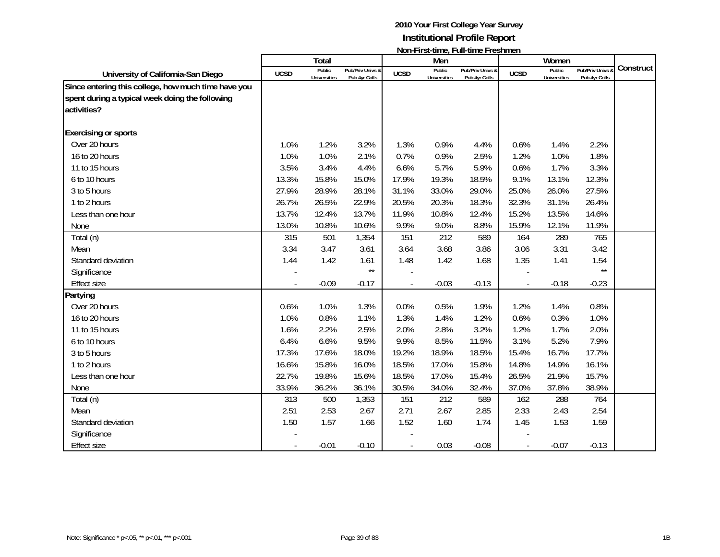|                                                                                                                       |                          | Total                         |                                   |             | Men                           | <u>NULLET IL SCENTIFU, TEGLI I IU I TUSHILIU I I</u> |             | Women                         |                                              |           |
|-----------------------------------------------------------------------------------------------------------------------|--------------------------|-------------------------------|-----------------------------------|-------------|-------------------------------|------------------------------------------------------|-------------|-------------------------------|----------------------------------------------|-----------|
| University of California-San Diego                                                                                    | <b>UCSD</b>              | Public<br><b>Universities</b> | Pub/Priv Univs &<br>Pub 4yr Colls | <b>UCSD</b> | Public<br><b>Universities</b> | Pub/Priv Univs &<br>Pub 4yr Colls                    | <b>UCSD</b> | Public<br><b>Universities</b> | <b>Pub/Priv Univs &amp;</b><br>Pub 4yr Colls | Construct |
| Since entering this college, how much time have you<br>spent during a typical week doing the following<br>activities? |                          |                               |                                   |             |                               |                                                      |             |                               |                                              |           |
| <b>Exercising or sports</b>                                                                                           |                          |                               |                                   |             |                               |                                                      |             |                               |                                              |           |
| Over 20 hours                                                                                                         | 1.0%                     | 1.2%                          | 3.2%                              | 1.3%        | 0.9%                          | 4.4%                                                 | 0.6%        | 1.4%                          | 2.2%                                         |           |
| 16 to 20 hours                                                                                                        | 1.0%                     | 1.0%                          | 2.1%                              | 0.7%        | 0.9%                          | 2.5%                                                 | 1.2%        | 1.0%                          | 1.8%                                         |           |
| 11 to 15 hours                                                                                                        | 3.5%                     | 3.4%                          | 4.4%                              | 6.6%        | 5.7%                          | 5.9%                                                 | 0.6%        | 1.7%                          | 3.3%                                         |           |
| 6 to 10 hours                                                                                                         | 13.3%                    | 15.8%                         | 15.0%                             | 17.9%       | 19.3%                         | 18.5%                                                | 9.1%        | 13.1%                         | 12.3%                                        |           |
| 3 to 5 hours                                                                                                          | 27.9%                    | 28.9%                         | 28.1%                             | 31.1%       | 33.0%                         | 29.0%                                                | 25.0%       | 26.0%                         | 27.5%                                        |           |
| 1 to 2 hours                                                                                                          | 26.7%                    | 26.5%                         | 22.9%                             | 20.5%       | 20.3%                         | 18.3%                                                | 32.3%       | 31.1%                         | 26.4%                                        |           |
| Less than one hour                                                                                                    | 13.7%                    | 12.4%                         | 13.7%                             | 11.9%       | 10.8%                         | 12.4%                                                | 15.2%       | 13.5%                         | 14.6%                                        |           |
| None                                                                                                                  | 13.0%                    | 10.8%                         | 10.6%                             | 9.9%        | 9.0%                          | 8.8%                                                 | 15.9%       | 12.1%                         | 11.9%                                        |           |
| Total (n)                                                                                                             | 315                      | 501                           | 1,354                             | 151         | 212                           | 589                                                  | 164         | 289                           | 765                                          |           |
| Mean                                                                                                                  | 3.34                     | 3.47                          | 3.61                              | 3.64        | 3.68                          | 3.86                                                 | 3.06        | 3.31                          | 3.42                                         |           |
| Standard deviation                                                                                                    | 1.44                     | 1.42                          | 1.61                              | 1.48        | 1.42                          | 1.68                                                 | 1.35        | 1.41                          | 1.54                                         |           |
| Significance                                                                                                          |                          |                               | $\star\star$                      |             |                               |                                                      |             |                               | $\star\star$                                 |           |
| <b>Effect size</b>                                                                                                    |                          | $-0.09$                       | $-0.17$                           |             | $-0.03$                       | $-0.13$                                              |             | $-0.18$                       | $-0.23$                                      |           |
| Partying                                                                                                              |                          |                               |                                   |             |                               |                                                      |             |                               |                                              |           |
| Over 20 hours                                                                                                         | 0.6%                     | 1.0%                          | 1.3%                              | 0.0%        | 0.5%                          | 1.9%                                                 | 1.2%        | 1.4%                          | 0.8%                                         |           |
| 16 to 20 hours                                                                                                        | 1.0%                     | 0.8%                          | 1.1%                              | 1.3%        | 1.4%                          | 1.2%                                                 | 0.6%        | 0.3%                          | 1.0%                                         |           |
| 11 to 15 hours                                                                                                        | 1.6%                     | 2.2%                          | 2.5%                              | 2.0%        | 2.8%                          | 3.2%                                                 | 1.2%        | 1.7%                          | 2.0%                                         |           |
| 6 to 10 hours                                                                                                         | 6.4%                     | 6.6%                          | 9.5%                              | 9.9%        | 8.5%                          | 11.5%                                                | 3.1%        | 5.2%                          | 7.9%                                         |           |
| 3 to 5 hours                                                                                                          | 17.3%                    | 17.6%                         | 18.0%                             | 19.2%       | 18.9%                         | 18.5%                                                | 15.4%       | 16.7%                         | 17.7%                                        |           |
| 1 to 2 hours                                                                                                          | 16.6%                    | 15.8%                         | 16.0%                             | 18.5%       | 17.0%                         | 15.8%                                                | 14.8%       | 14.9%                         | 16.1%                                        |           |
| Less than one hour                                                                                                    | 22.7%                    | 19.8%                         | 15.6%                             | 18.5%       | 17.0%                         | 15.4%                                                | 26.5%       | 21.9%                         | 15.7%                                        |           |
| None                                                                                                                  | 33.9%                    | 36.2%                         | 36.1%                             | 30.5%       | 34.0%                         | 32.4%                                                | 37.0%       | 37.8%                         | 38.9%                                        |           |
| Total (n)                                                                                                             | 313                      | 500                           | 1,353                             | 151         | 212                           | 589                                                  | 162         | 288                           | 764                                          |           |
| Mean                                                                                                                  | 2.51                     | 2.53                          | 2.67                              | 2.71        | 2.67                          | 2.85                                                 | 2.33        | 2.43                          | 2.54                                         |           |
| Standard deviation                                                                                                    | 1.50                     | 1.57                          | 1.66                              | 1.52        | 1.60                          | 1.74                                                 | 1.45        | 1.53                          | 1.59                                         |           |
| Significance                                                                                                          |                          |                               |                                   |             |                               |                                                      |             |                               |                                              |           |
| <b>Effect size</b>                                                                                                    | $\overline{\phantom{a}}$ | $-0.01$                       | $-0.10$                           |             | 0.03                          | $-0.08$                                              |             | $-0.07$                       | $-0.13$                                      |           |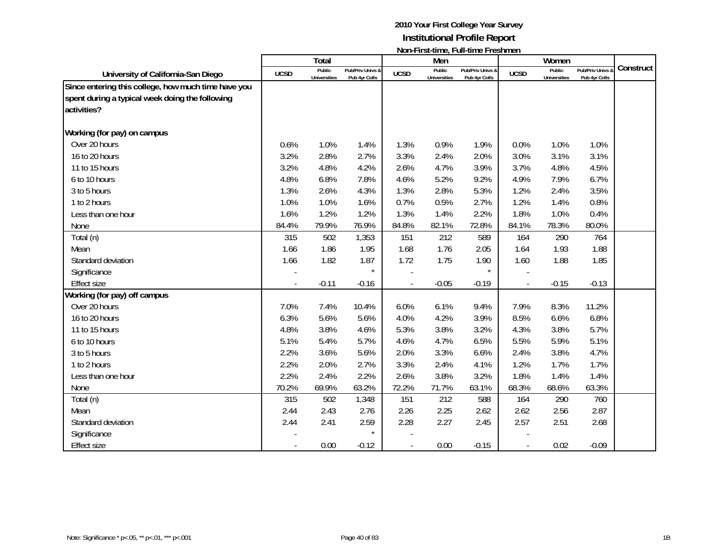|                                                                                                                       |             | Total                         |                                   |             | Men                           | <u>NUITELISEMING, LUITMING LIGSIMINI</u> |             | Women                         |                                 |           |
|-----------------------------------------------------------------------------------------------------------------------|-------------|-------------------------------|-----------------------------------|-------------|-------------------------------|------------------------------------------|-------------|-------------------------------|---------------------------------|-----------|
| University of California-San Diego                                                                                    | <b>UCSD</b> | Public<br><b>Universities</b> | Pub/Priv Univs &<br>Pub 4yr Colls | <b>UCSD</b> | Public<br><b>Universities</b> | Pub/Priv Univs &<br>Pub 4yr Colls        | <b>UCSD</b> | Public<br><b>Universities</b> | Pub/Priv Univs<br>Pub 4yr Colls | Construct |
| Since entering this college, how much time have you<br>spent during a typical week doing the following<br>activities? |             |                               |                                   |             |                               |                                          |             |                               |                                 |           |
| Working (for pay) on campus                                                                                           |             |                               |                                   |             |                               |                                          |             |                               |                                 |           |
| Over 20 hours                                                                                                         | 0.6%        | 1.0%                          | 1.4%                              | 1.3%        | 0.9%                          | 1.9%                                     | 0.0%        | 1.0%                          | 1.0%                            |           |
| 16 to 20 hours                                                                                                        | 3.2%        | 2.8%                          | 2.7%                              | 3.3%        | 2.4%                          | 2.0%                                     | 3.0%        | 3.1%                          | 3.1%                            |           |
| 11 to 15 hours                                                                                                        | 3.2%        | 4.8%                          | 4.2%                              | 2.6%        | 4.7%                          | 3.9%                                     | 3.7%        | 4.8%                          | 4.5%                            |           |
| 6 to 10 hours                                                                                                         | 4.8%        | 6.8%                          | 7.8%                              | 4.6%        | 5.2%                          | 9.2%                                     | 4.9%        | 7.9%                          | 6.7%                            |           |
| 3 to 5 hours                                                                                                          | 1.3%        | 2.6%                          | 4.3%                              | 1.3%        | 2.8%                          | 5.3%                                     | 1.2%        | 2.4%                          | 3.5%                            |           |
| 1 to 2 hours                                                                                                          | 1.0%        | 1.0%                          | 1.6%                              | 0.7%        | 0.5%                          | 2.7%                                     | 1.2%        | 1.4%                          | 0.8%                            |           |
| Less than one hour                                                                                                    | 1.6%        | 1.2%                          | 1.2%                              | 1.3%        | 1.4%                          | 2.2%                                     | 1.8%        | 1.0%                          | 0.4%                            |           |
| None                                                                                                                  | 84.4%       | 79.9%                         | 76.9%                             | 84.8%       | 82.1%                         | 72.8%                                    | 84.1%       | 78.3%                         | 80.0%                           |           |
| Total (n)                                                                                                             | 315         | 502                           | 1,353                             | 151         | 212                           | 589                                      | 164         | 290                           | 764                             |           |
| Mean                                                                                                                  | 1.66        | 1.86                          | 1.95                              | 1.68        | 1.76                          | 2.05                                     | 1.64        | 1.93                          | 1.88                            |           |
| Standard deviation                                                                                                    | 1.66        | 1.82                          | 1.87                              | 1.72        | 1.75                          | 1.90                                     | 1.60        | 1.88                          | 1.85                            |           |
| Significance                                                                                                          |             |                               | $\star$                           |             |                               | $\star$                                  |             |                               |                                 |           |
| <b>Effect size</b>                                                                                                    |             | $-0.11$                       | $-0.16$                           |             | $-0.05$                       | $-0.19$                                  |             | $-0.15$                       | $-0.13$                         |           |
| Working (for pay) off campus                                                                                          |             |                               |                                   |             |                               |                                          |             |                               |                                 |           |
| Over 20 hours                                                                                                         | 7.0%        | 7.4%                          | 10.4%                             | 6.0%        | 6.1%                          | 9.4%                                     | 7.9%        | 8.3%                          | 11.2%                           |           |
| 16 to 20 hours                                                                                                        | 6.3%        | 5.6%                          | 5.6%                              | 4.0%        | 4.2%                          | 3.9%                                     | 8.5%        | 6.6%                          | 6.8%                            |           |
| 11 to 15 hours                                                                                                        | 4.8%        | 3.8%                          | 4.6%                              | 5.3%        | 3.8%                          | 3.2%                                     | 4.3%        | 3.8%                          | 5.7%                            |           |
| 6 to 10 hours                                                                                                         | 5.1%        | 5.4%                          | 5.7%                              | 4.6%        | 4.7%                          | 6.5%                                     | 5.5%        | 5.9%                          | 5.1%                            |           |
| 3 to 5 hours                                                                                                          | 2.2%        | 3.6%                          | 5.6%                              | 2.0%        | 3.3%                          | 6.6%                                     | 2.4%        | 3.8%                          | 4.7%                            |           |
| 1 to 2 hours                                                                                                          | 2.2%        | 2.0%                          | 2.7%                              | 3.3%        | 2.4%                          | 4.1%                                     | 1.2%        | 1.7%                          | 1.7%                            |           |
| Less than one hour                                                                                                    | 2.2%        | 2.4%                          | 2.2%                              | 2.6%        | 3.8%                          | 3.2%                                     | 1.8%        | 1.4%                          | 1.4%                            |           |
| None                                                                                                                  | 70.2%       | 69.9%                         | 63.2%                             | 72.2%       | 71.7%                         | 63.1%                                    | 68.3%       | 68.6%                         | 63.3%                           |           |
| Total (n)                                                                                                             | 315         | 502                           | 1,348                             | 151         | 212                           | 588                                      | 164         | 290                           | 760                             |           |
| Mean                                                                                                                  | 2.44        | 2.43                          | 2.76                              | 2.26        | 2.25                          | 2.62                                     | 2.62        | 2.56                          | 2.87                            |           |
| Standard deviation                                                                                                    | 2.44        | 2.41                          | 2.59                              | 2.28        | 2.27                          | 2.45                                     | 2.57        | 2.51                          | 2.68                            |           |
| Significance                                                                                                          |             |                               | $\star$                           |             |                               |                                          |             |                               |                                 |           |
| <b>Effect size</b>                                                                                                    |             | 0.00                          | $-0.12$                           |             | 0.00                          | $-0.15$                                  |             | 0.02                          | $-0.09$                         |           |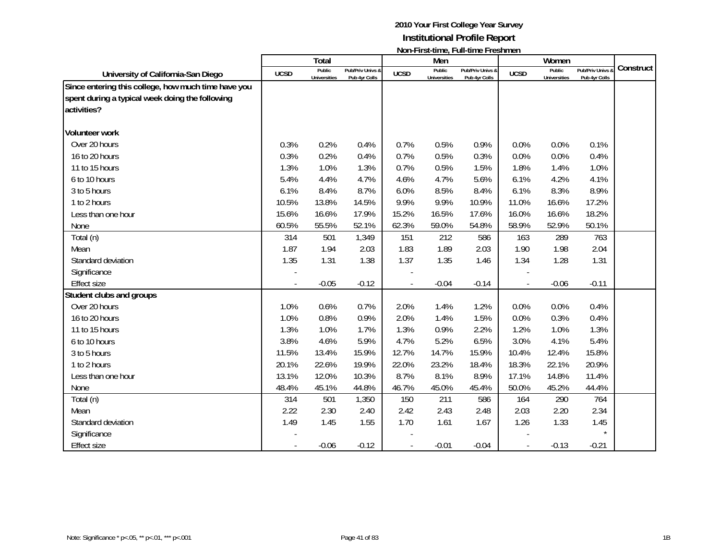|                                                                                                                       |                          | Total                         |                                   |             | Men                           | <u>INUIFERSEMING, FUIFMING FICSHINGH</u> |             | Women                         |                                 |           |
|-----------------------------------------------------------------------------------------------------------------------|--------------------------|-------------------------------|-----------------------------------|-------------|-------------------------------|------------------------------------------|-------------|-------------------------------|---------------------------------|-----------|
| University of California-San Diego                                                                                    | <b>UCSD</b>              | Public<br><b>Universities</b> | Pub/Priv Univs &<br>Pub 4yr Colls | <b>UCSD</b> | Public<br><b>Universities</b> | Pub/Priv Univs &<br>Pub 4yr Colls        | <b>UCSD</b> | Public<br><b>Universities</b> | Pub/Priv Univs<br>Pub 4yr Colls | Construct |
| Since entering this college, how much time have you<br>spent during a typical week doing the following<br>activities? |                          |                               |                                   |             |                               |                                          |             |                               |                                 |           |
| <b>Volunteer work</b>                                                                                                 |                          |                               |                                   |             |                               |                                          |             |                               |                                 |           |
| Over 20 hours                                                                                                         | 0.3%                     | 0.2%                          | 0.4%                              | 0.7%        | 0.5%                          | 0.9%                                     | 0.0%        | 0.0%                          | 0.1%                            |           |
| 16 to 20 hours                                                                                                        | 0.3%                     | 0.2%                          | 0.4%                              | 0.7%        | 0.5%                          | 0.3%                                     | 0.0%        | 0.0%                          | 0.4%                            |           |
| 11 to 15 hours                                                                                                        | 1.3%                     | 1.0%                          | 1.3%                              | 0.7%        | 0.5%                          | 1.5%                                     | 1.8%        | 1.4%                          | 1.0%                            |           |
| 6 to 10 hours                                                                                                         | 5.4%                     | 4.4%                          | 4.7%                              | 4.6%        | 4.7%                          | 5.6%                                     | 6.1%        | 4.2%                          | 4.1%                            |           |
| 3 to 5 hours                                                                                                          | 6.1%                     | 8.4%                          | 8.7%                              | 6.0%        | 8.5%                          | 8.4%                                     | 6.1%        | 8.3%                          | 8.9%                            |           |
| 1 to 2 hours                                                                                                          | 10.5%                    | 13.8%                         | 14.5%                             | 9.9%        | 9.9%                          | 10.9%                                    | 11.0%       | 16.6%                         | 17.2%                           |           |
| Less than one hour                                                                                                    | 15.6%                    | 16.6%                         | 17.9%                             | 15.2%       | 16.5%                         | 17.6%                                    | 16.0%       | 16.6%                         | 18.2%                           |           |
| None                                                                                                                  | 60.5%                    | 55.5%                         | 52.1%                             | 62.3%       | 59.0%                         | 54.8%                                    | 58.9%       | 52.9%                         | 50.1%                           |           |
| Total (n)                                                                                                             | 314                      | 501                           | 1,349                             | 151         | 212                           | 586                                      | 163         | 289                           | 763                             |           |
| Mean                                                                                                                  | 1.87                     | 1.94                          | 2.03                              | 1.83        | 1.89                          | 2.03                                     | 1.90        | 1.98                          | 2.04                            |           |
| Standard deviation                                                                                                    | 1.35                     | 1.31                          | 1.38                              | 1.37        | 1.35                          | 1.46                                     | 1.34        | 1.28                          | 1.31                            |           |
| Significance                                                                                                          |                          |                               |                                   |             |                               |                                          |             |                               |                                 |           |
| <b>Effect size</b>                                                                                                    |                          | $-0.05$                       | $-0.12$                           |             | $-0.04$                       | $-0.14$                                  |             | $-0.06$                       | $-0.11$                         |           |
| Student clubs and groups                                                                                              |                          |                               |                                   |             |                               |                                          |             |                               |                                 |           |
| Over 20 hours                                                                                                         | 1.0%                     | 0.6%                          | 0.7%                              | 2.0%        | 1.4%                          | 1.2%                                     | 0.0%        | 0.0%                          | 0.4%                            |           |
| 16 to 20 hours                                                                                                        | 1.0%                     | 0.8%                          | 0.9%                              | 2.0%        | 1.4%                          | 1.5%                                     | 0.0%        | 0.3%                          | 0.4%                            |           |
| 11 to 15 hours                                                                                                        | 1.3%                     | 1.0%                          | 1.7%                              | 1.3%        | 0.9%                          | 2.2%                                     | 1.2%        | 1.0%                          | 1.3%                            |           |
| 6 to 10 hours                                                                                                         | 3.8%                     | 4.6%                          | 5.9%                              | 4.7%        | 5.2%                          | 6.5%                                     | 3.0%        | 4.1%                          | 5.4%                            |           |
| 3 to 5 hours                                                                                                          | 11.5%                    | 13.4%                         | 15.9%                             | 12.7%       | 14.7%                         | 15.9%                                    | 10.4%       | 12.4%                         | 15.8%                           |           |
| 1 to 2 hours                                                                                                          | 20.1%                    | 22.6%                         | 19.9%                             | 22.0%       | 23.2%                         | 18.4%                                    | 18.3%       | 22.1%                         | 20.9%                           |           |
| Less than one hour                                                                                                    | 13.1%                    | 12.0%                         | 10.3%                             | 8.7%        | 8.1%                          | 8.9%                                     | 17.1%       | 14.8%                         | 11.4%                           |           |
| None                                                                                                                  | 48.4%                    | 45.1%                         | 44.8%                             | 46.7%       | 45.0%                         | 45.4%                                    | 50.0%       | 45.2%                         | 44.4%                           |           |
| Total (n)                                                                                                             | 314                      | 501                           | 1,350                             | 150         | 211                           | 586                                      | 164         | 290                           | 764                             |           |
| Mean                                                                                                                  | 2.22                     | 2.30                          | 2.40                              | 2.42        | 2.43                          | 2.48                                     | 2.03        | 2.20                          | 2.34                            |           |
| Standard deviation                                                                                                    | 1.49                     | 1.45                          | 1.55                              | 1.70        | 1.61                          | 1.67                                     | 1.26        | 1.33                          | 1.45                            |           |
| Significance                                                                                                          |                          |                               |                                   |             |                               |                                          |             |                               | $\star$                         |           |
| <b>Effect size</b>                                                                                                    | $\overline{\phantom{a}}$ | $-0.06$                       | $-0.12$                           |             | $-0.01$                       | $-0.04$                                  |             | $-0.13$                       | $-0.21$                         |           |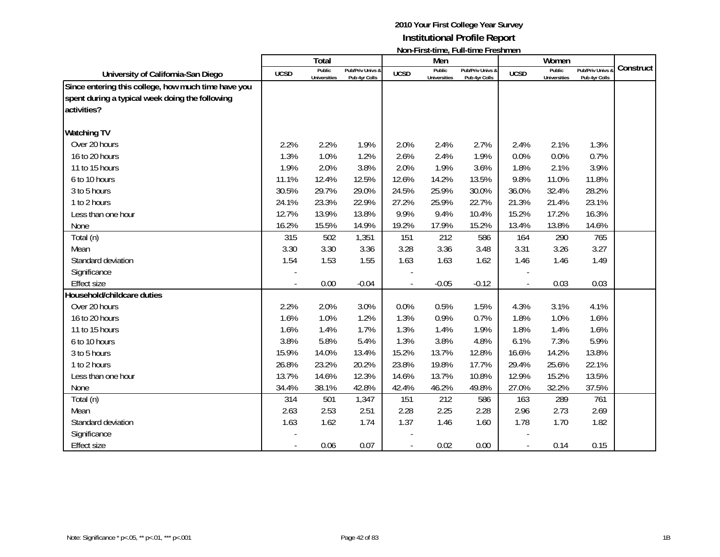|                                                                                                                       |                          | Total                         |                                   |                | Men                           | <u>NULLET IL SCENTIFU, TEGLI I IU I TUSHILIU I I</u> |                          | Women                         |                                              |           |
|-----------------------------------------------------------------------------------------------------------------------|--------------------------|-------------------------------|-----------------------------------|----------------|-------------------------------|------------------------------------------------------|--------------------------|-------------------------------|----------------------------------------------|-----------|
| University of California-San Diego                                                                                    | <b>UCSD</b>              | Public<br><b>Universities</b> | Pub/Priv Univs &<br>Pub 4yr Colls | <b>UCSD</b>    | Public<br><b>Universities</b> | Pub/Priv Univs &<br>Pub 4yr Colls                    | <b>UCSD</b>              | Public<br><b>Universities</b> | <b>Pub/Priv Univs &amp;</b><br>Pub 4yr Colls | Construct |
| Since entering this college, how much time have you<br>spent during a typical week doing the following<br>activities? |                          |                               |                                   |                |                               |                                                      |                          |                               |                                              |           |
| <b>Watching TV</b>                                                                                                    |                          |                               |                                   |                |                               |                                                      |                          |                               |                                              |           |
| Over 20 hours                                                                                                         | 2.2%                     | 2.2%                          | 1.9%                              | 2.0%           | 2.4%                          | 2.7%                                                 | 2.4%                     | 2.1%                          | 1.3%                                         |           |
| 16 to 20 hours                                                                                                        | 1.3%                     | 1.0%                          | 1.2%                              | 2.6%           | 2.4%                          | 1.9%                                                 | 0.0%                     | 0.0%                          | 0.7%                                         |           |
| 11 to 15 hours                                                                                                        | 1.9%                     | 2.0%                          | 3.8%                              | 2.0%           | 1.9%                          | 3.6%                                                 | 1.8%                     | 2.1%                          | 3.9%                                         |           |
| 6 to 10 hours                                                                                                         | 11.1%                    | 12.4%                         | 12.5%                             | 12.6%          | 14.2%                         | 13.5%                                                | 9.8%                     | 11.0%                         | 11.8%                                        |           |
| 3 to 5 hours                                                                                                          | 30.5%                    | 29.7%                         | 29.0%                             | 24.5%          | 25.9%                         | 30.0%                                                | 36.0%                    | 32.4%                         | 28.2%                                        |           |
| 1 to 2 hours                                                                                                          | 24.1%                    | 23.3%                         | 22.9%                             | 27.2%          | 25.9%                         | 22.7%                                                | 21.3%                    | 21.4%                         | 23.1%                                        |           |
| Less than one hour                                                                                                    | 12.7%                    | 13.9%                         | 13.8%                             | 9.9%           | 9.4%                          | 10.4%                                                | 15.2%                    | 17.2%                         | 16.3%                                        |           |
| None                                                                                                                  | 16.2%                    | 15.5%                         | 14.9%                             | 19.2%          | 17.9%                         | 15.2%                                                | 13.4%                    | 13.8%                         | 14.6%                                        |           |
| Total (n)                                                                                                             | 315                      | 502                           | 1,351                             | 151            | 212                           | 586                                                  | 164                      | 290                           | 765                                          |           |
| Mean                                                                                                                  | 3.30                     | 3.30                          | 3.36                              | 3.28           | 3.36                          | 3.48                                                 | 3.31                     | 3.26                          | 3.27                                         |           |
| Standard deviation                                                                                                    | 1.54                     | 1.53                          | 1.55                              | 1.63           | 1.63                          | 1.62                                                 | 1.46                     | 1.46                          | 1.49                                         |           |
| Significance                                                                                                          |                          |                               |                                   |                |                               |                                                      |                          |                               |                                              |           |
| <b>Effect size</b>                                                                                                    |                          | 0.00                          | $-0.04$                           |                | $-0.05$                       | $-0.12$                                              |                          | 0.03                          | 0.03                                         |           |
| Household/childcare duties                                                                                            |                          |                               |                                   |                |                               |                                                      |                          |                               |                                              |           |
| Over 20 hours                                                                                                         | 2.2%                     | 2.0%                          | 3.0%                              | 0.0%           | 0.5%                          | 1.5%                                                 | 4.3%                     | 3.1%                          | 4.1%                                         |           |
| 16 to 20 hours                                                                                                        | 1.6%                     | 1.0%                          | 1.2%                              | 1.3%           | 0.9%                          | 0.7%                                                 | 1.8%                     | 1.0%                          | 1.6%                                         |           |
| 11 to 15 hours                                                                                                        | 1.6%                     | 1.4%                          | 1.7%                              | 1.3%           | 1.4%                          | 1.9%                                                 | 1.8%                     | 1.4%                          | 1.6%                                         |           |
| 6 to 10 hours                                                                                                         | 3.8%                     | 5.8%                          | 5.4%                              | 1.3%           | 3.8%                          | 4.8%                                                 | 6.1%                     | 7.3%                          | 5.9%                                         |           |
| 3 to 5 hours                                                                                                          | 15.9%                    | 14.0%                         | 13.4%                             | 15.2%          | 13.7%                         | 12.8%                                                | 16.6%                    | 14.2%                         | 13.8%                                        |           |
| 1 to 2 hours                                                                                                          | 26.8%                    | 23.2%                         | 20.2%                             | 23.8%          | 19.8%                         | 17.7%                                                | 29.4%                    | 25.6%                         | 22.1%                                        |           |
| Less than one hour                                                                                                    | 13.7%                    | 14.6%                         | 12.3%                             | 14.6%          | 13.7%                         | 10.8%                                                | 12.9%                    | 15.2%                         | 13.5%                                        |           |
| None                                                                                                                  | 34.4%                    | 38.1%                         | 42.8%                             | 42.4%          | 46.2%                         | 49.8%                                                | 27.0%                    | 32.2%                         | 37.5%                                        |           |
| Total (n)                                                                                                             | 314                      | 501                           | 1,347                             | 151            | 212                           | 586                                                  | 163                      | 289                           | 761                                          |           |
| Mean                                                                                                                  | 2.63                     | 2.53                          | 2.51                              | 2.28           | 2.25                          | 2.28                                                 | 2.96                     | 2.73                          | 2.69                                         |           |
| Standard deviation                                                                                                    | 1.63                     | 1.62                          | 1.74                              | 1.37           | 1.46                          | 1.60                                                 | 1.78                     | 1.70                          | 1.82                                         |           |
| Significance                                                                                                          |                          |                               |                                   |                |                               |                                                      |                          |                               |                                              |           |
| <b>Effect size</b>                                                                                                    | $\overline{\phantom{a}}$ | 0.06                          | 0.07                              | $\blacksquare$ | 0.02                          | 0.00                                                 | $\overline{\phantom{a}}$ | 0.14                          | 0.15                                         |           |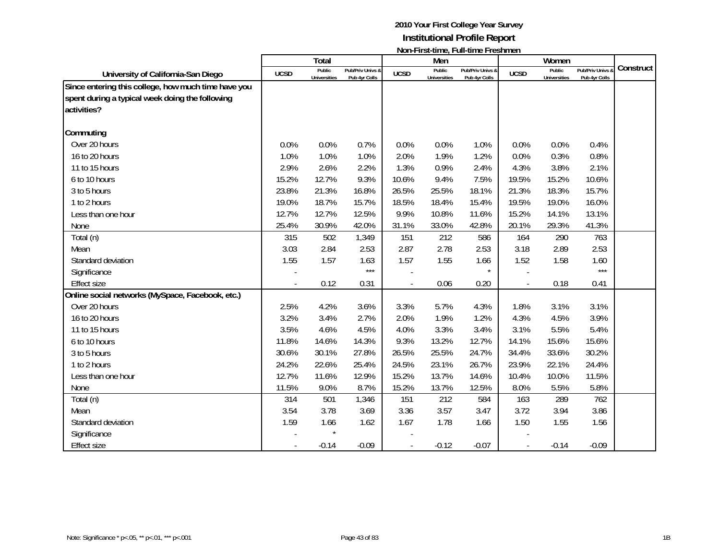|                                                                                                                       |             | Total                         |                                   |             | Men                           | <u>NULLET IL SCENTIFU, TEGLI I IU I TUSHILIU I I</u> |             | Women                         |                                              |           |
|-----------------------------------------------------------------------------------------------------------------------|-------------|-------------------------------|-----------------------------------|-------------|-------------------------------|------------------------------------------------------|-------------|-------------------------------|----------------------------------------------|-----------|
| University of California-San Diego                                                                                    | <b>UCSD</b> | Public<br><b>Universities</b> | Pub/Priv Univs &<br>Pub 4yr Colls | <b>UCSD</b> | Public<br><b>Universities</b> | Pub/Priv Univs &<br>Pub 4yr Colls                    | <b>UCSD</b> | Public<br><b>Universities</b> | <b>Pub/Priv Univs &amp;</b><br>Pub 4yr Colls | Construct |
| Since entering this college, how much time have you<br>spent during a typical week doing the following<br>activities? |             |                               |                                   |             |                               |                                                      |             |                               |                                              |           |
| Commuting                                                                                                             |             |                               |                                   |             |                               |                                                      |             |                               |                                              |           |
| Over 20 hours                                                                                                         | 0.0%        | 0.0%                          | 0.7%                              | 0.0%        | 0.0%                          | 1.0%                                                 | 0.0%        | 0.0%                          | 0.4%                                         |           |
| 16 to 20 hours                                                                                                        | 1.0%        | 1.0%                          | 1.0%                              | 2.0%        | 1.9%                          | 1.2%                                                 | 0.0%        | 0.3%                          | 0.8%                                         |           |
| 11 to 15 hours                                                                                                        | 2.9%        | 2.6%                          | 2.2%                              | 1.3%        | 0.9%                          | 2.4%                                                 | 4.3%        | 3.8%                          | 2.1%                                         |           |
| 6 to 10 hours                                                                                                         | 15.2%       | 12.7%                         | 9.3%                              | 10.6%       | 9.4%                          | 7.5%                                                 | 19.5%       | 15.2%                         | 10.6%                                        |           |
| 3 to 5 hours                                                                                                          | 23.8%       | 21.3%                         | 16.8%                             | 26.5%       | 25.5%                         | 18.1%                                                | 21.3%       | 18.3%                         | 15.7%                                        |           |
| 1 to 2 hours                                                                                                          | 19.0%       | 18.7%                         | 15.7%                             | 18.5%       | 18.4%                         | 15.4%                                                | 19.5%       | 19.0%                         | 16.0%                                        |           |
| Less than one hour                                                                                                    | 12.7%       | 12.7%                         | 12.5%                             | 9.9%        | 10.8%                         | 11.6%                                                | 15.2%       | 14.1%                         | 13.1%                                        |           |
| None                                                                                                                  | 25.4%       | 30.9%                         | 42.0%                             | 31.1%       | 33.0%                         | 42.8%                                                | 20.1%       | 29.3%                         | 41.3%                                        |           |
| Total (n)                                                                                                             | 315         | 502                           | 1,349                             | 151         | 212                           | 586                                                  | 164         | 290                           | 763                                          |           |
| Mean                                                                                                                  | 3.03        | 2.84                          | 2.53                              | 2.87        | 2.78                          | 2.53                                                 | 3.18        | 2.89                          | 2.53                                         |           |
| Standard deviation                                                                                                    | 1.55        | 1.57                          | 1.63                              | 1.57        | 1.55                          | 1.66                                                 | 1.52        | 1.58                          | 1.60                                         |           |
| Significance                                                                                                          |             |                               | $***$                             |             |                               | $\star$                                              |             |                               | $***$                                        |           |
| <b>Effect size</b>                                                                                                    |             | 0.12                          | 0.31                              |             | 0.06                          | 0.20                                                 |             | 0.18                          | 0.41                                         |           |
| Online social networks (MySpace, Facebook, etc.)                                                                      |             |                               |                                   |             |                               |                                                      |             |                               |                                              |           |
| Over 20 hours                                                                                                         | 2.5%        | 4.2%                          | 3.6%                              | 3.3%        | 5.7%                          | 4.3%                                                 | 1.8%        | 3.1%                          | 3.1%                                         |           |
| 16 to 20 hours                                                                                                        | 3.2%        | 3.4%                          | 2.7%                              | 2.0%        | 1.9%                          | 1.2%                                                 | 4.3%        | 4.5%                          | 3.9%                                         |           |
| 11 to 15 hours                                                                                                        | 3.5%        | 4.6%                          | 4.5%                              | 4.0%        | 3.3%                          | 3.4%                                                 | 3.1%        | 5.5%                          | 5.4%                                         |           |
| 6 to 10 hours                                                                                                         | 11.8%       | 14.6%                         | 14.3%                             | 9.3%        | 13.2%                         | 12.7%                                                | 14.1%       | 15.6%                         | 15.6%                                        |           |
| 3 to 5 hours                                                                                                          | 30.6%       | 30.1%                         | 27.8%                             | 26.5%       | 25.5%                         | 24.7%                                                | 34.4%       | 33.6%                         | 30.2%                                        |           |
| 1 to 2 hours                                                                                                          | 24.2%       | 22.6%                         | 25.4%                             | 24.5%       | 23.1%                         | 26.7%                                                | 23.9%       | 22.1%                         | 24.4%                                        |           |
| Less than one hour                                                                                                    | 12.7%       | 11.6%                         | 12.9%                             | 15.2%       | 13.7%                         | 14.6%                                                | 10.4%       | 10.0%                         | 11.5%                                        |           |
| None                                                                                                                  | 11.5%       | 9.0%                          | 8.7%                              | 15.2%       | 13.7%                         | 12.5%                                                | 8.0%        | 5.5%                          | 5.8%                                         |           |
| Total (n)                                                                                                             | 314         | 501                           | 1,346                             | 151         | 212                           | 584                                                  | 163         | 289                           | 762                                          |           |
| Mean                                                                                                                  | 3.54        | 3.78                          | 3.69                              | 3.36        | 3.57                          | 3.47                                                 | 3.72        | 3.94                          | 3.86                                         |           |
| Standard deviation                                                                                                    | 1.59        | 1.66                          | 1.62                              | 1.67        | 1.78                          | 1.66                                                 | 1.50        | 1.55                          | 1.56                                         |           |
| Significance                                                                                                          |             |                               |                                   |             |                               |                                                      |             |                               |                                              |           |
| <b>Effect size</b>                                                                                                    |             | $-0.14$                       | $-0.09$                           |             | $-0.12$                       | $-0.07$                                              |             | $-0.14$                       | $-0.09$                                      |           |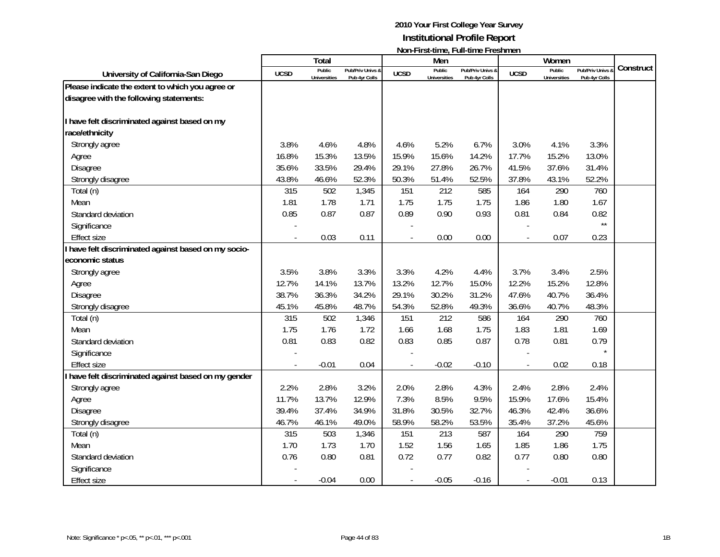|                                                      |             | <b>Total</b>                  |                                   |             | Men                    | <b>TOTT THISK WITHOUT WITH WITHOUT TO STIFFIOLD</b> |                          | Women                         |                                              |           |
|------------------------------------------------------|-------------|-------------------------------|-----------------------------------|-------------|------------------------|-----------------------------------------------------|--------------------------|-------------------------------|----------------------------------------------|-----------|
| University of California-San Diego                   | <b>UCSD</b> | Public<br><b>Universities</b> | Pub/Priv Univs &<br>Pub 4yr Colls | <b>UCSD</b> | Public<br>Universities | Pub/Priv Univs &<br>Pub 4yr Colls                   | <b>UCSD</b>              | Public<br><b>Universities</b> | <b>Pub/Priv Univs &amp;</b><br>Pub 4yr Colls | Construct |
| Please indicate the extent to which you agree or     |             |                               |                                   |             |                        |                                                     |                          |                               |                                              |           |
| disagree with the following statements:              |             |                               |                                   |             |                        |                                                     |                          |                               |                                              |           |
|                                                      |             |                               |                                   |             |                        |                                                     |                          |                               |                                              |           |
| I have felt discriminated against based on my        |             |                               |                                   |             |                        |                                                     |                          |                               |                                              |           |
| race/ethnicity                                       |             |                               |                                   |             |                        |                                                     |                          |                               |                                              |           |
| Strongly agree                                       | 3.8%        | 4.6%                          | 4.8%                              | 4.6%        | 5.2%                   | 6.7%                                                | 3.0%                     | 4.1%                          | 3.3%                                         |           |
| Agree                                                | 16.8%       | 15.3%                         | 13.5%                             | 15.9%       | 15.6%                  | 14.2%                                               | 17.7%                    | 15.2%                         | 13.0%                                        |           |
| <b>Disagree</b>                                      | 35.6%       | 33.5%                         | 29.4%                             | 29.1%       | 27.8%                  | 26.7%                                               | 41.5%                    | 37.6%                         | 31.4%                                        |           |
| Strongly disagree                                    | 43.8%       | 46.6%                         | 52.3%                             | 50.3%       | 51.4%                  | 52.5%                                               | 37.8%                    | 43.1%                         | 52.2%                                        |           |
| Total (n)                                            | 315         | 502                           | 1,345                             | 151         | 212                    | 585                                                 | 164                      | 290                           | 760                                          |           |
| Mean                                                 | 1.81        | 1.78                          | 1.71                              | 1.75        | 1.75                   | 1.75                                                | 1.86                     | 1.80                          | 1.67                                         |           |
| Standard deviation                                   | 0.85        | 0.87                          | 0.87                              | 0.89        | 0.90                   | 0.93                                                | 0.81                     | 0.84                          | 0.82                                         |           |
| Significance                                         |             |                               |                                   |             |                        |                                                     |                          |                               | $\star\star$                                 |           |
| <b>Effect size</b>                                   |             | 0.03                          | 0.11                              |             | 0.00                   | 0.00                                                | $\overline{\phantom{a}}$ | 0.07                          | 0.23                                         |           |
| I have felt discriminated against based on my socio- |             |                               |                                   |             |                        |                                                     |                          |                               |                                              |           |
| economic status                                      |             |                               |                                   |             |                        |                                                     |                          |                               |                                              |           |
| Strongly agree                                       | 3.5%        | 3.8%                          | 3.3%                              | 3.3%        | 4.2%                   | 4.4%                                                | 3.7%                     | 3.4%                          | 2.5%                                         |           |
| Agree                                                | 12.7%       | 14.1%                         | 13.7%                             | 13.2%       | 12.7%                  | 15.0%                                               | 12.2%                    | 15.2%                         | 12.8%                                        |           |
| Disagree                                             | 38.7%       | 36.3%                         | 34.2%                             | 29.1%       | 30.2%                  | 31.2%                                               | 47.6%                    | 40.7%                         | 36.4%                                        |           |
| Strongly disagree                                    | 45.1%       | 45.8%                         | 48.7%                             | 54.3%       | 52.8%                  | 49.3%                                               | 36.6%                    | 40.7%                         | 48.3%                                        |           |
| Total (n)                                            | 315         | 502                           | 1,346                             | 151         | 212                    | 586                                                 | 164                      | 290                           | 760                                          |           |
| Mean                                                 | 1.75        | 1.76                          | 1.72                              | 1.66        | 1.68                   | 1.75                                                | 1.83                     | 1.81                          | 1.69                                         |           |
| Standard deviation                                   | 0.81        | 0.83                          | 0.82                              | 0.83        | 0.85                   | 0.87                                                | 0.78                     | 0.81                          | 0.79                                         |           |
| Significance                                         |             |                               |                                   |             |                        |                                                     |                          |                               |                                              |           |
| <b>Effect size</b>                                   |             | $-0.01$                       | 0.04                              |             | $-0.02$                | $-0.10$                                             | $\overline{\phantom{a}}$ | 0.02                          | 0.18                                         |           |
| I have felt discriminated against based on my gender |             |                               |                                   |             |                        |                                                     |                          |                               |                                              |           |
| Strongly agree                                       | 2.2%        | 2.8%                          | 3.2%                              | 2.0%        | 2.8%                   | 4.3%                                                | 2.4%                     | 2.8%                          | 2.4%                                         |           |
| Agree                                                | 11.7%       | 13.7%                         | 12.9%                             | 7.3%        | 8.5%                   | 9.5%                                                | 15.9%                    | 17.6%                         | 15.4%                                        |           |
| Disagree                                             | 39.4%       | 37.4%                         | 34.9%                             | 31.8%       | 30.5%                  | 32.7%                                               | 46.3%                    | 42.4%                         | 36.6%                                        |           |
| Strongly disagree                                    | 46.7%       | 46.1%                         | 49.0%                             | 58.9%       | 58.2%                  | 53.5%                                               | 35.4%                    | 37.2%                         | 45.6%                                        |           |
| Total (n)                                            | 315         | 503                           | 1,346                             | 151         | 213                    | 587                                                 | 164                      | 290                           | 759                                          |           |
| Mean                                                 | 1.70        | 1.73                          | 1.70                              | 1.52        | 1.56                   | 1.65                                                | 1.85                     | 1.86                          | 1.75                                         |           |
| Standard deviation                                   | 0.76        | 0.80                          | 0.81                              | 0.72        | 0.77                   | 0.82                                                | 0.77                     | 0.80                          | 0.80                                         |           |
| Significance                                         |             |                               |                                   |             |                        |                                                     |                          |                               |                                              |           |
| <b>Effect size</b>                                   |             | $-0.04$                       | 0.00                              |             | $-0.05$                | $-0.16$                                             |                          | $-0.01$                       | 0.13                                         |           |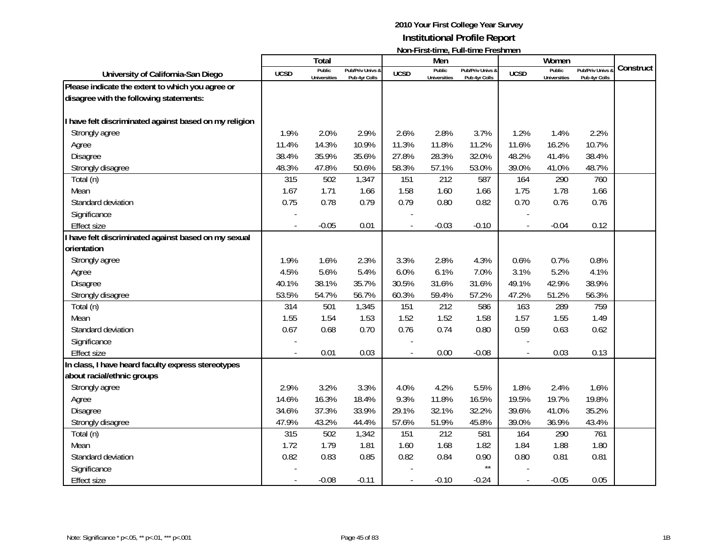|                                                        |             | <b>Total</b>                  |                                   |                | Men                           |                                   |                          | Women                         |                                 |           |
|--------------------------------------------------------|-------------|-------------------------------|-----------------------------------|----------------|-------------------------------|-----------------------------------|--------------------------|-------------------------------|---------------------------------|-----------|
| University of California-San Diego                     | <b>UCSD</b> | Public<br><b>Universities</b> | Pub/Priv Univs &<br>Pub 4yr Colls | <b>UCSD</b>    | Public<br><b>Universities</b> | Pub/Priv Univs &<br>Pub 4yr Colls | <b>UCSD</b>              | Public<br><b>Universities</b> | Pub/Priv Univs<br>Pub 4yr Colls | Construct |
| Please indicate the extent to which you agree or       |             |                               |                                   |                |                               |                                   |                          |                               |                                 |           |
| disagree with the following statements:                |             |                               |                                   |                |                               |                                   |                          |                               |                                 |           |
| I have felt discriminated against based on my religion |             |                               |                                   |                |                               |                                   |                          |                               |                                 |           |
| Strongly agree                                         | 1.9%        | 2.0%                          | 2.9%                              | 2.6%           | 2.8%                          | 3.7%                              | 1.2%                     | 1.4%                          | 2.2%                            |           |
| Agree                                                  | 11.4%       | 14.3%                         | 10.9%                             | 11.3%          | 11.8%                         | 11.2%                             | 11.6%                    | 16.2%                         | 10.7%                           |           |
| Disagree                                               | 38.4%       | 35.9%                         | 35.6%                             | 27.8%          | 28.3%                         | 32.0%                             | 48.2%                    | 41.4%                         | 38.4%                           |           |
| Strongly disagree                                      | 48.3%       | 47.8%                         | 50.6%                             | 58.3%          | 57.1%                         | 53.0%                             | 39.0%                    | 41.0%                         | 48.7%                           |           |
| Total (n)                                              | 315         | 502                           | 1,347                             | 151            | 212                           | 587                               | 164                      | 290                           | 760                             |           |
| Mean                                                   | 1.67        | 1.71                          | 1.66                              | 1.58           | 1.60                          | 1.66                              | 1.75                     | 1.78                          | 1.66                            |           |
| Standard deviation                                     | 0.75        | 0.78                          | 0.79                              | 0.79           | 0.80                          | 0.82                              | 0.70                     | 0.76                          | 0.76                            |           |
| Significance                                           |             |                               |                                   |                |                               |                                   |                          |                               |                                 |           |
| <b>Effect size</b>                                     |             | $-0.05$                       | 0.01                              |                | $-0.03$                       | $-0.10$                           |                          | $-0.04$                       | 0.12                            |           |
| I have felt discriminated against based on my sexual   |             |                               |                                   |                |                               |                                   |                          |                               |                                 |           |
| orientation                                            |             |                               |                                   |                |                               |                                   |                          |                               |                                 |           |
| Strongly agree                                         | 1.9%        | 1.6%                          | 2.3%                              | 3.3%           | 2.8%                          | 4.3%                              | 0.6%                     | 0.7%                          | 0.8%                            |           |
| Agree                                                  | 4.5%        | 5.6%                          | 5.4%                              | 6.0%           | 6.1%                          | 7.0%                              | 3.1%                     | 5.2%                          | 4.1%                            |           |
| Disagree                                               | 40.1%       | 38.1%                         | 35.7%                             | 30.5%          | 31.6%                         | 31.6%                             | 49.1%                    | 42.9%                         | 38.9%                           |           |
| Strongly disagree                                      | 53.5%       | 54.7%                         | 56.7%                             | 60.3%          | 59.4%                         | 57.2%                             | 47.2%                    | 51.2%                         | 56.3%                           |           |
| Total (n)                                              | 314         | 501                           | 1,345                             | 151            | 212                           | 586                               | 163                      | 289                           | 759                             |           |
| Mean                                                   | 1.55        | 1.54                          | 1.53                              | 1.52           | 1.52                          | 1.58                              | 1.57                     | 1.55                          | 1.49                            |           |
| Standard deviation                                     | 0.67        | 0.68                          | 0.70                              | 0.76           | 0.74                          | 0.80                              | 0.59                     | 0.63                          | 0.62                            |           |
| Significance                                           |             |                               |                                   |                |                               |                                   |                          |                               |                                 |           |
| <b>Effect size</b>                                     |             | 0.01                          | 0.03                              | $\overline{a}$ | 0.00                          | $-0.08$                           | $\overline{\phantom{a}}$ | 0.03                          | 0.13                            |           |
| In class, I have heard faculty express stereotypes     |             |                               |                                   |                |                               |                                   |                          |                               |                                 |           |
| about racial/ethnic groups                             |             |                               |                                   |                |                               |                                   |                          |                               |                                 |           |
| Strongly agree                                         | 2.9%        | 3.2%                          | 3.3%                              | 4.0%           | 4.2%                          | 5.5%                              | 1.8%                     | 2.4%                          | 1.6%                            |           |
| Agree                                                  | 14.6%       | 16.3%                         | 18.4%                             | 9.3%           | 11.8%                         | 16.5%                             | 19.5%                    | 19.7%                         | 19.8%                           |           |
| Disagree                                               | 34.6%       | 37.3%                         | 33.9%                             | 29.1%          | 32.1%                         | 32.2%                             | 39.6%                    | 41.0%                         | 35.2%                           |           |
| Strongly disagree                                      | 47.9%       | 43.2%                         | 44.4%                             | 57.6%          | 51.9%                         | 45.8%                             | 39.0%                    | 36.9%                         | 43.4%                           |           |
| Total (n)                                              | 315         | 502                           | 1,342                             | 151            | 212                           | 581                               | 164                      | 290                           | 761                             |           |
| Mean                                                   | 1.72        | 1.79                          | 1.81                              | 1.60           | 1.68                          | 1.82                              | 1.84                     | 1.88                          | 1.80                            |           |
| Standard deviation                                     | 0.82        | 0.83                          | 0.85                              | 0.82           | 0.84                          | 0.90                              | 0.80                     | 0.81                          | 0.81                            |           |
| Significance                                           |             |                               |                                   |                |                               | $\star\star$                      |                          |                               |                                 |           |
| Effect size                                            |             | $-0.08$                       | $-0.11$                           |                | $-0.10$                       | $-0.24$                           | $\overline{\phantom{a}}$ | $-0.05$                       | 0.05                            |           |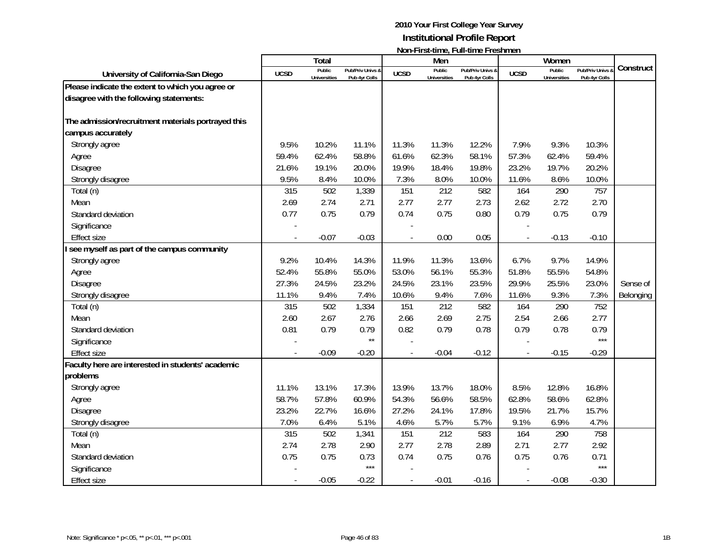|                                                    |             | <b>Total</b>                  |                                   |             | Men                           | TOUT THISK WILLOT TWIL WILLOT LOSTITUS IT |             | Women                         |                                 |           |
|----------------------------------------------------|-------------|-------------------------------|-----------------------------------|-------------|-------------------------------|-------------------------------------------|-------------|-------------------------------|---------------------------------|-----------|
| University of California-San Diego                 | <b>UCSD</b> | Public<br><b>Universities</b> | Pub/Priv Univs &<br>Pub 4yr Colls | <b>UCSD</b> | Public<br><b>Universities</b> | Pub/Priv Univs &<br>Pub 4yr Colls         | <b>UCSD</b> | Public<br><b>Universities</b> | Pub/Priv Univs<br>Pub 4yr Colls | Construct |
| Please indicate the extent to which you agree or   |             |                               |                                   |             |                               |                                           |             |                               |                                 |           |
| disagree with the following statements:            |             |                               |                                   |             |                               |                                           |             |                               |                                 |           |
| The admission/recruitment materials portrayed this |             |                               |                                   |             |                               |                                           |             |                               |                                 |           |
| campus accurately                                  |             |                               |                                   |             |                               |                                           |             |                               |                                 |           |
| Strongly agree                                     | 9.5%        | 10.2%                         | 11.1%                             | 11.3%       | 11.3%                         | 12.2%                                     | 7.9%        | 9.3%                          | 10.3%                           |           |
| Agree                                              | 59.4%       | 62.4%                         | 58.8%                             | 61.6%       | 62.3%                         | 58.1%                                     | 57.3%       | 62.4%                         | 59.4%                           |           |
| Disagree                                           | 21.6%       | 19.1%                         | 20.0%                             | 19.9%       | 18.4%                         | 19.8%                                     | 23.2%       | 19.7%                         | 20.2%                           |           |
| Strongly disagree                                  | 9.5%        | 8.4%                          | 10.0%                             | 7.3%        | 8.0%                          | 10.0%                                     | 11.6%       | 8.6%                          | 10.0%                           |           |
| Total (n)                                          | 315         | 502                           | 1,339                             | 151         | 212                           | 582                                       | 164         | 290                           | 757                             |           |
| Mean                                               | 2.69        | 2.74                          | 2.71                              | 2.77        | 2.77                          | 2.73                                      | 2.62        | 2.72                          | 2.70                            |           |
| Standard deviation                                 | 0.77        | 0.75                          | 0.79                              | 0.74        | 0.75                          | 0.80                                      | 0.79        | 0.75                          | 0.79                            |           |
| Significance                                       |             |                               |                                   |             |                               |                                           |             |                               |                                 |           |
| <b>Effect size</b>                                 |             | $-0.07$                       | $-0.03$                           |             | 0.00                          | 0.05                                      |             | $-0.13$                       | $-0.10$                         |           |
| I see myself as part of the campus community       |             |                               |                                   |             |                               |                                           |             |                               |                                 |           |
| Strongly agree                                     | 9.2%        | 10.4%                         | 14.3%                             | 11.9%       | 11.3%                         | 13.6%                                     | 6.7%        | 9.7%                          | 14.9%                           |           |
| Agree                                              | 52.4%       | 55.8%                         | 55.0%                             | 53.0%       | 56.1%                         | 55.3%                                     | 51.8%       | 55.5%                         | 54.8%                           |           |
| Disagree                                           | 27.3%       | 24.5%                         | 23.2%                             | 24.5%       | 23.1%                         | 23.5%                                     | 29.9%       | 25.5%                         | 23.0%                           | Sense of  |
| Strongly disagree                                  | 11.1%       | 9.4%                          | 7.4%                              | 10.6%       | 9.4%                          | 7.6%                                      | 11.6%       | 9.3%                          | 7.3%                            | Belonging |
| Total (n)                                          | 315         | 502                           | 1,334                             | 151         | 212                           | 582                                       | 164         | 290                           | 752                             |           |
| Mean                                               | 2.60        | 2.67                          | 2.76                              | 2.66        | 2.69                          | 2.75                                      | 2.54        | 2.66                          | 2.77                            |           |
| Standard deviation                                 | 0.81        | 0.79                          | 0.79                              | 0.82        | 0.79                          | 0.78                                      | 0.79        | 0.78                          | 0.79                            |           |
| Significance                                       |             |                               | $\star\star$                      |             |                               |                                           |             |                               | $***$                           |           |
| <b>Effect size</b>                                 |             | $-0.09$                       | $-0.20$                           |             | $-0.04$                       | $-0.12$                                   |             | $-0.15$                       | $-0.29$                         |           |
| Faculty here are interested in students' academic  |             |                               |                                   |             |                               |                                           |             |                               |                                 |           |
| problems                                           |             |                               |                                   |             |                               |                                           |             |                               |                                 |           |
| Strongly agree                                     | 11.1%       | 13.1%                         | 17.3%                             | 13.9%       | 13.7%                         | 18.0%                                     | 8.5%        | 12.8%                         | 16.8%                           |           |
| Agree                                              | 58.7%       | 57.8%                         | 60.9%                             | 54.3%       | 56.6%                         | 58.5%                                     | 62.8%       | 58.6%                         | 62.8%                           |           |
| <b>Disagree</b>                                    | 23.2%       | 22.7%                         | 16.6%                             | 27.2%       | 24.1%                         | 17.8%                                     | 19.5%       | 21.7%                         | 15.7%                           |           |
| Strongly disagree                                  | 7.0%        | 6.4%                          | 5.1%                              | 4.6%        | 5.7%                          | 5.7%                                      | 9.1%        | 6.9%                          | 4.7%                            |           |
| Total (n)                                          | 315         | 502                           | 1,341                             | 151         | 212                           | 583                                       | 164         | 290                           | 758                             |           |
| Mean                                               | 2.74        | 2.78                          | 2.90                              | 2.77        | 2.78                          | 2.89                                      | 2.71        | 2.77                          | 2.92                            |           |
| Standard deviation                                 | 0.75        | 0.75                          | 0.73                              | 0.74        | 0.75                          | 0.76                                      | 0.75        | 0.76                          | 0.71                            |           |
| Significance                                       |             |                               | $***$                             |             |                               |                                           |             |                               | $***$                           |           |
| <b>Effect size</b>                                 |             | $-0.05$                       | $-0.22$                           |             | $-0.01$                       | $-0.16$                                   |             | $-0.08$                       | $-0.30$                         |           |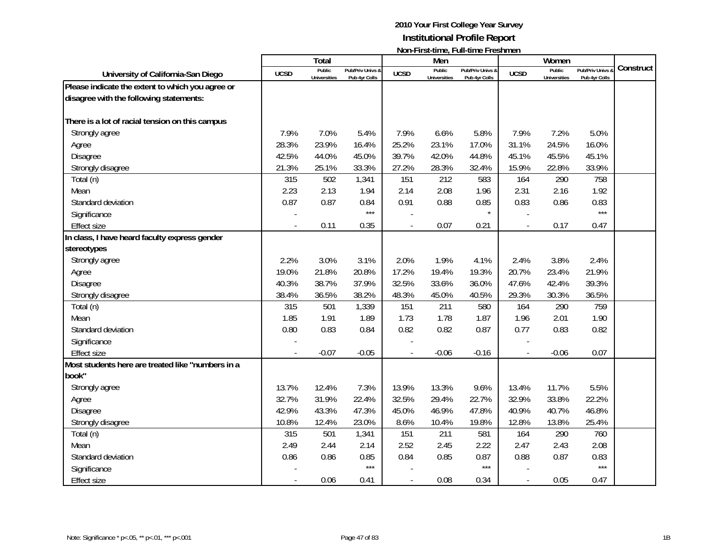|                                                   |             | <b>Total</b>                  |                                   |                          | Men                           | TOUT THISK WILLOT TWIL WILLOT LOSTITUS IT |                          | Women                         |                                 |           |
|---------------------------------------------------|-------------|-------------------------------|-----------------------------------|--------------------------|-------------------------------|-------------------------------------------|--------------------------|-------------------------------|---------------------------------|-----------|
| University of California-San Diego                | <b>UCSD</b> | Public<br><b>Universities</b> | Pub/Priv Univs &<br>Pub 4yr Colls | <b>UCSD</b>              | Public<br><b>Universities</b> | Pub/Priv Univs &<br>Pub 4yr Colls         | <b>UCSD</b>              | Public<br><b>Universities</b> | Pub/Priv Univs<br>Pub 4yr Colls | Construct |
| Please indicate the extent to which you agree or  |             |                               |                                   |                          |                               |                                           |                          |                               |                                 |           |
| disagree with the following statements:           |             |                               |                                   |                          |                               |                                           |                          |                               |                                 |           |
| There is a lot of racial tension on this campus   |             |                               |                                   |                          |                               |                                           |                          |                               |                                 |           |
| Strongly agree                                    | 7.9%        | 7.0%                          | 5.4%                              | 7.9%                     | 6.6%                          | 5.8%                                      | 7.9%                     | 7.2%                          | 5.0%                            |           |
| Agree                                             | 28.3%       | 23.9%                         | 16.4%                             | 25.2%                    | 23.1%                         | 17.0%                                     | 31.1%                    | 24.5%                         | 16.0%                           |           |
| Disagree                                          | 42.5%       | 44.0%                         | 45.0%                             | 39.7%                    | 42.0%                         | 44.8%                                     | 45.1%                    | 45.5%                         | 45.1%                           |           |
| Strongly disagree                                 | 21.3%       | 25.1%                         | 33.3%                             | 27.2%                    | 28.3%                         | 32.4%                                     | 15.9%                    | 22.8%                         | 33.9%                           |           |
| Total (n)                                         | 315         | 502                           | 1,341                             | 151                      | 212                           | 583                                       | 164                      | 290                           | 758                             |           |
| Mean                                              | 2.23        | 2.13                          | 1.94                              | 2.14                     | 2.08                          | 1.96                                      | 2.31                     | 2.16                          | 1.92                            |           |
| Standard deviation                                | 0.87        | 0.87                          | 0.84                              | 0.91                     | 0.88                          | 0.85                                      | 0.83                     | 0.86                          | 0.83                            |           |
| Significance                                      |             |                               | $***$                             |                          |                               |                                           |                          |                               | $***$                           |           |
| <b>Effect size</b>                                |             | 0.11                          | 0.35                              |                          | 0.07                          | 0.21                                      | $\overline{\phantom{a}}$ | 0.17                          | 0.47                            |           |
| In class, I have heard faculty express gender     |             |                               |                                   |                          |                               |                                           |                          |                               |                                 |           |
| stereotypes                                       |             |                               |                                   |                          |                               |                                           |                          |                               |                                 |           |
| Strongly agree                                    | 2.2%        | 3.0%                          | 3.1%                              | 2.0%                     | 1.9%                          | 4.1%                                      | 2.4%                     | 3.8%                          | 2.4%                            |           |
| Agree                                             | 19.0%       | 21.8%                         | 20.8%                             | 17.2%                    | 19.4%                         | 19.3%                                     | 20.7%                    | 23.4%                         | 21.9%                           |           |
| Disagree                                          | 40.3%       | 38.7%                         | 37.9%                             | 32.5%                    | 33.6%                         | 36.0%                                     | 47.6%                    | 42.4%                         | 39.3%                           |           |
| Strongly disagree                                 | 38.4%       | 36.5%                         | 38.2%                             | 48.3%                    | 45.0%                         | 40.5%                                     | 29.3%                    | 30.3%                         | 36.5%                           |           |
| Total (n)                                         | 315         | 501                           | 1,339                             | 151                      | 211                           | 580                                       | 164                      | 290                           | 759                             |           |
| Mean                                              | 1.85        | 1.91                          | 1.89                              | 1.73                     | 1.78                          | 1.87                                      | 1.96                     | 2.01                          | 1.90                            |           |
| Standard deviation                                | 0.80        | 0.83                          | 0.84                              | 0.82                     | 0.82                          | 0.87                                      | 0.77                     | 0.83                          | 0.82                            |           |
| Significance                                      |             |                               |                                   |                          |                               |                                           |                          |                               |                                 |           |
| Effect size                                       |             | $-0.07$                       | $-0.05$                           | $\overline{\phantom{a}}$ | $-0.06$                       | $-0.16$                                   | $\overline{\phantom{a}}$ | $-0.06$                       | 0.07                            |           |
| Most students here are treated like "numbers in a |             |                               |                                   |                          |                               |                                           |                          |                               |                                 |           |
| book"                                             |             |                               |                                   |                          |                               |                                           |                          |                               |                                 |           |
| Strongly agree                                    | 13.7%       | 12.4%                         | 7.3%                              | 13.9%                    | 13.3%                         | 9.6%                                      | 13.4%                    | 11.7%                         | 5.5%                            |           |
| Agree                                             | 32.7%       | 31.9%                         | 22.4%                             | 32.5%                    | 29.4%                         | 22.7%                                     | 32.9%                    | 33.8%                         | 22.2%                           |           |
| Disagree                                          | 42.9%       | 43.3%                         | 47.3%                             | 45.0%                    | 46.9%                         | 47.8%                                     | 40.9%                    | 40.7%                         | 46.8%                           |           |
| Strongly disagree                                 | 10.8%       | 12.4%                         | 23.0%                             | 8.6%                     | 10.4%                         | 19.8%                                     | 12.8%                    | 13.8%                         | 25.4%                           |           |
| Total (n)                                         | 315         | 501                           | 1,341                             | 151                      | 211                           | 581                                       | 164                      | 290                           | 760                             |           |
| Mean                                              | 2.49        | 2.44                          | 2.14                              | 2.52                     | 2.45                          | 2.22                                      | 2.47                     | 2.43                          | 2.08                            |           |
| Standard deviation                                | 0.86        | 0.86                          | 0.85                              | 0.84                     | 0.85                          | 0.87                                      | 0.88                     | 0.87                          | 0.83                            |           |
| Significance                                      |             |                               | $***$                             |                          |                               | $***$                                     |                          |                               | $***$                           |           |
| Effect size                                       |             | 0.06                          | 0.41                              |                          | 0.08                          | 0.34                                      | $\blacksquare$           | 0.05                          | 0.47                            |           |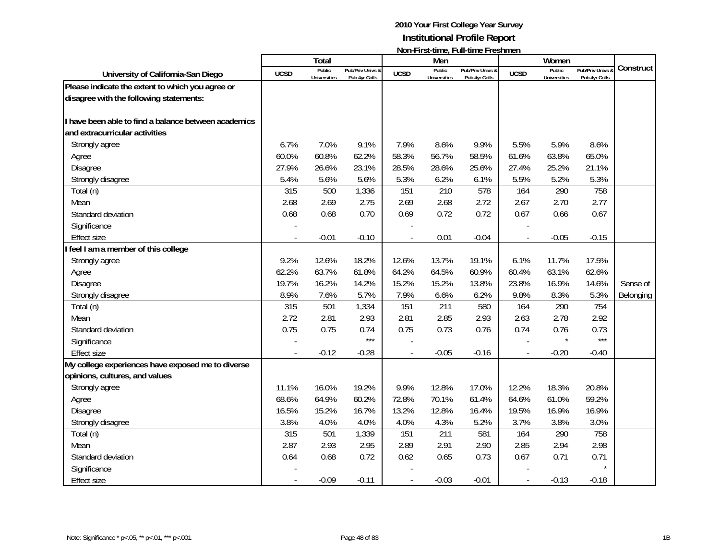|                                                      |             | Total                         |                                   |             | Men                           |                                   |             | Women                         |                                 |           |
|------------------------------------------------------|-------------|-------------------------------|-----------------------------------|-------------|-------------------------------|-----------------------------------|-------------|-------------------------------|---------------------------------|-----------|
| University of California-San Diego                   | <b>UCSD</b> | Public<br><b>Universities</b> | Pub/Priv Univs &<br>Pub 4yr Colls | <b>UCSD</b> | Public<br><b>Universities</b> | Pub/Priv Univs &<br>Pub 4yr Colls | <b>UCSD</b> | Public<br><b>Universities</b> | Pub/Priv Univs<br>Pub 4yr Colls | Construct |
| Please indicate the extent to which you agree or     |             |                               |                                   |             |                               |                                   |             |                               |                                 |           |
| disagree with the following statements:              |             |                               |                                   |             |                               |                                   |             |                               |                                 |           |
| I have been able to find a balance between academics |             |                               |                                   |             |                               |                                   |             |                               |                                 |           |
| and extracurricular activities                       |             |                               |                                   |             |                               |                                   |             |                               |                                 |           |
| Strongly agree                                       | 6.7%        | 7.0%                          | 9.1%                              | 7.9%        | 8.6%                          | 9.9%                              | 5.5%        | 5.9%                          | 8.6%                            |           |
| Agree                                                | 60.0%       | 60.8%                         | 62.2%                             | 58.3%       | 56.7%                         | 58.5%                             | 61.6%       | 63.8%                         | 65.0%                           |           |
| Disagree                                             | 27.9%       | 26.6%                         | 23.1%                             | 28.5%       | 28.6%                         | 25.6%                             | 27.4%       | 25.2%                         | 21.1%                           |           |
| Strongly disagree                                    | 5.4%        | 5.6%                          | 5.6%                              | 5.3%        | 6.2%                          | 6.1%                              | 5.5%        | 5.2%                          | 5.3%                            |           |
| Total (n)                                            | 315         | 500                           | 1,336                             | 151         | 210                           | 578                               | 164         | 290                           | 758                             |           |
| Mean                                                 | 2.68        | 2.69                          | 2.75                              | 2.69        | 2.68                          | 2.72                              | 2.67        | 2.70                          | 2.77                            |           |
| Standard deviation                                   | 0.68        | 0.68                          | 0.70                              | 0.69        | 0.72                          | 0.72                              | 0.67        | 0.66                          | 0.67                            |           |
| Significance                                         |             |                               |                                   |             |                               |                                   |             |                               |                                 |           |
| <b>Effect size</b>                                   |             | $-0.01$                       | $-0.10$                           |             | 0.01                          | $-0.04$                           |             | $-0.05$                       | $-0.15$                         |           |
| feel I am a member of this college                   |             |                               |                                   |             |                               |                                   |             |                               |                                 |           |
| Strongly agree                                       | 9.2%        | 12.6%                         | 18.2%                             | 12.6%       | 13.7%                         | 19.1%                             | 6.1%        | 11.7%                         | 17.5%                           |           |
| Agree                                                | 62.2%       | 63.7%                         | 61.8%                             | 64.2%       | 64.5%                         | 60.9%                             | 60.4%       | 63.1%                         | 62.6%                           |           |
| <b>Disagree</b>                                      | 19.7%       | 16.2%                         | 14.2%                             | 15.2%       | 15.2%                         | 13.8%                             | 23.8%       | 16.9%                         | 14.6%                           | Sense of  |
| Strongly disagree                                    | 8.9%        | 7.6%                          | 5.7%                              | 7.9%        | 6.6%                          | 6.2%                              | 9.8%        | 8.3%                          | 5.3%                            | Belonging |
| Total (n)                                            | 315         | 501                           | 1,334                             | 151         | 211                           | 580                               | 164         | 290                           | 754                             |           |
| Mean                                                 | 2.72        | 2.81                          | 2.93                              | 2.81        | 2.85                          | 2.93                              | 2.63        | 2.78                          | 2.92                            |           |
| Standard deviation                                   | 0.75        | 0.75                          | 0.74                              | 0.75        | 0.73                          | 0.76                              | 0.74        | 0.76                          | 0.73                            |           |
| Significance                                         |             |                               | $***$                             |             |                               |                                   |             |                               | $***$                           |           |
| <b>Effect size</b>                                   |             | $-0.12$                       | $-0.28$                           |             | $-0.05$                       | $-0.16$                           |             | $-0.20$                       | $-0.40$                         |           |
| My college experiences have exposed me to diverse    |             |                               |                                   |             |                               |                                   |             |                               |                                 |           |
| opinions, cultures, and values                       |             |                               |                                   |             |                               |                                   |             |                               |                                 |           |
| Strongly agree                                       | 11.1%       | 16.0%                         | 19.2%                             | 9.9%        | 12.8%                         | 17.0%                             | 12.2%       | 18.3%                         | 20.8%                           |           |
| Agree                                                | 68.6%       | 64.9%                         | 60.2%                             | 72.8%       | 70.1%                         | 61.4%                             | 64.6%       | 61.0%                         | 59.2%                           |           |
| Disagree                                             | 16.5%       | 15.2%                         | 16.7%                             | 13.2%       | 12.8%                         | 16.4%                             | 19.5%       | 16.9%                         | 16.9%                           |           |
| Strongly disagree                                    | 3.8%        | 4.0%                          | 4.0%                              | 4.0%        | 4.3%                          | 5.2%                              | 3.7%        | 3.8%                          | 3.0%                            |           |
| Total (n)                                            | 315         | 501                           | 1,339                             | 151         | 211                           | 581                               | 164         | 290                           | 758                             |           |
| Mean                                                 | 2.87        | 2.93                          | 2.95                              | 2.89        | 2.91                          | 2.90                              | 2.85        | 2.94                          | 2.98                            |           |
| Standard deviation                                   | 0.64        | 0.68                          | 0.72                              | 0.62        | 0.65                          | 0.73                              | 0.67        | 0.71                          | 0.71<br>$\star$                 |           |
| Significance                                         |             |                               |                                   |             |                               |                                   |             |                               |                                 |           |
| <b>Effect size</b>                                   |             | $-0.09$                       | $-0.11$                           |             | $-0.03$                       | $-0.01$                           |             | $-0.13$                       | $-0.18$                         |           |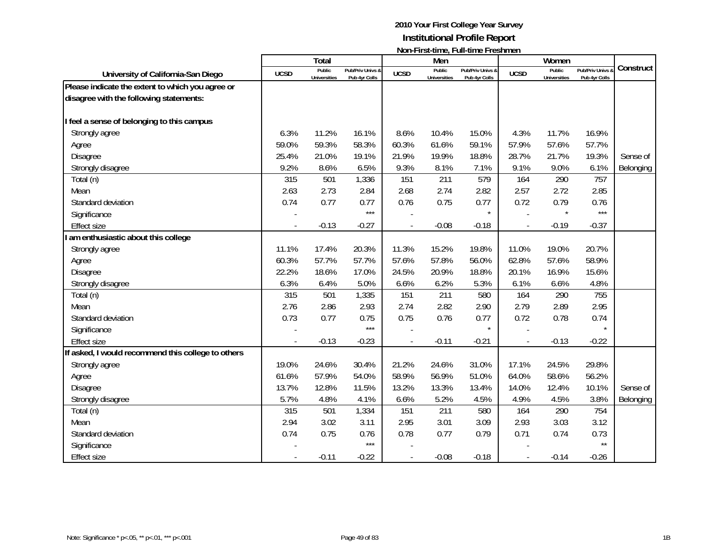|                                                    |             | Total                         |                                   |                          | Men                           |                                   |                          | Women                         |                                 |           |
|----------------------------------------------------|-------------|-------------------------------|-----------------------------------|--------------------------|-------------------------------|-----------------------------------|--------------------------|-------------------------------|---------------------------------|-----------|
| University of California-San Diego                 | <b>UCSD</b> | Public<br><b>Universities</b> | Pub/Priv Univs &<br>Pub 4yr Colls | <b>UCSD</b>              | Public<br><b>Universities</b> | Pub/Priv Univs &<br>Pub 4yr Colls | <b>UCSD</b>              | Public<br><b>Universities</b> | Pub/Priv Univs<br>Pub 4yr Colls | Construct |
| Please indicate the extent to which you agree or   |             |                               |                                   |                          |                               |                                   |                          |                               |                                 |           |
| disagree with the following statements:            |             |                               |                                   |                          |                               |                                   |                          |                               |                                 |           |
| I feel a sense of belonging to this campus         |             |                               |                                   |                          |                               |                                   |                          |                               |                                 |           |
| Strongly agree                                     | 6.3%        | 11.2%                         | 16.1%                             | 8.6%                     | 10.4%                         | 15.0%                             | 4.3%                     | 11.7%                         | 16.9%                           |           |
| Agree                                              | 59.0%       | 59.3%                         | 58.3%                             | 60.3%                    | 61.6%                         | 59.1%                             | 57.9%                    | 57.6%                         | 57.7%                           |           |
| Disagree                                           | 25.4%       | 21.0%                         | 19.1%                             | 21.9%                    | 19.9%                         | 18.8%                             | 28.7%                    | 21.7%                         | 19.3%                           | Sense of  |
| Strongly disagree                                  | 9.2%        | 8.6%                          | 6.5%                              | 9.3%                     | 8.1%                          | 7.1%                              | 9.1%                     | 9.0%                          | 6.1%                            | Belonging |
| Total (n)                                          | 315         | 501                           | 1,336                             | 151                      | 211                           | 579                               | 164                      | 290                           | 757                             |           |
| Mean                                               | 2.63        | 2.73                          | 2.84                              | 2.68                     | 2.74                          | 2.82                              | 2.57                     | 2.72                          | 2.85                            |           |
| Standard deviation                                 | 0.74        | 0.77                          | 0.77                              | 0.76                     | 0.75                          | 0.77                              | 0.72                     | 0.79                          | 0.76                            |           |
| Significance                                       |             |                               | $***$                             |                          |                               | $\star$                           |                          | $\star$                       | $***$                           |           |
| <b>Effect size</b>                                 |             | $-0.13$                       | $-0.27$                           | $\overline{\phantom{a}}$ | $-0.08$                       | $-0.18$                           | $\overline{\phantom{a}}$ | $-0.19$                       | $-0.37$                         |           |
| I am enthusiastic about this college               |             |                               |                                   |                          |                               |                                   |                          |                               |                                 |           |
| Strongly agree                                     | 11.1%       | 17.4%                         | 20.3%                             | 11.3%                    | 15.2%                         | 19.8%                             | 11.0%                    | 19.0%                         | 20.7%                           |           |
| Agree                                              | 60.3%       | 57.7%                         | 57.7%                             | 57.6%                    | 57.8%                         | 56.0%                             | 62.8%                    | 57.6%                         | 58.9%                           |           |
| <b>Disagree</b>                                    | 22.2%       | 18.6%                         | 17.0%                             | 24.5%                    | 20.9%                         | 18.8%                             | 20.1%                    | 16.9%                         | 15.6%                           |           |
| Strongly disagree                                  | 6.3%        | 6.4%                          | 5.0%                              | 6.6%                     | 6.2%                          | 5.3%                              | 6.1%                     | 6.6%                          | 4.8%                            |           |
| Total (n)                                          | 315         | 501                           | 1,335                             | 151                      | 211                           | 580                               | 164                      | 290                           | 755                             |           |
| Mean                                               | 2.76        | 2.86                          | 2.93                              | 2.74                     | 2.82                          | 2.90                              | 2.79                     | 2.89                          | 2.95                            |           |
| Standard deviation                                 | 0.73        | 0.77                          | 0.75                              | 0.75                     | 0.76                          | 0.77                              | 0.72                     | 0.78                          | 0.74                            |           |
| Significance                                       |             |                               | $***$                             |                          |                               | $\star$                           |                          |                               | $\star$                         |           |
| <b>Effect size</b>                                 |             | $-0.13$                       | $-0.23$                           |                          | $-0.11$                       | $-0.21$                           | $\overline{\phantom{a}}$ | $-0.13$                       | $-0.22$                         |           |
| If asked, I would recommend this college to others |             |                               |                                   |                          |                               |                                   |                          |                               |                                 |           |
| Strongly agree                                     | 19.0%       | 24.6%                         | 30.4%                             | 21.2%                    | 24.6%                         | 31.0%                             | 17.1%                    | 24.5%                         | 29.8%                           |           |
| Agree                                              | 61.6%       | 57.9%                         | 54.0%                             | 58.9%                    | 56.9%                         | 51.0%                             | 64.0%                    | 58.6%                         | 56.2%                           |           |
| <b>Disagree</b>                                    | 13.7%       | 12.8%                         | 11.5%                             | 13.2%                    | 13.3%                         | 13.4%                             | 14.0%                    | 12.4%                         | 10.1%                           | Sense of  |
| Strongly disagree                                  | 5.7%        | 4.8%                          | 4.1%                              | 6.6%                     | 5.2%                          | 4.5%                              | 4.9%                     | 4.5%                          | 3.8%                            | Belonging |
| Total (n)                                          | 315         | 501                           | 1,334                             | 151                      | 211                           | 580                               | 164                      | 290                           | 754                             |           |
| Mean                                               | 2.94        | 3.02                          | 3.11                              | 2.95                     | 3.01                          | 3.09                              | 2.93                     | 3.03                          | 3.12                            |           |
| Standard deviation                                 | 0.74        | 0.75                          | 0.76                              | 0.78                     | 0.77                          | 0.79                              | 0.71                     | 0.74                          | 0.73                            |           |
| Significance                                       |             |                               | $***$                             |                          |                               |                                   |                          |                               | $^{\star\star}$                 |           |
| <b>Effect size</b>                                 |             | $-0.11$                       | $-0.22$                           |                          | $-0.08$                       | $-0.18$                           |                          | $-0.14$                       | $-0.26$                         |           |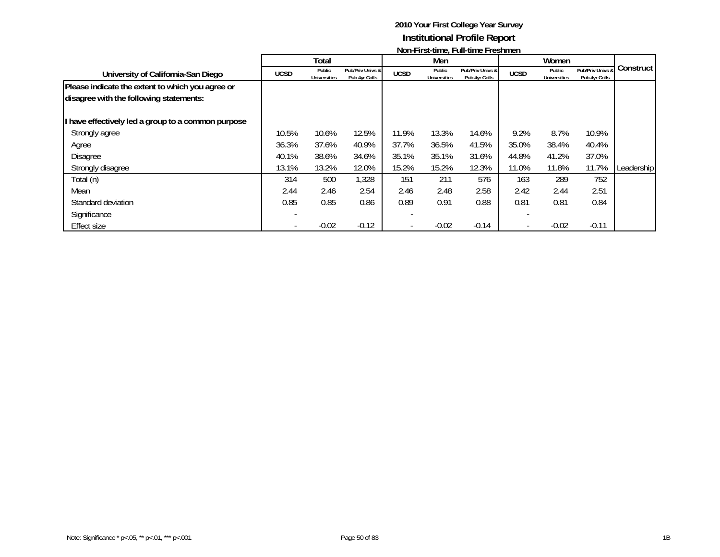|                                                                                             |             |                               |                                   | <b>NOTE RISE GRIPS, LARE COLOR LI COMMUNI</b> |                               |                                   |             |                               |                                   |            |
|---------------------------------------------------------------------------------------------|-------------|-------------------------------|-----------------------------------|-----------------------------------------------|-------------------------------|-----------------------------------|-------------|-------------------------------|-----------------------------------|------------|
|                                                                                             |             | Total                         |                                   |                                               | Men                           |                                   |             | Women                         |                                   |            |
| University of California-San Diego                                                          | <b>UCSD</b> | Public<br><b>Universities</b> | Pub/Priv Univs &<br>Pub 4yr Colls | <b>UCSD</b>                                   | Public<br><b>Universities</b> | Pub/Priv Univs &<br>Pub 4yr Colls | <b>UCSD</b> | Public<br><b>Universities</b> | Pub/Priv Univs &<br>Pub 4yr Colls | Construct  |
| Please indicate the extent to which you agree or<br>disagree with the following statements: |             |                               |                                   |                                               |                               |                                   |             |                               |                                   |            |
| I have effectively led a group to a common purpose                                          |             |                               |                                   |                                               |                               |                                   |             |                               |                                   |            |
| Strongly agree                                                                              | 10.5%       | 10.6%                         | 12.5%                             | 11.9%                                         | 13.3%                         | 14.6%                             | 9.2%        | 8.7%                          | 10.9%                             |            |
| Agree                                                                                       | 36.3%       | 37.6%                         | 40.9%                             | 37.7%                                         | 36.5%                         | 41.5%                             | 35.0%       | 38.4%                         | 40.4%                             |            |
| <b>Disagree</b>                                                                             | 40.1%       | 38.6%                         | 34.6%                             | 35.1%                                         | 35.1%                         | 31.6%                             | 44.8%       | 41.2%                         | 37.0%                             |            |
| Strongly disagree                                                                           | 13.1%       | 13.2%                         | 12.0%                             | 15.2%                                         | 15.2%                         | 12.3%                             | 11.0%       | 11.8%                         | 11.7%                             | Leadership |
| Total (n)                                                                                   | 314         | 500                           | 1,328                             | 151                                           | 211                           | 576                               | 163         | 289                           | 752                               |            |
| Mean                                                                                        | 2.44        | 2.46                          | 2.54                              | 2.46                                          | 2.48                          | 2.58                              | 2.42        | 2.44                          | 2.51                              |            |
| Standard deviation                                                                          | 0.85        | 0.85                          | 0.86                              | 0.89                                          | 0.91                          | 0.88                              | 0.81        | 0.81                          | 0.84                              |            |
| Significance                                                                                |             |                               |                                   |                                               |                               |                                   |             |                               |                                   |            |
| Effect size                                                                                 |             | $-0.02$                       | $-0.12$                           |                                               | $-0.02$                       | $-0.14$                           |             | $-0.02$                       | $-0.11$                           |            |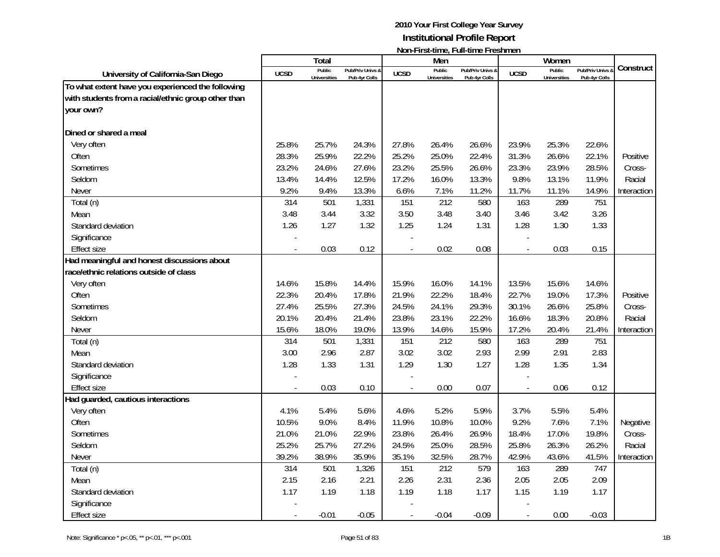|                                                     |             | <b>Total</b>        |                  |                | Men                 | $1001 - 113$ . $1011C_1$ . $101 - 111C_2$ . $1023$ . $111C_1$ |                          | Women               |                  |             |
|-----------------------------------------------------|-------------|---------------------|------------------|----------------|---------------------|---------------------------------------------------------------|--------------------------|---------------------|------------------|-------------|
| University of California-San Diego                  | <b>UCSD</b> | Public              | Pub/Priv Univs 8 | <b>UCSD</b>    | Public              | Pub/Priv Univs &                                              | <b>UCSD</b>              | Public              | Pub/Priv Univs & | Construct   |
| To what extent have you experienced the following   |             | <b>Universities</b> | Pub 4yr Colls    |                | <b>Universities</b> | Pub 4yr Colls                                                 |                          | <b>Universities</b> | Pub 4yr Colls    |             |
| with students from a racial/ethnic group other than |             |                     |                  |                |                     |                                                               |                          |                     |                  |             |
| your own?                                           |             |                     |                  |                |                     |                                                               |                          |                     |                  |             |
|                                                     |             |                     |                  |                |                     |                                                               |                          |                     |                  |             |
| Dined or shared a meal                              |             |                     |                  |                |                     |                                                               |                          |                     |                  |             |
| Very often                                          | 25.8%       | 25.7%               | 24.3%            | 27.8%          | 26.4%               | 26.6%                                                         | 23.9%                    | 25.3%               | 22.6%            |             |
| Often                                               | 28.3%       | 25.9%               | 22.2%            | 25.2%          | 25.0%               | 22.4%                                                         | 31.3%                    | 26.6%               | 22.1%            | Positive    |
| Sometimes                                           | 23.2%       | 24.6%               | 27.6%            | 23.2%          | 25.5%               | 26.6%                                                         | 23.3%                    | 23.9%               | 28.5%            | Cross-      |
| Seldom                                              | 13.4%       | 14.4%               | 12.5%            | 17.2%          | 16.0%               | 13.3%                                                         | 9.8%                     | 13.1%               | 11.9%            | Racial      |
| Never                                               | 9.2%        | 9.4%                | 13.3%            | 6.6%           | 7.1%                | 11.2%                                                         | 11.7%                    | 11.1%               | 14.9%            | Interaction |
| Total (n)                                           | 314         | 501                 | 1,331            | 151            | 212                 | 580                                                           | 163                      | 289                 | 751              |             |
| Mean                                                | 3.48        | 3.44                | 3.32             | 3.50           | 3.48                | 3.40                                                          | 3.46                     | 3.42                | 3.26             |             |
| Standard deviation                                  | 1.26        | 1.27                | 1.32             | 1.25           | 1.24                | 1.31                                                          | 1.28                     | 1.30                | 1.33             |             |
| Significance                                        |             |                     |                  |                |                     |                                                               |                          |                     |                  |             |
| <b>Effect size</b>                                  |             | 0.03                | 0.12             |                | 0.02                | 0.08                                                          | $\overline{a}$           | 0.03                | 0.15             |             |
| Had meaningful and honest discussions about         |             |                     |                  |                |                     |                                                               |                          |                     |                  |             |
| race/ethnic relations outside of class              |             |                     |                  |                |                     |                                                               |                          |                     |                  |             |
| Very often                                          | 14.6%       | 15.8%               | 14.4%            | 15.9%          | 16.0%               | 14.1%                                                         | 13.5%                    | 15.6%               | 14.6%            |             |
| Often                                               | 22.3%       | 20.4%               | 17.8%            | 21.9%          | 22.2%               | 18.4%                                                         | 22.7%                    | 19.0%               | 17.3%            | Positive    |
| Sometimes                                           | 27.4%       | 25.5%               | 27.3%            | 24.5%          | 24.1%               | 29.3%                                                         | 30.1%                    | 26.6%               | 25.8%            | Cross-      |
| Seldom                                              | 20.1%       | 20.4%               | 21.4%            | 23.8%          | 23.1%               | 22.2%                                                         | 16.6%                    | 18.3%               | 20.8%            | Racial      |
| Never                                               | 15.6%       | 18.0%               | 19.0%            | 13.9%          | 14.6%               | 15.9%                                                         | 17.2%                    | 20.4%               | 21.4%            | Interaction |
| Total (n)                                           | 314         | 501                 | 1,331            | 151            | 212                 | 580                                                           | 163                      | 289                 | 751              |             |
| Mean                                                | 3.00        | 2.96                | 2.87             | 3.02           | 3.02                | 2.93                                                          | 2.99                     | 2.91                | 2.83             |             |
| Standard deviation                                  | 1.28        | 1.33                | 1.31             | 1.29           | 1.30                | 1.27                                                          | 1.28                     | 1.35                | 1.34             |             |
| Significance                                        |             |                     |                  |                |                     |                                                               |                          |                     |                  |             |
| <b>Effect size</b>                                  |             | 0.03                | 0.10             | $\overline{a}$ | 0.00                | 0.07                                                          | $\overline{\phantom{a}}$ | 0.06                | 0.12             |             |
| Had guarded, cautious interactions                  |             |                     |                  |                |                     |                                                               |                          |                     |                  |             |
| Very often                                          | 4.1%        | 5.4%                | 5.6%             | 4.6%           | 5.2%                | 5.9%                                                          | 3.7%                     | 5.5%                | 5.4%             |             |
| Often                                               | 10.5%       | 9.0%                | 8.4%             | 11.9%          | 10.8%               | 10.0%                                                         | 9.2%                     | 7.6%                | 7.1%             | Negative    |
| Sometimes                                           | 21.0%       | 21.0%               | 22.9%            | 23.8%          | 26.4%               | 26.9%                                                         | 18.4%                    | 17.0%               | 19.8%            | Cross-      |
| Seldom                                              | 25.2%       | 25.7%               | 27.2%            | 24.5%          | 25.0%               | 28.5%                                                         | 25.8%                    | 26.3%               | 26.2%            | Racial      |
| <b>Never</b>                                        | 39.2%       | 38.9%               | 35.9%            | 35.1%          | 32.5%               | 28.7%                                                         | 42.9%                    | 43.6%               | 41.5%            | Interaction |
| Total (n)                                           | 314         | 501                 | 1,326            | 151            | 212                 | 579                                                           | 163                      | 289                 | 747              |             |
| Mean                                                | 2.15        | 2.16                | 2.21             | 2.26           | 2.31                | 2.36                                                          | 2.05                     | 2.05                | 2.09             |             |
| Standard deviation                                  | 1.17        | 1.19                | 1.18             | 1.19           | 1.18                | 1.17                                                          | 1.15                     | 1.19                | 1.17             |             |
| Significance                                        |             |                     |                  |                |                     |                                                               |                          |                     |                  |             |
| <b>Effect size</b>                                  |             | $-0.01$             | $-0.05$          |                | $-0.04$             | $-0.09$                                                       | $\overline{a}$           | 0.00                | $-0.03$          |             |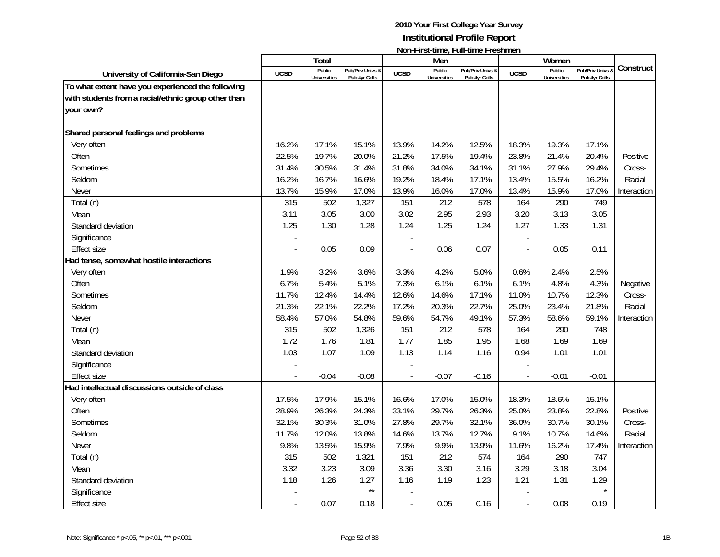|                                                     |                | Total                         |                                   |                | Men                           | <b>TOTT THISK WITHOUT WITH WITHOUT TO STIFFIOLD</b> |                          | Women                         |                                   |             |
|-----------------------------------------------------|----------------|-------------------------------|-----------------------------------|----------------|-------------------------------|-----------------------------------------------------|--------------------------|-------------------------------|-----------------------------------|-------------|
| University of California-San Diego                  | <b>UCSD</b>    | Public<br><b>Universities</b> | Pub/Priv Univs &<br>Pub 4yr Colls | <b>UCSD</b>    | Public<br><b>Universities</b> | Pub/Priv Univs &<br>Pub 4yr Colls                   | <b>UCSD</b>              | Public<br><b>Universities</b> | Pub/Priv Univs &<br>Pub 4yr Colls | Construct   |
| To what extent have you experienced the following   |                |                               |                                   |                |                               |                                                     |                          |                               |                                   |             |
| with students from a racial/ethnic group other than |                |                               |                                   |                |                               |                                                     |                          |                               |                                   |             |
| your own?                                           |                |                               |                                   |                |                               |                                                     |                          |                               |                                   |             |
|                                                     |                |                               |                                   |                |                               |                                                     |                          |                               |                                   |             |
| Shared personal feelings and problems               |                |                               |                                   |                |                               |                                                     |                          |                               |                                   |             |
| Very often                                          | 16.2%          | 17.1%                         | 15.1%                             | 13.9%          | 14.2%                         | 12.5%                                               | 18.3%                    | 19.3%                         | 17.1%                             |             |
| Often                                               | 22.5%          | 19.7%                         | 20.0%                             | 21.2%          | 17.5%                         | 19.4%                                               | 23.8%                    | 21.4%                         | 20.4%                             | Positive    |
| Sometimes                                           | 31.4%          | 30.5%                         | 31.4%                             | 31.8%          | 34.0%                         | 34.1%                                               | 31.1%                    | 27.9%                         | 29.4%                             | Cross-      |
| Seldom                                              | 16.2%          | 16.7%                         | 16.6%                             | 19.2%          | 18.4%                         | 17.1%                                               | 13.4%                    | 15.5%                         | 16.2%                             | Racial      |
| Never                                               | 13.7%          | 15.9%                         | 17.0%                             | 13.9%          | 16.0%                         | 17.0%                                               | 13.4%                    | 15.9%                         | 17.0%                             | Interaction |
| Total (n)                                           | 315            | 502                           | 1,327                             | 151            | 212                           | 578                                                 | 164                      | 290                           | 749                               |             |
| Mean                                                | 3.11           | 3.05                          | 3.00                              | 3.02           | 2.95                          | 2.93                                                | 3.20                     | 3.13                          | 3.05                              |             |
| Standard deviation                                  | 1.25           | 1.30                          | 1.28                              | 1.24           | 1.25                          | 1.24                                                | 1.27                     | 1.33                          | 1.31                              |             |
| Significance                                        |                |                               |                                   |                |                               |                                                     |                          |                               |                                   |             |
| <b>Effect size</b>                                  | $\overline{a}$ | 0.05                          | 0.09                              |                | 0.06                          | 0.07                                                | $\overline{\phantom{a}}$ | 0.05                          | 0.11                              |             |
| Had tense, somewhat hostile interactions            |                |                               |                                   |                |                               |                                                     |                          |                               |                                   |             |
| Very often                                          | 1.9%           | 3.2%                          | 3.6%                              | 3.3%           | 4.2%                          | 5.0%                                                | 0.6%                     | 2.4%                          | 2.5%                              |             |
| Often                                               | 6.7%           | 5.4%                          | 5.1%                              | 7.3%           | 6.1%                          | 6.1%                                                | 6.1%                     | 4.8%                          | 4.3%                              | Negative    |
| Sometimes                                           | 11.7%          | 12.4%                         | 14.4%                             | 12.6%          | 14.6%                         | 17.1%                                               | 11.0%                    | 10.7%                         | 12.3%                             | Cross-      |
| Seldom                                              | 21.3%          | 22.1%                         | 22.2%                             | 17.2%          | 20.3%                         | 22.7%                                               | 25.0%                    | 23.4%                         | 21.8%                             | Racial      |
| Never                                               | 58.4%          | 57.0%                         | 54.8%                             | 59.6%          | 54.7%                         | 49.1%                                               | 57.3%                    | 58.6%                         | 59.1%                             | Interaction |
| Total (n)                                           | 315            | 502                           | 1,326                             | 151            | 212                           | 578                                                 | 164                      | 290                           | 748                               |             |
| Mean                                                | 1.72           | 1.76                          | 1.81                              | 1.77           | 1.85                          | 1.95                                                | 1.68                     | 1.69                          | 1.69                              |             |
| Standard deviation                                  | 1.03           | 1.07                          | 1.09                              | 1.13           | 1.14                          | 1.16                                                | 0.94                     | 1.01                          | 1.01                              |             |
| Significance                                        |                |                               |                                   |                |                               |                                                     |                          |                               |                                   |             |
| <b>Effect size</b>                                  |                | $-0.04$                       | $-0.08$                           |                | $-0.07$                       | $-0.16$                                             |                          | $-0.01$                       | $-0.01$                           |             |
| Had intellectual discussions outside of class       |                |                               |                                   |                |                               |                                                     |                          |                               |                                   |             |
| Very often                                          | 17.5%          | 17.9%                         | 15.1%                             | 16.6%          | 17.0%                         | 15.0%                                               | 18.3%                    | 18.6%                         | 15.1%                             |             |
| Often                                               | 28.9%          | 26.3%                         | 24.3%                             | 33.1%          | 29.7%                         | 26.3%                                               | 25.0%                    | 23.8%                         | 22.8%                             | Positive    |
| Sometimes                                           | 32.1%          | 30.3%                         | 31.0%                             | 27.8%          | 29.7%                         | 32.1%                                               | 36.0%                    | 30.7%                         | 30.1%                             | Cross-      |
| Seldom                                              | 11.7%          | 12.0%                         | 13.8%                             | 14.6%          | 13.7%                         | 12.7%                                               | 9.1%                     | 10.7%                         | 14.6%                             | Racial      |
| Never                                               | 9.8%           | 13.5%                         | 15.9%                             | 7.9%           | 9.9%                          | 13.9%                                               | 11.6%                    | 16.2%                         | 17.4%                             | Interaction |
| Total (n)                                           | 315            | 502                           | 1,321                             | 151            | 212                           | 574                                                 | 164                      | 290                           | 747                               |             |
| Mean                                                | 3.32           | 3.23                          | 3.09                              | 3.36           | 3.30                          | 3.16                                                | 3.29                     | 3.18                          | 3.04                              |             |
| Standard deviation                                  | 1.18           | 1.26                          | 1.27                              | 1.16           | 1.19                          | 1.23                                                | 1.21                     | 1.31                          | 1.29                              |             |
| Significance                                        |                |                               | $\star\star$                      |                |                               |                                                     |                          |                               |                                   |             |
| <b>Effect size</b>                                  | $\overline{a}$ | 0.07                          | 0.18                              | $\overline{a}$ | 0.05                          | 0.16                                                | $\overline{a}$           | 0.08                          | 0.19                              |             |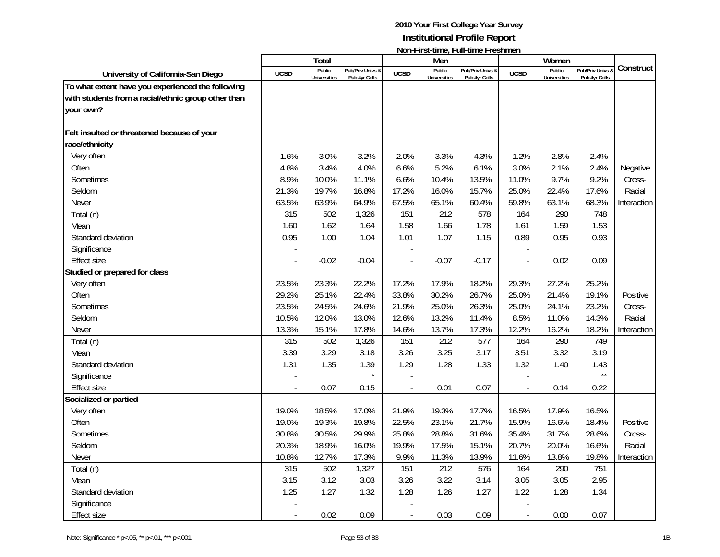| Total<br>Men<br>Women<br>Public<br>Public<br>Public<br>Pub/Priv Univs<br>Pub/Priv Univs &<br>Pub/Priv Univs &<br><b>UCSD</b><br><b>UCSD</b><br><b>UCSD</b><br>University of California-San Diego | Construct   |
|--------------------------------------------------------------------------------------------------------------------------------------------------------------------------------------------------|-------------|
|                                                                                                                                                                                                  |             |
| <b>Universities</b><br>Pub 4yr Colls<br><b>Universities</b><br>Pub 4yr Colls<br>Pub 4yr Colls<br><b>Universities</b>                                                                             |             |
| To what extent have you experienced the following                                                                                                                                                |             |
| with students from a racial/ethnic group other than                                                                                                                                              |             |
| your own?                                                                                                                                                                                        |             |
|                                                                                                                                                                                                  |             |
| Felt insulted or threatened because of your                                                                                                                                                      |             |
| race/ethnicity                                                                                                                                                                                   |             |
| Very often<br>3.0%<br>3.2%<br>3.3%<br>1.2%<br>2.4%<br>1.6%<br>2.0%<br>4.3%<br>2.8%<br>3.4%<br>5.2%<br>3.0%                                                                                       |             |
| 4.8%<br>4.0%<br>6.6%<br>6.1%<br>2.1%<br>2.4%<br>Often                                                                                                                                            | Negative    |
| 8.9%<br>10.0%<br>6.6%<br>9.7%<br>9.2%<br>Sometimes<br>11.1%<br>10.4%<br>13.5%<br>11.0%                                                                                                           | Cross-      |
| 21.3%<br>19.7%<br>16.8%<br>17.2%<br>16.0%<br>15.7%<br>25.0%<br>22.4%<br>17.6%<br>Seldom                                                                                                          | Racial      |
| 63.5%<br>63.9%<br>64.9%<br>67.5%<br>65.1%<br>59.8%<br>63.1%<br>68.3%<br>60.4%<br>Never                                                                                                           | Interaction |
| $\overline{212}$<br>315<br>502<br>1,326<br>151<br>748<br>Total (n)<br>578<br>164<br>290                                                                                                          |             |
| 1.58<br>Mean<br>1.60<br>1.62<br>1.64<br>1.66<br>1.78<br>1.61<br>1.59<br>1.53                                                                                                                     |             |
| 0.95<br>1.01<br>Standard deviation<br>1.00<br>1.04<br>1.07<br>1.15<br>0.89<br>0.95<br>0.93                                                                                                       |             |
| Significance                                                                                                                                                                                     |             |
| $-0.02$<br>$-0.04$<br>$-0.07$<br>$-0.17$<br>0.02<br>0.09<br><b>Effect size</b>                                                                                                                   |             |
| Studied or prepared for class                                                                                                                                                                    |             |
| 23.5%<br>23.3%<br>22.2%<br>17.2%<br>17.9%<br>18.2%<br>29.3%<br>27.2%<br>25.2%<br>Very often                                                                                                      |             |
| 29.2%<br>25.1%<br>22.4%<br>33.8%<br>30.2%<br>26.7%<br>25.0%<br>21.4%<br>19.1%<br>Often                                                                                                           | Positive    |
| Sometimes<br>23.5%<br>24.5%<br>24.6%<br>21.9%<br>25.0%<br>26.3%<br>25.0%<br>24.1%<br>23.2%                                                                                                       | Cross-      |
| 14.3%<br>10.5%<br>12.0%<br>13.0%<br>12.6%<br>13.2%<br>11.4%<br>8.5%<br>11.0%<br>Seldom                                                                                                           | Racial      |
| 17.8%<br>12.2%<br>18.2%<br>13.3%<br>15.1%<br>14.6%<br>13.7%<br>17.3%<br>16.2%<br><b>Never</b>                                                                                                    | Interaction |
| 315<br>502<br>151<br>212<br>164<br>290<br>749<br>1,326<br>577<br>Total (n)                                                                                                                       |             |
| 3.39<br>3.29<br>3.18<br>3.26<br>3.25<br>3.17<br>3.51<br>3.32<br>3.19<br>Mean                                                                                                                     |             |
| 1.31<br>1.35<br>1.29<br>1.28<br>1.32<br>Standard deviation<br>1.39<br>1.33<br>1.40<br>1.43                                                                                                       |             |
| $\star\star$<br>$\star$<br>Significance                                                                                                                                                          |             |
| 0.07<br>0.01<br>0.07<br>0.14<br>0.22<br>Effect size<br>0.15<br>$\overline{a}$<br>$\overline{\phantom{a}}$<br>$\overline{a}$                                                                      |             |
| Socialized or partied                                                                                                                                                                            |             |
| Very often<br>19.0%<br>18.5%<br>17.0%<br>21.9%<br>19.3%<br>17.7%<br>16.5%<br>17.9%<br>16.5%                                                                                                      |             |
| 19.0%<br>19.3%<br>19.8%<br>22.5%<br>23.1%<br>21.7%<br>15.9%<br>16.6%<br>18.4%<br>Often                                                                                                           | Positive    |
| 30.8%<br>30.5%<br>29.9%<br>25.8%<br>28.8%<br>31.7%<br>28.6%<br>Sometimes<br>31.6%<br>35.4%                                                                                                       | Cross-      |
| Seldom<br>20.3%<br>18.9%<br>16.0%<br>19.9%<br>17.5%<br>15.1%<br>20.7%<br>20.0%<br>16.6%                                                                                                          | Racial      |
| 10.8%<br>12.7%<br>9.9%<br>11.3%<br>13.8%<br>19.8%<br>17.3%<br>13.9%<br>11.6%<br><b>Never</b>                                                                                                     | Interaction |
| 502<br>212<br>751<br>315<br>1,327<br>151<br>576<br>164<br>290<br>Total (n)                                                                                                                       |             |
| 3.03<br>3.26<br>3.22<br>2.95<br>3.15<br>3.12<br>3.14<br>3.05<br>3.05<br>Mean                                                                                                                     |             |
| 1.25<br>1.27<br>1.32<br>1.28<br>1.26<br>1.27<br>1.22<br>1.28<br>1.34<br>Standard deviation                                                                                                       |             |
| Significance                                                                                                                                                                                     |             |
| 0.09<br>0.03<br>0.09<br>0.07<br><b>Effect size</b><br>0.02<br>0.00<br>$\overline{a}$                                                                                                             |             |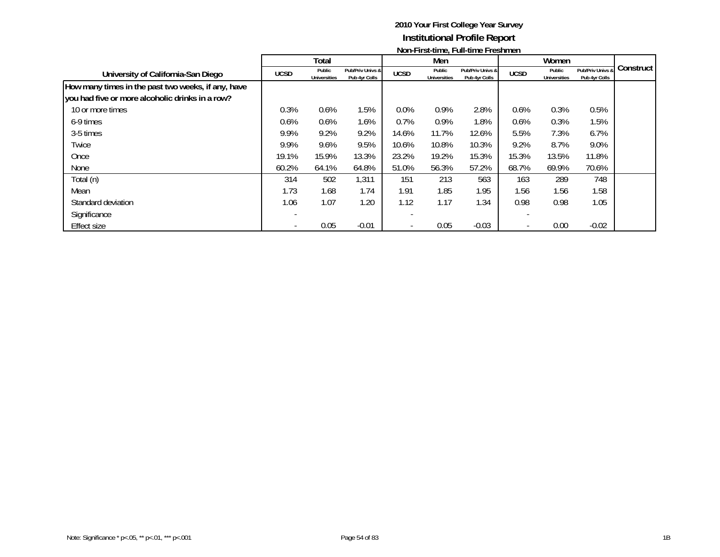|                                                    |             |                               |                                   |             |                               | <b>NOTE RISE GRID, L'AREGINE L'ESTRICHI</b> |             |                               |                                   |             |
|----------------------------------------------------|-------------|-------------------------------|-----------------------------------|-------------|-------------------------------|---------------------------------------------|-------------|-------------------------------|-----------------------------------|-------------|
|                                                    |             | Total                         |                                   |             | Men                           |                                             |             | Women                         |                                   |             |
| University of California-San Diego                 | <b>UCSD</b> | Public<br><b>Universities</b> | Pub/Priv Univs &<br>Pub 4yr Colls | <b>UCSD</b> | Public<br><b>Universities</b> | Pub/Priv Univs &<br>Pub 4yr Colls           | <b>UCSD</b> | Public<br><b>Universities</b> | Pub/Priv Univs &<br>Pub 4yr Colls | Construct I |
| How many times in the past two weeks, if any, have |             |                               |                                   |             |                               |                                             |             |                               |                                   |             |
| you had five or more alcoholic drinks in a row?    |             |                               |                                   |             |                               |                                             |             |                               |                                   |             |
| 10 or more times                                   | 0.3%        | $0.6\%$                       | 1.5%                              | $0.0\%$     | 0.9%                          | 2.8%                                        | 0.6%        | 0.3%                          | 0.5%                              |             |
| 6-9 times                                          | 0.6%        | $0.6\%$                       | 1.6%                              | 0.7%        | 0.9%                          | 1.8%                                        | 0.6%        | 0.3%                          | $1.5\%$                           |             |
| 3-5 times                                          | 9.9%        | 9.2%                          | 9.2%                              | 14.6%       | 11.7%                         | 12.6%                                       | 5.5%        | 7.3%                          | 6.7%                              |             |
| Twice                                              | 9.9%        | 9.6%                          | 9.5%                              | 10.6%       | 10.8%                         | 10.3%                                       | 9.2%        | 8.7%                          | $9.0\%$                           |             |
| Once                                               | 19.1%       | 15.9%                         | 13.3%                             | 23.2%       | 19.2%                         | 15.3%                                       | 15.3%       | 13.5%                         | 11.8%                             |             |
| None                                               | 60.2%       | 64.1%                         | 64.8%                             | 51.0%       | 56.3%                         | 57.2%                                       | 68.7%       | 69.9%                         | 70.6%                             |             |
| Total (n)                                          | 314         | 502                           | 1,311                             | 151         | 213                           | 563                                         | 163         | 289                           | 748                               |             |
| Mean                                               | 1.73        | 1.68                          | 1.74                              | 1.91        | 1.85                          | 1.95                                        | 1.56        | 1.56                          | 1.58                              |             |
| Standard deviation                                 | 1.06        | 1.07                          | 1.20                              | 1.12        | 1.17                          | 1.34                                        | 0.98        | 0.98                          | 1.05                              |             |
| Significance                                       |             |                               |                                   |             |                               |                                             |             |                               |                                   |             |
| <b>Effect size</b>                                 |             | 0.05                          | $-0.01$                           |             | 0.05                          | $-0.03$                                     |             | 0.00                          | $-0.02$                           |             |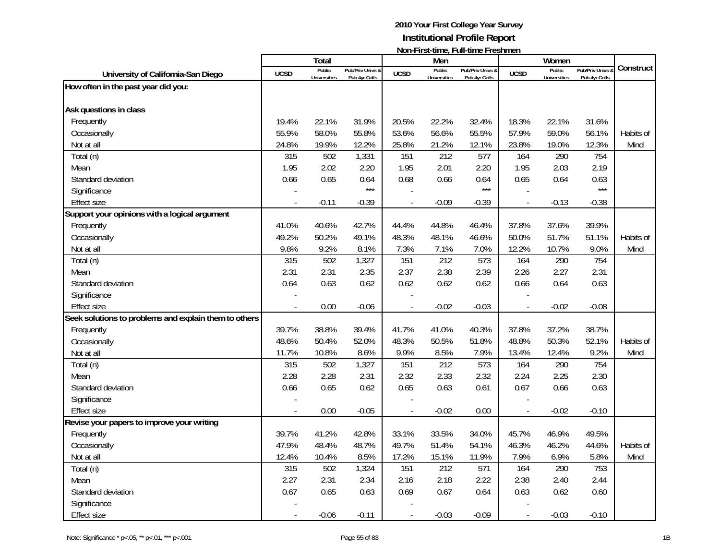|                                                       |             | Total               |                  |                          | Men                 | $\mathsf{N}\mathsf{O}\mathsf{H}$ is a set the $\mathsf{C}_i$ is a finite to be a finite to be $\mathsf{C}\mathsf{N}\mathsf{H}\mathsf{H}$ |                | Women               |                  |           |
|-------------------------------------------------------|-------------|---------------------|------------------|--------------------------|---------------------|------------------------------------------------------------------------------------------------------------------------------------------|----------------|---------------------|------------------|-----------|
| University of California-San Diego                    | <b>UCSD</b> | Public              | Pub/Priv Univs & | <b>UCSD</b>              | Public              | Pub/Priv Univs &                                                                                                                         | <b>UCSD</b>    | Public              | Pub/Priv Univs & | Construct |
|                                                       |             | <b>Universities</b> | Pub 4yr Colls    |                          | <b>Universities</b> | Pub 4yr Colls                                                                                                                            |                | <b>Universities</b> | Pub 4yr Colls    |           |
| How often in the past year did you:                   |             |                     |                  |                          |                     |                                                                                                                                          |                |                     |                  |           |
| Ask questions in class                                |             |                     |                  |                          |                     |                                                                                                                                          |                |                     |                  |           |
| Frequently                                            | 19.4%       | 22.1%               | 31.9%            | 20.5%                    | 22.2%               | 32.4%                                                                                                                                    | 18.3%          | 22.1%               | 31.6%            |           |
| Occasionally                                          | 55.9%       | 58.0%               | 55.8%            | 53.6%                    | 56.6%               | 55.5%                                                                                                                                    | 57.9%          | 59.0%               | 56.1%            | Habits of |
| Not at all                                            | 24.8%       | 19.9%               | 12.2%            | 25.8%                    | 21.2%               | 12.1%                                                                                                                                    | 23.8%          | 19.0%               | 12.3%            | Mind      |
| Total (n)                                             | 315         | 502                 | 1,331            | 151                      | 212                 | 577                                                                                                                                      | 164            | 290                 | 754              |           |
| Mean                                                  | 1.95        | 2.02                | 2.20             | 1.95                     | 2.01                | 2.20                                                                                                                                     | 1.95           | 2.03                | 2.19             |           |
| Standard deviation                                    | 0.66        | 0.65                | 0.64             | 0.68                     | 0.66                | 0.64                                                                                                                                     | 0.65           | 0.64                | 0.63             |           |
| Significance                                          |             |                     | $***$            |                          |                     | $***$                                                                                                                                    |                |                     | $***$            |           |
| <b>Effect size</b>                                    |             | $-0.11$             | $-0.39$          | $\overline{\phantom{a}}$ | $-0.09$             | $-0.39$                                                                                                                                  | $\blacksquare$ | $-0.13$             | $-0.38$          |           |
| Support your opinions with a logical argument         |             |                     |                  |                          |                     |                                                                                                                                          |                |                     |                  |           |
| Frequently                                            | 41.0%       | 40.6%               | 42.7%            | 44.4%                    | 44.8%               | 46.4%                                                                                                                                    | 37.8%          | 37.6%               | 39.9%            |           |
| Occasionally                                          | 49.2%       | 50.2%               | 49.1%            | 48.3%                    | 48.1%               | 46.6%                                                                                                                                    | 50.0%          | 51.7%               | 51.1%            | Habits of |
| Not at all                                            | 9.8%        | 9.2%                | 8.1%             | 7.3%                     | 7.1%                | 7.0%                                                                                                                                     | 12.2%          | 10.7%               | 9.0%             | Mind      |
| Total (n)                                             | 315         | 502                 | 1,327            | 151                      | 212                 | 573                                                                                                                                      | 164            | 290                 | 754              |           |
| Mean                                                  | 2.31        | 2.31                | 2.35             | 2.37                     | 2.38                | 2.39                                                                                                                                     | 2.26           | 2.27                | 2.31             |           |
| Standard deviation                                    | 0.64        | 0.63                | 0.62             | 0.62                     | 0.62                | 0.62                                                                                                                                     | 0.66           | 0.64                | 0.63             |           |
| Significance                                          |             |                     |                  |                          |                     |                                                                                                                                          |                |                     |                  |           |
| <b>Effect size</b>                                    |             | 0.00                | $-0.06$          |                          | $-0.02$             | $-0.03$                                                                                                                                  |                | $-0.02$             | $-0.08$          |           |
| Seek solutions to problems and explain them to others |             |                     |                  |                          |                     |                                                                                                                                          |                |                     |                  |           |
| Frequently                                            | 39.7%       | 38.8%               | 39.4%            | 41.7%                    | 41.0%               | 40.3%                                                                                                                                    | 37.8%          | 37.2%               | 38.7%            |           |
| Occasionally                                          | 48.6%       | 50.4%               | 52.0%            | 48.3%                    | 50.5%               | 51.8%                                                                                                                                    | 48.8%          | 50.3%               | 52.1%            | Habits of |
| Not at all                                            | 11.7%       | 10.8%               | 8.6%             | 9.9%                     | 8.5%                | 7.9%                                                                                                                                     | 13.4%          | 12.4%               | 9.2%             | Mind      |
| Total (n)                                             | 315         | 502                 | 1,327            | 151                      | 212                 | 573                                                                                                                                      | 164            | 290                 | 754              |           |
| Mean                                                  | 2.28        | 2.28                | 2.31             | 2.32                     | 2.33                | 2.32                                                                                                                                     | 2.24           | 2.25                | 2.30             |           |
| Standard deviation                                    | 0.66        | 0.65                | 0.62             | 0.65                     | 0.63                | 0.61                                                                                                                                     | 0.67           | 0.66                | 0.63             |           |
| Significance                                          |             |                     |                  |                          |                     |                                                                                                                                          |                |                     |                  |           |
| <b>Effect size</b>                                    |             | 0.00                | $-0.05$          |                          | $-0.02$             | 0.00                                                                                                                                     |                | $-0.02$             | $-0.10$          |           |
| Revise your papers to improve your writing            |             |                     |                  |                          |                     |                                                                                                                                          |                |                     |                  |           |
| Frequently                                            | 39.7%       | 41.2%               | 42.8%            | 33.1%                    | 33.5%               | 34.0%                                                                                                                                    | 45.7%          | 46.9%               | 49.5%            |           |
| Occasionally                                          | 47.9%       | 48.4%               | 48.7%            | 49.7%                    | 51.4%               | 54.1%                                                                                                                                    | 46.3%          | 46.2%               | 44.6%            | Habits of |
| Not at all                                            | 12.4%       | 10.4%               | 8.5%             | 17.2%                    | 15.1%               | 11.9%                                                                                                                                    | 7.9%           | 6.9%                | 5.8%             | Mind      |
| Total (n)                                             | 315         | 502                 | 1,324            | 151                      | 212                 | 571                                                                                                                                      | 164            | 290                 | 753              |           |
| Mean                                                  | 2.27        | 2.31                | 2.34             | 2.16                     | 2.18                | 2.22                                                                                                                                     | 2.38           | 2.40                | 2.44             |           |
| Standard deviation                                    | 0.67        | 0.65                | 0.63             | 0.69                     | 0.67                | 0.64                                                                                                                                     | 0.63           | 0.62                | 0.60             |           |
| Significance                                          |             |                     |                  |                          |                     |                                                                                                                                          |                |                     |                  |           |
| <b>Effect size</b>                                    |             | $-0.06$             | $-0.11$          |                          | $-0.03$             | $-0.09$                                                                                                                                  |                | $-0.03$             | $-0.10$          |           |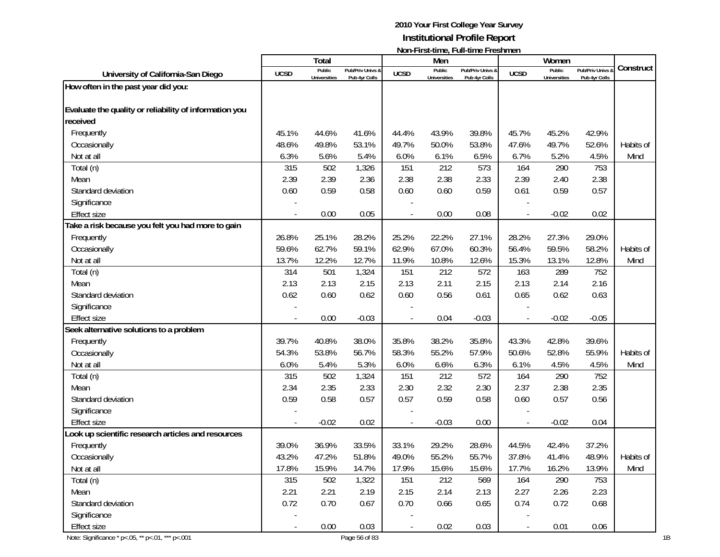|                                                        |                          |                               |                                   |             |                               | <b>INUILET II SULIIIIIE, FUILLIIIIE FI ESI IIIIEII</b> |             |                                      |                                        |           |
|--------------------------------------------------------|--------------------------|-------------------------------|-----------------------------------|-------------|-------------------------------|--------------------------------------------------------|-------------|--------------------------------------|----------------------------------------|-----------|
|                                                        |                          | <b>Total</b>                  |                                   |             | Men                           |                                                        |             | Women                                |                                        | Construct |
| University of California-San Diego                     | <b>UCSD</b>              | Public<br><b>Universities</b> | Pub/Priv Univs &<br>Pub 4yr Colls | <b>UCSD</b> | Public<br><b>Universities</b> | Pub/Priv Univs &<br>Pub 4yr Colls                      | <b>UCSD</b> | <b>Public</b><br><b>Universities</b> | <b>Pub/Priv Univs</b><br>Pub 4yr Colls |           |
| How often in the past year did you:                    |                          |                               |                                   |             |                               |                                                        |             |                                      |                                        |           |
|                                                        |                          |                               |                                   |             |                               |                                                        |             |                                      |                                        |           |
| Evaluate the quality or reliability of information you |                          |                               |                                   |             |                               |                                                        |             |                                      |                                        |           |
| received                                               |                          |                               |                                   |             |                               |                                                        |             |                                      |                                        |           |
| Frequently                                             | 45.1%                    | 44.6%                         | 41.6%                             | 44.4%       | 43.9%                         | 39.8%                                                  | 45.7%       | 45.2%                                | 42.9%                                  |           |
| Occasionally                                           | 48.6%                    | 49.8%                         | 53.1%                             | 49.7%       | 50.0%                         | 53.8%                                                  | 47.6%       | 49.7%                                | 52.6%                                  | Habits of |
| Not at all                                             | 6.3%                     | 5.6%                          | 5.4%                              | 6.0%        | 6.1%                          | 6.5%                                                   | 6.7%        | 5.2%                                 | 4.5%                                   | Mind      |
| Total (n)                                              | 315                      | 502                           | 1,326                             | 151         | 212                           | 573                                                    | 164         | 290                                  | 753                                    |           |
| Mean                                                   | 2.39                     | 2.39                          | 2.36                              | 2.38        | 2.38                          | 2.33                                                   | 2.39        | 2.40                                 | 2.38                                   |           |
| Standard deviation                                     | 0.60                     | 0.59                          | 0.58                              | 0.60        | 0.60                          | 0.59                                                   | 0.61        | 0.59                                 | 0.57                                   |           |
| Significance                                           |                          |                               |                                   |             |                               |                                                        |             |                                      |                                        |           |
| <b>Effect size</b>                                     |                          | 0.00                          | 0.05                              |             | 0.00                          | 0.08                                                   |             | $-0.02$                              | 0.02                                   |           |
| Take a risk because you felt you had more to gain      |                          |                               |                                   |             |                               |                                                        |             |                                      |                                        |           |
| Frequently                                             | 26.8%                    | 25.1%                         | 28.2%                             | 25.2%       | 22.2%                         | 27.1%                                                  | 28.2%       | 27.3%                                | 29.0%                                  |           |
| Occasionally                                           | 59.6%                    | 62.7%                         | 59.1%                             | 62.9%       | 67.0%                         | 60.3%                                                  | 56.4%       | 59.5%                                | 58.2%                                  | Habits of |
| Not at all                                             | 13.7%                    | 12.2%                         | 12.7%                             | 11.9%       | 10.8%                         | 12.6%                                                  | 15.3%       | 13.1%                                | 12.8%                                  | Mind      |
| Total (n)                                              | 314                      | 501                           | 1,324                             | 151         | 212                           | 572                                                    | 163         | 289                                  | 752                                    |           |
| Mean                                                   | 2.13                     | 2.13                          | 2.15                              | 2.13        | 2.11                          | 2.15                                                   | 2.13        | 2.14                                 | 2.16                                   |           |
| Standard deviation                                     | 0.62                     | 0.60                          | 0.62                              | 0.60        | 0.56                          | 0.61                                                   | 0.65        | 0.62                                 | 0.63                                   |           |
| Significance                                           |                          |                               |                                   |             |                               |                                                        |             |                                      |                                        |           |
| <b>Effect size</b>                                     |                          | 0.00                          | $-0.03$                           |             | 0.04                          | $-0.03$                                                |             | $-0.02$                              | $-0.05$                                |           |
| Seek alternative solutions to a problem                |                          |                               |                                   |             |                               |                                                        |             |                                      |                                        |           |
| Frequently                                             | 39.7%                    | 40.8%                         | 38.0%                             | 35.8%       | 38.2%                         | 35.8%                                                  | 43.3%       | 42.8%                                | 39.6%                                  |           |
| Occasionally                                           | 54.3%                    | 53.8%                         | 56.7%                             | 58.3%       | 55.2%                         | 57.9%                                                  | 50.6%       | 52.8%                                | 55.9%                                  | Habits of |
| Not at all                                             | 6.0%                     | 5.4%                          | 5.3%                              | 6.0%        | 6.6%                          | 6.3%                                                   | 6.1%        | 4.5%                                 | 4.5%                                   | Mind      |
| Total (n)                                              | 315                      | 502                           | 1,324                             | 151         | 212                           | 572                                                    | 164         | 290                                  | 752                                    |           |
| Mean                                                   | 2.34                     | 2.35                          | 2.33                              | 2.30        | 2.32                          | 2.30                                                   | 2.37        | 2.38                                 | 2.35                                   |           |
| Standard deviation                                     | 0.59                     | 0.58                          | 0.57                              | 0.57        | 0.59                          | 0.58                                                   | 0.60        | 0.57                                 | 0.56                                   |           |
| Significance                                           |                          |                               |                                   |             |                               |                                                        |             |                                      |                                        |           |
| <b>Effect size</b>                                     |                          | $-0.02$                       | 0.02                              |             | $-0.03$                       | 0.00                                                   |             | $-0.02$                              | 0.04                                   |           |
| Look up scientific research articles and resources     |                          |                               |                                   |             |                               |                                                        |             |                                      |                                        |           |
| Frequently                                             | 39.0%                    | 36.9%                         | 33.5%                             | 33.1%       | 29.2%                         | 28.6%                                                  | 44.5%       | 42.4%                                | 37.2%                                  |           |
| Occasionally                                           | 43.2%                    | 47.2%                         | 51.8%                             | 49.0%       | 55.2%                         | 55.7%                                                  | 37.8%       | 41.4%                                | 48.9%                                  | Habits of |
| Not at all                                             | 17.8%                    | 15.9%                         | 14.7%                             | 17.9%       | 15.6%                         | 15.6%                                                  | 17.7%       | 16.2%                                | 13.9%                                  | Mind      |
| Total (n)                                              | 315                      | 502                           | 1,322                             | 151         | 212                           | 569                                                    | 164         | 290                                  | 753                                    |           |
| Mean                                                   | 2.21                     | 2.21                          | 2.19                              | 2.15        | 2.14                          | 2.13                                                   | 2.27        | 2.26                                 | 2.23                                   |           |
| Standard deviation                                     | 0.72                     | 0.70                          | 0.67                              | 0.70        | 0.66                          | 0.65                                                   | 0.74        | 0.72                                 | 0.68                                   |           |
| Significance                                           |                          |                               |                                   |             |                               |                                                        |             |                                      |                                        |           |
| <b>Effect size</b>                                     | $\overline{\phantom{a}}$ | 0.00                          | 0.03                              |             | 0.02                          | 0.03                                                   |             | 0.01                                 | 0.06                                   |           |
| Note: Significance * p <. 05, ** p <. 01, *** p <. 001 |                          |                               | Page 56 of 83                     |             |                               |                                                        |             |                                      |                                        |           |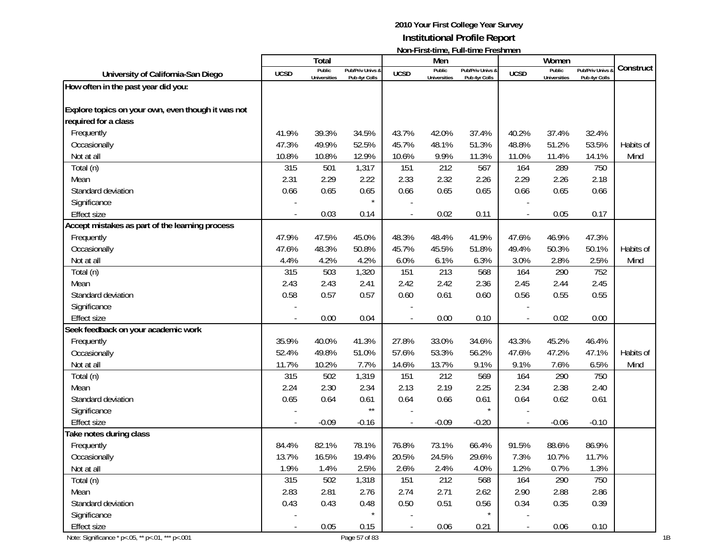|                                                    |                          |                               |                                   |             |                               | <u>INVII-LII SUULIIIG, LUII-UIIIG LESIIIIIGIT</u> |             |                               |                                        |           |
|----------------------------------------------------|--------------------------|-------------------------------|-----------------------------------|-------------|-------------------------------|---------------------------------------------------|-------------|-------------------------------|----------------------------------------|-----------|
|                                                    |                          | Total                         |                                   |             | Men                           |                                                   |             | Women                         |                                        | Construct |
| University of California-San Diego                 | <b>UCSD</b>              | Public<br><b>Universities</b> | Pub/Priv Univs &<br>Pub 4yr Colls | <b>UCSD</b> | Public<br><b>Universities</b> | Pub/Priv Univs &<br>Pub 4yr Colls                 | <b>UCSD</b> | Public<br><b>Universities</b> | <b>Pub/Priv Univs</b><br>Pub 4yr Colls |           |
| How often in the past year did you:                |                          |                               |                                   |             |                               |                                                   |             |                               |                                        |           |
|                                                    |                          |                               |                                   |             |                               |                                                   |             |                               |                                        |           |
| Explore topics on your own, even though it was not |                          |                               |                                   |             |                               |                                                   |             |                               |                                        |           |
| required for a class                               |                          |                               |                                   |             |                               |                                                   |             |                               |                                        |           |
| Frequently                                         | 41.9%                    | 39.3%                         | 34.5%                             | 43.7%       | 42.0%                         | 37.4%                                             | 40.2%       | 37.4%                         | 32.4%                                  |           |
| Occasionally                                       | 47.3%                    | 49.9%                         | 52.5%                             | 45.7%       | 48.1%                         | 51.3%                                             | 48.8%       | 51.2%                         | 53.5%                                  | Habits of |
| Not at all                                         | 10.8%                    | 10.8%                         | 12.9%                             | 10.6%       | 9.9%                          | 11.3%                                             | 11.0%       | 11.4%                         | 14.1%                                  | Mind      |
| Total (n)                                          | 315                      | 501                           | 1,317                             | 151         | 212                           | 567                                               | 164         | 289                           | 750                                    |           |
| Mean                                               | 2.31                     | 2.29                          | 2.22                              | 2.33        | 2.32                          | 2.26                                              | 2.29        | 2.26                          | 2.18                                   |           |
| Standard deviation                                 | 0.66                     | 0.65                          | 0.65                              | 0.66        | 0.65                          | 0.65                                              | 0.66        | 0.65                          | 0.66                                   |           |
| Significance                                       |                          |                               |                                   |             |                               |                                                   |             |                               |                                        |           |
| Effect size                                        | $\overline{\phantom{a}}$ | 0.03                          | 0.14                              |             | 0.02                          | 0.11                                              |             | 0.05                          | 0.17                                   |           |
| Accept mistakes as part of the learning process    |                          |                               |                                   |             |                               |                                                   |             |                               |                                        |           |
| Frequently                                         | 47.9%                    | 47.5%                         | 45.0%                             | 48.3%       | 48.4%                         | 41.9%                                             | 47.6%       | 46.9%                         | 47.3%                                  |           |
| Occasionally                                       | 47.6%                    | 48.3%                         | 50.8%                             | 45.7%       | 45.5%                         | 51.8%                                             | 49.4%       | 50.3%                         | 50.1%                                  | Habits of |
| Not at all                                         | 4.4%                     | 4.2%                          | 4.2%                              | 6.0%        | 6.1%                          | 6.3%                                              | 3.0%        | 2.8%                          | 2.5%                                   | Mind      |
| Total (n)                                          | 315                      | 503                           | 1,320                             | 151         | 213                           | 568                                               | 164         | 290                           | 752                                    |           |
| Mean                                               | 2.43                     | 2.43                          | 2.41                              | 2.42        | 2.42                          | 2.36                                              | 2.45        | 2.44                          | 2.45                                   |           |
| Standard deviation                                 | 0.58                     | 0.57                          | 0.57                              | 0.60        | 0.61                          | 0.60                                              | 0.56        | 0.55                          | 0.55                                   |           |
| Significance                                       |                          |                               |                                   |             |                               |                                                   |             |                               |                                        |           |
| <b>Effect size</b>                                 |                          | 0.00                          | 0.04                              |             | 0.00                          | 0.10                                              |             | 0.02                          | 0.00                                   |           |
| Seek feedback on your academic work                |                          |                               |                                   |             |                               |                                                   |             |                               |                                        |           |
| Frequently                                         | 35.9%                    | 40.0%                         | 41.3%                             | 27.8%       | 33.0%                         | 34.6%                                             | 43.3%       | 45.2%                         | 46.4%                                  |           |
| Occasionally                                       | 52.4%                    | 49.8%                         | 51.0%                             | 57.6%       | 53.3%                         | 56.2%                                             | 47.6%       | 47.2%                         | 47.1%                                  | Habits of |
| Not at all                                         | 11.7%                    | 10.2%                         | 7.7%                              | 14.6%       | 13.7%                         | 9.1%                                              | 9.1%        | 7.6%                          | 6.5%                                   | Mind      |
| Total (n)                                          | 315                      | 502                           | 1,319                             | 151         | 212                           | 569                                               | 164         | 290                           | 750                                    |           |
| Mean                                               | 2.24                     | 2.30                          | 2.34                              | 2.13        | 2.19                          | 2.25                                              | 2.34        | 2.38                          | 2.40                                   |           |
| Standard deviation                                 | 0.65                     | 0.64                          | 0.61                              | 0.64        | 0.66                          | 0.61                                              | 0.64        | 0.62                          | 0.61                                   |           |
| Significance                                       |                          |                               | $\star\star$                      |             |                               |                                                   |             |                               |                                        |           |
| <b>Effect size</b>                                 |                          | $-0.09$                       | $-0.16$                           |             | $-0.09$                       | $-0.20$                                           |             | $-0.06$                       | $-0.10$                                |           |
| Take notes during class                            |                          |                               |                                   |             |                               |                                                   |             |                               |                                        |           |
| Frequently                                         | 84.4%                    | 82.1%                         | 78.1%                             | 76.8%       | 73.1%                         | 66.4%                                             | 91.5%       | 88.6%                         | 86.9%                                  |           |
| Occasionally                                       | 13.7%                    | 16.5%                         | 19.4%                             | 20.5%       | 24.5%                         | 29.6%                                             | 7.3%        | 10.7%                         | 11.7%                                  |           |
| Not at all                                         | 1.9%                     | 1.4%                          | 2.5%                              | 2.6%        | 2.4%                          | 4.0%                                              | 1.2%        | 0.7%                          | 1.3%                                   |           |
| Total (n)                                          | 315                      | 502                           | 1,318                             | 151         | 212                           | 568                                               | 164         | 290                           | 750                                    |           |
| Mean                                               | 2.83                     | 2.81                          | 2.76                              | 2.74        | 2.71                          | 2.62                                              | 2.90        | 2.88                          | 2.86                                   |           |
| Standard deviation                                 | 0.43                     | 0.43                          | 0.48                              | 0.50        | 0.51                          | 0.56                                              | 0.34        | 0.35                          | 0.39                                   |           |
| Significance                                       |                          |                               |                                   |             |                               |                                                   |             |                               |                                        |           |
| <b>Effect size</b>                                 | $\overline{\phantom{a}}$ | 0.05                          | 0.15                              |             | 0.06                          | 0.21                                              |             | 0.06                          | 0.10                                   |           |
| Note: Significance * p<.05, ** p<.01, *** p<.001   |                          |                               | Page 57 of 83                     |             |                               |                                                   |             |                               |                                        |           |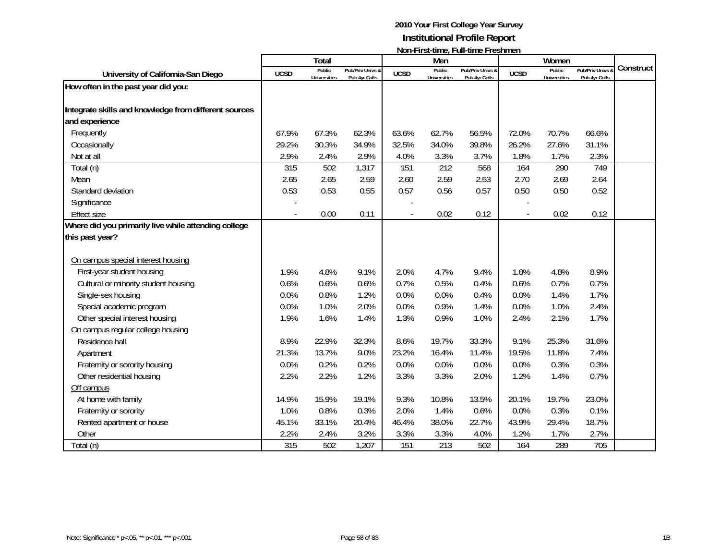|                                                       |             | <b>Total</b>                  |                                   |             | Men                           |                                   |                | Women                         |                                 |           |
|-------------------------------------------------------|-------------|-------------------------------|-----------------------------------|-------------|-------------------------------|-----------------------------------|----------------|-------------------------------|---------------------------------|-----------|
| University of California-San Diego                    | <b>UCSD</b> | Public<br><b>Universities</b> | Pub/Priv Univs &<br>Pub 4yr Colls | <b>UCSD</b> | Public<br><b>Universities</b> | Pub/Priv Univs &<br>Pub 4yr Colls | <b>UCSD</b>    | Public<br><b>Universities</b> | Pub/Priv Univs<br>Pub 4yr Colls | Construct |
| How often in the past year did you:                   |             |                               |                                   |             |                               |                                   |                |                               |                                 |           |
|                                                       |             |                               |                                   |             |                               |                                   |                |                               |                                 |           |
| Integrate skills and knowledge from different sources |             |                               |                                   |             |                               |                                   |                |                               |                                 |           |
| and experience                                        |             |                               |                                   |             |                               |                                   |                |                               |                                 |           |
| Frequently                                            | 67.9%       | 67.3%                         | 62.3%                             | 63.6%       | 62.7%                         | 56.5%                             | 72.0%          | 70.7%                         | 66.6%                           |           |
| Occasionally                                          | 29.2%       | 30.3%                         | 34.9%                             | 32.5%       | 34.0%                         | 39.8%                             | 26.2%          | 27.6%                         | 31.1%                           |           |
| Not at all                                            | 2.9%        | 2.4%                          | 2.9%                              | 4.0%        | 3.3%                          | 3.7%                              | 1.8%           | 1.7%                          | 2.3%                            |           |
| Total (n)                                             | 315         | 502                           | 1,317                             | 151         | 212                           | 568                               | 164            | 290                           | 749                             |           |
| Mean                                                  | 2.65        | 2.65                          | 2.59                              | 2.60        | 2.59                          | 2.53                              | 2.70           | 2.69                          | 2.64                            |           |
| Standard deviation                                    | 0.53        | 0.53                          | 0.55                              | 0.57        | 0.56                          | 0.57                              | 0.50           | 0.50                          | 0.52                            |           |
| Significance                                          |             |                               |                                   |             |                               |                                   |                |                               |                                 |           |
| <b>Effect size</b>                                    |             | 0.00                          | 0.11                              |             | 0.02                          | 0.12                              | $\blacksquare$ | 0.02                          | 0.12                            |           |
| Where did you primarily live while attending college  |             |                               |                                   |             |                               |                                   |                |                               |                                 |           |
| this past year?                                       |             |                               |                                   |             |                               |                                   |                |                               |                                 |           |
|                                                       |             |                               |                                   |             |                               |                                   |                |                               |                                 |           |
| On campus special interest housing                    |             |                               |                                   |             |                               |                                   |                |                               |                                 |           |
| First-year student housing                            | 1.9%        | 4.8%                          | 9.1%                              | 2.0%        | 4.7%                          | 9.4%                              | 1.8%           | 4.8%                          | 8.9%                            |           |
| Cultural or minority student housing                  | 0.6%        | 0.6%                          | 0.6%                              | 0.7%        | 0.5%                          | 0.4%                              | 0.6%           | 0.7%                          | 0.7%                            |           |
| Single-sex housing                                    | 0.0%        | 0.8%                          | 1.2%                              | 0.0%        | 0.0%                          | 0.4%                              | 0.0%           | 1.4%                          | 1.7%                            |           |
| Special academic program                              | 0.0%        | 1.0%                          | 2.0%                              | 0.0%        | 0.9%                          | 1.4%                              | 0.0%           | 1.0%                          | 2.4%                            |           |
| Other special interest housing                        | 1.9%        | 1.6%                          | 1.4%                              | 1.3%        | 0.9%                          | 1.0%                              | 2.4%           | 2.1%                          | 1.7%                            |           |
| On campus regular college housing                     |             |                               |                                   |             |                               |                                   |                |                               |                                 |           |
| Residence hall                                        | 8.9%        | 22.9%                         | 32.3%                             | 8.6%        | 19.7%                         | 33.3%                             | 9.1%           | 25.3%                         | 31.6%                           |           |
| Apartment                                             | 21.3%       | 13.7%                         | 9.0%                              | 23.2%       | 16.4%                         | 11.4%                             | 19.5%          | 11.8%                         | 7.4%                            |           |
| Fraternity or sorority housing                        | 0.0%        | 0.2%                          | 0.2%                              | 0.0%        | 0.0%                          | 0.0%                              | 0.0%           | 0.3%                          | 0.3%                            |           |
| Other residential housing                             | 2.2%        | 2.2%                          | 1.2%                              | 3.3%        | 3.3%                          | 2.0%                              | 1.2%           | 1.4%                          | 0.7%                            |           |
| Off campus                                            |             |                               |                                   |             |                               |                                   |                |                               |                                 |           |
| At home with family                                   | 14.9%       | 15.9%                         | 19.1%                             | 9.3%        | 10.8%                         | 13.5%                             | 20.1%          | 19.7%                         | 23.0%                           |           |
| Fraternity or sorority                                | 1.0%        | 0.8%                          | 0.3%                              | 2.0%        | 1.4%                          | 0.6%                              | 0.0%           | 0.3%                          | 0.1%                            |           |
| Rented apartment or house                             | 45.1%       | 33.1%                         | 20.4%                             | 46.4%       | 38.0%                         | 22.7%                             | 43.9%          | 29.4%                         | 18.7%                           |           |
| Other                                                 | 2.2%        | 2.4%                          | 3.2%                              | 3.3%        | 3.3%                          | 4.0%                              | 1.2%           | 1.7%                          | 2.7%                            |           |
| Total (n)                                             | 315         | 502                           | 1,207                             | 151         | 213                           | 502                               | 164            | 289                           | 705                             |           |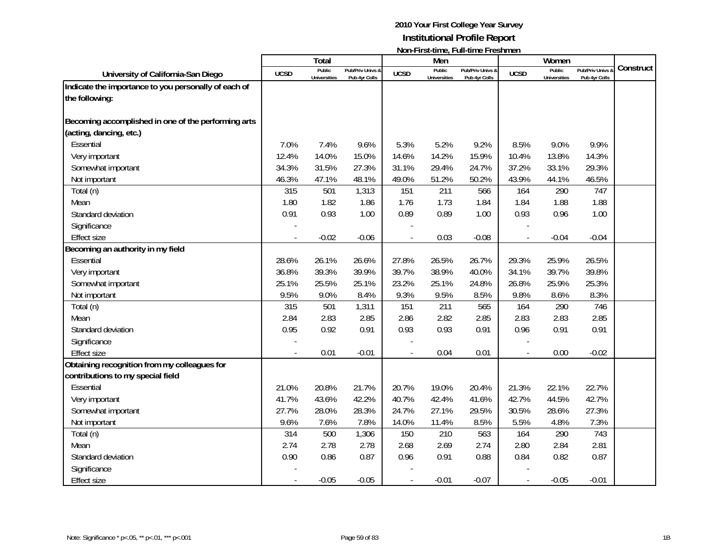|                                                      |             | <b>Total</b>                  |                                   |             | Men                           |                                   |                | Women                         |                                   |           |
|------------------------------------------------------|-------------|-------------------------------|-----------------------------------|-------------|-------------------------------|-----------------------------------|----------------|-------------------------------|-----------------------------------|-----------|
| University of California-San Diego                   | <b>UCSD</b> | Public<br><b>Universities</b> | Pub/Priv Univs &<br>Pub 4yr Colls | <b>UCSD</b> | Public<br><b>Universities</b> | Pub/Priv Univs &<br>Pub 4yr Colls | <b>UCSD</b>    | Public<br><b>Universities</b> | Pub/Priv Univs &<br>Pub 4yr Colls | Construct |
| Indicate the importance to you personally of each of |             |                               |                                   |             |                               |                                   |                |                               |                                   |           |
| the following:                                       |             |                               |                                   |             |                               |                                   |                |                               |                                   |           |
|                                                      |             |                               |                                   |             |                               |                                   |                |                               |                                   |           |
| Becoming accomplished in one of the performing arts  |             |                               |                                   |             |                               |                                   |                |                               |                                   |           |
| (acting, dancing, etc.)                              |             |                               |                                   |             |                               |                                   |                |                               |                                   |           |
| Essential                                            | 7.0%        | 7.4%                          | 9.6%                              | 5.3%        | 5.2%                          | 9.2%                              | 8.5%           | 9.0%                          | 9.9%                              |           |
| Very important                                       | 12.4%       | 14.0%                         | 15.0%                             | 14.6%       | 14.2%                         | 15.9%                             | 10.4%          | 13.8%                         | 14.3%                             |           |
| Somewhat important                                   | 34.3%       | 31.5%                         | 27.3%                             | 31.1%       | 29.4%                         | 24.7%                             | 37.2%          | 33.1%                         | 29.3%                             |           |
| Not important                                        | 46.3%       | 47.1%                         | 48.1%                             | 49.0%       | 51.2%                         | 50.2%                             | 43.9%          | 44.1%                         | 46.5%                             |           |
| Total (n)                                            | 315         | 501                           | 1,313                             | 151         | 211                           | 566                               | 164            | 290                           | 747                               |           |
| Mean                                                 | 1.80        | 1.82                          | 1.86                              | 1.76        | 1.73                          | 1.84                              | 1.84           | 1.88                          | 1.88                              |           |
| Standard deviation                                   | 0.91        | 0.93                          | 1.00                              | 0.89        | 0.89                          | 1.00                              | 0.93           | 0.96                          | 1.00                              |           |
| Significance                                         |             |                               |                                   |             |                               |                                   |                |                               |                                   |           |
| <b>Effect size</b>                                   |             | $-0.02$                       | $-0.06$                           |             | 0.03                          | $-0.08$                           |                | $-0.04$                       | $-0.04$                           |           |
| Becoming an authority in my field                    |             |                               |                                   |             |                               |                                   |                |                               |                                   |           |
| Essential                                            | 28.6%       | 26.1%                         | 26.6%                             | 27.8%       | 26.5%                         | 26.7%                             | 29.3%          | 25.9%                         | 26.5%                             |           |
| Very important                                       | 36.8%       | 39.3%                         | 39.9%                             | 39.7%       | 38.9%                         | 40.0%                             | 34.1%          | 39.7%                         | 39.8%                             |           |
| Somewhat important                                   | 25.1%       | 25.5%                         | 25.1%                             | 23.2%       | 25.1%                         | 24.8%                             | 26.8%          | 25.9%                         | 25.3%                             |           |
| Not important                                        | 9.5%        | 9.0%                          | 8.4%                              | 9.3%        | 9.5%                          | 8.5%                              | 9.8%           | 8.6%                          | 8.3%                              |           |
| Total (n)                                            | 315         | 501                           | 1,311                             | 151         | 211                           | 565                               | 164            | 290                           | 746                               |           |
| Mean                                                 | 2.84        | 2.83                          | 2.85                              | 2.86        | 2.82                          | 2.85                              | 2.83           | 2.83                          | 2.85                              |           |
| Standard deviation                                   | 0.95        | 0.92                          | 0.91                              | 0.93        | 0.93                          | 0.91                              | 0.96           | 0.91                          | 0.91                              |           |
| Significance                                         |             |                               |                                   |             |                               |                                   |                |                               |                                   |           |
| <b>Effect size</b>                                   |             | 0.01                          | $-0.01$                           |             | 0.04                          | 0.01                              | $\overline{a}$ | 0.00                          | $-0.02$                           |           |
| Obtaining recognition from my colleagues for         |             |                               |                                   |             |                               |                                   |                |                               |                                   |           |
| contributions to my special field                    |             |                               |                                   |             |                               |                                   |                |                               |                                   |           |
| Essential                                            | 21.0%       | 20.8%                         | 21.7%                             | 20.7%       | 19.0%                         | 20.4%                             | 21.3%          | 22.1%                         | 22.7%                             |           |
| Very important                                       | 41.7%       | 43.6%                         | 42.2%                             | 40.7%       | 42.4%                         | 41.6%                             | 42.7%          | 44.5%                         | 42.7%                             |           |
| Somewhat important                                   | 27.7%       | 28.0%                         | 28.3%                             | 24.7%       | 27.1%                         | 29.5%                             | 30.5%          | 28.6%                         | 27.3%                             |           |
| Not important                                        | 9.6%        | 7.6%                          | 7.8%                              | 14.0%       | 11.4%                         | 8.5%                              | 5.5%           | 4.8%                          | 7.3%                              |           |
| Total (n)                                            | 314         | 500                           | 1,306                             | 150         | 210                           | 563                               | 164            | 290                           | 743                               |           |
| Mean                                                 | 2.74        | 2.78                          | 2.78                              | 2.68        | 2.69                          | 2.74                              | 2.80           | 2.84                          | 2.81                              |           |
| Standard deviation                                   | 0.90        | 0.86                          | 0.87                              | 0.96        | 0.91                          | 0.88                              | 0.84           | 0.82                          | 0.87                              |           |
| Significance                                         |             |                               |                                   |             |                               |                                   |                |                               |                                   |           |
| <b>Effect size</b>                                   |             | $-0.05$                       | $-0.05$                           |             | $-0.01$                       | $-0.07$                           |                | $-0.05$                       | $-0.01$                           |           |
|                                                      |             |                               |                                   |             |                               |                                   |                |                               |                                   |           |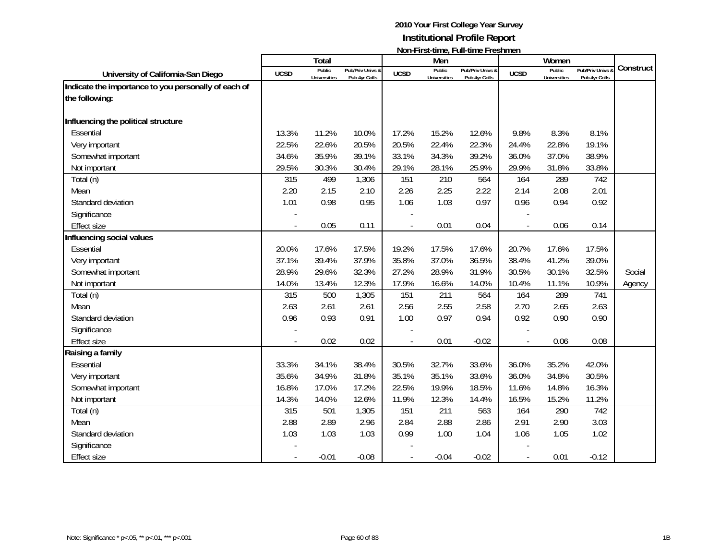|                                                                        |             | <b>Total</b>                  |                                   |                | Men                           |                                   |                | Women                         |                                 |           |
|------------------------------------------------------------------------|-------------|-------------------------------|-----------------------------------|----------------|-------------------------------|-----------------------------------|----------------|-------------------------------|---------------------------------|-----------|
| University of California-San Diego                                     | <b>UCSD</b> | Public<br><b>Universities</b> | Pub/Priv Univs &<br>Pub 4yr Colls | <b>UCSD</b>    | Public<br><b>Universities</b> | Pub/Priv Univs &<br>Pub 4yr Colls | <b>UCSD</b>    | Public<br><b>Universities</b> | Pub/Priv Univs<br>Pub 4yr Colls | Construct |
| Indicate the importance to you personally of each of<br>the following: |             |                               |                                   |                |                               |                                   |                |                               |                                 |           |
| Influencing the political structure                                    |             |                               |                                   |                |                               |                                   |                |                               |                                 |           |
| Essential                                                              | 13.3%       | 11.2%                         | 10.0%                             | 17.2%          | 15.2%                         | 12.6%                             | 9.8%           | 8.3%                          | 8.1%                            |           |
| Very important                                                         | 22.5%       | 22.6%                         | 20.5%                             | 20.5%          | 22.4%                         | 22.3%                             | 24.4%          | 22.8%                         | 19.1%                           |           |
| Somewhat important                                                     | 34.6%       | 35.9%                         | 39.1%                             | 33.1%          | 34.3%                         | 39.2%                             | 36.0%          | 37.0%                         | 38.9%                           |           |
| Not important                                                          | 29.5%       | 30.3%                         | 30.4%                             | 29.1%          | 28.1%                         | 25.9%                             | 29.9%          | 31.8%                         | 33.8%                           |           |
| Total (n)                                                              | 315         | 499                           | 1,306                             | 151            | 210                           | 564                               | 164            | 289                           | 742                             |           |
| Mean                                                                   | 2.20        | 2.15                          | 2.10                              | 2.26           | 2.25                          | 2.22                              | 2.14           | 2.08                          | 2.01                            |           |
| Standard deviation                                                     | 1.01        | 0.98                          | 0.95                              | 1.06           | 1.03                          | 0.97                              | 0.96           | 0.94                          | 0.92                            |           |
| Significance                                                           |             |                               |                                   |                |                               |                                   |                |                               |                                 |           |
| <b>Effect size</b>                                                     |             | 0.05                          | 0.11                              | $\overline{a}$ | 0.01                          | 0.04                              | $\overline{a}$ | 0.06                          | 0.14                            |           |
| Influencing social values                                              |             |                               |                                   |                |                               |                                   |                |                               |                                 |           |
| Essential                                                              | 20.0%       | 17.6%                         | 17.5%                             | 19.2%          | 17.5%                         | 17.6%                             | 20.7%          | 17.6%                         | 17.5%                           |           |
| Very important                                                         | 37.1%       | 39.4%                         | 37.9%                             | 35.8%          | 37.0%                         | 36.5%                             | 38.4%          | 41.2%                         | 39.0%                           |           |
| Somewhat important                                                     | 28.9%       | 29.6%                         | 32.3%                             | 27.2%          | 28.9%                         | 31.9%                             | 30.5%          | 30.1%                         | 32.5%                           | Social    |
| Not important                                                          | 14.0%       | 13.4%                         | 12.3%                             | 17.9%          | 16.6%                         | 14.0%                             | 10.4%          | 11.1%                         | 10.9%                           | Agency    |
| Total (n)                                                              | 315         | 500                           | 1,305                             | 151            | 211                           | 564                               | 164            | 289                           | 741                             |           |
| Mean                                                                   | 2.63        | 2.61                          | 2.61                              | 2.56           | 2.55                          | 2.58                              | 2.70           | 2.65                          | 2.63                            |           |
| Standard deviation                                                     | 0.96        | 0.93                          | 0.91                              | 1.00           | 0.97                          | 0.94                              | 0.92           | 0.90                          | 0.90                            |           |
| Significance                                                           |             |                               |                                   |                |                               |                                   |                |                               |                                 |           |
| <b>Effect size</b>                                                     |             | 0.02                          | 0.02                              |                | 0.01                          | $-0.02$                           | $\overline{a}$ | 0.06                          | 0.08                            |           |
| Raising a family                                                       |             |                               |                                   |                |                               |                                   |                |                               |                                 |           |
| Essential                                                              | 33.3%       | 34.1%                         | 38.4%                             | 30.5%          | 32.7%                         | 33.6%                             | 36.0%          | 35.2%                         | 42.0%                           |           |
| Very important                                                         | 35.6%       | 34.9%                         | 31.8%                             | 35.1%          | 35.1%                         | 33.6%                             | 36.0%          | 34.8%                         | 30.5%                           |           |
| Somewhat important                                                     | 16.8%       | 17.0%                         | 17.2%                             | 22.5%          | 19.9%                         | 18.5%                             | 11.6%          | 14.8%                         | 16.3%                           |           |
| Not important                                                          | 14.3%       | 14.0%                         | 12.6%                             | 11.9%          | 12.3%                         | 14.4%                             | 16.5%          | 15.2%                         | 11.2%                           |           |
| Total (n)                                                              | 315         | 501                           | 1,305                             | 151            | 211                           | 563                               | 164            | 290                           | 742                             |           |
| Mean                                                                   | 2.88        | 2.89                          | 2.96                              | 2.84           | 2.88                          | 2.86                              | 2.91           | 2.90                          | 3.03                            |           |
| Standard deviation                                                     | 1.03        | 1.03                          | 1.03                              | 0.99           | 1.00                          | 1.04                              | 1.06           | 1.05                          | 1.02                            |           |
| Significance                                                           |             |                               |                                   |                |                               |                                   |                |                               |                                 |           |
| <b>Effect size</b>                                                     |             | $-0.01$                       | $-0.08$                           |                | $-0.04$                       | $-0.02$                           |                | 0.01                          | $-0.12$                         |           |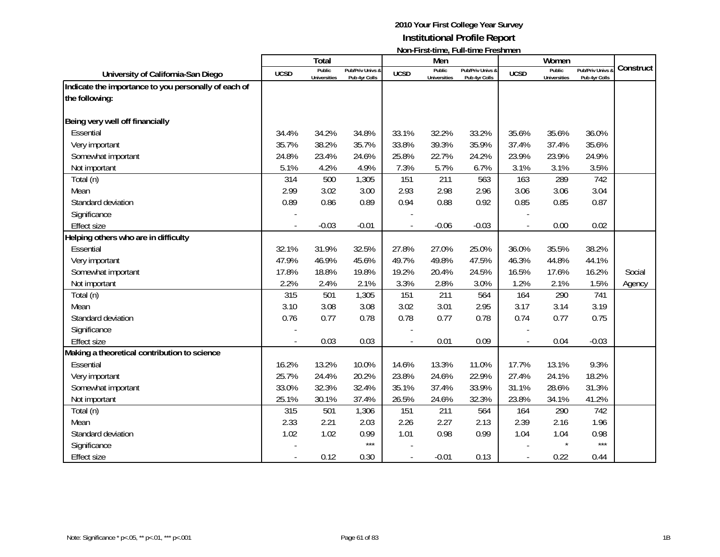|                                                      |             | Total                         |                                   |             | Men                           |                                   |             | Women                         |                                 |           |
|------------------------------------------------------|-------------|-------------------------------|-----------------------------------|-------------|-------------------------------|-----------------------------------|-------------|-------------------------------|---------------------------------|-----------|
| University of California-San Diego                   | <b>UCSD</b> | Public<br><b>Universities</b> | Pub/Priv Univs &<br>Pub 4yr Colls | <b>UCSD</b> | Public<br><b>Universities</b> | Pub/Priv Univs &<br>Pub 4yr Colls | <b>UCSD</b> | Public<br><b>Universities</b> | Pub/Priv Univs<br>Pub 4yr Colls | Construct |
| Indicate the importance to you personally of each of |             |                               |                                   |             |                               |                                   |             |                               |                                 |           |
| the following:                                       |             |                               |                                   |             |                               |                                   |             |                               |                                 |           |
| Being very well off financially                      |             |                               |                                   |             |                               |                                   |             |                               |                                 |           |
| Essential                                            | 34.4%       | 34.2%                         | 34.8%                             | 33.1%       | 32.2%                         | 33.2%                             | 35.6%       | 35.6%                         | 36.0%                           |           |
| Very important                                       | 35.7%       | 38.2%                         | 35.7%                             | 33.8%       | 39.3%                         | 35.9%                             | 37.4%       | 37.4%                         | 35.6%                           |           |
| Somewhat important                                   | 24.8%       | 23.4%                         | 24.6%                             | 25.8%       | 22.7%                         | 24.2%                             | 23.9%       | 23.9%                         | 24.9%                           |           |
| Not important                                        | 5.1%        | 4.2%                          | 4.9%                              | 7.3%        | 5.7%                          | 6.7%                              | 3.1%        | 3.1%                          | 3.5%                            |           |
| Total (n)                                            | 314         | 500                           | 1,305                             | 151         | 211                           | 563                               | 163         | 289                           | 742                             |           |
| Mean                                                 | 2.99        | 3.02                          | 3.00                              | 2.93        | 2.98                          | 2.96                              | 3.06        | 3.06                          | 3.04                            |           |
| Standard deviation                                   | 0.89        | 0.86                          | 0.89                              | 0.94        | 0.88                          | 0.92                              | 0.85        | 0.85                          | 0.87                            |           |
| Significance                                         |             |                               |                                   |             |                               |                                   |             |                               |                                 |           |
| <b>Effect size</b>                                   |             | $-0.03$                       | $-0.01$                           |             | $-0.06$                       | $-0.03$                           |             | 0.00                          | 0.02                            |           |
| Helping others who are in difficulty                 |             |                               |                                   |             |                               |                                   |             |                               |                                 |           |
| Essential                                            | 32.1%       | 31.9%                         | 32.5%                             | 27.8%       | 27.0%                         | 25.0%                             | 36.0%       | 35.5%                         | 38.2%                           |           |
| Very important                                       | 47.9%       | 46.9%                         | 45.6%                             | 49.7%       | 49.8%                         | 47.5%                             | 46.3%       | 44.8%                         | 44.1%                           |           |
| Somewhat important                                   | 17.8%       | 18.8%                         | 19.8%                             | 19.2%       | 20.4%                         | 24.5%                             | 16.5%       | 17.6%                         | 16.2%                           | Social    |
| Not important                                        | 2.2%        | 2.4%                          | 2.1%                              | 3.3%        | 2.8%                          | 3.0%                              | 1.2%        | 2.1%                          | 1.5%                            | Agency    |
| Total (n)                                            | 315         | 501                           | 1,305                             | 151         | 211                           | 564                               | 164         | 290                           | 741                             |           |
| Mean                                                 | 3.10        | 3.08                          | 3.08                              | 3.02        | 3.01                          | 2.95                              | 3.17        | 3.14                          | 3.19                            |           |
| Standard deviation                                   | 0.76        | 0.77                          | 0.78                              | 0.78        | 0.77                          | 0.78                              | 0.74        | 0.77                          | 0.75                            |           |
| Significance                                         |             |                               |                                   |             |                               |                                   |             |                               |                                 |           |
| <b>Effect size</b>                                   |             | 0.03                          | 0.03                              |             | 0.01                          | 0.09                              |             | 0.04                          | $-0.03$                         |           |
| Making a theoretical contribution to science         |             |                               |                                   |             |                               |                                   |             |                               |                                 |           |
| Essential                                            | 16.2%       | 13.2%                         | 10.0%                             | 14.6%       | 13.3%                         | 11.0%                             | 17.7%       | 13.1%                         | 9.3%                            |           |
| Very important                                       | 25.7%       | 24.4%                         | 20.2%                             | 23.8%       | 24.6%                         | 22.9%                             | 27.4%       | 24.1%                         | 18.2%                           |           |
| Somewhat important                                   | 33.0%       | 32.3%                         | 32.4%                             | 35.1%       | 37.4%                         | 33.9%                             | 31.1%       | 28.6%                         | 31.3%                           |           |
| Not important                                        | 25.1%       | 30.1%                         | 37.4%                             | 26.5%       | 24.6%                         | 32.3%                             | 23.8%       | 34.1%                         | 41.2%                           |           |
| Total (n)                                            | 315         | 501                           | 1,306                             | 151         | 211                           | 564                               | 164         | 290                           | 742                             |           |
| Mean                                                 | 2.33        | 2.21                          | 2.03                              | 2.26        | 2.27                          | 2.13                              | 2.39        | 2.16                          | 1.96                            |           |
| Standard deviation                                   | 1.02        | 1.02                          | 0.99                              | 1.01        | 0.98                          | 0.99                              | 1.04        | 1.04                          | 0.98                            |           |
| Significance                                         |             |                               | $***$                             |             |                               |                                   |             |                               | $***$                           |           |
| <b>Effect size</b>                                   |             | 0.12                          | 0.30                              |             | $-0.01$                       | 0.13                              |             | 0.22                          | 0.44                            |           |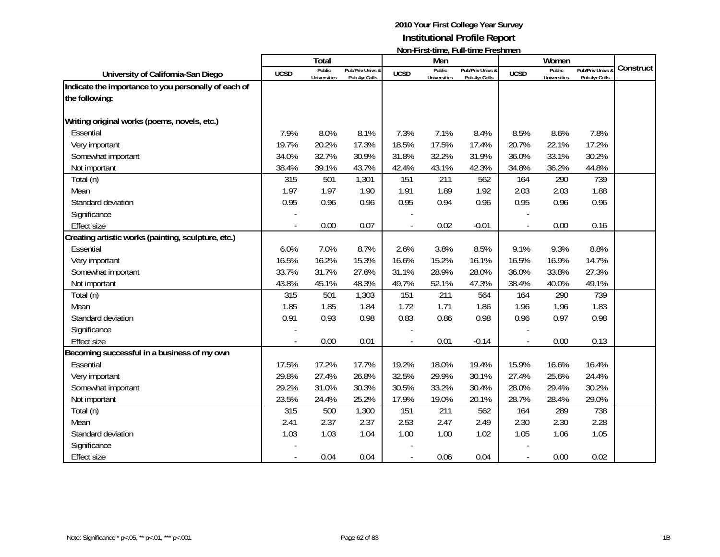|                                                                        |             | <b>Total</b>                  |                                   |             | Men                           |                                   |                | Women                         |                                 |           |
|------------------------------------------------------------------------|-------------|-------------------------------|-----------------------------------|-------------|-------------------------------|-----------------------------------|----------------|-------------------------------|---------------------------------|-----------|
| University of California-San Diego                                     | <b>UCSD</b> | Public<br><b>Universities</b> | Pub/Priv Univs &<br>Pub 4yr Colls | <b>UCSD</b> | Public<br><b>Universities</b> | Pub/Priv Univs &<br>Pub 4yr Colls | <b>UCSD</b>    | Public<br><b>Universities</b> | Pub/Priv Univs<br>Pub 4yr Colls | Construct |
| Indicate the importance to you personally of each of<br>the following: |             |                               |                                   |             |                               |                                   |                |                               |                                 |           |
| Writing original works (poems, novels, etc.)                           |             |                               |                                   |             |                               |                                   |                |                               |                                 |           |
| Essential                                                              | 7.9%        | 8.0%                          | 8.1%                              | 7.3%        | 7.1%                          | 8.4%                              | 8.5%           | 8.6%                          | 7.8%                            |           |
| Very important                                                         | 19.7%       | 20.2%                         | 17.3%                             | 18.5%       | 17.5%                         | 17.4%                             | 20.7%          | 22.1%                         | 17.2%                           |           |
| Somewhat important                                                     | 34.0%       | 32.7%                         | 30.9%                             | 31.8%       | 32.2%                         | 31.9%                             | 36.0%          | 33.1%                         | 30.2%                           |           |
| Not important                                                          | 38.4%       | 39.1%                         | 43.7%                             | 42.4%       | 43.1%                         | 42.3%                             | 34.8%          | 36.2%                         | 44.8%                           |           |
| Total (n)                                                              | 315         | 501                           | 1,301                             | 151         | 211                           | 562                               | 164            | 290                           | 739                             |           |
| Mean                                                                   | 1.97        | 1.97                          | 1.90                              | 1.91        | 1.89                          | 1.92                              | 2.03           | 2.03                          | 1.88                            |           |
| Standard deviation                                                     | 0.95        | 0.96                          | 0.96                              | 0.95        | 0.94                          | 0.96                              | 0.95           | 0.96                          | 0.96                            |           |
| Significance                                                           |             |                               |                                   |             |                               |                                   |                |                               |                                 |           |
| <b>Effect size</b>                                                     |             | 0.00                          | 0.07                              |             | 0.02                          | $-0.01$                           | $\overline{a}$ | 0.00                          | 0.16                            |           |
| Creating artistic works (painting, sculpture, etc.)                    |             |                               |                                   |             |                               |                                   |                |                               |                                 |           |
| Essential                                                              | 6.0%        | 7.0%                          | 8.7%                              | 2.6%        | 3.8%                          | 8.5%                              | 9.1%           | 9.3%                          | 8.8%                            |           |
| Very important                                                         | 16.5%       | 16.2%                         | 15.3%                             | 16.6%       | 15.2%                         | 16.1%                             | 16.5%          | 16.9%                         | 14.7%                           |           |
| Somewhat important                                                     | 33.7%       | 31.7%                         | 27.6%                             | 31.1%       | 28.9%                         | 28.0%                             | 36.0%          | 33.8%                         | 27.3%                           |           |
| Not important                                                          | 43.8%       | 45.1%                         | 48.3%                             | 49.7%       | 52.1%                         | 47.3%                             | 38.4%          | 40.0%                         | 49.1%                           |           |
| Total (n)                                                              | 315         | 501                           | 1,303                             | 151         | 211                           | 564                               | 164            | 290                           | 739                             |           |
| Mean                                                                   | 1.85        | 1.85                          | 1.84                              | 1.72        | 1.71                          | 1.86                              | 1.96           | 1.96                          | 1.83                            |           |
| Standard deviation                                                     | 0.91        | 0.93                          | 0.98                              | 0.83        | 0.86                          | 0.98                              | 0.96           | 0.97                          | 0.98                            |           |
| Significance                                                           |             |                               |                                   |             |                               |                                   |                |                               |                                 |           |
| <b>Effect size</b>                                                     |             | 0.00                          | 0.01                              |             | 0.01                          | $-0.14$                           |                | 0.00                          | 0.13                            |           |
| Becoming successful in a business of my own                            |             |                               |                                   |             |                               |                                   |                |                               |                                 |           |
| Essential                                                              | 17.5%       | 17.2%                         | 17.7%                             | 19.2%       | 18.0%                         | 19.4%                             | 15.9%          | 16.6%                         | 16.4%                           |           |
| Very important                                                         | 29.8%       | 27.4%                         | 26.8%                             | 32.5%       | 29.9%                         | 30.1%                             | 27.4%          | 25.6%                         | 24.4%                           |           |
| Somewhat important                                                     | 29.2%       | 31.0%                         | 30.3%                             | 30.5%       | 33.2%                         | 30.4%                             | 28.0%          | 29.4%                         | 30.2%                           |           |
| Not important                                                          | 23.5%       | 24.4%                         | 25.2%                             | 17.9%       | 19.0%                         | 20.1%                             | 28.7%          | 28.4%                         | 29.0%                           |           |
| Total (n)                                                              | 315         | 500                           | 1,300                             | 151         | 211                           | 562                               | 164            | 289                           | 738                             |           |
| Mean                                                                   | 2.41        | 2.37                          | 2.37                              | 2.53        | 2.47                          | 2.49                              | 2.30           | 2.30                          | 2.28                            |           |
| Standard deviation                                                     | 1.03        | 1.03                          | 1.04                              | 1.00        | 1.00                          | 1.02                              | 1.05           | 1.06                          | 1.05                            |           |
| Significance                                                           |             |                               |                                   |             |                               |                                   |                |                               |                                 |           |
| <b>Effect size</b>                                                     |             | 0.04                          | 0.04                              |             | 0.06                          | 0.04                              |                | 0.00                          | 0.02                            |           |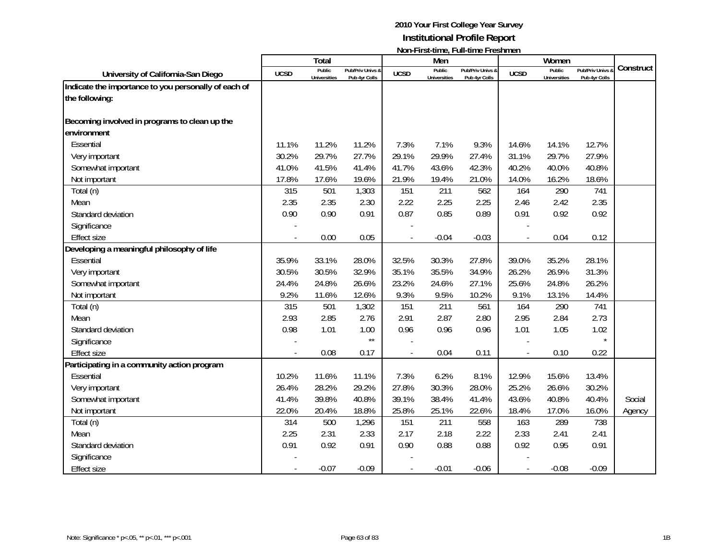|                                                      |             | Total                         |                                   |             | Men                           |                                   |             | Women                         |                                 |           |
|------------------------------------------------------|-------------|-------------------------------|-----------------------------------|-------------|-------------------------------|-----------------------------------|-------------|-------------------------------|---------------------------------|-----------|
| University of California-San Diego                   | <b>UCSD</b> | Public<br><b>Universities</b> | Pub/Priv Univs &<br>Pub 4yr Colls | <b>UCSD</b> | Public<br><b>Universities</b> | Pub/Priv Univs &<br>Pub 4yr Colls | <b>UCSD</b> | Public<br><b>Universities</b> | Pub/Priv Univs<br>Pub 4yr Colls | Construct |
| Indicate the importance to you personally of each of |             |                               |                                   |             |                               |                                   |             |                               |                                 |           |
| the following:                                       |             |                               |                                   |             |                               |                                   |             |                               |                                 |           |
| Becoming involved in programs to clean up the        |             |                               |                                   |             |                               |                                   |             |                               |                                 |           |
| environment                                          |             |                               |                                   |             |                               |                                   |             |                               |                                 |           |
| Essential                                            | 11.1%       | 11.2%                         | 11.2%                             | 7.3%        | 7.1%                          | 9.3%                              | 14.6%       | 14.1%                         | 12.7%                           |           |
| Very important                                       | 30.2%       | 29.7%                         | 27.7%                             | 29.1%       | 29.9%                         | 27.4%                             | 31.1%       | 29.7%                         | 27.9%                           |           |
| Somewhat important                                   | 41.0%       | 41.5%                         | 41.4%                             | 41.7%       | 43.6%                         | 42.3%                             | 40.2%       | 40.0%                         | 40.8%                           |           |
| Not important                                        | 17.8%       | 17.6%                         | 19.6%                             | 21.9%       | 19.4%                         | 21.0%                             | 14.0%       | 16.2%                         | 18.6%                           |           |
| Total (n)                                            | 315         | 501                           | 1,303                             | 151         | 211                           | 562                               | 164         | 290                           | 741                             |           |
| Mean                                                 | 2.35        | 2.35                          | 2.30                              | 2.22        | 2.25                          | 2.25                              | 2.46        | 2.42                          | 2.35                            |           |
| Standard deviation                                   | 0.90        | 0.90                          | 0.91                              | 0.87        | 0.85                          | 0.89                              | 0.91        | 0.92                          | 0.92                            |           |
| Significance                                         |             |                               |                                   |             |                               |                                   |             |                               |                                 |           |
| <b>Effect size</b>                                   |             | 0.00                          | 0.05                              |             | $-0.04$                       | $-0.03$                           |             | 0.04                          | 0.12                            |           |
| Developing a meaningful philosophy of life           |             |                               |                                   |             |                               |                                   |             |                               |                                 |           |
| Essential                                            | 35.9%       | 33.1%                         | 28.0%                             | 32.5%       | 30.3%                         | 27.8%                             | 39.0%       | 35.2%                         | 28.1%                           |           |
| Very important                                       | 30.5%       | 30.5%                         | 32.9%                             | 35.1%       | 35.5%                         | 34.9%                             | 26.2%       | 26.9%                         | 31.3%                           |           |
| Somewhat important                                   | 24.4%       | 24.8%                         | 26.6%                             | 23.2%       | 24.6%                         | 27.1%                             | 25.6%       | 24.8%                         | 26.2%                           |           |
| Not important                                        | 9.2%        | 11.6%                         | 12.6%                             | 9.3%        | 9.5%                          | 10.2%                             | 9.1%        | 13.1%                         | 14.4%                           |           |
| Total (n)                                            | 315         | 501                           | 1,302                             | 151         | 211                           | 561                               | 164         | 290                           | 741                             |           |
| Mean                                                 | 2.93        | 2.85                          | 2.76                              | 2.91        | 2.87                          | 2.80                              | 2.95        | 2.84                          | 2.73                            |           |
| Standard deviation                                   | 0.98        | 1.01                          | 1.00                              | 0.96        | 0.96                          | 0.96                              | 1.01        | 1.05                          | 1.02                            |           |
| Significance                                         |             |                               | $\star\star$                      |             |                               |                                   |             |                               | $\star$                         |           |
| <b>Effect size</b>                                   |             | 0.08                          | 0.17                              |             | 0.04                          | 0.11                              |             | 0.10                          | 0.22                            |           |
| Participating in a community action program          |             |                               |                                   |             |                               |                                   |             |                               |                                 |           |
| Essential                                            | 10.2%       | 11.6%                         | 11.1%                             | 7.3%        | 6.2%                          | 8.1%                              | 12.9%       | 15.6%                         | 13.4%                           |           |
| Very important                                       | 26.4%       | 28.2%                         | 29.2%                             | 27.8%       | 30.3%                         | 28.0%                             | 25.2%       | 26.6%                         | 30.2%                           |           |
| Somewhat important                                   | 41.4%       | 39.8%                         | 40.8%                             | 39.1%       | 38.4%                         | 41.4%                             | 43.6%       | 40.8%                         | 40.4%                           | Social    |
| Not important                                        | 22.0%       | 20.4%                         | 18.8%                             | 25.8%       | 25.1%                         | 22.6%                             | 18.4%       | 17.0%                         | 16.0%                           | Agency    |
| Total (n)                                            | 314         | 500                           | 1,296                             | 151         | 211                           | 558                               | 163         | 289                           | 738                             |           |
| Mean                                                 | 2.25        | 2.31                          | 2.33                              | 2.17        | 2.18                          | 2.22                              | 2.33        | 2.41                          | 2.41                            |           |
| Standard deviation                                   | 0.91        | 0.92                          | 0.91                              | 0.90        | 0.88                          | 0.88                              | 0.92        | 0.95                          | 0.91                            |           |
| Significance                                         |             |                               |                                   |             |                               |                                   |             |                               |                                 |           |
| <b>Effect size</b>                                   |             | $-0.07$                       | $-0.09$                           |             | $-0.01$                       | $-0.06$                           |             | $-0.08$                       | $-0.09$                         |           |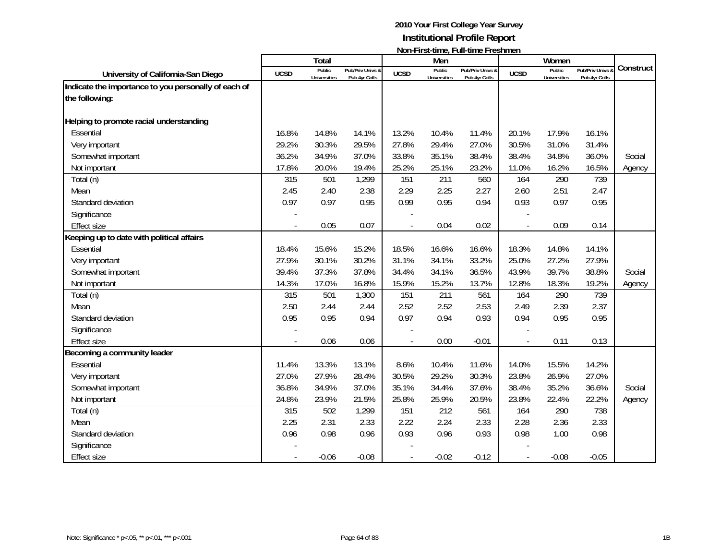|                                                                        |             | <b>Total</b>                  |                                   |             | Men                           |                                   |                | Women                         |                                 |           |
|------------------------------------------------------------------------|-------------|-------------------------------|-----------------------------------|-------------|-------------------------------|-----------------------------------|----------------|-------------------------------|---------------------------------|-----------|
| University of California-San Diego                                     | <b>UCSD</b> | Public<br><b>Universities</b> | Pub/Priv Univs &<br>Pub 4yr Colls | <b>UCSD</b> | Public<br><b>Universities</b> | Pub/Priv Univs &<br>Pub 4yr Colls | <b>UCSD</b>    | Public<br><b>Universities</b> | Pub/Priv Univs<br>Pub 4yr Colls | Construct |
| Indicate the importance to you personally of each of<br>the following: |             |                               |                                   |             |                               |                                   |                |                               |                                 |           |
| Helping to promote racial understanding                                |             |                               |                                   |             |                               |                                   |                |                               |                                 |           |
| Essential                                                              | 16.8%       | 14.8%                         | 14.1%                             | 13.2%       | 10.4%                         | 11.4%                             | 20.1%          | 17.9%                         | 16.1%                           |           |
| Very important                                                         | 29.2%       | 30.3%                         | 29.5%                             | 27.8%       | 29.4%                         | 27.0%                             | 30.5%          | 31.0%                         | 31.4%                           |           |
| Somewhat important                                                     | 36.2%       | 34.9%                         | 37.0%                             | 33.8%       | 35.1%                         | 38.4%                             | 38.4%          | 34.8%                         | 36.0%                           | Social    |
| Not important                                                          | 17.8%       | 20.0%                         | 19.4%                             | 25.2%       | 25.1%                         | 23.2%                             | 11.0%          | 16.2%                         | 16.5%                           | Agency    |
| Total (n)                                                              | 315         | 501                           | 1,299                             | 151         | 211                           | 560                               | 164            | 290                           | 739                             |           |
| Mean                                                                   | 2.45        | 2.40                          | 2.38                              | 2.29        | 2.25                          | 2.27                              | 2.60           | 2.51                          | 2.47                            |           |
| Standard deviation                                                     | 0.97        | 0.97                          | 0.95                              | 0.99        | 0.95                          | 0.94                              | 0.93           | 0.97                          | 0.95                            |           |
| Significance                                                           |             |                               |                                   |             |                               |                                   |                |                               |                                 |           |
| <b>Effect size</b>                                                     |             | 0.05                          | 0.07                              |             | 0.04                          | 0.02                              | $\overline{a}$ | 0.09                          | 0.14                            |           |
| Keeping up to date with political affairs                              |             |                               |                                   |             |                               |                                   |                |                               |                                 |           |
| Essential                                                              | 18.4%       | 15.6%                         | 15.2%                             | 18.5%       | 16.6%                         | 16.6%                             | 18.3%          | 14.8%                         | 14.1%                           |           |
| Very important                                                         | 27.9%       | 30.1%                         | 30.2%                             | 31.1%       | 34.1%                         | 33.2%                             | 25.0%          | 27.2%                         | 27.9%                           |           |
| Somewhat important                                                     | 39.4%       | 37.3%                         | 37.8%                             | 34.4%       | 34.1%                         | 36.5%                             | 43.9%          | 39.7%                         | 38.8%                           | Social    |
| Not important                                                          | 14.3%       | 17.0%                         | 16.8%                             | 15.9%       | 15.2%                         | 13.7%                             | 12.8%          | 18.3%                         | 19.2%                           | Agency    |
| Total (n)                                                              | 315         | 501                           | 1,300                             | 151         | 211                           | 561                               | 164            | 290                           | 739                             |           |
| Mean                                                                   | 2.50        | 2.44                          | 2.44                              | 2.52        | 2.52                          | 2.53                              | 2.49           | 2.39                          | 2.37                            |           |
| Standard deviation                                                     | 0.95        | 0.95                          | 0.94                              | 0.97        | 0.94                          | 0.93                              | 0.94           | 0.95                          | 0.95                            |           |
| Significance                                                           |             |                               |                                   |             |                               |                                   |                |                               |                                 |           |
| <b>Effect size</b>                                                     |             | 0.06                          | 0.06                              |             | 0.00                          | $-0.01$                           | $\overline{a}$ | 0.11                          | 0.13                            |           |
| Becoming a community leader                                            |             |                               |                                   |             |                               |                                   |                |                               |                                 |           |
| Essential                                                              | 11.4%       | 13.3%                         | 13.1%                             | 8.6%        | 10.4%                         | 11.6%                             | 14.0%          | 15.5%                         | 14.2%                           |           |
| Very important                                                         | 27.0%       | 27.9%                         | 28.4%                             | 30.5%       | 29.2%                         | 30.3%                             | 23.8%          | 26.9%                         | 27.0%                           |           |
| Somewhat important                                                     | 36.8%       | 34.9%                         | 37.0%                             | 35.1%       | 34.4%                         | 37.6%                             | 38.4%          | 35.2%                         | 36.6%                           | Social    |
| Not important                                                          | 24.8%       | 23.9%                         | 21.5%                             | 25.8%       | 25.9%                         | 20.5%                             | 23.8%          | 22.4%                         | 22.2%                           | Agency    |
| Total (n)                                                              | 315         | 502                           | 1,299                             | 151         | 212                           | 561                               | 164            | 290                           | 738                             |           |
| Mean                                                                   | 2.25        | 2.31                          | 2.33                              | 2.22        | 2.24                          | 2.33                              | 2.28           | 2.36                          | 2.33                            |           |
| Standard deviation                                                     | 0.96        | 0.98                          | 0.96                              | 0.93        | 0.96                          | 0.93                              | 0.98           | 1.00                          | 0.98                            |           |
| Significance                                                           |             |                               |                                   |             |                               |                                   |                |                               |                                 |           |
| <b>Effect size</b>                                                     |             | $-0.06$                       | $-0.08$                           |             | $-0.02$                       | $-0.12$                           |                | $-0.08$                       | $-0.05$                         |           |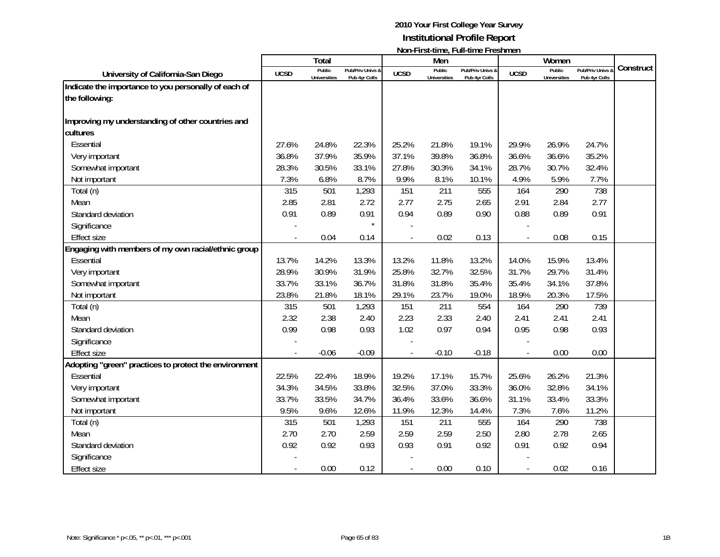|                                                       |             | Total                         |                                   |             | Men                           |                                   |             | Women                         |                                 |           |
|-------------------------------------------------------|-------------|-------------------------------|-----------------------------------|-------------|-------------------------------|-----------------------------------|-------------|-------------------------------|---------------------------------|-----------|
| University of California-San Diego                    | <b>UCSD</b> | Public<br><b>Universities</b> | Pub/Priv Univs &<br>Pub 4yr Colls | <b>UCSD</b> | Public<br><b>Universities</b> | Pub/Priv Univs &<br>Pub 4yr Colls | <b>UCSD</b> | Public<br><b>Universities</b> | Pub/Priv Univs<br>Pub 4yr Colls | Construct |
| Indicate the importance to you personally of each of  |             |                               |                                   |             |                               |                                   |             |                               |                                 |           |
| the following:                                        |             |                               |                                   |             |                               |                                   |             |                               |                                 |           |
| Improving my understanding of other countries and     |             |                               |                                   |             |                               |                                   |             |                               |                                 |           |
| cultures                                              |             |                               |                                   |             |                               |                                   |             |                               |                                 |           |
| Essential                                             | 27.6%       | 24.8%                         | 22.3%                             | 25.2%       | 21.8%                         | 19.1%                             | 29.9%       | 26.9%                         | 24.7%                           |           |
| Very important                                        | 36.8%       | 37.9%                         | 35.9%                             | 37.1%       | 39.8%                         | 36.8%                             | 36.6%       | 36.6%                         | 35.2%                           |           |
| Somewhat important                                    | 28.3%       | 30.5%                         | 33.1%                             | 27.8%       | 30.3%                         | 34.1%                             | 28.7%       | 30.7%                         | 32.4%                           |           |
| Not important                                         | 7.3%        | 6.8%                          | 8.7%                              | 9.9%        | 8.1%                          | 10.1%                             | 4.9%        | 5.9%                          | 7.7%                            |           |
| Total (n)                                             | 315         | 501                           | 1,293                             | 151         | 211                           | 555                               | 164         | 290                           | 738                             |           |
| Mean                                                  | 2.85        | 2.81                          | 2.72                              | 2.77        | 2.75                          | 2.65                              | 2.91        | 2.84                          | 2.77                            |           |
| Standard deviation                                    | 0.91        | 0.89                          | 0.91                              | 0.94        | 0.89                          | 0.90                              | 0.88        | 0.89                          | 0.91                            |           |
| Significance                                          |             |                               | $\star$                           |             |                               |                                   |             |                               |                                 |           |
| <b>Effect size</b>                                    |             | 0.04                          | 0.14                              |             | 0.02                          | 0.13                              |             | 0.08                          | 0.15                            |           |
| Engaging with members of my own racial/ethnic group   |             |                               |                                   |             |                               |                                   |             |                               |                                 |           |
| Essential                                             | 13.7%       | 14.2%                         | 13.3%                             | 13.2%       | 11.8%                         | 13.2%                             | 14.0%       | 15.9%                         | 13.4%                           |           |
| Very important                                        | 28.9%       | 30.9%                         | 31.9%                             | 25.8%       | 32.7%                         | 32.5%                             | 31.7%       | 29.7%                         | 31.4%                           |           |
| Somewhat important                                    | 33.7%       | 33.1%                         | 36.7%                             | 31.8%       | 31.8%                         | 35.4%                             | 35.4%       | 34.1%                         | 37.8%                           |           |
| Not important                                         | 23.8%       | 21.8%                         | 18.1%                             | 29.1%       | 23.7%                         | 19.0%                             | 18.9%       | 20.3%                         | 17.5%                           |           |
| Total (n)                                             | 315         | 501                           | 1,293                             | 151         | 211                           | 554                               | 164         | 290                           | 739                             |           |
| Mean                                                  | 2.32        | 2.38                          | 2.40                              | 2.23        | 2.33                          | 2.40                              | 2.41        | 2.41                          | 2.41                            |           |
| Standard deviation                                    | 0.99        | 0.98                          | 0.93                              | 1.02        | 0.97                          | 0.94                              | 0.95        | 0.98                          | 0.93                            |           |
| Significance                                          |             |                               |                                   |             |                               |                                   |             |                               |                                 |           |
| <b>Effect size</b>                                    |             | $-0.06$                       | $-0.09$                           |             | $-0.10$                       | $-0.18$                           |             | 0.00                          | 0.00                            |           |
| Adopting "green" practices to protect the environment |             |                               |                                   |             |                               |                                   |             |                               |                                 |           |
| Essential                                             | 22.5%       | 22.4%                         | 18.9%                             | 19.2%       | 17.1%                         | 15.7%                             | 25.6%       | 26.2%                         | 21.3%                           |           |
| Very important                                        | 34.3%       | 34.5%                         | 33.8%                             | 32.5%       | 37.0%                         | 33.3%                             | 36.0%       | 32.8%                         | 34.1%                           |           |
| Somewhat important                                    | 33.7%       | 33.5%                         | 34.7%                             | 36.4%       | 33.6%                         | 36.6%                             | 31.1%       | 33.4%                         | 33.3%                           |           |
| Not important                                         | 9.5%        | 9.6%                          | 12.6%                             | 11.9%       | 12.3%                         | 14.4%                             | 7.3%        | 7.6%                          | 11.2%                           |           |
| Total (n)                                             | 315         | 501                           | 1,293                             | 151         | 211                           | 555                               | 164         | 290                           | 738                             |           |
| Mean                                                  | 2.70        | 2.70                          | 2.59                              | 2.59        | 2.59                          | 2.50                              | 2.80        | 2.78                          | 2.65                            |           |
| Standard deviation                                    | 0.92        | 0.92                          | 0.93                              | 0.93        | 0.91                          | 0.92                              | 0.91        | 0.92                          | 0.94                            |           |
| Significance                                          |             |                               |                                   |             |                               |                                   |             |                               |                                 |           |
| <b>Effect size</b>                                    |             | 0.00                          | 0.12                              |             | 0.00                          | 0.10                              |             | 0.02                          | 0.16                            |           |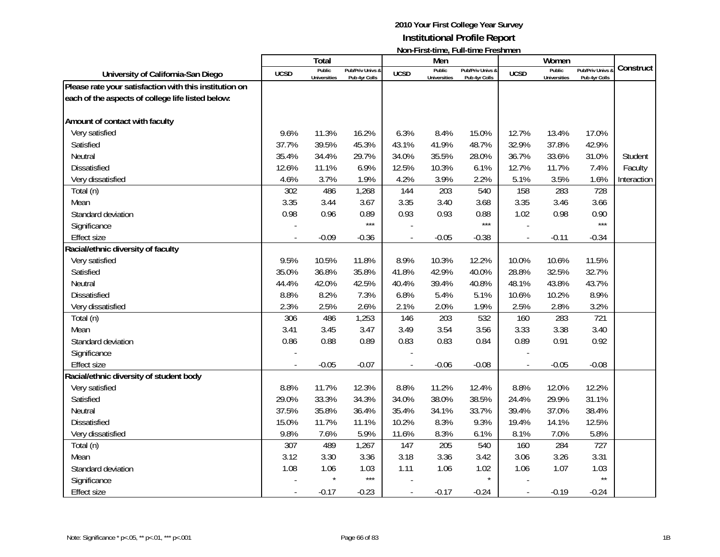|                                                        |             | Total                         |                                   |                          | Men                           | <u>INUIFI II SUUIIIIG, LUII-UIIIIG LEGSIIIIIGIT</u> |                | Women                         |                                   |             |
|--------------------------------------------------------|-------------|-------------------------------|-----------------------------------|--------------------------|-------------------------------|-----------------------------------------------------|----------------|-------------------------------|-----------------------------------|-------------|
| University of California-San Diego                     | <b>UCSD</b> | Public<br><b>Universities</b> | Pub/Priv Univs &<br>Pub 4yr Colls | <b>UCSD</b>              | Public<br><b>Universities</b> | Pub/Priv Univs &<br>Pub 4yr Colls                   | <b>UCSD</b>    | Public<br><b>Universities</b> | Pub/Priv Univs &<br>Pub 4yr Colls | Construct   |
| Please rate your satisfaction with this institution on |             |                               |                                   |                          |                               |                                                     |                |                               |                                   |             |
| each of the aspects of college life listed below:      |             |                               |                                   |                          |                               |                                                     |                |                               |                                   |             |
| Amount of contact with faculty                         |             |                               |                                   |                          |                               |                                                     |                |                               |                                   |             |
| Very satisfied                                         | 9.6%        | 11.3%                         | 16.2%                             | 6.3%                     | 8.4%                          | 15.0%                                               | 12.7%          | 13.4%                         | 17.0%                             |             |
| Satisfied                                              | 37.7%       | 39.5%                         | 45.3%                             | 43.1%                    | 41.9%                         | 48.7%                                               | 32.9%          | 37.8%                         | 42.9%                             |             |
| Neutral                                                | 35.4%       | 34.4%                         | 29.7%                             | 34.0%                    | 35.5%                         | 28.0%                                               | 36.7%          | 33.6%                         | 31.0%                             | Student     |
| Dissatisfied                                           | 12.6%       | 11.1%                         | 6.9%                              | 12.5%                    | 10.3%                         | 6.1%                                                | 12.7%          | 11.7%                         | 7.4%                              | Faculty     |
| Very dissatisfied                                      | 4.6%        | 3.7%                          | 1.9%                              | 4.2%                     | 3.9%                          | 2.2%                                                | 5.1%           | 3.5%                          | 1.6%                              | Interaction |
| Total (n)                                              | 302         | 486                           | 1,268                             | 144                      | 203                           | 540                                                 | 158            | 283                           | 728                               |             |
| Mean                                                   | 3.35        | 3.44                          | 3.67                              | 3.35                     | 3.40                          | 3.68                                                | 3.35           | 3.46                          | 3.66                              |             |
| Standard deviation                                     | 0.98        | 0.96                          | 0.89                              | 0.93                     | 0.93                          | 0.88                                                | 1.02           | 0.98                          | 0.90                              |             |
| Significance                                           |             |                               | $***$                             |                          |                               | $***$                                               |                |                               | $***$                             |             |
| <b>Effect size</b>                                     |             | $-0.09$                       | $-0.36$                           |                          | $-0.05$                       | $-0.38$                                             | $\overline{a}$ | $-0.11$                       | $-0.34$                           |             |
| Racial/ethnic diversity of faculty                     |             |                               |                                   |                          |                               |                                                     |                |                               |                                   |             |
| Very satisfied                                         | 9.5%        | 10.5%                         | 11.8%                             | 8.9%                     | 10.3%                         | 12.2%                                               | 10.0%          | 10.6%                         | 11.5%                             |             |
| Satisfied                                              | 35.0%       | 36.8%                         | 35.8%                             | 41.8%                    | 42.9%                         | 40.0%                                               | 28.8%          | 32.5%                         | 32.7%                             |             |
| Neutral                                                | 44.4%       | 42.0%                         | 42.5%                             | 40.4%                    | 39.4%                         | 40.8%                                               | 48.1%          | 43.8%                         | 43.7%                             |             |
| Dissatisfied                                           | 8.8%        | 8.2%                          | 7.3%                              | 6.8%                     | 5.4%                          | 5.1%                                                | 10.6%          | 10.2%                         | 8.9%                              |             |
| Very dissatisfied                                      | 2.3%        | 2.5%                          | 2.6%                              | 2.1%                     | 2.0%                          | 1.9%                                                | 2.5%           | 2.8%                          | 3.2%                              |             |
| Total (n)                                              | 306         | 486                           | 1,253                             | 146                      | 203                           | 532                                                 | 160            | 283                           | 721                               |             |
| Mean                                                   | 3.41        | 3.45                          | 3.47                              | 3.49                     | 3.54                          | 3.56                                                | 3.33           | 3.38                          | 3.40                              |             |
| Standard deviation                                     | 0.86        | 0.88                          | 0.89                              | 0.83                     | 0.83                          | 0.84                                                | 0.89           | 0.91                          | 0.92                              |             |
| Significance                                           |             |                               |                                   |                          |                               |                                                     |                |                               |                                   |             |
| <b>Effect size</b>                                     |             | $-0.05$                       | $-0.07$                           |                          | $-0.06$                       | $-0.08$                                             | $\overline{a}$ | $-0.05$                       | $-0.08$                           |             |
| Racial/ethnic diversity of student body                |             |                               |                                   |                          |                               |                                                     |                |                               |                                   |             |
| Very satisfied                                         | 8.8%        | 11.7%                         | 12.3%                             | 8.8%                     | 11.2%                         | 12.4%                                               | 8.8%           | 12.0%                         | 12.2%                             |             |
| Satisfied                                              | 29.0%       | 33.3%                         | 34.3%                             | 34.0%                    | 38.0%                         | 38.5%                                               | 24.4%          | 29.9%                         | 31.1%                             |             |
| Neutral                                                | 37.5%       | 35.8%                         | 36.4%                             | 35.4%                    | 34.1%                         | 33.7%                                               | 39.4%          | 37.0%                         | 38.4%                             |             |
| <b>Dissatisfied</b>                                    | 15.0%       | 11.7%                         | 11.1%                             | 10.2%                    | 8.3%                          | 9.3%                                                | 19.4%          | 14.1%                         | 12.5%                             |             |
| Very dissatisfied                                      | 9.8%        | 7.6%                          | 5.9%                              | 11.6%                    | 8.3%                          | 6.1%                                                | 8.1%           | 7.0%                          | 5.8%                              |             |
| Total (n)                                              | 307         | 489                           | 1,267                             | 147                      | 205                           | 540                                                 | 160            | 284                           | 727                               |             |
| Mean                                                   | 3.12        | 3.30                          | 3.36                              | 3.18                     | 3.36                          | 3.42                                                | 3.06           | 3.26                          | 3.31                              |             |
| Standard deviation                                     | 1.08        | 1.06                          | 1.03                              | 1.11                     | 1.06                          | 1.02                                                | 1.06           | 1.07                          | 1.03                              |             |
| Significance                                           |             |                               | $***$                             |                          |                               | $\star$                                             |                |                               | $\star\star$                      |             |
| <b>Effect size</b>                                     |             | $-0.17$                       | $-0.23$                           | $\overline{\phantom{a}}$ | $-0.17$                       | $-0.24$                                             | $\overline{a}$ | $-0.19$                       | $-0.24$                           |             |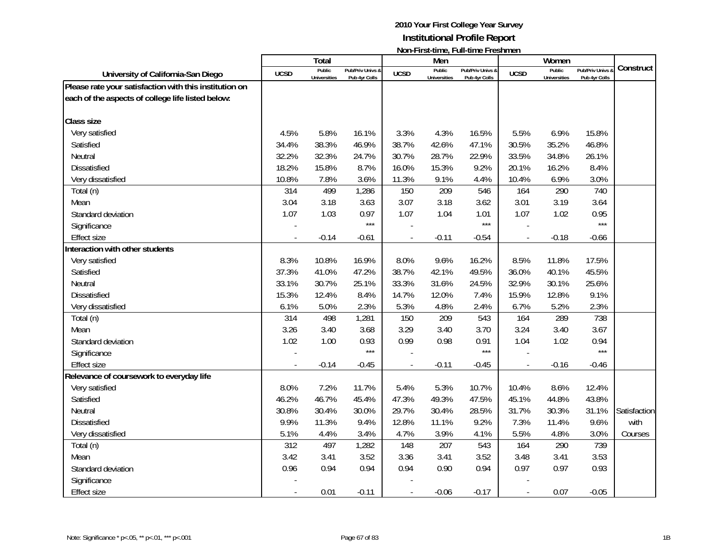|                                                        |             | Total                         |                                   |             | Men                           | <u> INUIFI II SEMING, FUIFMING FICSHINGH</u> |                | Women                         |                                   |              |
|--------------------------------------------------------|-------------|-------------------------------|-----------------------------------|-------------|-------------------------------|----------------------------------------------|----------------|-------------------------------|-----------------------------------|--------------|
| University of California-San Diego                     | <b>UCSD</b> | Public<br><b>Universities</b> | Pub/Priv Univs &<br>Pub 4yr Colls | <b>UCSD</b> | Public<br><b>Universities</b> | Pub/Priv Univs &<br>Pub 4yr Colls            | <b>UCSD</b>    | Public<br><b>Universities</b> | Pub/Priv Univs &<br>Pub 4yr Colls | Construct    |
| Please rate your satisfaction with this institution on |             |                               |                                   |             |                               |                                              |                |                               |                                   |              |
| each of the aspects of college life listed below:      |             |                               |                                   |             |                               |                                              |                |                               |                                   |              |
| <b>Class size</b>                                      |             |                               |                                   |             |                               |                                              |                |                               |                                   |              |
| Very satisfied                                         | 4.5%        | 5.8%                          | 16.1%                             | 3.3%        | 4.3%                          | 16.5%                                        | 5.5%           | 6.9%                          | 15.8%                             |              |
| Satisfied                                              | 34.4%       | 38.3%                         | 46.9%                             | 38.7%       | 42.6%                         | 47.1%                                        | 30.5%          | 35.2%                         | 46.8%                             |              |
| Neutral                                                | 32.2%       | 32.3%                         | 24.7%                             | 30.7%       | 28.7%                         | 22.9%                                        | 33.5%          | 34.8%                         | 26.1%                             |              |
| <b>Dissatisfied</b>                                    | 18.2%       | 15.8%                         | 8.7%                              | 16.0%       | 15.3%                         | 9.2%                                         | 20.1%          | 16.2%                         | 8.4%                              |              |
| Very dissatisfied                                      | 10.8%       | 7.8%                          | 3.6%                              | 11.3%       | 9.1%                          | 4.4%                                         | 10.4%          | 6.9%                          | 3.0%                              |              |
|                                                        | 314         | 499                           | 1,286                             | 150         | 209                           | 546                                          | 164            | 290                           | 740                               |              |
| Total (n)<br>Mean                                      | 3.04        | 3.18                          | 3.63                              | 3.07        | 3.18                          | 3.62                                         | 3.01           | 3.19                          | 3.64                              |              |
| Standard deviation                                     | 1.07        | 1.03                          | 0.97                              | 1.07        | 1.04                          | 1.01                                         | 1.07           | 1.02                          | 0.95                              |              |
| Significance                                           |             |                               | $***$                             |             |                               | $***$                                        |                |                               | $***$                             |              |
| <b>Effect size</b>                                     |             | $-0.14$                       | $-0.61$                           |             | $-0.11$                       | $-0.54$                                      | $\blacksquare$ | $-0.18$                       | $-0.66$                           |              |
| Interaction with other students                        |             |                               |                                   |             |                               |                                              |                |                               |                                   |              |
| Very satisfied                                         | 8.3%        | 10.8%                         | 16.9%                             | 8.0%        | 9.6%                          | 16.2%                                        | 8.5%           | 11.8%                         | 17.5%                             |              |
| Satisfied                                              | 37.3%       | 41.0%                         | 47.2%                             | 38.7%       | 42.1%                         | 49.5%                                        | 36.0%          | 40.1%                         | 45.5%                             |              |
| Neutral                                                | 33.1%       | 30.7%                         | 25.1%                             | 33.3%       | 31.6%                         | 24.5%                                        | 32.9%          | 30.1%                         | 25.6%                             |              |
| <b>Dissatisfied</b>                                    | 15.3%       | 12.4%                         | 8.4%                              | 14.7%       | 12.0%                         | 7.4%                                         | 15.9%          | 12.8%                         | 9.1%                              |              |
| Very dissatisfied                                      | 6.1%        | 5.0%                          | 2.3%                              | 5.3%        | 4.8%                          | 2.4%                                         | 6.7%           | 5.2%                          | 2.3%                              |              |
|                                                        | 314         | 498                           | 1,281                             | 150         | 209                           | 543                                          | 164            | 289                           | 738                               |              |
| Total (n)<br>Mean                                      | 3.26        | 3.40                          | 3.68                              | 3.29        | 3.40                          | 3.70                                         | 3.24           | 3.40                          | 3.67                              |              |
| Standard deviation                                     | 1.02        | 1.00                          | 0.93                              | 0.99        | 0.98                          | 0.91                                         | 1.04           | 1.02                          | 0.94                              |              |
| Significance                                           |             |                               | $***$                             |             |                               | $***$                                        |                |                               | ***                               |              |
| <b>Effect size</b>                                     |             | $-0.14$                       | $-0.45$                           |             | $-0.11$                       | $-0.45$                                      | $\frac{1}{2}$  | $-0.16$                       | $-0.46$                           |              |
| Relevance of coursework to everyday life               |             |                               |                                   |             |                               |                                              |                |                               |                                   |              |
| Very satisfied                                         | 8.0%        | 7.2%                          | 11.7%                             | 5.4%        | 5.3%                          | 10.7%                                        | 10.4%          | 8.6%                          | 12.4%                             |              |
| Satisfied                                              | 46.2%       | 46.7%                         | 45.4%                             | 47.3%       | 49.3%                         | 47.5%                                        | 45.1%          | 44.8%                         | 43.8%                             |              |
| Neutral                                                | 30.8%       | 30.4%                         | 30.0%                             | 29.7%       | 30.4%                         | 28.5%                                        | 31.7%          | 30.3%                         | 31.1%                             | Satisfaction |
| <b>Dissatisfied</b>                                    | 9.9%        | 11.3%                         | 9.4%                              | 12.8%       | 11.1%                         | 9.2%                                         | 7.3%           | 11.4%                         | 9.6%                              | with         |
| Very dissatisfied                                      | 5.1%        | 4.4%                          | 3.4%                              | 4.7%        | 3.9%                          | 4.1%                                         | 5.5%           | 4.8%                          | 3.0%                              | Courses      |
| Total (n)                                              | 312         | 497                           | 1,282                             | 148         | 207                           | 543                                          | 164            | 290                           | 739                               |              |
| Mean                                                   | 3.42        | 3.41                          | 3.52                              | 3.36        | 3.41                          | 3.52                                         | 3.48           | 3.41                          | 3.53                              |              |
| Standard deviation                                     | 0.96        | 0.94                          | 0.94                              | 0.94        | 0.90                          | 0.94                                         | 0.97           | 0.97                          | 0.93                              |              |
| Significance                                           |             |                               |                                   |             |                               |                                              |                |                               |                                   |              |
| <b>Effect size</b>                                     |             | 0.01                          | $-0.11$                           |             | $-0.06$                       | $-0.17$                                      | $\blacksquare$ | 0.07                          | $-0.05$                           |              |
|                                                        |             |                               |                                   |             |                               |                                              |                |                               |                                   |              |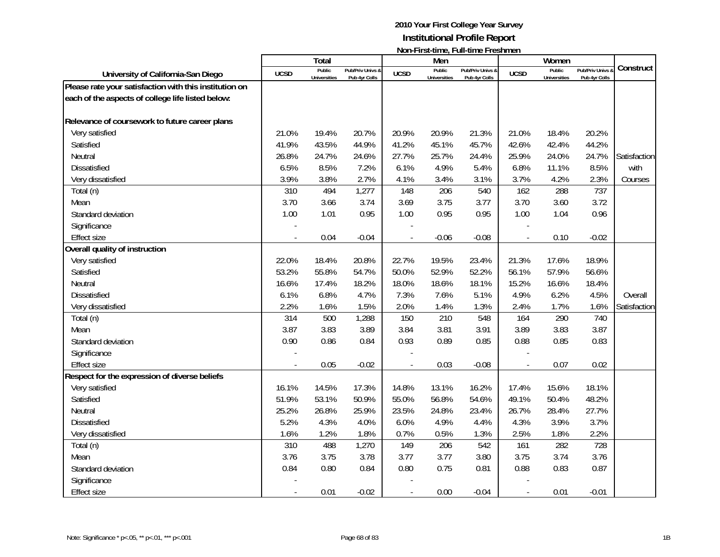|                                                        |             | <b>Total</b>                  |                                   |             | Men                           | דושוורו וו אנימוווט, דעוורמוווט דו כאווווטוו |                | Women                         |                                 |              |
|--------------------------------------------------------|-------------|-------------------------------|-----------------------------------|-------------|-------------------------------|----------------------------------------------|----------------|-------------------------------|---------------------------------|--------------|
| University of California-San Diego                     | <b>UCSD</b> | Public<br><b>Universities</b> | Pub/Priv Univs &<br>Pub 4yr Colls | <b>UCSD</b> | Public<br><b>Universities</b> | Pub/Priv Univs &<br>Pub 4yr Colls            | <b>UCSD</b>    | Public<br><b>Universities</b> | Pub/Priv Univs<br>Pub 4yr Colls | Construct    |
| Please rate your satisfaction with this institution on |             |                               |                                   |             |                               |                                              |                |                               |                                 |              |
| each of the aspects of college life listed below:      |             |                               |                                   |             |                               |                                              |                |                               |                                 |              |
| Relevance of coursework to future career plans         |             |                               |                                   |             |                               |                                              |                |                               |                                 |              |
| Very satisfied                                         | 21.0%       | 19.4%                         | 20.7%                             | 20.9%       | 20.9%                         | 21.3%                                        | 21.0%          | 18.4%                         | 20.2%                           |              |
| Satisfied                                              | 41.9%       | 43.5%                         | 44.9%                             | 41.2%       | 45.1%                         | 45.7%                                        | 42.6%          | 42.4%                         | 44.2%                           |              |
| Neutral                                                | 26.8%       | 24.7%                         | 24.6%                             | 27.7%       | 25.7%                         | 24.4%                                        | 25.9%          | 24.0%                         | 24.7%                           | Satisfaction |
| <b>Dissatisfied</b>                                    | 6.5%        | 8.5%                          | 7.2%                              | 6.1%        | 4.9%                          | 5.4%                                         | 6.8%           | 11.1%                         | 8.5%                            | with         |
| Very dissatisfied                                      | 3.9%        | 3.8%                          | 2.7%                              | 4.1%        | 3.4%                          | 3.1%                                         | 3.7%           | 4.2%                          | 2.3%                            | Courses      |
| Total (n)                                              | 310         | 494                           | 1,277                             | 148         | 206                           | 540                                          | 162            | 288                           | 737                             |              |
| Mean                                                   | 3.70        | 3.66                          | 3.74                              | 3.69        | 3.75                          | 3.77                                         | 3.70           | 3.60                          | 3.72                            |              |
| Standard deviation                                     | 1.00        | 1.01                          | 0.95                              | 1.00        | 0.95                          | 0.95                                         | 1.00           | 1.04                          | 0.96                            |              |
| Significance                                           |             |                               |                                   |             |                               |                                              |                |                               |                                 |              |
| <b>Effect size</b>                                     |             | 0.04                          | $-0.04$                           |             | $-0.06$                       | $-0.08$                                      | $\overline{a}$ | 0.10                          | $-0.02$                         |              |
| Overall quality of instruction                         |             |                               |                                   |             |                               |                                              |                |                               |                                 |              |
| Very satisfied                                         | 22.0%       | 18.4%                         | 20.8%                             | 22.7%       | 19.5%                         | 23.4%                                        | 21.3%          | 17.6%                         | 18.9%                           |              |
| Satisfied                                              | 53.2%       | 55.8%                         | 54.7%                             | 50.0%       | 52.9%                         | 52.2%                                        | 56.1%          | 57.9%                         | 56.6%                           |              |
| Neutral                                                | 16.6%       | 17.4%                         | 18.2%                             | 18.0%       | 18.6%                         | 18.1%                                        | 15.2%          | 16.6%                         | 18.4%                           |              |
| Dissatisfied                                           | 6.1%        | 6.8%                          | 4.7%                              | 7.3%        | 7.6%                          | 5.1%                                         | 4.9%           | 6.2%                          | 4.5%                            | Overall      |
| Very dissatisfied                                      | 2.2%        | 1.6%                          | 1.5%                              | 2.0%        | 1.4%                          | 1.3%                                         | 2.4%           | 1.7%                          | 1.6%                            | Satisfaction |
| Total (n)                                              | 314         | 500                           | 1,288                             | 150         | 210                           | 548                                          | 164            | 290                           | 740                             |              |
| Mean                                                   | 3.87        | 3.83                          | 3.89                              | 3.84        | 3.81                          | 3.91                                         | 3.89           | 3.83                          | 3.87                            |              |
| Standard deviation                                     | 0.90        | 0.86                          | 0.84                              | 0.93        | 0.89                          | 0.85                                         | 0.88           | 0.85                          | 0.83                            |              |
| Significance                                           |             |                               |                                   |             |                               |                                              |                |                               |                                 |              |
| <b>Effect size</b>                                     |             | 0.05                          | $-0.02$                           |             | 0.03                          | $-0.08$                                      |                | 0.07                          | 0.02                            |              |
| Respect for the expression of diverse beliefs          |             |                               |                                   |             |                               |                                              |                |                               |                                 |              |
| Very satisfied                                         | 16.1%       | 14.5%                         | 17.3%                             | 14.8%       | 13.1%                         | 16.2%                                        | 17.4%          | 15.6%                         | 18.1%                           |              |
| Satisfied                                              | 51.9%       | 53.1%                         | 50.9%                             | 55.0%       | 56.8%                         | 54.6%                                        | 49.1%          | 50.4%                         | 48.2%                           |              |
| Neutral                                                | 25.2%       | 26.8%                         | 25.9%                             | 23.5%       | 24.8%                         | 23.4%                                        | 26.7%          | 28.4%                         | 27.7%                           |              |
| <b>Dissatisfied</b>                                    | 5.2%        | 4.3%                          | 4.0%                              | 6.0%        | 4.9%                          | 4.4%                                         | 4.3%           | 3.9%                          | 3.7%                            |              |
| Very dissatisfied                                      | 1.6%        | 1.2%                          | 1.8%                              | 0.7%        | 0.5%                          | 1.3%                                         | 2.5%           | 1.8%                          | 2.2%                            |              |
| Total (n)                                              | 310         | 488                           | 1,270                             | 149         | 206                           | 542                                          | 161            | 282                           | 728                             |              |
| Mean                                                   | 3.76        | 3.75                          | 3.78                              | 3.77        | 3.77                          | 3.80                                         | 3.75           | 3.74                          | 3.76                            |              |
| Standard deviation                                     | 0.84        | 0.80                          | 0.84                              | 0.80        | 0.75                          | 0.81                                         | 0.88           | 0.83                          | 0.87                            |              |
| Significance                                           |             |                               |                                   |             |                               |                                              |                |                               |                                 |              |
| <b>Effect size</b>                                     |             | 0.01                          | $-0.02$                           |             | 0.00                          | $-0.04$                                      |                | 0.01                          | $-0.01$                         |              |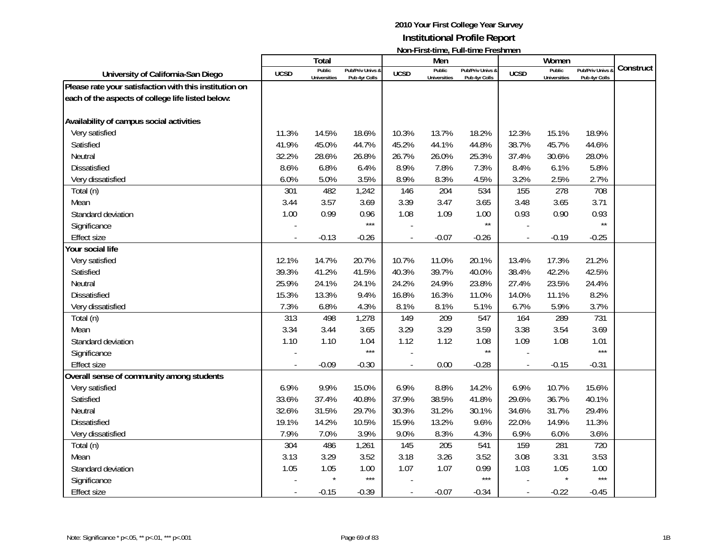|                                                        |             | <b>Total</b>                  |                                   |                          | Men                           | NULLET II 31-111110, T 011-111110 T TO311111011 |                          | Women                         |                                   |           |
|--------------------------------------------------------|-------------|-------------------------------|-----------------------------------|--------------------------|-------------------------------|-------------------------------------------------|--------------------------|-------------------------------|-----------------------------------|-----------|
| University of California-San Diego                     | <b>UCSD</b> | Public<br><b>Universities</b> | Pub/Priv Univs &<br>Pub 4yr Colls | <b>UCSD</b>              | Public<br><b>Universities</b> | Pub/Priv Univs &<br>Pub 4yr Colls               | <b>UCSD</b>              | Public<br><b>Universities</b> | Pub/Priv Univs &<br>Pub 4yr Colls | Construct |
| Please rate your satisfaction with this institution on |             |                               |                                   |                          |                               |                                                 |                          |                               |                                   |           |
| each of the aspects of college life listed below:      |             |                               |                                   |                          |                               |                                                 |                          |                               |                                   |           |
|                                                        |             |                               |                                   |                          |                               |                                                 |                          |                               |                                   |           |
| Availability of campus social activities               |             |                               |                                   |                          |                               |                                                 |                          |                               |                                   |           |
| Very satisfied                                         | 11.3%       | 14.5%                         | 18.6%                             | 10.3%                    | 13.7%                         | 18.2%                                           | 12.3%                    | 15.1%                         | 18.9%                             |           |
| Satisfied                                              | 41.9%       | 45.0%                         | 44.7%                             | 45.2%                    | 44.1%                         | 44.8%                                           | 38.7%                    | 45.7%                         | 44.6%                             |           |
| Neutral                                                | 32.2%       | 28.6%                         | 26.8%                             | 26.7%                    | 26.0%                         | 25.3%                                           | 37.4%                    | 30.6%                         | 28.0%                             |           |
| Dissatisfied                                           | 8.6%        | 6.8%                          | 6.4%                              | 8.9%                     | 7.8%                          | 7.3%                                            | 8.4%                     | 6.1%                          | 5.8%                              |           |
| Very dissatisfied                                      | 6.0%        | 5.0%                          | 3.5%                              | 8.9%                     | 8.3%                          | 4.5%                                            | 3.2%                     | 2.5%                          | 2.7%                              |           |
| Total (n)                                              | 301         | 482                           | 1,242                             | 146                      | 204                           | 534                                             | 155                      | 278                           | 708                               |           |
| Mean                                                   | 3.44        | 3.57                          | 3.69                              | 3.39                     | 3.47                          | 3.65                                            | 3.48                     | 3.65                          | 3.71                              |           |
| Standard deviation                                     | 1.00        | 0.99                          | 0.96                              | 1.08                     | 1.09                          | 1.00                                            | 0.93                     | 0.90                          | 0.93                              |           |
| Significance                                           |             |                               | $***$                             |                          |                               | $\star\star$                                    |                          |                               | $\star\star$                      |           |
| <b>Effect size</b>                                     |             | $-0.13$                       | $-0.26$                           |                          | $-0.07$                       | $-0.26$                                         | $\overline{a}$           | $-0.19$                       | $-0.25$                           |           |
| Your social life                                       |             |                               |                                   |                          |                               |                                                 |                          |                               |                                   |           |
| Very satisfied                                         | 12.1%       | 14.7%                         | 20.7%                             | 10.7%                    | 11.0%                         | 20.1%                                           | 13.4%                    | 17.3%                         | 21.2%                             |           |
| Satisfied                                              | 39.3%       | 41.2%                         | 41.5%                             | 40.3%                    | 39.7%                         | 40.0%                                           | 38.4%                    | 42.2%                         | 42.5%                             |           |
| Neutral                                                | 25.9%       | 24.1%                         | 24.1%                             | 24.2%                    | 24.9%                         | 23.8%                                           | 27.4%                    | 23.5%                         | 24.4%                             |           |
| <b>Dissatisfied</b>                                    | 15.3%       | 13.3%                         | 9.4%                              | 16.8%                    | 16.3%                         | 11.0%                                           | 14.0%                    | 11.1%                         | 8.2%                              |           |
| Very dissatisfied                                      | 7.3%        | 6.8%                          | 4.3%                              | 8.1%                     | 8.1%                          | 5.1%                                            | 6.7%                     | 5.9%                          | 3.7%                              |           |
| Total (n)                                              | 313         | 498                           | 1,278                             | 149                      | 209                           | 547                                             | 164                      | 289                           | 731                               |           |
| Mean                                                   | 3.34        | 3.44                          | 3.65                              | 3.29                     | 3.29                          | 3.59                                            | 3.38                     | 3.54                          | 3.69                              |           |
| Standard deviation                                     | 1.10        | 1.10                          | 1.04                              | 1.12                     | 1.12                          | 1.08                                            | 1.09                     | 1.08                          | 1.01                              |           |
| Significance                                           |             |                               | $***$                             |                          |                               | $\star\star$                                    |                          |                               | $***$                             |           |
| <b>Effect size</b>                                     |             | $-0.09$                       | $-0.30$                           |                          | 0.00                          | $-0.28$                                         | $\overline{\phantom{a}}$ | $-0.15$                       | $-0.31$                           |           |
| Overall sense of community among students              |             |                               |                                   |                          |                               |                                                 |                          |                               |                                   |           |
| Very satisfied                                         | 6.9%        | 9.9%                          | 15.0%                             | 6.9%                     | 8.8%                          | 14.2%                                           | 6.9%                     | 10.7%                         | 15.6%                             |           |
| Satisfied                                              | 33.6%       | 37.4%                         | 40.8%                             | 37.9%                    | 38.5%                         | 41.8%                                           | 29.6%                    | 36.7%                         | 40.1%                             |           |
| Neutral                                                | 32.6%       | 31.5%                         | 29.7%                             | 30.3%                    | 31.2%                         | 30.1%                                           | 34.6%                    | 31.7%                         | 29.4%                             |           |
| Dissatisfied                                           | 19.1%       | 14.2%                         | 10.5%                             | 15.9%                    | 13.2%                         | 9.6%                                            | 22.0%                    | 14.9%                         | 11.3%                             |           |
| Very dissatisfied                                      | 7.9%        | 7.0%                          | 3.9%                              | 9.0%                     | 8.3%                          | 4.3%                                            | 6.9%                     | 6.0%                          | 3.6%                              |           |
| Total (n)                                              | 304         | 486                           | 1,261                             | 145                      | 205                           | 541                                             | 159                      | 281                           | 720                               |           |
| Mean                                                   | 3.13        | 3.29                          | 3.52                              | 3.18                     | 3.26                          | 3.52                                            | 3.08                     | 3.31                          | 3.53                              |           |
| Standard deviation                                     | 1.05        | 1.05                          | 1.00                              | 1.07                     | 1.07                          | 0.99                                            | 1.03                     | 1.05                          | 1.00                              |           |
| Significance                                           |             |                               | $***$                             |                          |                               | $***$                                           |                          |                               | $***$                             |           |
| <b>Effect size</b>                                     |             | $-0.15$                       | $-0.39$                           | $\overline{\phantom{a}}$ | $-0.07$                       | $-0.34$                                         | $\overline{\phantom{a}}$ | $-0.22$                       | $-0.45$                           |           |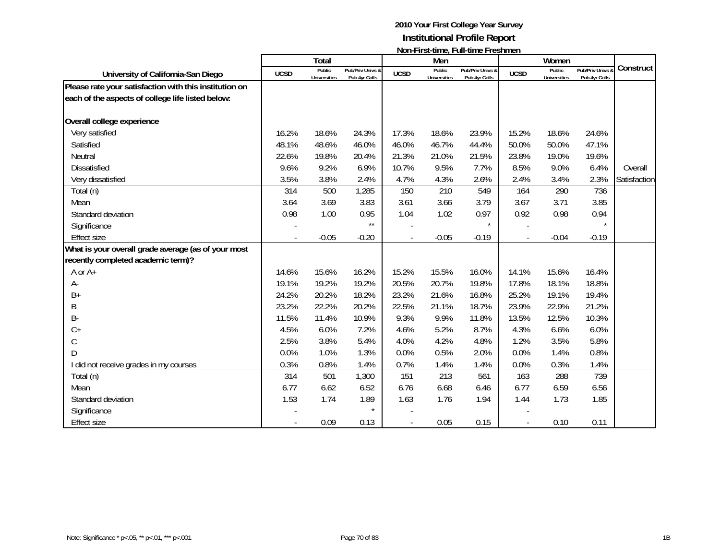|                                                        |             | Total                         |                                   |             | Men                           | NULLET II 31-111110, T 011-111110 T TO311111011 |             | Women                         |                                 |              |
|--------------------------------------------------------|-------------|-------------------------------|-----------------------------------|-------------|-------------------------------|-------------------------------------------------|-------------|-------------------------------|---------------------------------|--------------|
| University of California-San Diego                     | <b>UCSD</b> | Public<br><b>Universities</b> | Pub/Priv Univs &<br>Pub 4yr Colls | <b>UCSD</b> | Public<br><b>Universities</b> | Pub/Priv Univs &<br>Pub 4yr Colls               | <b>UCSD</b> | Public<br><b>Universities</b> | Pub/Priv Univs<br>Pub 4yr Colls | Construct    |
| Please rate your satisfaction with this institution on |             |                               |                                   |             |                               |                                                 |             |                               |                                 |              |
| each of the aspects of college life listed below:      |             |                               |                                   |             |                               |                                                 |             |                               |                                 |              |
| Overall college experience                             |             |                               |                                   |             |                               |                                                 |             |                               |                                 |              |
| Very satisfied                                         | 16.2%       | 18.6%                         | 24.3%                             | 17.3%       | 18.6%                         | 23.9%                                           | 15.2%       | 18.6%                         | 24.6%                           |              |
| Satisfied                                              | 48.1%       | 48.6%                         | 46.0%                             | 46.0%       | 46.7%                         | 44.4%                                           | 50.0%       | 50.0%                         | 47.1%                           |              |
| Neutral                                                | 22.6%       | 19.8%                         | 20.4%                             | 21.3%       | 21.0%                         | 21.5%                                           | 23.8%       | 19.0%                         | 19.6%                           |              |
| <b>Dissatisfied</b>                                    | 9.6%        | 9.2%                          | 6.9%                              | 10.7%       | 9.5%                          | 7.7%                                            | 8.5%        | 9.0%                          | 6.4%                            | Overall      |
| Very dissatisfied                                      | 3.5%        | 3.8%                          | 2.4%                              | 4.7%        | 4.3%                          | 2.6%                                            | 2.4%        | 3.4%                          | 2.3%                            | Satisfaction |
| Total (n)                                              | 314         | 500                           | 1,285                             | 150         | 210                           | 549                                             | 164         | 290                           | 736                             |              |
| Mean                                                   | 3.64        | 3.69                          | 3.83                              | 3.61        | 3.66                          | 3.79                                            | 3.67        | 3.71                          | 3.85                            |              |
| Standard deviation                                     | 0.98        | 1.00                          | 0.95                              | 1.04        | 1.02                          | 0.97                                            | 0.92        | 0.98                          | 0.94                            |              |
| Significance                                           |             |                               | $***$                             |             |                               | $\star$                                         |             |                               | $\star$                         |              |
| <b>Effect size</b>                                     |             | $-0.05$                       | $-0.20$                           |             | $-0.05$                       | $-0.19$                                         |             | $-0.04$                       | $-0.19$                         |              |
| What is your overall grade average (as of your most    |             |                               |                                   |             |                               |                                                 |             |                               |                                 |              |
| recently completed academic term)?                     |             |                               |                                   |             |                               |                                                 |             |                               |                                 |              |
| A or A+                                                | 14.6%       | 15.6%                         | 16.2%                             | 15.2%       | 15.5%                         | 16.0%                                           | 14.1%       | 15.6%                         | 16.4%                           |              |
| А-                                                     | 19.1%       | 19.2%                         | 19.2%                             | 20.5%       | 20.7%                         | 19.8%                                           | 17.8%       | 18.1%                         | 18.8%                           |              |
| $B+$                                                   | 24.2%       | 20.2%                         | 18.2%                             | 23.2%       | 21.6%                         | 16.8%                                           | 25.2%       | 19.1%                         | 19.4%                           |              |
| B                                                      | 23.2%       | 22.2%                         | 20.2%                             | 22.5%       | 21.1%                         | 18.7%                                           | 23.9%       | 22.9%                         | 21.2%                           |              |
| <b>B-</b>                                              | 11.5%       | 11.4%                         | 10.9%                             | 9.3%        | 9.9%                          | 11.8%                                           | 13.5%       | 12.5%                         | 10.3%                           |              |
| $C +$                                                  | 4.5%        | 6.0%                          | 7.2%                              | 4.6%        | 5.2%                          | 8.7%                                            | 4.3%        | 6.6%                          | 6.0%                            |              |
| C                                                      | 2.5%        | 3.8%                          | 5.4%                              | 4.0%        | 4.2%                          | 4.8%                                            | 1.2%        | 3.5%                          | 5.8%                            |              |
| $\mathsf{D}$                                           | 0.0%        | 1.0%                          | 1.3%                              | 0.0%        | 0.5%                          | 2.0%                                            | 0.0%        | 1.4%                          | 0.8%                            |              |
| I did not receive grades in my courses                 | 0.3%        | 0.8%                          | 1.4%                              | 0.7%        | 1.4%                          | 1.4%                                            | 0.0%        | 0.3%                          | 1.4%                            |              |
| Total (n)                                              | 314         | 501                           | 1,300                             | 151         | 213                           | 561                                             | 163         | 288                           | 739                             |              |
| Mean                                                   | 6.77        | 6.62                          | 6.52                              | 6.76        | 6.68                          | 6.46                                            | 6.77        | 6.59                          | 6.56                            |              |
| Standard deviation                                     | 1.53        | 1.74                          | 1.89                              | 1.63        | 1.76                          | 1.94                                            | 1.44        | 1.73                          | 1.85                            |              |
| Significance                                           |             |                               | $\star$                           |             |                               |                                                 |             |                               |                                 |              |
| <b>Effect size</b>                                     |             | 0.09                          | 0.13                              |             | 0.05                          | 0.15                                            |             | 0.10                          | 0.11                            |              |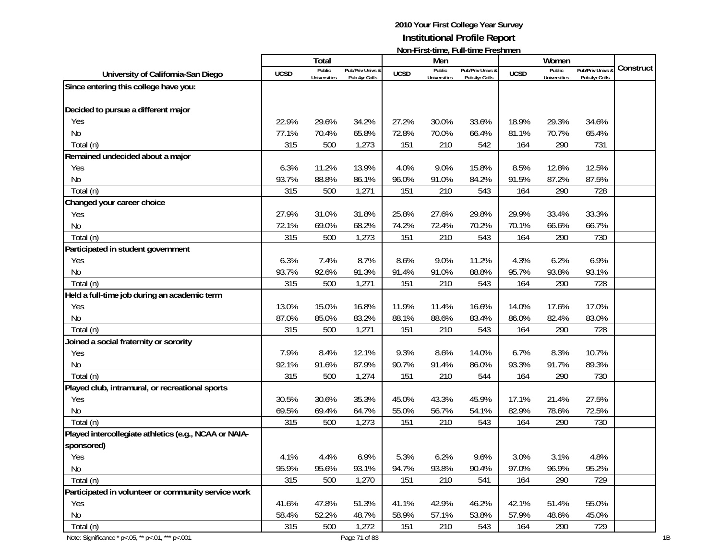|                                                        |             |                               |                  |             |                               | <u>INUIFERSEMING, FUIFMING FICSHINGH</u> |             |                     |                       |           |
|--------------------------------------------------------|-------------|-------------------------------|------------------|-------------|-------------------------------|------------------------------------------|-------------|---------------------|-----------------------|-----------|
|                                                        |             | Total                         | Pub/Priv Univs & |             | Men                           |                                          |             | Women<br>Public     | <b>Pub/Priv Univs</b> | Construct |
| University of California-San Diego                     | <b>UCSD</b> | Public<br><b>Universities</b> | Pub 4yr Colls    | <b>UCSD</b> | Public<br><b>Universities</b> | Pub/Priv Univs &<br>Pub 4yr Colls        | <b>UCSD</b> | <b>Universities</b> | Pub 4yr Colls         |           |
| Since entering this college have you:                  |             |                               |                  |             |                               |                                          |             |                     |                       |           |
|                                                        |             |                               |                  |             |                               |                                          |             |                     |                       |           |
| Decided to pursue a different major                    |             |                               |                  |             |                               |                                          |             |                     |                       |           |
| Yes                                                    | 22.9%       | 29.6%                         | 34.2%            | 27.2%       | 30.0%                         | 33.6%                                    | 18.9%       | 29.3%               | 34.6%                 |           |
| No                                                     | 77.1%       | 70.4%                         | 65.8%            | 72.8%       | 70.0%                         | 66.4%                                    | 81.1%       | 70.7%               | 65.4%                 |           |
| Total (n)                                              | 315         | 500                           | 1,273            | 151         | 210                           | 542                                      | 164         | 290                 | 731                   |           |
| Remained undecided about a major                       |             |                               |                  |             |                               |                                          |             |                     |                       |           |
| Yes                                                    | 6.3%        | 11.2%                         | 13.9%            | 4.0%        | 9.0%                          | 15.8%                                    | 8.5%        | 12.8%               | 12.5%                 |           |
| No                                                     | 93.7%       | 88.8%                         | 86.1%            | 96.0%       | 91.0%                         | 84.2%                                    | 91.5%       | 87.2%               | 87.5%                 |           |
| Total (n)                                              | 315         | 500                           | 1,271            | 151         | 210                           | 543                                      | 164         | 290                 | 728                   |           |
| Changed your career choice                             |             |                               |                  |             |                               |                                          |             |                     |                       |           |
| Yes                                                    | 27.9%       | 31.0%                         | 31.8%            | 25.8%       | 27.6%                         | 29.8%                                    | 29.9%       | 33.4%               | 33.3%                 |           |
| No                                                     | 72.1%       | 69.0%                         | 68.2%            | 74.2%       | 72.4%                         | 70.2%                                    | 70.1%       | 66.6%               | 66.7%                 |           |
| Total (n)                                              | 315         | 500                           | 1,273            | 151         | 210                           | 543                                      | 164         | 290                 | 730                   |           |
| Participated in student government                     |             |                               |                  |             |                               |                                          |             |                     |                       |           |
| Yes                                                    | 6.3%        | 7.4%                          | 8.7%             | 8.6%        | 9.0%                          | 11.2%                                    | 4.3%        | 6.2%                | 6.9%                  |           |
| No                                                     | 93.7%       | 92.6%                         | 91.3%            | 91.4%       | 91.0%                         | 88.8%                                    | 95.7%       | 93.8%               | 93.1%                 |           |
| Total (n)                                              | 315         | 500                           | 1,271            | 151         | 210                           | 543                                      | 164         | 290                 | 728                   |           |
| Held a full-time job during an academic term           |             |                               |                  |             |                               |                                          |             |                     |                       |           |
| Yes                                                    | 13.0%       | 15.0%                         | 16.8%            | 11.9%       | 11.4%                         | 16.6%                                    | 14.0%       | 17.6%               | 17.0%                 |           |
| <b>No</b>                                              | 87.0%       | 85.0%                         | 83.2%            | 88.1%       | 88.6%                         | 83.4%                                    | 86.0%       | 82.4%               | 83.0%                 |           |
| Total (n)                                              | 315         | 500                           | 1,271            | 151         | 210                           | 543                                      | 164         | 290                 | 728                   |           |
| Joined a social fraternity or sorority                 |             |                               |                  |             |                               |                                          |             |                     |                       |           |
| Yes                                                    | 7.9%        | 8.4%                          | 12.1%            | 9.3%        | 8.6%                          | 14.0%                                    | 6.7%        | 8.3%                | 10.7%                 |           |
| No                                                     | 92.1%       | 91.6%                         | 87.9%            | 90.7%       | 91.4%                         | 86.0%                                    | 93.3%       | 91.7%               | 89.3%                 |           |
| Total (n)                                              | 315         | 500                           | 1,274            | 151         | 210                           | 544                                      | 164         | 290                 | 730                   |           |
| Played club, intramural, or recreational sports        |             |                               |                  |             |                               |                                          |             |                     |                       |           |
| Yes                                                    | 30.5%       | 30.6%                         | 35.3%            | 45.0%       | 43.3%                         | 45.9%                                    | 17.1%       | 21.4%               | 27.5%                 |           |
| No                                                     | 69.5%       | 69.4%                         | 64.7%            | 55.0%       | 56.7%                         | 54.1%                                    | 82.9%       | 78.6%               | 72.5%                 |           |
| Total (n)                                              | 315         | 500                           | 1,273            | 151         | 210                           | 543                                      | 164         | 290                 | 730                   |           |
| Played intercollegiate athletics (e.g., NCAA or NAIA-  |             |                               |                  |             |                               |                                          |             |                     |                       |           |
| sponsored)                                             |             |                               |                  |             |                               |                                          |             |                     |                       |           |
| Yes                                                    | 4.1%        | 4.4%                          | 6.9%             | 5.3%        | 6.2%                          | 9.6%                                     | 3.0%        | 3.1%                | 4.8%                  |           |
| No                                                     | 95.9%       | 95.6%                         | 93.1%            | 94.7%       | 93.8%                         | 90.4%                                    | 97.0%       | 96.9%               | 95.2%                 |           |
| Total (n)                                              | 315         | 500                           | 1,270            | 151         | 210                           | 541                                      | 164         | 290                 | 729                   |           |
| Participated in volunteer or community service work    |             |                               |                  |             |                               |                                          |             |                     |                       |           |
| Yes                                                    | 41.6%       | 47.8%                         | 51.3%            | 41.1%       | 42.9%                         | 46.2%                                    | 42.1%       | 51.4%               | 55.0%                 |           |
| No                                                     | 58.4%       | 52.2%                         | 48.7%            | 58.9%       | 57.1%                         | 53.8%                                    | 57.9%       | 48.6%               | 45.0%                 |           |
| Total (n)                                              | 315         | 500                           | 1,272            | 151         | 210                           | 543                                      | 164         | 290                 | 729                   |           |
| Note: Significance * p <. 05, ** p <. 01, *** p <. 001 |             |                               | Page 71 of 83    |             |                               |                                          |             |                     |                       |           |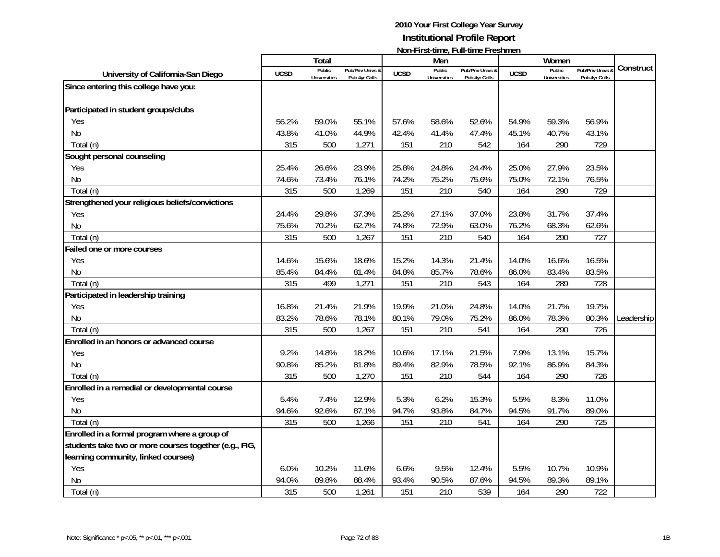|                                                        |             | Total               |                  |             | Men                 | <u>NULLET IL SCENTIFU, TEGLI I IU I TUSHILIU I I</u> |             | Women               |                  |            |
|--------------------------------------------------------|-------------|---------------------|------------------|-------------|---------------------|------------------------------------------------------|-------------|---------------------|------------------|------------|
| University of California-San Diego                     | <b>UCSD</b> | Public              | Pub/Priv Univs & | <b>UCSD</b> | Public              | Pub/Priv Univs &                                     | <b>UCSD</b> | Public              | Pub/Priv Univs & | Construct  |
|                                                        |             | <b>Universities</b> | Pub 4yr Colls    |             | <b>Universities</b> | Pub 4yr Colls                                        |             | <b>Universities</b> | Pub 4yr Colls    |            |
| Since entering this college have you:                  |             |                     |                  |             |                     |                                                      |             |                     |                  |            |
|                                                        |             |                     |                  |             |                     |                                                      |             |                     |                  |            |
| Participated in student groups/clubs                   |             |                     |                  |             |                     |                                                      |             |                     |                  |            |
| Yes                                                    | 56.2%       | 59.0%               | 55.1%            | 57.6%       | 58.6%               | 52.6%                                                | 54.9%       | 59.3%               | 56.9%            |            |
| <b>No</b>                                              | 43.8%       | 41.0%               | 44.9%            | 42.4%       | 41.4%               | 47.4%                                                | 45.1%       | 40.7%               | 43.1%            |            |
| Total (n)                                              | 315         | 500                 | 1,271            | 151         | 210                 | 542                                                  | 164         | 290                 | 729              |            |
| Sought personal counseling                             |             |                     |                  |             |                     |                                                      |             |                     |                  |            |
| Yes                                                    | 25.4%       | 26.6%               | 23.9%            | 25.8%       | 24.8%               | 24.4%                                                | 25.0%       | 27.9%               | 23.5%            |            |
| <b>No</b>                                              | 74.6%       | 73.4%               | 76.1%            | 74.2%       | 75.2%               | 75.6%                                                | 75.0%       | 72.1%               | 76.5%            |            |
| Total (n)                                              | 315         | 500                 | 1,269            | 151         | 210                 | 540                                                  | 164         | 290                 | 729              |            |
| Strengthened your religious beliefs/convictions        |             |                     |                  |             |                     |                                                      |             |                     |                  |            |
| Yes                                                    | 24.4%       | 29.8%               | 37.3%            | 25.2%       | 27.1%               | 37.0%                                                | 23.8%       | 31.7%               | 37.4%            |            |
| <b>No</b>                                              | 75.6%       | 70.2%               | 62.7%            | 74.8%       | 72.9%               | 63.0%                                                | 76.2%       | 68.3%               | 62.6%            |            |
| Total (n)                                              | 315         | 500                 | 1,267            | 151         | 210                 | 540                                                  | 164         | 290                 | 727              |            |
| Failed one or more courses                             |             |                     |                  |             |                     |                                                      |             |                     |                  |            |
| Yes                                                    | 14.6%       | 15.6%               | 18.6%            | 15.2%       | 14.3%               | 21.4%                                                | 14.0%       | 16.6%               | 16.5%            |            |
| No                                                     | 85.4%       | 84.4%               | 81.4%            | 84.8%       | 85.7%               | 78.6%                                                | 86.0%       | 83.4%               | 83.5%            |            |
| Total (n)                                              | 315         | 499                 | 1,271            | 151         | 210                 | 543                                                  | 164         | 289                 | 728              |            |
| Participated in leadership training                    |             |                     |                  |             |                     |                                                      |             |                     |                  |            |
| Yes                                                    | 16.8%       | 21.4%               | 21.9%            | 19.9%       | 21.0%               | 24.8%                                                | 14.0%       | 21.7%               | 19.7%            |            |
| <b>No</b>                                              | 83.2%       | 78.6%               | 78.1%            | 80.1%       | 79.0%               | 75.2%                                                | 86.0%       | 78.3%               | 80.3%            | Leadership |
| Total (n)                                              | 315         | 500                 | 1,267            | 151         | 210                 | 541                                                  | 164         | 290                 | 726              |            |
| Enrolled in an honors or advanced course               |             |                     |                  |             |                     |                                                      |             |                     |                  |            |
| Yes                                                    | 9.2%        | 14.8%               | 18.2%            | 10.6%       | 17.1%               | 21.5%                                                | 7.9%        | 13.1%               | 15.7%            |            |
| <b>No</b>                                              | 90.8%       | 85.2%               | 81.8%            | 89.4%       | 82.9%               | 78.5%                                                | 92.1%       | 86.9%               | 84.3%            |            |
| Total (n)                                              | 315         | 500                 | 1,270            | 151         | 210                 | 544                                                  | 164         | 290                 | 726              |            |
| Enrolled in a remedial or developmental course         |             |                     |                  |             |                     |                                                      |             |                     |                  |            |
| Yes                                                    | 5.4%        | 7.4%                | 12.9%            | 5.3%        | 6.2%                | 15.3%                                                | 5.5%        | 8.3%                | 11.0%            |            |
| <b>No</b>                                              | 94.6%       | 92.6%               | 87.1%            | 94.7%       | 93.8%               | 84.7%                                                | 94.5%       | 91.7%               | 89.0%            |            |
| Total (n)                                              | 315         | 500                 | 1,266            | 151         | 210                 | 541                                                  | 164         | 290                 | 725              |            |
| Enrolled in a formal program where a group of          |             |                     |                  |             |                     |                                                      |             |                     |                  |            |
| students take two or more courses together (e.g., FIG, |             |                     |                  |             |                     |                                                      |             |                     |                  |            |
| learning community, linked courses)                    |             |                     |                  |             |                     |                                                      |             |                     |                  |            |
| Yes                                                    | 6.0%        | 10.2%               | 11.6%            | 6.6%        | 9.5%                | 12.4%                                                | 5.5%        | 10.7%               | 10.9%            |            |
| <b>No</b>                                              | 94.0%       | 89.8%               | 88.4%            | 93.4%       | 90.5%               | 87.6%                                                | 94.5%       | 89.3%               | 89.1%            |            |
| Total (n)                                              | 315         | 500                 | 1,261            | 151         | 210                 | 539                                                  | 164         | 290                 | 722              |            |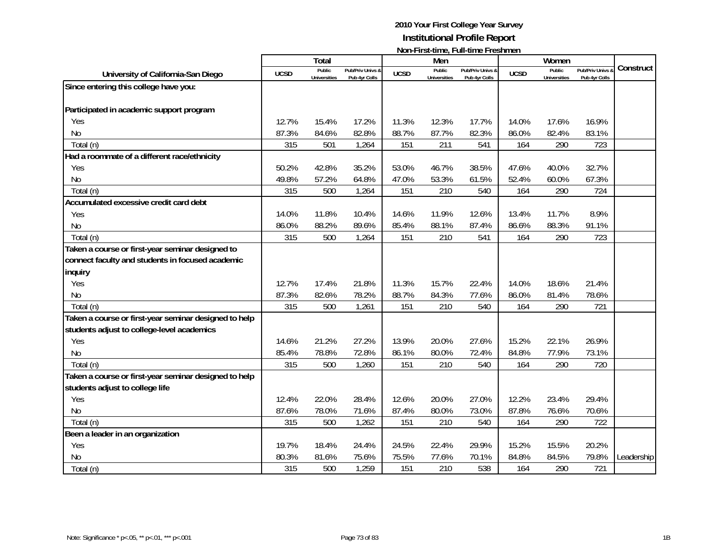|                                                       |             | <b>Total</b>        |                  |             | Men                 |                  |             | Women               |                |            |
|-------------------------------------------------------|-------------|---------------------|------------------|-------------|---------------------|------------------|-------------|---------------------|----------------|------------|
| University of California-San Diego                    | <b>UCSD</b> | Public              | Pub/Priv Univs & | <b>UCSD</b> | Public              | Pub/Priv Univs & | <b>UCSD</b> | Public              | Pub/Priv Univs | Construct  |
|                                                       |             | <b>Universities</b> | Pub 4yr Colls    |             | <b>Universities</b> | Pub 4yr Colls    |             | <b>Universities</b> | Pub 4yr Colls  |            |
| Since entering this college have you:                 |             |                     |                  |             |                     |                  |             |                     |                |            |
|                                                       |             |                     |                  |             |                     |                  |             |                     |                |            |
| Participated in academic support program              |             |                     |                  |             |                     |                  |             |                     |                |            |
| Yes                                                   | 12.7%       | 15.4%               | 17.2%            | 11.3%       | 12.3%               | 17.7%            | 14.0%       | 17.6%               | 16.9%          |            |
| <b>No</b>                                             | 87.3%       | 84.6%               | 82.8%            | 88.7%       | 87.7%               | 82.3%            | 86.0%       | 82.4%               | 83.1%          |            |
| Total (n)                                             | 315         | 501                 | 1,264            | 151         | 211                 | 541              | 164         | 290                 | 723            |            |
| Had a roommate of a different race/ethnicity          |             |                     |                  |             |                     |                  |             |                     |                |            |
| Yes                                                   | 50.2%       | 42.8%               | 35.2%            | 53.0%       | 46.7%               | 38.5%            | 47.6%       | 40.0%               | 32.7%          |            |
| <b>No</b>                                             | 49.8%       | 57.2%               | 64.8%            | 47.0%       | 53.3%               | 61.5%            | 52.4%       | 60.0%               | 67.3%          |            |
| Total (n)                                             | 315         | 500                 | 1,264            | 151         | 210                 | 540              | 164         | 290                 | 724            |            |
| Accumulated excessive credit card debt                |             |                     |                  |             |                     |                  |             |                     |                |            |
| Yes                                                   | 14.0%       | 11.8%               | 10.4%            | 14.6%       | 11.9%               | 12.6%            | 13.4%       | 11.7%               | 8.9%           |            |
| <b>No</b>                                             | 86.0%       | 88.2%               | 89.6%            | 85.4%       | 88.1%               | 87.4%            | 86.6%       | 88.3%               | 91.1%          |            |
| Total (n)                                             | 315         | 500                 | 1,264            | 151         | 210                 | 541              | 164         | 290                 | 723            |            |
| Taken a course or first-year seminar designed to      |             |                     |                  |             |                     |                  |             |                     |                |            |
| connect faculty and students in focused academic      |             |                     |                  |             |                     |                  |             |                     |                |            |
| inquiry                                               |             |                     |                  |             |                     |                  |             |                     |                |            |
| Yes                                                   | 12.7%       | 17.4%               | 21.8%            | 11.3%       | 15.7%               | 22.4%            | 14.0%       | 18.6%               | 21.4%          |            |
| <b>No</b>                                             | 87.3%       | 82.6%               | 78.2%            | 88.7%       | 84.3%               | 77.6%            | 86.0%       | 81.4%               | 78.6%          |            |
| Total (n)                                             | 315         | 500                 | 1,261            | 151         | 210                 | 540              | 164         | 290                 | 721            |            |
| Taken a course or first-year seminar designed to help |             |                     |                  |             |                     |                  |             |                     |                |            |
| students adjust to college-level academics            |             |                     |                  |             |                     |                  |             |                     |                |            |
| Yes                                                   | 14.6%       | 21.2%               | 27.2%            | 13.9%       | 20.0%               | 27.6%            | 15.2%       | 22.1%               | 26.9%          |            |
| <b>No</b>                                             | 85.4%       | 78.8%               | 72.8%            | 86.1%       | 80.0%               | 72.4%            | 84.8%       | 77.9%               | 73.1%          |            |
| Total (n)                                             | 315         | 500                 | 1,260            | 151         | 210                 | 540              | 164         | 290                 | 720            |            |
| Taken a course or first-year seminar designed to help |             |                     |                  |             |                     |                  |             |                     |                |            |
| students adjust to college life                       |             |                     |                  |             |                     |                  |             |                     |                |            |
| Yes                                                   | 12.4%       | 22.0%               | 28.4%            | 12.6%       | 20.0%               | 27.0%            | 12.2%       | 23.4%               | 29.4%          |            |
| <b>No</b>                                             | 87.6%       | 78.0%               | 71.6%            | 87.4%       | 80.0%               | 73.0%            | 87.8%       | 76.6%               | 70.6%          |            |
| Total (n)                                             | 315         | 500                 | 1,262            | 151         | 210                 | 540              | 164         | 290                 | 722            |            |
| Been a leader in an organization                      |             |                     |                  |             |                     |                  |             |                     |                |            |
| Yes                                                   | 19.7%       | 18.4%               | 24.4%            | 24.5%       | 22.4%               | 29.9%            | 15.2%       | 15.5%               | 20.2%          |            |
| <b>No</b>                                             | 80.3%       | 81.6%               | 75.6%            | 75.5%       | 77.6%               | 70.1%            | 84.8%       | 84.5%               | 79.8%          | Leadership |
| Total (n)                                             | 315         | 500                 | 1,259            | 151         | 210                 | 538              | 164         | 290                 | 721            |            |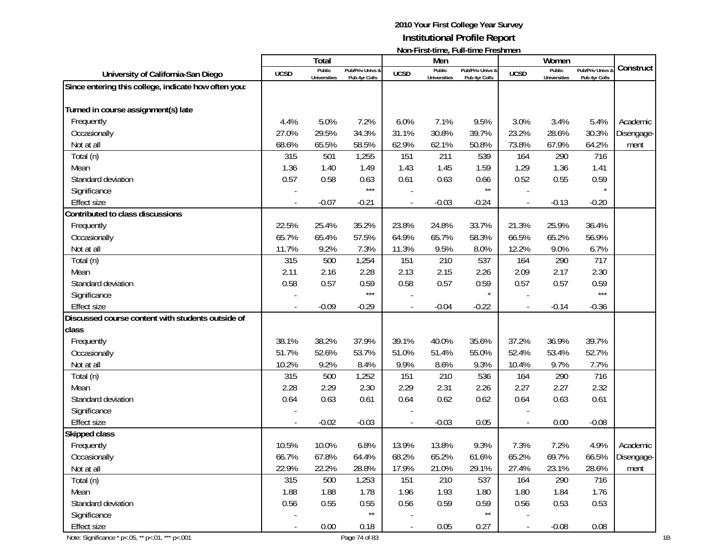|                                                        |                          |                               |                                   |             |                               | <b>NOTE LIST-ULLE, LATE LITTLE LIGHTING!</b> |             |                               |                                        |            |
|--------------------------------------------------------|--------------------------|-------------------------------|-----------------------------------|-------------|-------------------------------|----------------------------------------------|-------------|-------------------------------|----------------------------------------|------------|
|                                                        |                          | Total                         |                                   |             | Men                           |                                              |             | Women                         |                                        |            |
| University of California-San Diego                     | <b>UCSD</b>              | Public<br><b>Universities</b> | Pub/Priv Univs &<br>Pub 4yr Colls | <b>UCSD</b> | Public<br><b>Universities</b> | Pub/Priv Univs &<br>Pub 4yr Colls            | <b>UCSD</b> | Public<br><b>Universities</b> | <b>Pub/Priv Univs</b><br>Pub 4yr Colls | Construct  |
| Since entering this college, indicate how often you:   |                          |                               |                                   |             |                               |                                              |             |                               |                                        |            |
|                                                        |                          |                               |                                   |             |                               |                                              |             |                               |                                        |            |
| Turned in course assignment(s) late                    |                          |                               |                                   |             |                               |                                              |             |                               |                                        |            |
| Frequently                                             | 4.4%                     | 5.0%                          | 7.2%                              | 6.0%        | 7.1%                          | 9.5%                                         | 3.0%        | 3.4%                          | 5.4%                                   | Academic   |
| Occasionally                                           | 27.0%                    | 29.5%                         | 34.3%                             | 31.1%       | 30.8%                         | 39.7%                                        | 23.2%       | 28.6%                         | 30.3%                                  | Disengage- |
| Not at all                                             | 68.6%                    | 65.5%                         | 58.5%                             | 62.9%       | 62.1%                         | 50.8%                                        | 73.8%       | 67.9%                         | 64.2%                                  | ment       |
| Total (n)                                              | 315                      | 501                           | 1,255                             | 151         | 211                           | 539                                          | 164         | 290                           | 716                                    |            |
| Mean                                                   | 1.36                     | 1.40                          | 1.49                              | 1.43        | 1.45                          | 1.59                                         | 1.29        | 1.36                          | 1.41                                   |            |
| Standard deviation                                     | 0.57                     | 0.58                          | 0.63                              | 0.61        | 0.63                          | 0.66                                         | 0.52        | 0.55                          | 0.59                                   |            |
| Significance                                           |                          |                               | $***$                             |             |                               | $\star\star$                                 |             |                               |                                        |            |
| <b>Effect size</b>                                     | $\sim$                   | $-0.07$                       | $-0.21$                           |             | $-0.03$                       | $-0.24$                                      |             | $-0.13$                       | $-0.20$                                |            |
| Contributed to class discussions                       |                          |                               |                                   |             |                               |                                              |             |                               |                                        |            |
| Frequently                                             | 22.5%                    | 25.4%                         | 35.2%                             | 23.8%       | 24.8%                         | 33.7%                                        | 21.3%       | 25.9%                         | 36.4%                                  |            |
| Occasionally                                           | 65.7%                    | 65.4%                         | 57.5%                             | 64.9%       | 65.7%                         | 58.3%                                        | 66.5%       | 65.2%                         | 56.9%                                  |            |
| Not at all                                             | 11.7%                    | 9.2%                          | 7.3%                              | 11.3%       | 9.5%                          | 8.0%                                         | 12.2%       | 9.0%                          | 6.7%                                   |            |
| Total (n)                                              | 315                      | 500                           | 1,254                             | 151         | 210                           | 537                                          | 164         | 290                           | 717                                    |            |
| Mean                                                   | 2.11                     | 2.16                          | 2.28                              | 2.13        | 2.15                          | 2.26                                         | 2.09        | 2.17                          | 2.30                                   |            |
| Standard deviation                                     | 0.58                     | 0.57                          | 0.59                              | 0.58        | 0.57                          | 0.59                                         | 0.57        | 0.57                          | 0.59                                   |            |
| Significance                                           |                          |                               | $***$                             |             |                               | $\star$                                      |             |                               | $***$                                  |            |
| <b>Effect size</b>                                     |                          | $-0.09$                       | $-0.29$                           |             | $-0.04$                       | $-0.22$                                      |             | $-0.14$                       | $-0.36$                                |            |
| Discussed course content with students outside of      |                          |                               |                                   |             |                               |                                              |             |                               |                                        |            |
| class                                                  |                          |                               |                                   |             |                               |                                              |             |                               |                                        |            |
| Frequently                                             | 38.1%                    | 38.2%                         | 37.9%                             | 39.1%       | 40.0%                         | 35.6%                                        | 37.2%       | 36.9%                         | 39.7%                                  |            |
| Occasionally                                           | 51.7%                    | 52.6%                         | 53.7%                             | 51.0%       | 51.4%                         | 55.0%                                        | 52.4%       | 53.4%                         | 52.7%                                  |            |
| Not at all                                             | 10.2%                    | 9.2%                          | 8.4%                              | 9.9%        | 8.6%                          | 9.3%                                         | 10.4%       | 9.7%                          | 7.7%                                   |            |
| Total (n)                                              | 315                      | 500                           | 1,252                             | 151         | 210                           | 536                                          | 164         | 290                           | 716                                    |            |
| Mean                                                   | 2.28                     | 2.29                          | 2.30                              | 2.29        | 2.31                          | 2.26                                         | 2.27        | 2.27                          | 2.32                                   |            |
| Standard deviation                                     | 0.64                     | 0.63                          | 0.61                              | 0.64        | 0.62                          | 0.62                                         | 0.64        | 0.63                          | 0.61                                   |            |
| Significance                                           |                          |                               |                                   |             |                               |                                              |             |                               |                                        |            |
| <b>Effect size</b>                                     |                          | $-0.02$                       | $-0.03$                           |             | $-0.03$                       | 0.05                                         |             | 0.00                          | $-0.08$                                |            |
| Skipped class                                          |                          |                               |                                   |             |                               |                                              |             |                               |                                        |            |
| Frequently                                             | 10.5%                    | 10.0%                         | 6.8%                              | 13.9%       | 13.8%                         | 9.3%                                         | 7.3%        | 7.2%                          | 4.9%                                   | Academic   |
| Occasionally                                           | 66.7%                    | 67.8%                         | 64.4%                             | 68.2%       | 65.2%                         | 61.6%                                        | 65.2%       | 69.7%                         | 66.5%                                  | Disengage- |
| Not at all                                             | 22.9%                    | 22.2%                         | 28.8%                             | 17.9%       | 21.0%                         | 29.1%                                        | 27.4%       | 23.1%                         | 28.6%                                  | ment       |
| Total (n)                                              | 315                      | 500                           | 1,253                             | 151         | 210                           | 537                                          | 164         | 290                           | 716                                    |            |
| Mean                                                   | 1.88                     | 1.88                          | 1.78                              | 1.96        | 1.93                          | 1.80                                         | 1.80        | 1.84                          | 1.76                                   |            |
| Standard deviation                                     | 0.56                     | 0.55                          | 0.55                              | 0.56        | 0.59                          | 0.59                                         | 0.56        | 0.53                          | 0.53                                   |            |
| Significance                                           |                          |                               | $\star\star$                      |             |                               | $\star\star$                                 |             |                               |                                        |            |
| <b>Effect size</b>                                     | $\overline{\phantom{a}}$ | 0.00                          | 0.18                              |             | 0.05                          | 0.27                                         |             | $-0.08$                       | 0.08                                   |            |
| Note: Significance * p <. 05, ** p <. 01, *** p <. 001 |                          |                               | Page 74 of 83                     |             |                               |                                              |             |                               |                                        |            |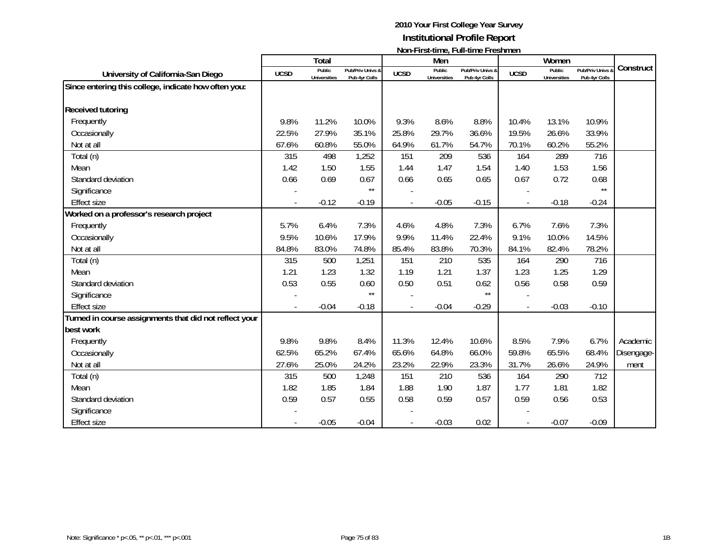|                                                        |             | <b>Total</b>                  |                                   |             | Men                           | $1$ ivuli III di statific, i uli titilic i i comitici i | Women       |                                      |                                 |            |
|--------------------------------------------------------|-------------|-------------------------------|-----------------------------------|-------------|-------------------------------|---------------------------------------------------------|-------------|--------------------------------------|---------------------------------|------------|
| University of California-San Diego                     | <b>UCSD</b> | Public<br><b>Universities</b> | Pub/Priv Univs &<br>Pub 4yr Colls | <b>UCSD</b> | Public<br><b>Universities</b> | Pub/Priv Univs &<br>Pub 4yr Colls                       | <b>UCSD</b> | <b>Public</b><br><b>Universities</b> | Pub/Priv Univs<br>Pub 4yr Colls | Construct  |
| Since entering this college, indicate how often you:   |             |                               |                                   |             |                               |                                                         |             |                                      |                                 |            |
|                                                        |             |                               |                                   |             |                               |                                                         |             |                                      |                                 |            |
| <b>Received tutoring</b>                               |             |                               |                                   |             |                               |                                                         |             |                                      |                                 |            |
| Frequently                                             | 9.8%        | 11.2%                         | 10.0%                             | 9.3%        | 8.6%                          | 8.8%                                                    | 10.4%       | 13.1%                                | 10.9%                           |            |
| Occasionally                                           | 22.5%       | 27.9%                         | 35.1%                             | 25.8%       | 29.7%                         | 36.6%                                                   | 19.5%       | 26.6%                                | 33.9%                           |            |
| Not at all                                             | 67.6%       | 60.8%                         | 55.0%                             | 64.9%       | 61.7%                         | 54.7%                                                   | 70.1%       | 60.2%                                | 55.2%                           |            |
| Total (n)                                              | 315         | 498                           | 1,252                             | 151         | 209                           | 536                                                     | 164         | 289                                  | 716                             |            |
| Mean                                                   | 1.42        | 1.50                          | 1.55                              | 1.44        | 1.47                          | 1.54                                                    | 1.40        | 1.53                                 | 1.56                            |            |
| Standard deviation                                     | 0.66        | 0.69                          | 0.67                              | 0.66        | 0.65                          | 0.65                                                    | 0.67        | 0.72                                 | 0.68                            |            |
| Significance                                           |             |                               | $***$                             |             |                               |                                                         |             |                                      | $***$                           |            |
| <b>Effect size</b>                                     |             | $-0.12$                       | $-0.19$                           |             | $-0.05$                       | $-0.15$                                                 | ÷,          | $-0.18$                              | $-0.24$                         |            |
| Worked on a professor's research project               |             |                               |                                   |             |                               |                                                         |             |                                      |                                 |            |
| Frequently                                             | 5.7%        | 6.4%                          | 7.3%                              | 4.6%        | 4.8%                          | 7.3%                                                    | 6.7%        | 7.6%                                 | 7.3%                            |            |
| Occasionally                                           | 9.5%        | 10.6%                         | 17.9%                             | 9.9%        | 11.4%                         | 22.4%                                                   | 9.1%        | 10.0%                                | 14.5%                           |            |
| Not at all                                             | 84.8%       | 83.0%                         | 74.8%                             | 85.4%       | 83.8%                         | 70.3%                                                   | 84.1%       | 82.4%                                | 78.2%                           |            |
| Total (n)                                              | 315         | 500                           | 1,251                             | 151         | 210                           | 535                                                     | 164         | 290                                  | 716                             |            |
| Mean                                                   | 1.21        | 1.23                          | 1.32                              | 1.19        | 1.21                          | 1.37                                                    | 1.23        | 1.25                                 | 1.29                            |            |
| Standard deviation                                     | 0.53        | 0.55                          | 0.60                              | 0.50        | 0.51                          | 0.62                                                    | 0.56        | 0.58                                 | 0.59                            |            |
| Significance                                           |             |                               | $\star\star$                      |             |                               | $\star\star$                                            |             |                                      |                                 |            |
| <b>Effect size</b>                                     |             | $-0.04$                       | $-0.18$                           |             | $-0.04$                       | $-0.29$                                                 |             | $-0.03$                              | $-0.10$                         |            |
| Turned in course assignments that did not reflect your |             |                               |                                   |             |                               |                                                         |             |                                      |                                 |            |
| best work                                              |             |                               |                                   |             |                               |                                                         |             |                                      |                                 |            |
| Frequently                                             | 9.8%        | 9.8%                          | 8.4%                              | 11.3%       | 12.4%                         | 10.6%                                                   | 8.5%        | 7.9%                                 | 6.7%                            | Academic   |
| Occasionally                                           | 62.5%       | 65.2%                         | 67.4%                             | 65.6%       | 64.8%                         | 66.0%                                                   | 59.8%       | 65.5%                                | 68.4%                           | Disengage- |
| Not at all                                             | 27.6%       | 25.0%                         | 24.2%                             | 23.2%       | 22.9%                         | 23.3%                                                   | 31.7%       | 26.6%                                | 24.9%                           | ment       |
| Total (n)                                              | 315         | 500                           | 1,248                             | 151         | 210                           | 536                                                     | 164         | 290                                  | 712                             |            |
| Mean                                                   | 1.82        | 1.85                          | 1.84                              | 1.88        | 1.90                          | 1.87                                                    | 1.77        | 1.81                                 | 1.82                            |            |
| Standard deviation                                     | 0.59        | 0.57                          | 0.55                              | 0.58        | 0.59                          | 0.57                                                    | 0.59        | 0.56                                 | 0.53                            |            |
| Significance                                           |             |                               |                                   |             |                               |                                                         |             |                                      |                                 |            |
| <b>Effect size</b>                                     |             | $-0.05$                       | $-0.04$                           |             | $-0.03$                       | 0.02                                                    |             | $-0.07$                              | $-0.09$                         |            |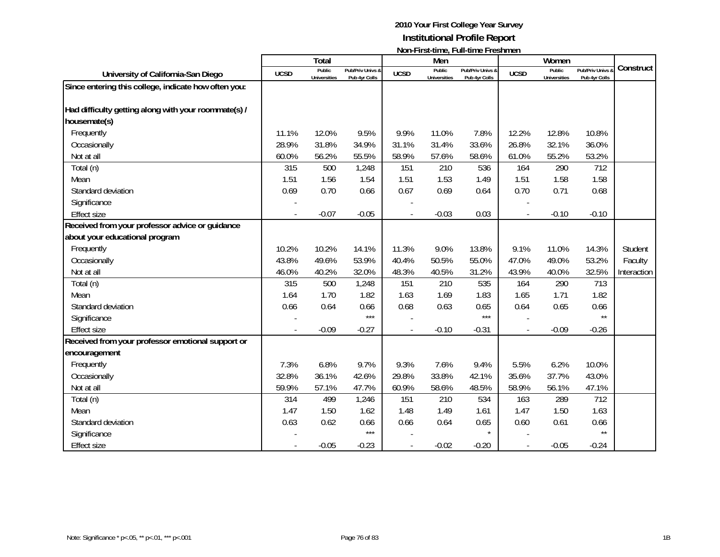|                                                      |             | Total                         |                                   |             | Men                           |                                   |             | Women                                |                                 |             |
|------------------------------------------------------|-------------|-------------------------------|-----------------------------------|-------------|-------------------------------|-----------------------------------|-------------|--------------------------------------|---------------------------------|-------------|
| University of California-San Diego                   | <b>UCSD</b> | Public<br><b>Universities</b> | Pub/Priv Univs &<br>Pub 4yr Colls | <b>UCSD</b> | Public<br><b>Universities</b> | Pub/Priv Univs &<br>Pub 4yr Colls | <b>UCSD</b> | <b>Public</b><br><b>Universities</b> | Pub/Priv Univs<br>Pub 4yr Colls | Construct   |
| Since entering this college, indicate how often you: |             |                               |                                   |             |                               |                                   |             |                                      |                                 |             |
| Had difficulty getting along with your roommate(s) / |             |                               |                                   |             |                               |                                   |             |                                      |                                 |             |
| housemate(s)                                         |             |                               |                                   |             |                               |                                   |             |                                      |                                 |             |
| Frequently                                           | 11.1%       | 12.0%                         | 9.5%                              | 9.9%        | 11.0%                         | 7.8%                              | 12.2%       | 12.8%                                | 10.8%                           |             |
| Occasionally                                         | 28.9%       | 31.8%                         | 34.9%                             | 31.1%       | 31.4%                         | 33.6%                             | 26.8%       | 32.1%                                | 36.0%                           |             |
| Not at all                                           | 60.0%       | 56.2%                         | 55.5%                             | 58.9%       | 57.6%                         | 58.6%                             | 61.0%       | 55.2%                                | 53.2%                           |             |
| Total (n)                                            | 315         | 500                           | 1,248                             | 151         | 210                           | 536                               | 164         | 290                                  | 712                             |             |
| Mean                                                 | 1.51        | 1.56                          | 1.54                              | 1.51        | 1.53                          | 1.49                              | 1.51        | 1.58                                 | 1.58                            |             |
| Standard deviation                                   | 0.69        | 0.70                          | 0.66                              | 0.67        | 0.69                          | 0.64                              | 0.70        | 0.71                                 | 0.68                            |             |
| Significance                                         |             |                               |                                   |             |                               |                                   |             |                                      |                                 |             |
| <b>Effect size</b>                                   |             | $-0.07$                       | $-0.05$                           |             | $-0.03$                       | 0.03                              |             | $-0.10$                              | $-0.10$                         |             |
| Received from your professor advice or guidance      |             |                               |                                   |             |                               |                                   |             |                                      |                                 |             |
| about your educational program                       |             |                               |                                   |             |                               |                                   |             |                                      |                                 |             |
| Frequently                                           | 10.2%       | 10.2%                         | 14.1%                             | 11.3%       | 9.0%                          | 13.8%                             | 9.1%        | 11.0%                                | 14.3%                           | Student     |
| Occasionally                                         | 43.8%       | 49.6%                         | 53.9%                             | 40.4%       | 50.5%                         | 55.0%                             | 47.0%       | 49.0%                                | 53.2%                           | Faculty     |
| Not at all                                           | 46.0%       | 40.2%                         | 32.0%                             | 48.3%       | 40.5%                         | 31.2%                             | 43.9%       | 40.0%                                | 32.5%                           | Interaction |
| Total (n)                                            | 315         | 500                           | 1,248                             | 151         | 210                           | 535                               | 164         | 290                                  | 713                             |             |
| Mean                                                 | 1.64        | 1.70                          | 1.82                              | 1.63        | 1.69                          | 1.83                              | 1.65        | 1.71                                 | 1.82                            |             |
| Standard deviation                                   | 0.66        | 0.64                          | 0.66                              | 0.68        | 0.63                          | 0.65                              | 0.64        | 0.65                                 | 0.66                            |             |
| Significance                                         |             |                               | $***$                             |             |                               | $***$                             |             |                                      | $\star\star$                    |             |
| <b>Effect size</b>                                   |             | $-0.09$                       | $-0.27$                           |             | $-0.10$                       | $-0.31$                           |             | $-0.09$                              | $-0.26$                         |             |
| Received from your professor emotional support or    |             |                               |                                   |             |                               |                                   |             |                                      |                                 |             |
| encouragement                                        |             |                               |                                   |             |                               |                                   |             |                                      |                                 |             |
| Frequently                                           | 7.3%        | 6.8%                          | 9.7%                              | 9.3%        | 7.6%                          | 9.4%                              | 5.5%        | 6.2%                                 | 10.0%                           |             |
| Occasionally                                         | 32.8%       | 36.1%                         | 42.6%                             | 29.8%       | 33.8%                         | 42.1%                             | 35.6%       | 37.7%                                | 43.0%                           |             |
| Not at all                                           | 59.9%       | 57.1%                         | 47.7%                             | 60.9%       | 58.6%                         | 48.5%                             | 58.9%       | 56.1%                                | 47.1%                           |             |
| Total (n)                                            | 314         | 499                           | 1,246                             | 151         | 210                           | 534                               | 163         | 289                                  | 712                             |             |
| Mean                                                 | 1.47        | 1.50                          | 1.62                              | 1.48        | 1.49                          | 1.61                              | 1.47        | 1.50                                 | 1.63                            |             |
| Standard deviation                                   | 0.63        | 0.62                          | 0.66                              | 0.66        | 0.64                          | 0.65                              | 0.60        | 0.61                                 | 0.66                            |             |
| Significance                                         |             |                               | $***$                             |             |                               | $\star$                           |             |                                      | $\star\star$                    |             |
| <b>Effect size</b>                                   |             | $-0.05$                       | $-0.23$                           |             | $-0.02$                       | $-0.20$                           |             | $-0.05$                              | $-0.24$                         |             |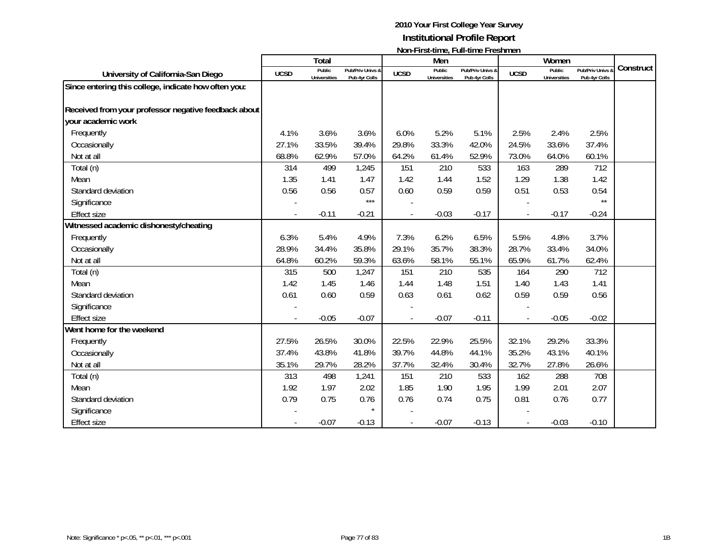|                                                      |             | Total                         |                                   |             | Men                           |                                   |                          | Women                         |                                   |           |
|------------------------------------------------------|-------------|-------------------------------|-----------------------------------|-------------|-------------------------------|-----------------------------------|--------------------------|-------------------------------|-----------------------------------|-----------|
| University of California-San Diego                   | <b>UCSD</b> | Public<br><b>Universities</b> | Pub/Priv Univs &<br>Pub 4yr Colls | <b>UCSD</b> | Public<br><b>Universities</b> | Pub/Priv Univs &<br>Pub 4yr Colls | <b>UCSD</b>              | Public<br><b>Universities</b> | Pub/Priv Univs &<br>Pub 4yr Colls | Construct |
| Since entering this college, indicate how often you: |             |                               |                                   |             |                               |                                   |                          |                               |                                   |           |
|                                                      |             |                               |                                   |             |                               |                                   |                          |                               |                                   |           |
| Received from your professor negative feedback about |             |                               |                                   |             |                               |                                   |                          |                               |                                   |           |
| your academic work                                   |             |                               |                                   |             |                               |                                   |                          |                               |                                   |           |
| Frequently                                           | 4.1%        | 3.6%                          | 3.6%                              | 6.0%        | 5.2%                          | 5.1%                              | 2.5%                     | 2.4%                          | 2.5%                              |           |
| Occasionally                                         | 27.1%       | 33.5%                         | 39.4%                             | 29.8%       | 33.3%                         | 42.0%                             | 24.5%                    | 33.6%                         | 37.4%                             |           |
| Not at all                                           | 68.8%       | 62.9%                         | 57.0%                             | 64.2%       | 61.4%                         | 52.9%                             | 73.0%                    | 64.0%                         | 60.1%                             |           |
| Total (n)                                            | 314         | 499                           | 1,245                             | 151         | 210                           | 533                               | 163                      | 289                           | 712                               |           |
| Mean                                                 | 1.35        | 1.41                          | 1.47                              | 1.42        | 1.44                          | 1.52                              | 1.29                     | 1.38                          | 1.42                              |           |
| Standard deviation                                   | 0.56        | 0.56                          | 0.57                              | 0.60        | 0.59                          | 0.59                              | 0.51                     | 0.53                          | 0.54                              |           |
| Significance                                         |             |                               | $***$                             |             |                               |                                   |                          |                               | $\star\star$                      |           |
| <b>Effect size</b>                                   |             | $-0.11$                       | $-0.21$                           |             | $-0.03$                       | $-0.17$                           | $\overline{\phantom{a}}$ | $-0.17$                       | $-0.24$                           |           |
| Witnessed academic dishonesty/cheating               |             |                               |                                   |             |                               |                                   |                          |                               |                                   |           |
| Frequently                                           | 6.3%        | 5.4%                          | 4.9%                              | 7.3%        | 6.2%                          | 6.5%                              | 5.5%                     | 4.8%                          | 3.7%                              |           |
| Occasionally                                         | 28.9%       | 34.4%                         | 35.8%                             | 29.1%       | 35.7%                         | 38.3%                             | 28.7%                    | 33.4%                         | 34.0%                             |           |
| Not at all                                           | 64.8%       | 60.2%                         | 59.3%                             | 63.6%       | 58.1%                         | 55.1%                             | 65.9%                    | 61.7%                         | 62.4%                             |           |
| Total (n)                                            | 315         | 500                           | 1,247                             | 151         | 210                           | 535                               | 164                      | 290                           | 712                               |           |
| Mean                                                 | 1.42        | 1.45                          | 1.46                              | 1.44        | 1.48                          | 1.51                              | 1.40                     | 1.43                          | 1.41                              |           |
| Standard deviation                                   | 0.61        | 0.60                          | 0.59                              | 0.63        | 0.61                          | 0.62                              | 0.59                     | 0.59                          | 0.56                              |           |
| Significance                                         |             |                               |                                   |             |                               |                                   |                          |                               |                                   |           |
| <b>Effect size</b>                                   |             | $-0.05$                       | $-0.07$                           |             | $-0.07$                       | $-0.11$                           |                          | $-0.05$                       | $-0.02$                           |           |
| Went home for the weekend                            |             |                               |                                   |             |                               |                                   |                          |                               |                                   |           |
| Frequently                                           | 27.5%       | 26.5%                         | 30.0%                             | 22.5%       | 22.9%                         | 25.5%                             | 32.1%                    | 29.2%                         | 33.3%                             |           |
| Occasionally                                         | 37.4%       | 43.8%                         | 41.8%                             | 39.7%       | 44.8%                         | 44.1%                             | 35.2%                    | 43.1%                         | 40.1%                             |           |
| Not at all                                           | 35.1%       | 29.7%                         | 28.2%                             | 37.7%       | 32.4%                         | 30.4%                             | 32.7%                    | 27.8%                         | 26.6%                             |           |
| Total (n)                                            | 313         | 498                           | 1,241                             | 151         | 210                           | 533                               | 162                      | 288                           | 708                               |           |
| Mean                                                 | 1.92        | 1.97                          | 2.02                              | 1.85        | 1.90                          | 1.95                              | 1.99                     | 2.01                          | 2.07                              |           |
| Standard deviation                                   | 0.79        | 0.75                          | 0.76                              | 0.76        | 0.74                          | 0.75                              | 0.81                     | 0.76                          | 0.77                              |           |
| Significance                                         |             |                               | $\star$                           |             |                               |                                   |                          |                               |                                   |           |
| Effect size                                          |             | $-0.07$                       | $-0.13$                           |             | $-0.07$                       | $-0.13$                           |                          | $-0.03$                       | $-0.10$                           |           |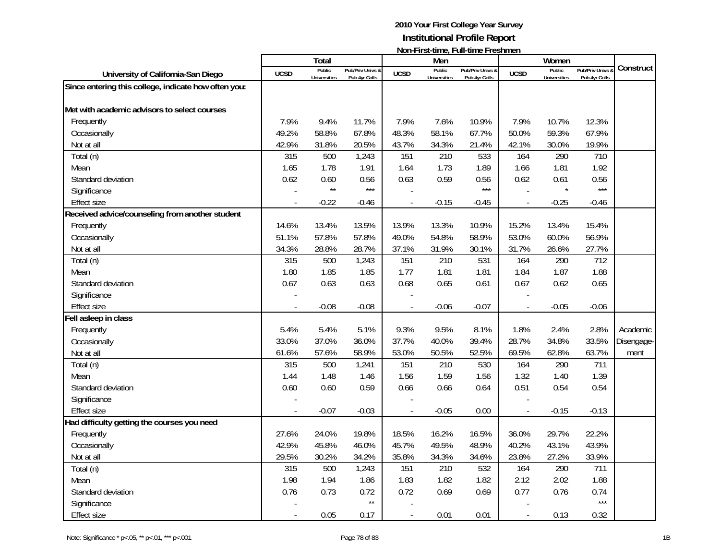|                                                      |             | <b>Total</b>                  |                                   |                | Men                           | $\mathsf{NULL}$ . The station of the station of $\mathsf{L}$ |                          | Women                         |                                 |            |
|------------------------------------------------------|-------------|-------------------------------|-----------------------------------|----------------|-------------------------------|--------------------------------------------------------------|--------------------------|-------------------------------|---------------------------------|------------|
| University of California-San Diego                   | <b>UCSD</b> | Public<br><b>Universities</b> | Pub/Priv Univs &<br>Pub 4yr Colls | <b>UCSD</b>    | Public<br><b>Universities</b> | Pub/Priv Univs &<br>Pub 4yr Colls                            | <b>UCSD</b>              | Public<br><b>Universities</b> | Pub/Priv Univs<br>Pub 4yr Colls | Construct  |
| Since entering this college, indicate how often you: |             |                               |                                   |                |                               |                                                              |                          |                               |                                 |            |
|                                                      |             |                               |                                   |                |                               |                                                              |                          |                               |                                 |            |
| Met with academic advisors to select courses         |             |                               |                                   |                |                               |                                                              |                          |                               |                                 |            |
| Frequently                                           | 7.9%        | 9.4%                          | 11.7%                             | 7.9%           | 7.6%                          | 10.9%                                                        | 7.9%                     | 10.7%                         | 12.3%                           |            |
| Occasionally                                         | 49.2%       | 58.8%                         | 67.8%                             | 48.3%          | 58.1%                         | 67.7%                                                        | 50.0%                    | 59.3%                         | 67.9%                           |            |
| Not at all                                           | 42.9%       | 31.8%                         | 20.5%                             | 43.7%          | 34.3%                         | 21.4%                                                        | 42.1%                    | 30.0%                         | 19.9%                           |            |
| Total (n)                                            | 315         | 500                           | 1,243                             | 151            | 210                           | 533                                                          | 164                      | 290                           | 710                             |            |
| Mean                                                 | 1.65        | 1.78                          | 1.91                              | 1.64           | 1.73                          | 1.89                                                         | 1.66                     | 1.81                          | 1.92                            |            |
| Standard deviation                                   | 0.62        | 0.60                          | 0.56                              | 0.63           | 0.59                          | 0.56                                                         | 0.62                     | 0.61                          | 0.56                            |            |
| Significance                                         |             | $\star\star$                  | $***$                             |                |                               | $***$                                                        |                          |                               | $***$                           |            |
| <b>Effect size</b>                                   |             | $-0.22$                       | $-0.46$                           | $\overline{a}$ | $-0.15$                       | $-0.45$                                                      | $\overline{\phantom{a}}$ | $-0.25$                       | $-0.46$                         |            |
| Received advice/counseling from another student      |             |                               |                                   |                |                               |                                                              |                          |                               |                                 |            |
| Frequently                                           | 14.6%       | 13.4%                         | 13.5%                             | 13.9%          | 13.3%                         | 10.9%                                                        | 15.2%                    | 13.4%                         | 15.4%                           |            |
| Occasionally                                         | 51.1%       | 57.8%                         | 57.8%                             | 49.0%          | 54.8%                         | 58.9%                                                        | 53.0%                    | 60.0%                         | 56.9%                           |            |
| Not at all                                           | 34.3%       | 28.8%                         | 28.7%                             | 37.1%          | 31.9%                         | 30.1%                                                        | 31.7%                    | 26.6%                         | 27.7%                           |            |
| Total (n)                                            | 315         | 500                           | 1,243                             | 151            | 210                           | 531                                                          | 164                      | 290                           | 712                             |            |
| Mean                                                 | 1.80        | 1.85                          | 1.85                              | 1.77           | 1.81                          | 1.81                                                         | 1.84                     | 1.87                          | 1.88                            |            |
| Standard deviation                                   | 0.67        | 0.63                          | 0.63                              | 0.68           | 0.65                          | 0.61                                                         | 0.67                     | 0.62                          | 0.65                            |            |
| Significance                                         |             |                               |                                   |                |                               |                                                              |                          |                               |                                 |            |
| <b>Effect size</b>                                   |             | $-0.08$                       | $-0.08$                           |                | $-0.06$                       | $-0.07$                                                      |                          | $-0.05$                       | $-0.06$                         |            |
| Fell asleep in class                                 |             |                               |                                   |                |                               |                                                              |                          |                               |                                 |            |
| Frequently                                           | 5.4%        | 5.4%                          | 5.1%                              | 9.3%           | 9.5%                          | 8.1%                                                         | 1.8%                     | 2.4%                          | 2.8%                            | Academic   |
| Occasionally                                         | 33.0%       | 37.0%                         | 36.0%                             | 37.7%          | 40.0%                         | 39.4%                                                        | 28.7%                    | 34.8%                         | 33.5%                           | Disengage- |
| Not at all                                           | 61.6%       | 57.6%                         | 58.9%                             | 53.0%          | 50.5%                         | 52.5%                                                        | 69.5%                    | 62.8%                         | 63.7%                           | ment       |
| Total (n)                                            | 315         | 500                           | 1,241                             | 151            | 210                           | 530                                                          | 164                      | 290                           | 711                             |            |
| Mean                                                 | 1.44        | 1.48                          | 1.46                              | 1.56           | 1.59                          | 1.56                                                         | 1.32                     | 1.40                          | 1.39                            |            |
| Standard deviation                                   | 0.60        | 0.60                          | 0.59                              | 0.66           | 0.66                          | 0.64                                                         | 0.51                     | 0.54                          | 0.54                            |            |
| Significance                                         |             |                               |                                   |                |                               |                                                              |                          |                               |                                 |            |
| <b>Effect size</b>                                   |             | $-0.07$                       | $-0.03$                           |                | $-0.05$                       | 0.00                                                         | $\overline{a}$           | $-0.15$                       | $-0.13$                         |            |
| Had difficulty getting the courses you need          |             |                               |                                   |                |                               |                                                              |                          |                               |                                 |            |
| Frequently                                           | 27.6%       | 24.0%                         | 19.8%                             | 18.5%          | 16.2%                         | 16.5%                                                        | 36.0%                    | 29.7%                         | 22.2%                           |            |
| Occasionally                                         | 42.9%       | 45.8%                         | 46.0%                             | 45.7%          | 49.5%                         | 48.9%                                                        | 40.2%                    | 43.1%                         | 43.9%                           |            |
| Not at all                                           | 29.5%       | 30.2%                         | 34.2%                             | 35.8%          | 34.3%                         | 34.6%                                                        | 23.8%                    | 27.2%                         | 33.9%                           |            |
| Total (n)                                            | 315         | 500                           | 1,243                             | 151            | 210                           | 532                                                          | 164                      | 290                           | 711                             |            |
| Mean                                                 | 1.98        | 1.94                          | 1.86                              | 1.83           | 1.82                          | 1.82                                                         | 2.12                     | 2.02                          | 1.88                            |            |
| Standard deviation                                   | 0.76        | 0.73                          | 0.72                              | 0.72           | 0.69                          | 0.69                                                         | 0.77                     | 0.76                          | 0.74                            |            |
| Significance                                         |             |                               | $\star\star$                      |                |                               |                                                              |                          |                               | $***$                           |            |
| <b>Effect size</b>                                   |             | 0.05                          | 0.17                              | $\frac{1}{2}$  | 0.01                          | 0.01                                                         | $\overline{\phantom{a}}$ | 0.13                          | 0.32                            |            |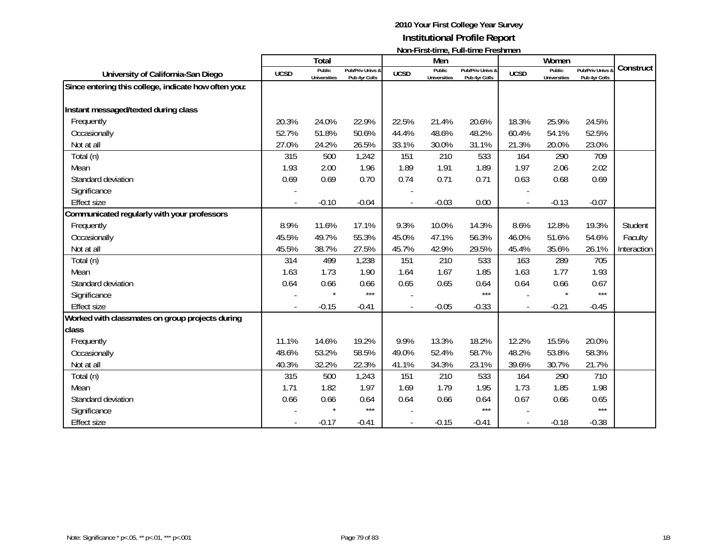|                                                      |             | <b>Total</b>                  |                                   |             | Men                           | $1$ ivuli III di statific, i uli titilic i i comitici i |                          | Women                                |                                 |             |
|------------------------------------------------------|-------------|-------------------------------|-----------------------------------|-------------|-------------------------------|---------------------------------------------------------|--------------------------|--------------------------------------|---------------------------------|-------------|
| University of California-San Diego                   | <b>UCSD</b> | Public<br><b>Universities</b> | Pub/Priv Univs &<br>Pub 4yr Colls | <b>UCSD</b> | Public<br><b>Universities</b> | Pub/Priv Univs &<br>Pub 4yr Colls                       | <b>UCSD</b>              | <b>Public</b><br><b>Universities</b> | Pub/Priv Univs<br>Pub 4yr Colls | Construct   |
| Since entering this college, indicate how often you: |             |                               |                                   |             |                               |                                                         |                          |                                      |                                 |             |
|                                                      |             |                               |                                   |             |                               |                                                         |                          |                                      |                                 |             |
| Instant messaged/texted during class                 |             |                               |                                   |             |                               |                                                         |                          |                                      |                                 |             |
| Frequently                                           | 20.3%       | 24.0%                         | 22.9%                             | 22.5%       | 21.4%                         | 20.6%                                                   | 18.3%                    | 25.9%                                | 24.5%                           |             |
| Occasionally                                         | 52.7%       | 51.8%                         | 50.6%                             | 44.4%       | 48.6%                         | 48.2%                                                   | 60.4%                    | 54.1%                                | 52.5%                           |             |
| Not at all                                           | 27.0%       | 24.2%                         | 26.5%                             | 33.1%       | 30.0%                         | 31.1%                                                   | 21.3%                    | 20.0%                                | 23.0%                           |             |
| Total (n)                                            | 315         | 500                           | 1,242                             | 151         | 210                           | 533                                                     | 164                      | 290                                  | 709                             |             |
| Mean                                                 | 1.93        | 2.00                          | 1.96                              | 1.89        | 1.91                          | 1.89                                                    | 1.97                     | 2.06                                 | 2.02                            |             |
| Standard deviation                                   | 0.69        | 0.69                          | 0.70                              | 0.74        | 0.71                          | 0.71                                                    | 0.63                     | 0.68                                 | 0.69                            |             |
| Significance                                         |             |                               |                                   |             |                               |                                                         |                          |                                      |                                 |             |
| <b>Effect size</b>                                   |             | $-0.10$                       | $-0.04$                           |             | $-0.03$                       | 0.00                                                    | $\overline{\phantom{a}}$ | $-0.13$                              | $-0.07$                         |             |
| Communicated regularly with your professors          |             |                               |                                   |             |                               |                                                         |                          |                                      |                                 |             |
| Frequently                                           | 8.9%        | 11.6%                         | 17.1%                             | 9.3%        | 10.0%                         | 14.3%                                                   | 8.6%                     | 12.8%                                | 19.3%                           | Student     |
| Occasionally                                         | 45.5%       | 49.7%                         | 55.3%                             | 45.0%       | 47.1%                         | 56.3%                                                   | 46.0%                    | 51.6%                                | 54.6%                           | Faculty     |
| Not at all                                           | 45.5%       | 38.7%                         | 27.5%                             | 45.7%       | 42.9%                         | 29.5%                                                   | 45.4%                    | 35.6%                                | 26.1%                           | Interaction |
| Total (n)                                            | 314         | 499                           | 1,238                             | 151         | 210                           | 533                                                     | 163                      | 289                                  | 705                             |             |
| Mean                                                 | 1.63        | 1.73                          | 1.90                              | 1.64        | 1.67                          | 1.85                                                    | 1.63                     | 1.77                                 | 1.93                            |             |
| Standard deviation                                   | 0.64        | 0.66                          | 0.66                              | 0.65        | 0.65                          | 0.64                                                    | 0.64                     | 0.66                                 | 0.67                            |             |
| Significance                                         |             |                               | $***$                             |             |                               | $***$                                                   |                          |                                      | $***$                           |             |
| <b>Effect size</b>                                   |             | $-0.15$                       | $-0.41$                           |             | $-0.05$                       | $-0.33$                                                 |                          | $-0.21$                              | $-0.45$                         |             |
| Worked with classmates on group projects during      |             |                               |                                   |             |                               |                                                         |                          |                                      |                                 |             |
| class                                                |             |                               |                                   |             |                               |                                                         |                          |                                      |                                 |             |
| Frequently                                           | 11.1%       | 14.6%                         | 19.2%                             | 9.9%        | 13.3%                         | 18.2%                                                   | 12.2%                    | 15.5%                                | 20.0%                           |             |
| Occasionally                                         | 48.6%       | 53.2%                         | 58.5%                             | 49.0%       | 52.4%                         | 58.7%                                                   | 48.2%                    | 53.8%                                | 58.3%                           |             |
| Not at all                                           | 40.3%       | 32.2%                         | 22.3%                             | 41.1%       | 34.3%                         | 23.1%                                                   | 39.6%                    | 30.7%                                | 21.7%                           |             |
| Total (n)                                            | 315         | 500                           | 1,243                             | 151         | 210                           | 533                                                     | 164                      | 290                                  | 710                             |             |
| Mean                                                 | 1.71        | 1.82                          | 1.97                              | 1.69        | 1.79                          | 1.95                                                    | 1.73                     | 1.85                                 | 1.98                            |             |
| Standard deviation                                   | 0.66        | 0.66                          | 0.64                              | 0.64        | 0.66                          | 0.64                                                    | 0.67                     | 0.66                                 | 0.65                            |             |
| Significance                                         |             |                               | $***$                             |             |                               | $***$                                                   |                          |                                      | $***$                           |             |
| <b>Effect size</b>                                   |             | $-0.17$                       | $-0.41$                           |             | $-0.15$                       | $-0.41$                                                 |                          | $-0.18$                              | $-0.38$                         |             |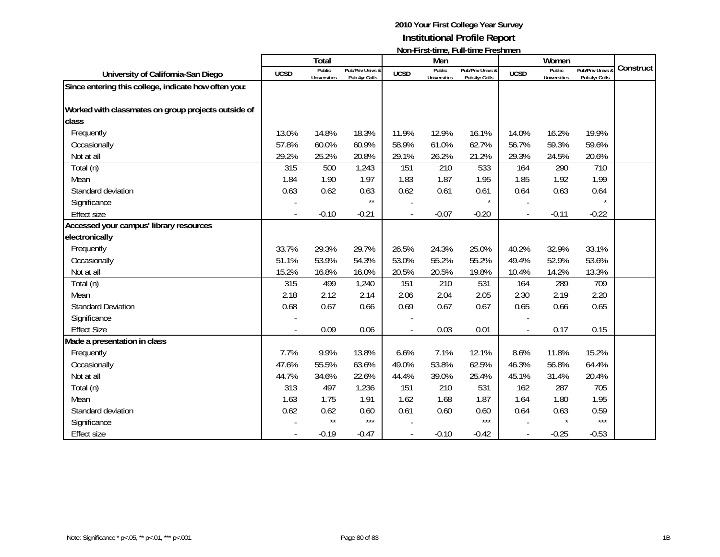|                                                      |             | <b>Total</b>                  |                                   |             | Men                           |                                   |             | Women                         |                                 |           |
|------------------------------------------------------|-------------|-------------------------------|-----------------------------------|-------------|-------------------------------|-----------------------------------|-------------|-------------------------------|---------------------------------|-----------|
| University of California-San Diego                   | <b>UCSD</b> | Public<br><b>Universities</b> | Pub/Priv Univs &<br>Pub 4yr Colls | <b>UCSD</b> | Public<br><b>Universities</b> | Pub/Priv Univs &<br>Pub 4yr Colls | <b>UCSD</b> | Public<br><b>Universities</b> | Pub/Priv Univs<br>Pub 4yr Colls | Construct |
| Since entering this college, indicate how often you: |             |                               |                                   |             |                               |                                   |             |                               |                                 |           |
| Worked with classmates on group projects outside of  |             |                               |                                   |             |                               |                                   |             |                               |                                 |           |
| class                                                |             |                               |                                   |             |                               |                                   |             |                               |                                 |           |
| Frequently                                           | 13.0%       | 14.8%                         | 18.3%                             | 11.9%       | 12.9%                         | 16.1%                             | 14.0%       | 16.2%                         | 19.9%                           |           |
| Occasionally                                         | 57.8%       | 60.0%                         | 60.9%                             | 58.9%       | 61.0%                         | 62.7%                             | 56.7%       | 59.3%                         | 59.6%                           |           |
| Not at all                                           | 29.2%       | 25.2%                         | 20.8%                             | 29.1%       | 26.2%                         | 21.2%                             | 29.3%       | 24.5%                         | 20.6%                           |           |
| Total (n)                                            | 315         | 500                           | 1,243                             | 151         | 210                           | 533                               | 164         | 290                           | 710                             |           |
| Mean                                                 | 1.84        | 1.90                          | 1.97                              | 1.83        | 1.87                          | 1.95                              | 1.85        | 1.92                          | 1.99                            |           |
| Standard deviation                                   | 0.63        | 0.62                          | 0.63                              | 0.62        | 0.61                          | 0.61                              | 0.64        | 0.63                          | 0.64                            |           |
| Significance                                         |             |                               | $\star\star$                      |             |                               | $\star$                           |             |                               |                                 |           |
| <b>Effect size</b>                                   |             | $-0.10$                       | $-0.21$                           |             | $-0.07$                       | $-0.20$                           |             | $-0.11$                       | $-0.22$                         |           |
| Accessed your campus' library resources              |             |                               |                                   |             |                               |                                   |             |                               |                                 |           |
| electronically                                       |             |                               |                                   |             |                               |                                   |             |                               |                                 |           |
| Frequently                                           | 33.7%       | 29.3%                         | 29.7%                             | 26.5%       | 24.3%                         | 25.0%                             | 40.2%       | 32.9%                         | 33.1%                           |           |
| Occasionally                                         | 51.1%       | 53.9%                         | 54.3%                             | 53.0%       | 55.2%                         | 55.2%                             | 49.4%       | 52.9%                         | 53.6%                           |           |
| Not at all                                           | 15.2%       | 16.8%                         | 16.0%                             | 20.5%       | 20.5%                         | 19.8%                             | 10.4%       | 14.2%                         | 13.3%                           |           |
| Total (n)                                            | 315         | 499                           | 1,240                             | 151         | 210                           | 531                               | 164         | 289                           | 709                             |           |
| Mean                                                 | 2.18        | 2.12                          | 2.14                              | 2.06        | 2.04                          | 2.05                              | 2.30        | 2.19                          | 2.20                            |           |
| <b>Standard Deviation</b>                            | 0.68        | 0.67                          | 0.66                              | 0.69        | 0.67                          | 0.67                              | 0.65        | 0.66                          | 0.65                            |           |
| Significance                                         |             |                               |                                   |             |                               |                                   |             |                               |                                 |           |
| <b>Effect Size</b>                                   |             | 0.09                          | 0.06                              |             | 0.03                          | 0.01                              |             | 0.17                          | 0.15                            |           |
| Made a presentation in class                         |             |                               |                                   |             |                               |                                   |             |                               |                                 |           |
| Frequently                                           | 7.7%        | 9.9%                          | 13.8%                             | 6.6%        | 7.1%                          | 12.1%                             | 8.6%        | 11.8%                         | 15.2%                           |           |
| Occasionally                                         | 47.6%       | 55.5%                         | 63.6%                             | 49.0%       | 53.8%                         | 62.5%                             | 46.3%       | 56.8%                         | 64.4%                           |           |
| Not at all                                           | 44.7%       | 34.6%                         | 22.6%                             | 44.4%       | 39.0%                         | 25.4%                             | 45.1%       | 31.4%                         | 20.4%                           |           |
| Total (n)                                            | 313         | 497                           | 1,236                             | 151         | 210                           | 531                               | 162         | 287                           | 705                             |           |
| Mean                                                 | 1.63        | 1.75                          | 1.91                              | 1.62        | 1.68                          | 1.87                              | 1.64        | 1.80                          | 1.95                            |           |
| Standard deviation                                   | 0.62        | 0.62                          | 0.60                              | 0.61        | 0.60                          | 0.60                              | 0.64        | 0.63                          | 0.59                            |           |
| Significance                                         |             | $\star\star$                  | $***$                             |             |                               | $***$                             |             |                               | $***$                           |           |
| <b>Effect size</b>                                   |             | $-0.19$                       | $-0.47$                           |             | $-0.10$                       | $-0.42$                           |             | $-0.25$                       | $-0.53$                         |           |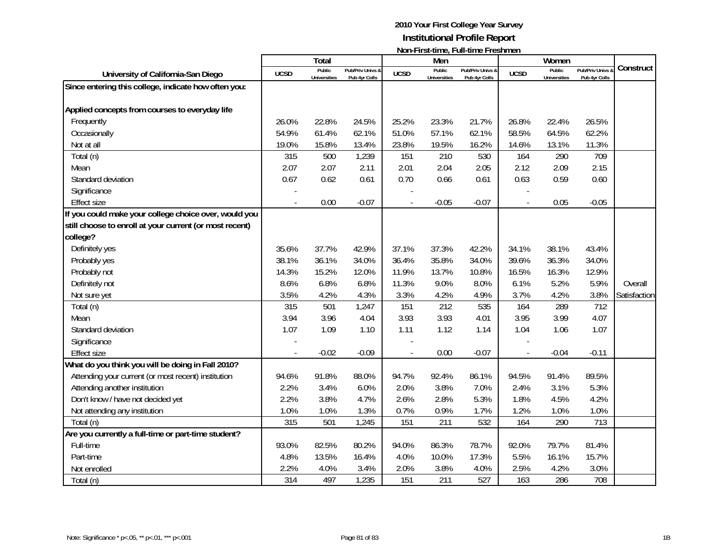| <b>Total</b><br>Men<br>Women<br>Construct<br>Public<br>Public<br>Public<br>Pub/Priv Univs<br>Pub/Priv Univs &<br>Pub/Priv Univs &<br><b>UCSD</b><br>University of California-San Diego<br><b>UCSD</b><br><b>UCSD</b><br><b>Universities</b><br>Pub 4yr Colls<br><b>Universities</b><br>Pub 4yr Colls<br><b>Universities</b><br>Pub 4yr Colls<br>Since entering this college, indicate how often you:<br>Applied concepts from courses to everyday life<br>Frequently<br>26.0%<br>22.8%<br>24.5%<br>25.2%<br>23.3%<br>21.7%<br>26.8%<br>22.4%<br>26.5%<br>54.9%<br>61.4%<br>62.1%<br>51.0%<br>57.1%<br>62.1%<br>58.5%<br>64.5%<br>62.2%<br>Occasionally |
|--------------------------------------------------------------------------------------------------------------------------------------------------------------------------------------------------------------------------------------------------------------------------------------------------------------------------------------------------------------------------------------------------------------------------------------------------------------------------------------------------------------------------------------------------------------------------------------------------------------------------------------------------------|
|                                                                                                                                                                                                                                                                                                                                                                                                                                                                                                                                                                                                                                                        |
|                                                                                                                                                                                                                                                                                                                                                                                                                                                                                                                                                                                                                                                        |
|                                                                                                                                                                                                                                                                                                                                                                                                                                                                                                                                                                                                                                                        |
|                                                                                                                                                                                                                                                                                                                                                                                                                                                                                                                                                                                                                                                        |
|                                                                                                                                                                                                                                                                                                                                                                                                                                                                                                                                                                                                                                                        |
|                                                                                                                                                                                                                                                                                                                                                                                                                                                                                                                                                                                                                                                        |
|                                                                                                                                                                                                                                                                                                                                                                                                                                                                                                                                                                                                                                                        |
| Not at all<br>19.0%<br>15.8%<br>13.4%<br>23.8%<br>19.5%<br>16.2%<br>14.6%<br>13.1%<br>11.3%                                                                                                                                                                                                                                                                                                                                                                                                                                                                                                                                                            |
| 210<br>709<br>Total (n)<br>315<br>500<br>1,239<br>151<br>530<br>164<br>290                                                                                                                                                                                                                                                                                                                                                                                                                                                                                                                                                                             |
| 2.07<br>2.07<br>2.11<br>2.01<br>2.04<br>2.05<br>2.12<br>2.09<br>2.15<br>Mean                                                                                                                                                                                                                                                                                                                                                                                                                                                                                                                                                                           |
| 0.62<br>0.70<br>0.63<br>0.67<br>0.61<br>0.66<br>0.61<br>0.59<br>0.60<br>Standard deviation                                                                                                                                                                                                                                                                                                                                                                                                                                                                                                                                                             |
| Significance                                                                                                                                                                                                                                                                                                                                                                                                                                                                                                                                                                                                                                           |
| 0.00<br>$-0.07$<br>$-0.05$<br>$-0.07$<br>0.05<br>$-0.05$<br><b>Effect size</b><br>$\blacksquare$                                                                                                                                                                                                                                                                                                                                                                                                                                                                                                                                                       |
| If you could make your college choice over, would you                                                                                                                                                                                                                                                                                                                                                                                                                                                                                                                                                                                                  |
| still choose to enroll at your current (or most recent)                                                                                                                                                                                                                                                                                                                                                                                                                                                                                                                                                                                                |
| college?                                                                                                                                                                                                                                                                                                                                                                                                                                                                                                                                                                                                                                               |
| Definitely yes<br>35.6%<br>37.7%<br>42.9%<br>37.1%<br>37.3%<br>34.1%<br>38.1%<br>42.2%<br>43.4%                                                                                                                                                                                                                                                                                                                                                                                                                                                                                                                                                        |
| 35.8%<br>38.1%<br>36.1%<br>34.0%<br>36.4%<br>34.0%<br>39.6%<br>36.3%<br>34.0%<br>Probably yes                                                                                                                                                                                                                                                                                                                                                                                                                                                                                                                                                          |
| 15.2%<br>13.7%<br>16.5%<br>Probably not<br>14.3%<br>12.0%<br>11.9%<br>10.8%<br>16.3%<br>12.9%                                                                                                                                                                                                                                                                                                                                                                                                                                                                                                                                                          |
| 6.8%<br>6.8%<br>11.3%<br>9.0%<br>6.1%<br>5.9%<br>Definitely not<br>8.6%<br>8.0%<br>5.2%<br>Overall                                                                                                                                                                                                                                                                                                                                                                                                                                                                                                                                                     |
| 3.3%<br>3.8%<br>3.5%<br>4.2%<br>4.3%<br>4.2%<br>3.7%<br>Satisfaction<br>4.9%<br>4.2%<br>Not sure yet                                                                                                                                                                                                                                                                                                                                                                                                                                                                                                                                                   |
| 212<br>535<br>712<br>Total (n)<br>315<br>501<br>151<br>289<br>1,247<br>164                                                                                                                                                                                                                                                                                                                                                                                                                                                                                                                                                                             |
| 3.93<br>3.94<br>3.96<br>4.04<br>3.93<br>4.01<br>3.95<br>3.99<br>4.07<br>Mean                                                                                                                                                                                                                                                                                                                                                                                                                                                                                                                                                                           |
| 1.07<br>1.09<br>1.10<br>1.11<br>1.12<br>1.04<br>1.06<br>1.07<br>Standard deviation<br>1.14                                                                                                                                                                                                                                                                                                                                                                                                                                                                                                                                                             |
| Significance                                                                                                                                                                                                                                                                                                                                                                                                                                                                                                                                                                                                                                           |
| $-0.02$<br>$-0.09$<br>0.00<br>$-0.07$<br>$-0.04$<br>$-0.11$<br><b>Effect size</b><br>$\overline{\phantom{a}}$<br>$\overline{a}$                                                                                                                                                                                                                                                                                                                                                                                                                                                                                                                        |
| What do you think you will be doing in Fall 2010?                                                                                                                                                                                                                                                                                                                                                                                                                                                                                                                                                                                                      |
| Attending your current (or most recent) institution<br>91.8%<br>94.5%<br>89.5%<br>94.6%<br>88.0%<br>94.7%<br>92.4%<br>86.1%<br>91.4%                                                                                                                                                                                                                                                                                                                                                                                                                                                                                                                   |
| Attending another institution<br>3.4%<br>6.0%<br>2.0%<br>3.8%<br>7.0%<br>2.4%<br>3.1%<br>5.3%<br>2.2%                                                                                                                                                                                                                                                                                                                                                                                                                                                                                                                                                  |
| Don't know / have not decided yet<br>2.2%<br>3.8%<br>4.7%<br>2.6%<br>2.8%<br>5.3%<br>1.8%<br>4.2%<br>4.5%                                                                                                                                                                                                                                                                                                                                                                                                                                                                                                                                              |
| Not attending any institution<br>1.0%<br>1.0%<br>1.3%<br>0.7%<br>0.9%<br>1.7%<br>1.2%<br>1.0%<br>1.0%                                                                                                                                                                                                                                                                                                                                                                                                                                                                                                                                                  |
| 501<br>151<br>532<br>164<br>713<br>Total (n)<br>315<br>1,245<br>211<br>290                                                                                                                                                                                                                                                                                                                                                                                                                                                                                                                                                                             |
| Are you currently a full-time or part-time student?                                                                                                                                                                                                                                                                                                                                                                                                                                                                                                                                                                                                    |
| Full-time<br>93.0%<br>82.5%<br>80.2%<br>94.0%<br>86.3%<br>78.7%<br>92.0%<br>79.7%<br>81.4%                                                                                                                                                                                                                                                                                                                                                                                                                                                                                                                                                             |
| Part-time<br>13.5%<br>5.5%<br>15.7%<br>4.8%<br>16.4%<br>4.0%<br>10.0%<br>17.3%<br>16.1%                                                                                                                                                                                                                                                                                                                                                                                                                                                                                                                                                                |
| 3.0%<br>2.2%<br>4.0%<br>3.4%<br>2.0%<br>3.8%<br>4.0%<br>2.5%<br>4.2%<br>Not enrolled                                                                                                                                                                                                                                                                                                                                                                                                                                                                                                                                                                   |
| 708<br>314<br>497<br>1,235<br>151<br>211<br>527<br>163<br>286<br>Total (n)                                                                                                                                                                                                                                                                                                                                                                                                                                                                                                                                                                             |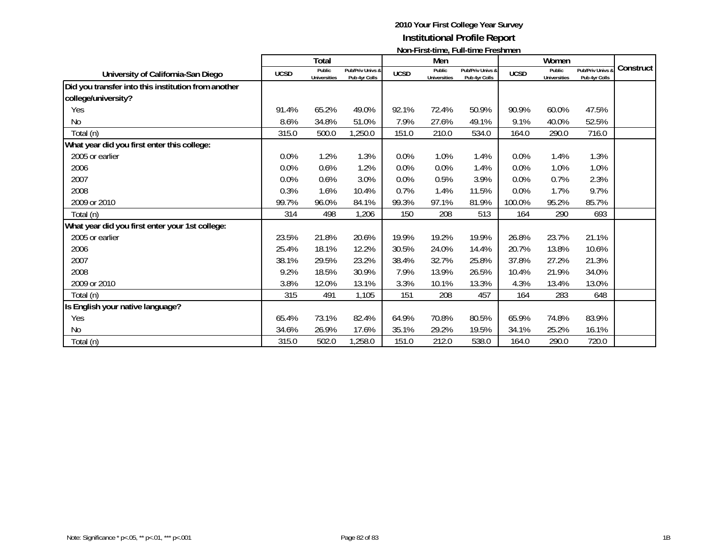|                                                     | N           |                               |                                   |             |                               |                                   |             |                               |                                   |           |
|-----------------------------------------------------|-------------|-------------------------------|-----------------------------------|-------------|-------------------------------|-----------------------------------|-------------|-------------------------------|-----------------------------------|-----------|
|                                                     |             | Total                         |                                   |             | Men                           |                                   |             | Women                         |                                   | Construct |
| University of California-San Diego                  | <b>UCSD</b> | Public<br><b>Universities</b> | Pub/Priv Univs &<br>Pub 4yr Colls | <b>UCSD</b> | Public<br><b>Universities</b> | Pub/Priv Univs &<br>Pub 4yr Colls | <b>UCSD</b> | Public<br><b>Universities</b> | Pub/Priv Univs &<br>Pub 4yr Colls |           |
| Did you transfer into this institution from another |             |                               |                                   |             |                               |                                   |             |                               |                                   |           |
| college/university?                                 |             |                               |                                   |             |                               |                                   |             |                               |                                   |           |
| Yes                                                 | 91.4%       | 65.2%                         | 49.0%                             | 92.1%       | 72.4%                         | 50.9%                             | 90.9%       | 60.0%                         | 47.5%                             |           |
| N <sub>0</sub>                                      | 8.6%        | 34.8%                         | 51.0%                             | 7.9%        | 27.6%                         | 49.1%                             | 9.1%        | 40.0%                         | 52.5%                             |           |
| Total (n)                                           | 315.0       | 500.0                         | 1,250.0                           | 151.0       | 210.0                         | 534.0                             | 164.0       | 290.0                         | 716.0                             |           |
| What year did you first enter this college:         |             |                               |                                   |             |                               |                                   |             |                               |                                   |           |
| 2005 or earlier                                     | 0.0%        | 1.2%                          | 1.3%                              | 0.0%        | 1.0%                          | 1.4%                              | 0.0%        | 1.4%                          | 1.3%                              |           |
| 2006                                                | 0.0%        | 0.6%                          | 1.2%                              | 0.0%        | 0.0%                          | 1.4%                              | 0.0%        | 1.0%                          | 1.0%                              |           |
| 2007                                                | 0.0%        | 0.6%                          | 3.0%                              | 0.0%        | 0.5%                          | 3.9%                              | 0.0%        | 0.7%                          | 2.3%                              |           |
| 2008                                                | 0.3%        | 1.6%                          | 10.4%                             | 0.7%        | 1.4%                          | 11.5%                             | 0.0%        | 1.7%                          | 9.7%                              |           |
| 2009 or 2010                                        | 99.7%       | 96.0%                         | 84.1%                             | 99.3%       | 97.1%                         | 81.9%                             | 100.0%      | 95.2%                         | 85.7%                             |           |
| Total (n)                                           | 314         | 498                           | 1,206                             | 150         | 208                           | 513                               | 164         | 290                           | 693                               |           |
| What year did you first enter your 1st college:     |             |                               |                                   |             |                               |                                   |             |                               |                                   |           |
| 2005 or earlier                                     | 23.5%       | 21.8%                         | 20.6%                             | 19.9%       | 19.2%                         | 19.9%                             | 26.8%       | 23.7%                         | 21.1%                             |           |
| 2006                                                | 25.4%       | 18.1%                         | 12.2%                             | 30.5%       | 24.0%                         | 14.4%                             | 20.7%       | 13.8%                         | 10.6%                             |           |
| 2007                                                | 38.1%       | 29.5%                         | 23.2%                             | 38.4%       | 32.7%                         | 25.8%                             | 37.8%       | 27.2%                         | 21.3%                             |           |
| 2008                                                | 9.2%        | 18.5%                         | 30.9%                             | 7.9%        | 13.9%                         | 26.5%                             | 10.4%       | 21.9%                         | 34.0%                             |           |
| 2009 or 2010                                        | 3.8%        | 12.0%                         | 13.1%                             | 3.3%        | 10.1%                         | 13.3%                             | 4.3%        | 13.4%                         | 13.0%                             |           |
| Total (n)                                           | 315         | 491                           | 1,105                             | 151         | 208                           | 457                               | 164         | 283                           | 648                               |           |
| Is English your native language?                    |             |                               |                                   |             |                               |                                   |             |                               |                                   |           |
| Yes                                                 | 65.4%       | 73.1%                         | 82.4%                             | 64.9%       | 70.8%                         | 80.5%                             | 65.9%       | 74.8%                         | 83.9%                             |           |
| No                                                  | 34.6%       | 26.9%                         | 17.6%                             | 35.1%       | 29.2%                         | 19.5%                             | 34.1%       | 25.2%                         | 16.1%                             |           |
| Total (n)                                           | 315.0       | 502.0                         | 1,258.0                           | 151.0       | 212.0                         | 538.0                             | 164.0       | 290.0                         | 720.0                             |           |